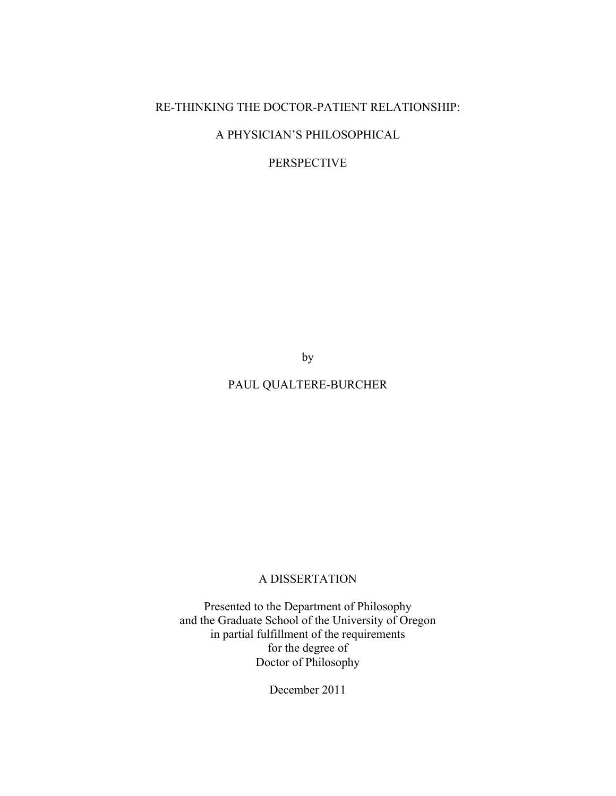# RE-THINKING THE DOCTOR-PATIENT RELATIONSHIP:

# A PHYSICIAN'S PHILOSOPHICAL

# PERSPECTIVE

by

# PAUL QUALTERE-BURCHER

# A DISSERTATION

Presented to the Department of Philosophy and the Graduate School of the University of Oregon in partial fulfillment of the requirements for the degree of Doctor of Philosophy

December 2011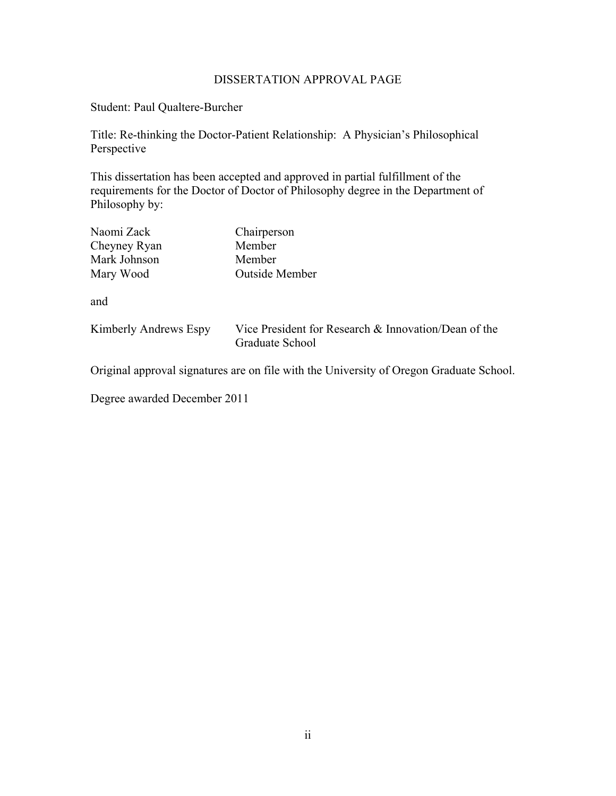# DISSERTATION APPROVAL PAGE

Student: Paul Qualtere-Burcher

Title: Re-thinking the Doctor-Patient Relationship: A Physician's Philosophical Perspective

This dissertation has been accepted and approved in partial fulfillment of the requirements for the Doctor of Doctor of Philosophy degree in the Department of Philosophy by:

| Naomi Zack            | Chairperson                                                             |
|-----------------------|-------------------------------------------------------------------------|
| Cheyney Ryan          | Member                                                                  |
| Mark Johnson          | Member                                                                  |
| Mary Wood             | <b>Outside Member</b>                                                   |
| and                   |                                                                         |
| Kimberly Andrews Espy | Vice President for Research & Innovation/Dean of the<br>Graduate School |

Original approval signatures are on file with the University of Oregon Graduate School.

Degree awarded December 2011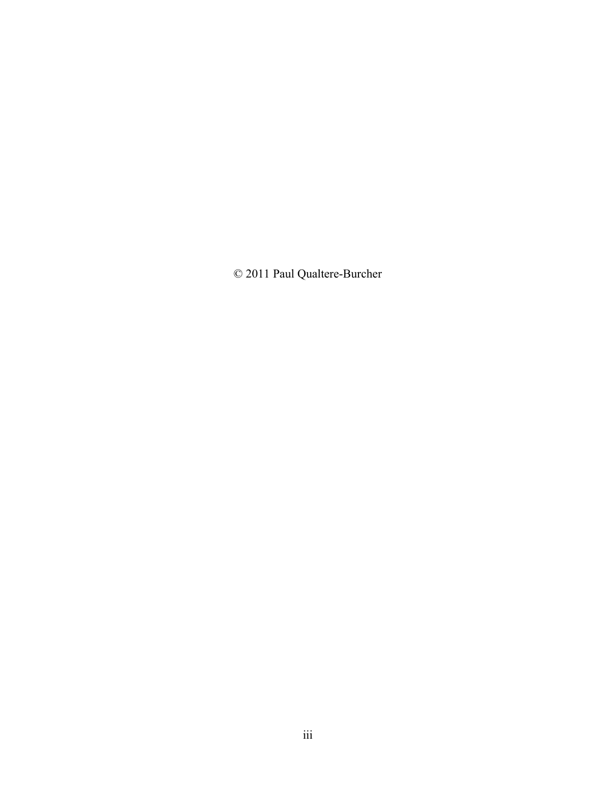© 2011 Paul Qualtere-Burcher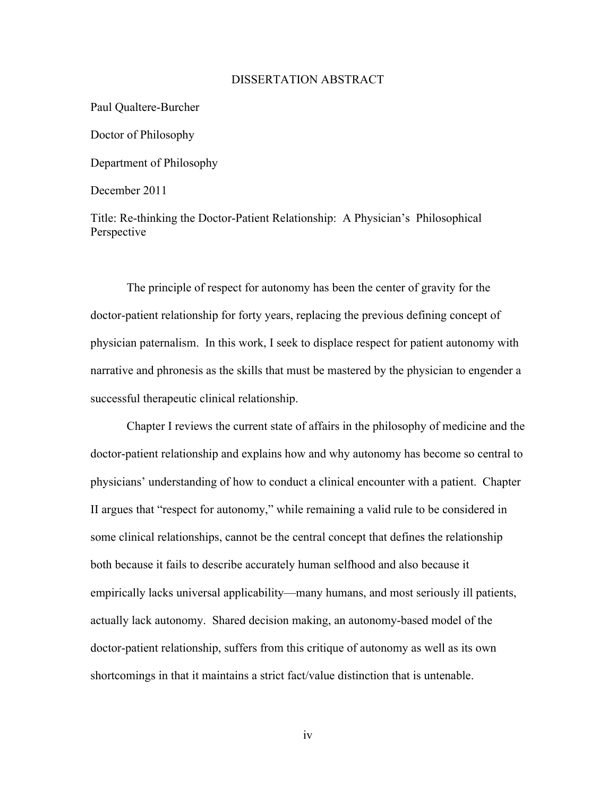### DISSERTATION ABSTRACT

Paul Qualtere-Burcher Doctor of Philosophy Department of Philosophy December 2011 Title: Re-thinking the Doctor-Patient Relationship: A Physician's Philosophical Perspective

The principle of respect for autonomy has been the center of gravity for the doctor-patient relationship for forty years, replacing the previous defining concept of physician paternalism. In this work, I seek to displace respect for patient autonomy with narrative and phronesis as the skills that must be mastered by the physician to engender a successful therapeutic clinical relationship.

Chapter I reviews the current state of affairs in the philosophy of medicine and the doctor-patient relationship and explains how and why autonomy has become so central to physicians' understanding of how to conduct a clinical encounter with a patient. Chapter II argues that "respect for autonomy," while remaining a valid rule to be considered in some clinical relationships, cannot be the central concept that defines the relationship both because it fails to describe accurately human selfhood and also because it empirically lacks universal applicability—many humans, and most seriously ill patients, actually lack autonomy. Shared decision making, an autonomy-based model of the doctor-patient relationship, suffers from this critique of autonomy as well as its own shortcomings in that it maintains a strict fact/value distinction that is untenable.

iv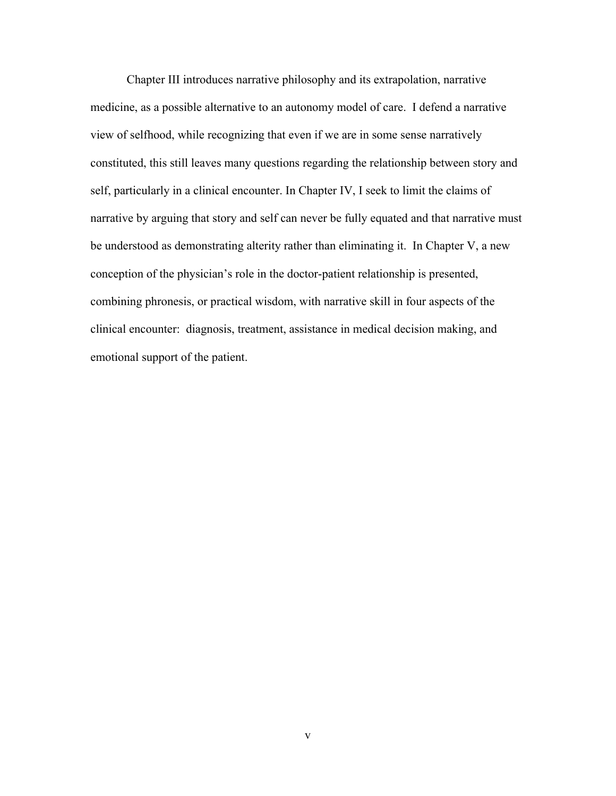Chapter III introduces narrative philosophy and its extrapolation, narrative medicine, as a possible alternative to an autonomy model of care. I defend a narrative view of selfhood, while recognizing that even if we are in some sense narratively constituted, this still leaves many questions regarding the relationship between story and self, particularly in a clinical encounter. In Chapter IV, I seek to limit the claims of narrative by arguing that story and self can never be fully equated and that narrative must be understood as demonstrating alterity rather than eliminating it. In Chapter V, a new conception of the physician's role in the doctor-patient relationship is presented, combining phronesis, or practical wisdom, with narrative skill in four aspects of the clinical encounter: diagnosis, treatment, assistance in medical decision making, and emotional support of the patient.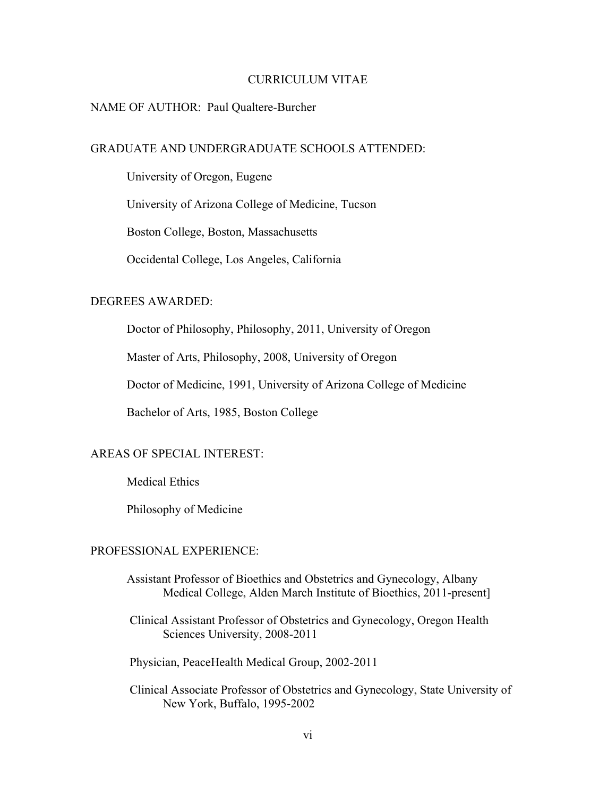# CURRICULUM VITAE

# NAME OF AUTHOR: Paul Qualtere-Burcher

# GRADUATE AND UNDERGRADUATE SCHOOLS ATTENDED:

University of Oregon, Eugene

University of Arizona College of Medicine, Tucson

Boston College, Boston, Massachusetts

Occidental College, Los Angeles, California

# DEGREES AWARDED:

Doctor of Philosophy, Philosophy, 2011, University of Oregon

Master of Arts, Philosophy, 2008, University of Oregon

Doctor of Medicine, 1991, University of Arizona College of Medicine

Bachelor of Arts, 1985, Boston College

# AREAS OF SPECIAL INTEREST:

Medical Ethics

Philosophy of Medicine

### PROFESSIONAL EXPERIENCE:

- Assistant Professor of Bioethics and Obstetrics and Gynecology, Albany Medical College, Alden March Institute of Bioethics, 2011-present]
- Clinical Assistant Professor of Obstetrics and Gynecology, Oregon Health Sciences University, 2008-2011

Physician, PeaceHealth Medical Group, 2002-2011

 Clinical Associate Professor of Obstetrics and Gynecology, State University of New York, Buffalo, 1995-2002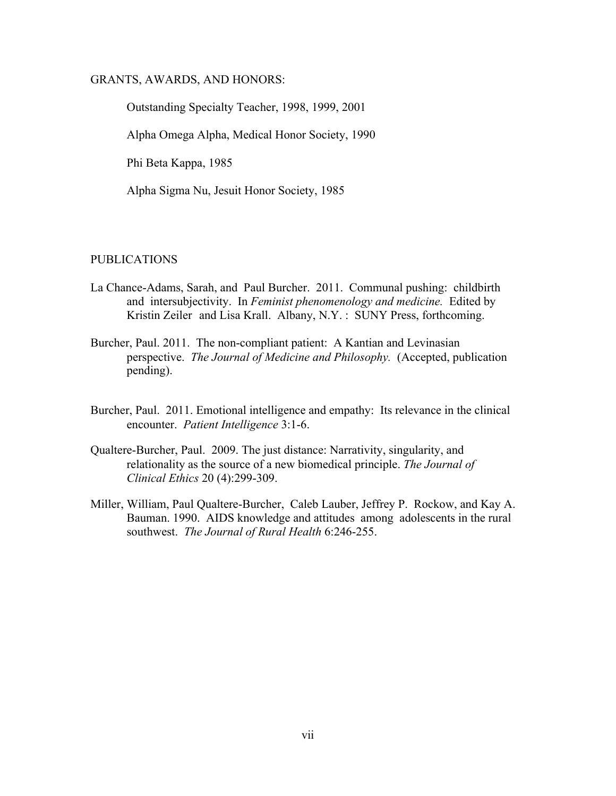# GRANTS, AWARDS, AND HONORS:

Outstanding Specialty Teacher, 1998, 1999, 2001 Alpha Omega Alpha, Medical Honor Society, 1990 Phi Beta Kappa, 1985 Alpha Sigma Nu, Jesuit Honor Society, 1985

PUBLICATIONS

- La Chance-Adams, Sarah, and Paul Burcher. 2011. Communal pushing: childbirth and intersubjectivity. In *Feminist phenomenology and medicine.* Edited by Kristin Zeiler and Lisa Krall. Albany, N.Y. : SUNY Press, forthcoming.
- Burcher, Paul. 2011. The non-compliant patient: A Kantian and Levinasian perspective. *The Journal of Medicine and Philosophy.* (Accepted, publication pending).
- Burcher, Paul. 2011. Emotional intelligence and empathy: Its relevance in the clinical encounter. *Patient Intelligence* 3:1-6.
- Qualtere-Burcher, Paul. 2009. The just distance: Narrativity, singularity, and relationality as the source of a new biomedical principle. *The Journal of Clinical Ethics* 20 (4):299-309.
- Miller, William, Paul Qualtere-Burcher, Caleb Lauber, Jeffrey P. Rockow, and Kay A. Bauman. 1990. AIDS knowledge and attitudes among adolescents in the rural southwest. *The Journal of Rural Health* 6:246-255.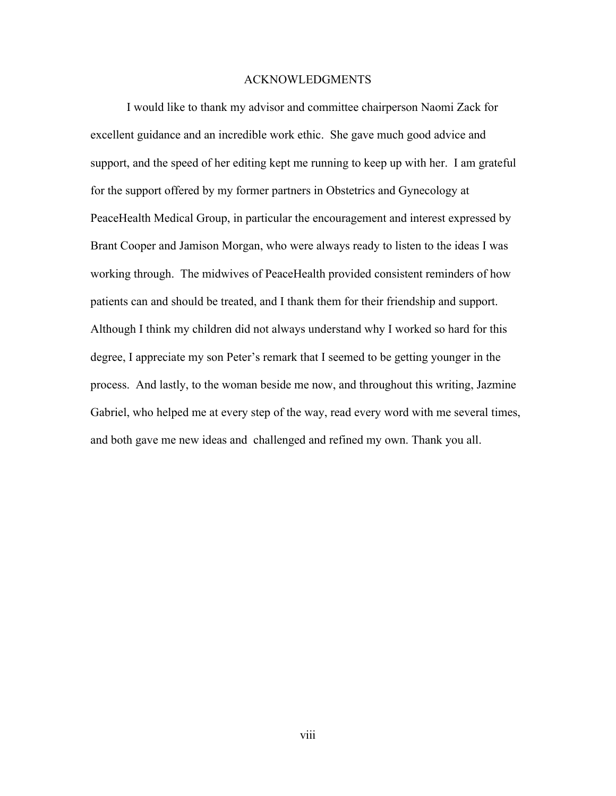## ACKNOWLEDGMENTS

I would like to thank my advisor and committee chairperson Naomi Zack for excellent guidance and an incredible work ethic. She gave much good advice and support, and the speed of her editing kept me running to keep up with her. I am grateful for the support offered by my former partners in Obstetrics and Gynecology at PeaceHealth Medical Group, in particular the encouragement and interest expressed by Brant Cooper and Jamison Morgan, who were always ready to listen to the ideas I was working through. The midwives of PeaceHealth provided consistent reminders of how patients can and should be treated, and I thank them for their friendship and support. Although I think my children did not always understand why I worked so hard for this degree, I appreciate my son Peter's remark that I seemed to be getting younger in the process. And lastly, to the woman beside me now, and throughout this writing, Jazmine Gabriel, who helped me at every step of the way, read every word with me several times, and both gave me new ideas and challenged and refined my own. Thank you all.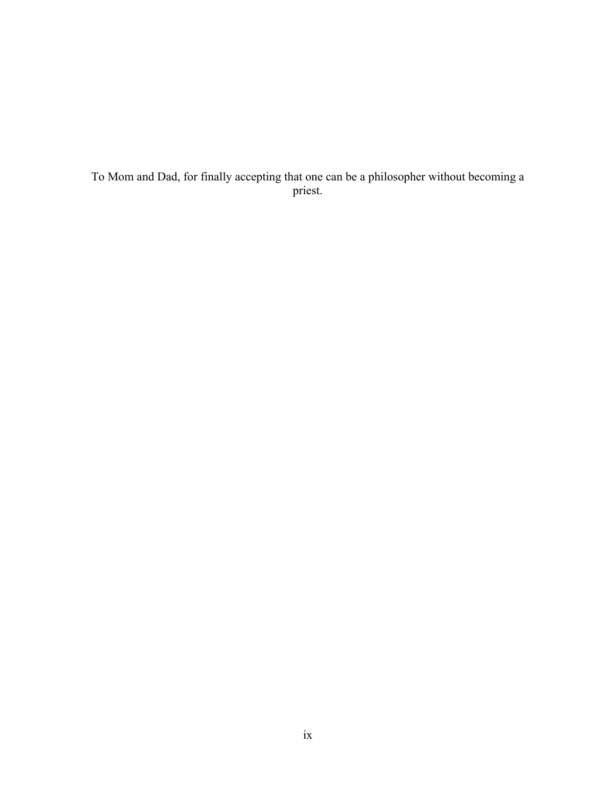To Mom and Dad, for finally accepting that one can be a philosopher without becoming a priest.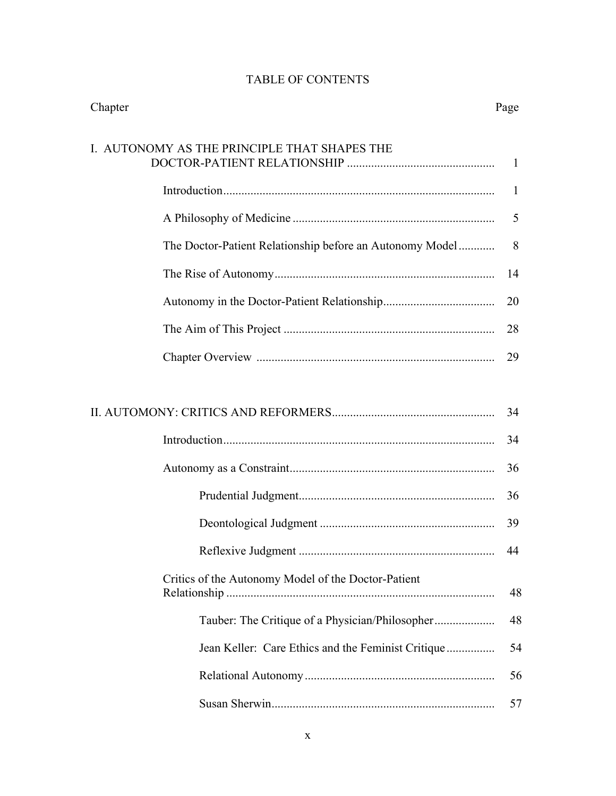| Chapter                                      | Page |
|----------------------------------------------|------|
| I. AUTONOMY AS THE PRINCIPLE THAT SHAPES THE |      |
|                                              |      |
|                                              |      |
|                                              |      |
|                                              | -14  |
|                                              | 20   |
|                                              | 28   |
|                                              | 29   |
|                                              |      |

# TABLE OF CONTENTS

|                                                     | 34 |
|-----------------------------------------------------|----|
|                                                     | 34 |
|                                                     | 36 |
|                                                     | 36 |
|                                                     | 39 |
|                                                     | 44 |
| Critics of the Autonomy Model of the Doctor-Patient | 48 |
|                                                     | 48 |
|                                                     | 54 |
|                                                     | 56 |
|                                                     | 57 |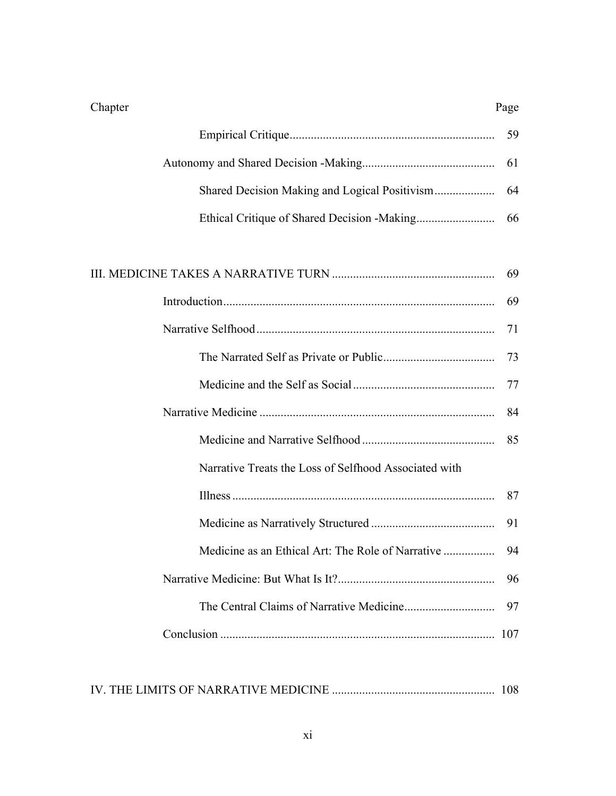| Chapter | Page |
|---------|------|
|---------|------|

| -59 |
|-----|
|     |
|     |
|     |

|                                                       | 69  |
|-------------------------------------------------------|-----|
|                                                       | 71  |
|                                                       | 73  |
|                                                       | 77  |
|                                                       | -84 |
|                                                       | 85  |
| Narrative Treats the Loss of Selfhood Associated with |     |
|                                                       | 87  |
|                                                       | 91  |
|                                                       | 94  |
|                                                       | 96  |
|                                                       | 97  |
|                                                       |     |
|                                                       |     |

|--|--|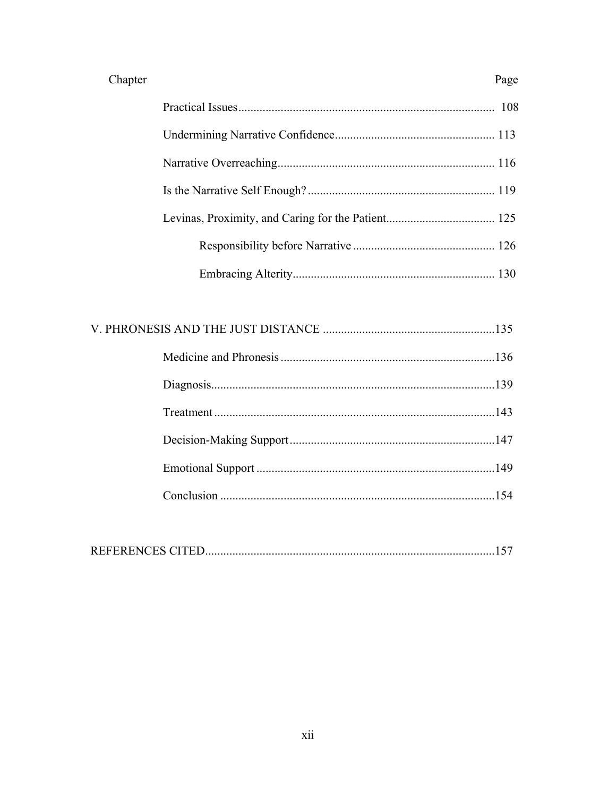# Chapter

Page

|--|--|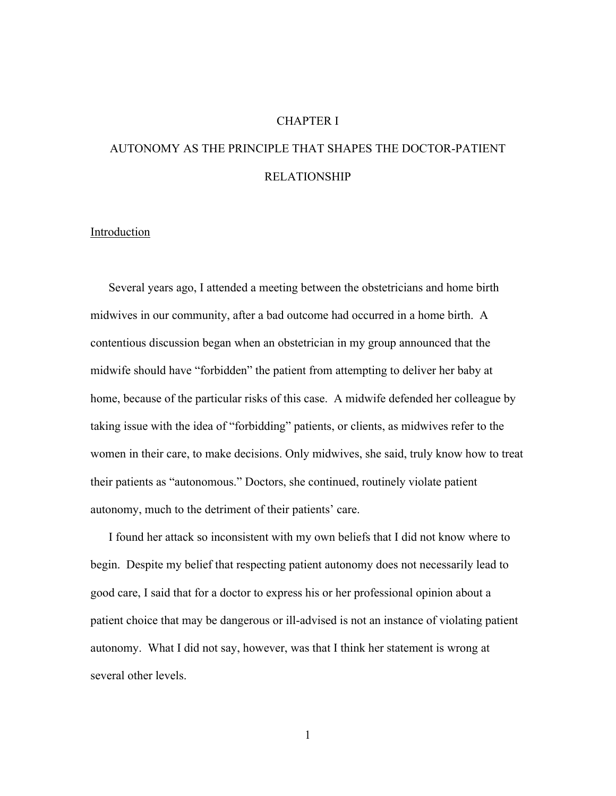# CHAPTER I

# AUTONOMY AS THE PRINCIPLE THAT SHAPES THE DOCTOR-PATIENT RELATIONSHIP

# Introduction

Several years ago, I attended a meeting between the obstetricians and home birth midwives in our community, after a bad outcome had occurred in a home birth. A contentious discussion began when an obstetrician in my group announced that the midwife should have "forbidden" the patient from attempting to deliver her baby at home, because of the particular risks of this case. A midwife defended her colleague by taking issue with the idea of "forbidding" patients, or clients, as midwives refer to the women in their care, to make decisions. Only midwives, she said, truly know how to treat their patients as "autonomous." Doctors, she continued, routinely violate patient autonomy, much to the detriment of their patients' care.

I found her attack so inconsistent with my own beliefs that I did not know where to begin. Despite my belief that respecting patient autonomy does not necessarily lead to good care, I said that for a doctor to express his or her professional opinion about a patient choice that may be dangerous or ill-advised is not an instance of violating patient autonomy. What I did not say, however, was that I think her statement is wrong at several other levels.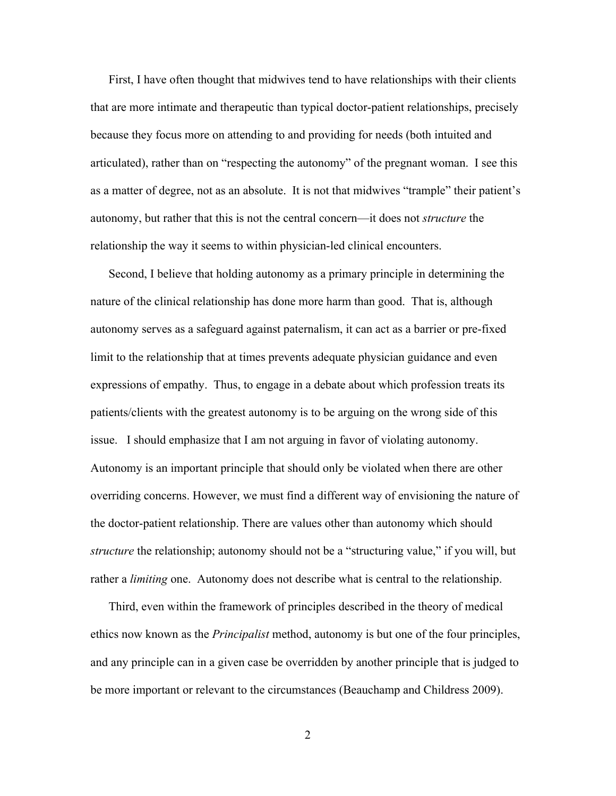First, I have often thought that midwives tend to have relationships with their clients that are more intimate and therapeutic than typical doctor-patient relationships, precisely because they focus more on attending to and providing for needs (both intuited and articulated), rather than on "respecting the autonomy" of the pregnant woman. I see this as a matter of degree, not as an absolute. It is not that midwives "trample" their patient's autonomy, but rather that this is not the central concern—it does not *structure* the relationship the way it seems to within physician-led clinical encounters.

Second, I believe that holding autonomy as a primary principle in determining the nature of the clinical relationship has done more harm than good. That is, although autonomy serves as a safeguard against paternalism, it can act as a barrier or pre-fixed limit to the relationship that at times prevents adequate physician guidance and even expressions of empathy. Thus, to engage in a debate about which profession treats its patients/clients with the greatest autonomy is to be arguing on the wrong side of this issue. I should emphasize that I am not arguing in favor of violating autonomy. Autonomy is an important principle that should only be violated when there are other overriding concerns. However, we must find a different way of envisioning the nature of the doctor-patient relationship. There are values other than autonomy which should *structure* the relationship; autonomy should not be a "structuring value," if you will, but rather a *limiting* one. Autonomy does not describe what is central to the relationship.

Third, even within the framework of principles described in the theory of medical ethics now known as the *Principalist* method, autonomy is but one of the four principles, and any principle can in a given case be overridden by another principle that is judged to be more important or relevant to the circumstances (Beauchamp and Childress 2009).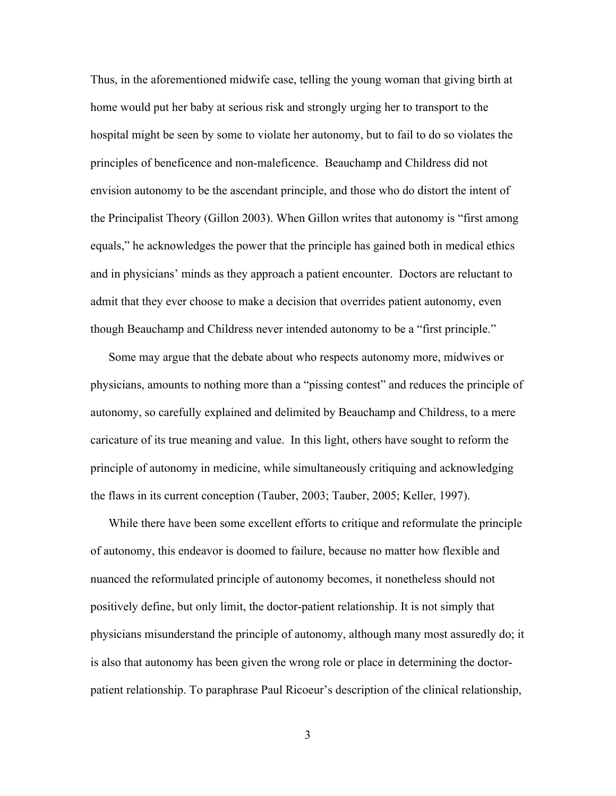Thus, in the aforementioned midwife case, telling the young woman that giving birth at home would put her baby at serious risk and strongly urging her to transport to the hospital might be seen by some to violate her autonomy, but to fail to do so violates the principles of beneficence and non-maleficence. Beauchamp and Childress did not envision autonomy to be the ascendant principle, and those who do distort the intent of the Principalist Theory (Gillon 2003). When Gillon writes that autonomy is "first among equals," he acknowledges the power that the principle has gained both in medical ethics and in physicians' minds as they approach a patient encounter. Doctors are reluctant to admit that they ever choose to make a decision that overrides patient autonomy, even though Beauchamp and Childress never intended autonomy to be a "first principle."

Some may argue that the debate about who respects autonomy more, midwives or physicians, amounts to nothing more than a "pissing contest" and reduces the principle of autonomy, so carefully explained and delimited by Beauchamp and Childress, to a mere caricature of its true meaning and value. In this light, others have sought to reform the principle of autonomy in medicine, while simultaneously critiquing and acknowledging the flaws in its current conception (Tauber, 2003; Tauber, 2005; Keller, 1997).

While there have been some excellent efforts to critique and reformulate the principle of autonomy, this endeavor is doomed to failure, because no matter how flexible and nuanced the reformulated principle of autonomy becomes, it nonetheless should not positively define, but only limit, the doctor-patient relationship. It is not simply that physicians misunderstand the principle of autonomy, although many most assuredly do; it is also that autonomy has been given the wrong role or place in determining the doctorpatient relationship. To paraphrase Paul Ricoeur's description of the clinical relationship,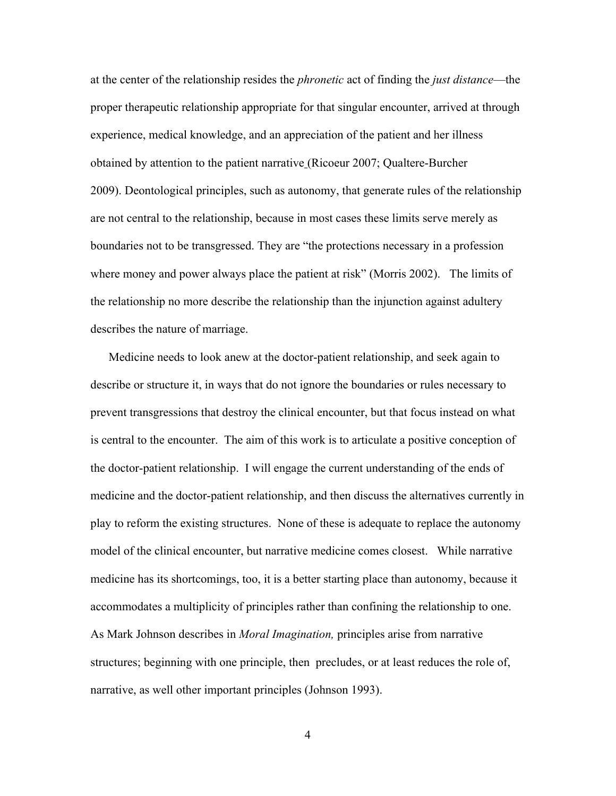at the center of the relationship resides the *phronetic* act of finding the *just distance*—the proper therapeutic relationship appropriate for that singular encounter, arrived at through experience, medical knowledge, and an appreciation of the patient and her illness obtained by attention to the patient narrative (Ricoeur 2007; Qualtere-Burcher 2009). Deontological principles, such as autonomy, that generate rules of the relationship are not central to the relationship, because in most cases these limits serve merely as boundaries not to be transgressed. They are "the protections necessary in a profession where money and power always place the patient at risk" (Morris 2002). The limits of the relationship no more describe the relationship than the injunction against adultery describes the nature of marriage.

Medicine needs to look anew at the doctor-patient relationship, and seek again to describe or structure it, in ways that do not ignore the boundaries or rules necessary to prevent transgressions that destroy the clinical encounter, but that focus instead on what is central to the encounter. The aim of this work is to articulate a positive conception of the doctor-patient relationship. I will engage the current understanding of the ends of medicine and the doctor-patient relationship, and then discuss the alternatives currently in play to reform the existing structures. None of these is adequate to replace the autonomy model of the clinical encounter, but narrative medicine comes closest. While narrative medicine has its shortcomings, too, it is a better starting place than autonomy, because it accommodates a multiplicity of principles rather than confining the relationship to one. As Mark Johnson describes in *Moral Imagination,* principles arise from narrative structures; beginning with one principle, then precludes, or at least reduces the role of, narrative, as well other important principles (Johnson 1993).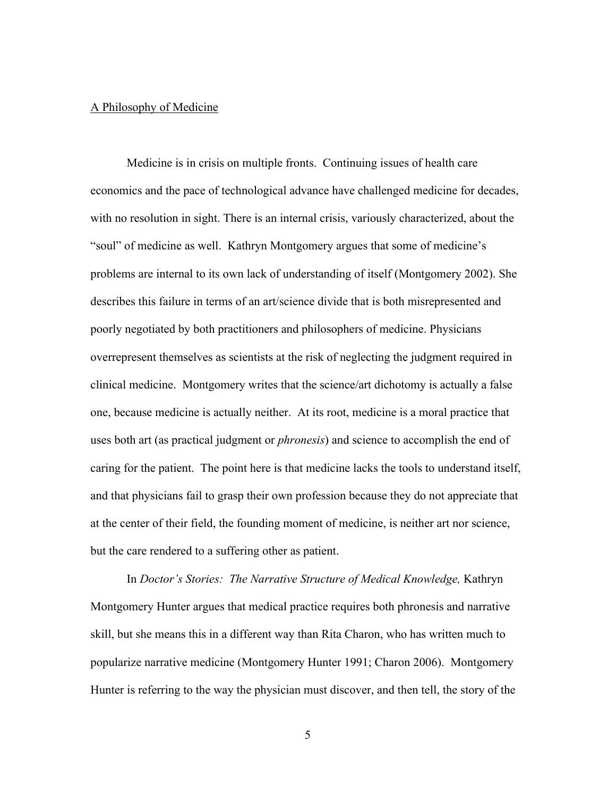## A Philosophy of Medicine

Medicine is in crisis on multiple fronts. Continuing issues of health care economics and the pace of technological advance have challenged medicine for decades, with no resolution in sight. There is an internal crisis, variously characterized, about the "soul" of medicine as well. Kathryn Montgomery argues that some of medicine's problems are internal to its own lack of understanding of itself (Montgomery 2002). She describes this failure in terms of an art/science divide that is both misrepresented and poorly negotiated by both practitioners and philosophers of medicine. Physicians overrepresent themselves as scientists at the risk of neglecting the judgment required in clinical medicine. Montgomery writes that the science/art dichotomy is actually a false one, because medicine is actually neither. At its root, medicine is a moral practice that uses both art (as practical judgment or *phronesis*) and science to accomplish the end of caring for the patient. The point here is that medicine lacks the tools to understand itself, and that physicians fail to grasp their own profession because they do not appreciate that at the center of their field, the founding moment of medicine, is neither art nor science, but the care rendered to a suffering other as patient.

In *Doctor's Stories: The Narrative Structure of Medical Knowledge,* Kathryn Montgomery Hunter argues that medical practice requires both phronesis and narrative skill, but she means this in a different way than Rita Charon, who has written much to popularize narrative medicine (Montgomery Hunter 1991; Charon 2006). Montgomery Hunter is referring to the way the physician must discover, and then tell, the story of the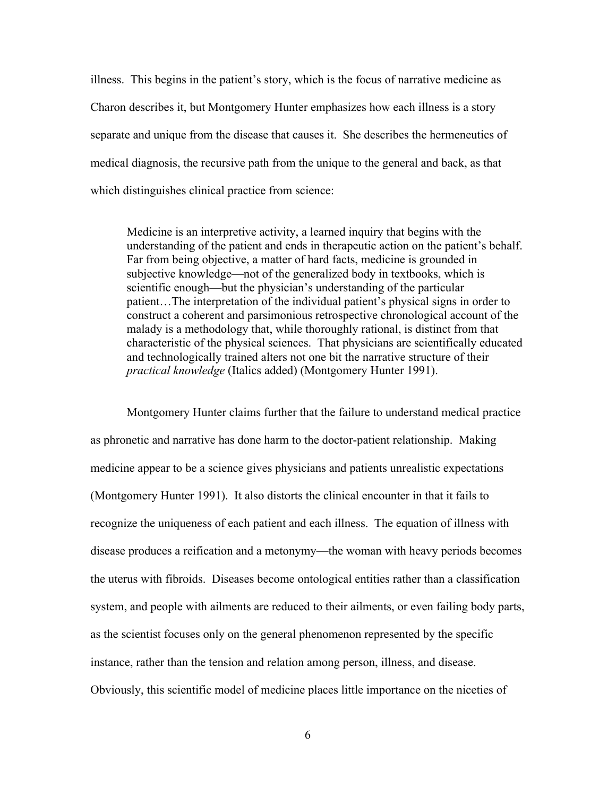illness. This begins in the patient's story, which is the focus of narrative medicine as Charon describes it, but Montgomery Hunter emphasizes how each illness is a story separate and unique from the disease that causes it. She describes the hermeneutics of medical diagnosis, the recursive path from the unique to the general and back, as that which distinguishes clinical practice from science:

Medicine is an interpretive activity, a learned inquiry that begins with the understanding of the patient and ends in therapeutic action on the patient's behalf. Far from being objective, a matter of hard facts, medicine is grounded in subjective knowledge—not of the generalized body in textbooks, which is scientific enough—but the physician's understanding of the particular patient…The interpretation of the individual patient's physical signs in order to construct a coherent and parsimonious retrospective chronological account of the malady is a methodology that, while thoroughly rational, is distinct from that characteristic of the physical sciences. That physicians are scientifically educated and technologically trained alters not one bit the narrative structure of their *practical knowledge* (Italics added) (Montgomery Hunter 1991).

Montgomery Hunter claims further that the failure to understand medical practice as phronetic and narrative has done harm to the doctor-patient relationship. Making medicine appear to be a science gives physicians and patients unrealistic expectations (Montgomery Hunter 1991). It also distorts the clinical encounter in that it fails to recognize the uniqueness of each patient and each illness. The equation of illness with disease produces a reification and a metonymy—the woman with heavy periods becomes the uterus with fibroids. Diseases become ontological entities rather than a classification system, and people with ailments are reduced to their ailments, or even failing body parts, as the scientist focuses only on the general phenomenon represented by the specific instance, rather than the tension and relation among person, illness, and disease. Obviously, this scientific model of medicine places little importance on the niceties of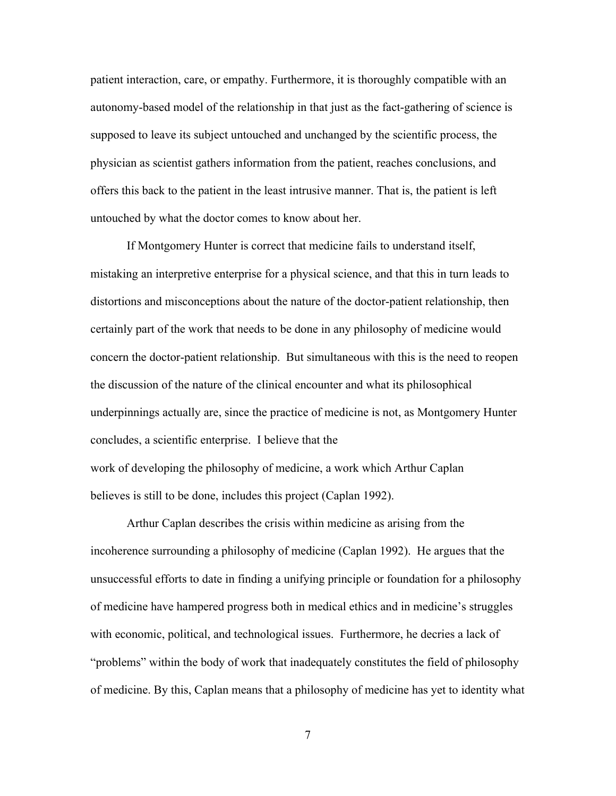patient interaction, care, or empathy. Furthermore, it is thoroughly compatible with an autonomy-based model of the relationship in that just as the fact-gathering of science is supposed to leave its subject untouched and unchanged by the scientific process, the physician as scientist gathers information from the patient, reaches conclusions, and offers this back to the patient in the least intrusive manner. That is, the patient is left untouched by what the doctor comes to know about her.

If Montgomery Hunter is correct that medicine fails to understand itself, mistaking an interpretive enterprise for a physical science, and that this in turn leads to distortions and misconceptions about the nature of the doctor-patient relationship, then certainly part of the work that needs to be done in any philosophy of medicine would concern the doctor-patient relationship. But simultaneous with this is the need to reopen the discussion of the nature of the clinical encounter and what its philosophical underpinnings actually are, since the practice of medicine is not, as Montgomery Hunter concludes, a scientific enterprise. I believe that the work of developing the philosophy of medicine, a work which Arthur Caplan believes is still to be done, includes this project (Caplan 1992).

Arthur Caplan describes the crisis within medicine as arising from the incoherence surrounding a philosophy of medicine (Caplan 1992). He argues that the unsuccessful efforts to date in finding a unifying principle or foundation for a philosophy of medicine have hampered progress both in medical ethics and in medicine's struggles with economic, political, and technological issues. Furthermore, he decries a lack of "problems" within the body of work that inadequately constitutes the field of philosophy of medicine. By this, Caplan means that a philosophy of medicine has yet to identity what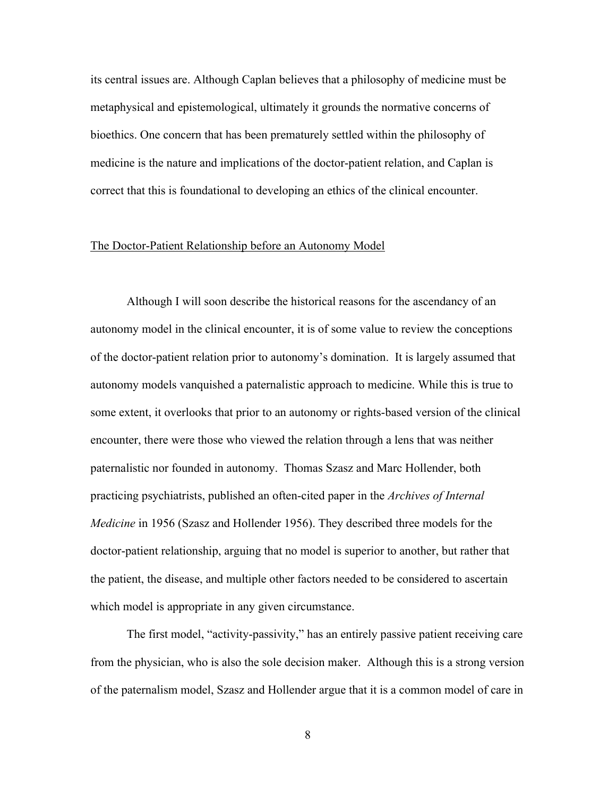its central issues are. Although Caplan believes that a philosophy of medicine must be metaphysical and epistemological, ultimately it grounds the normative concerns of bioethics. One concern that has been prematurely settled within the philosophy of medicine is the nature and implications of the doctor-patient relation, and Caplan is correct that this is foundational to developing an ethics of the clinical encounter.

# The Doctor-Patient Relationship before an Autonomy Model

Although I will soon describe the historical reasons for the ascendancy of an autonomy model in the clinical encounter, it is of some value to review the conceptions of the doctor-patient relation prior to autonomy's domination. It is largely assumed that autonomy models vanquished a paternalistic approach to medicine. While this is true to some extent, it overlooks that prior to an autonomy or rights-based version of the clinical encounter, there were those who viewed the relation through a lens that was neither paternalistic nor founded in autonomy. Thomas Szasz and Marc Hollender, both practicing psychiatrists, published an often-cited paper in the *Archives of Internal Medicine* in 1956 (Szasz and Hollender 1956). They described three models for the doctor-patient relationship, arguing that no model is superior to another, but rather that the patient, the disease, and multiple other factors needed to be considered to ascertain which model is appropriate in any given circumstance.

The first model, "activity-passivity," has an entirely passive patient receiving care from the physician, who is also the sole decision maker. Although this is a strong version of the paternalism model, Szasz and Hollender argue that it is a common model of care in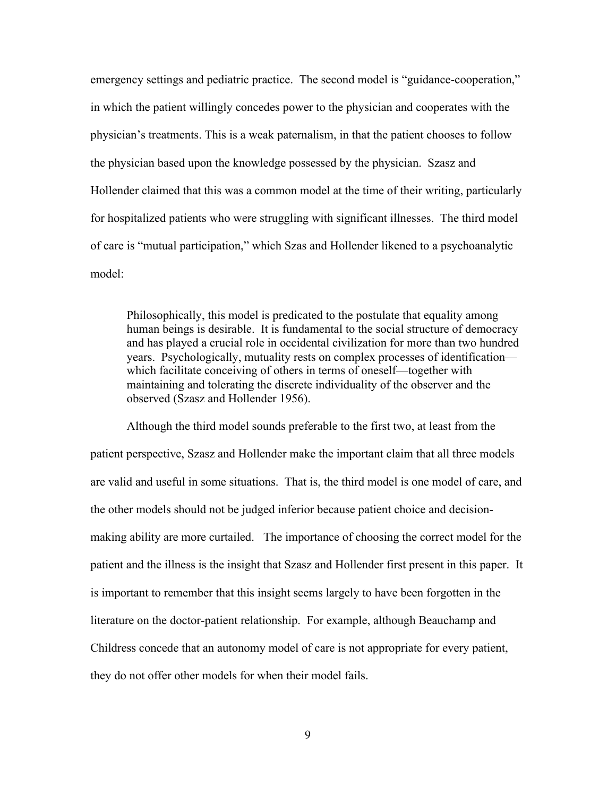emergency settings and pediatric practice. The second model is "guidance-cooperation," in which the patient willingly concedes power to the physician and cooperates with the physician's treatments. This is a weak paternalism, in that the patient chooses to follow the physician based upon the knowledge possessed by the physician. Szasz and Hollender claimed that this was a common model at the time of their writing, particularly for hospitalized patients who were struggling with significant illnesses. The third model of care is "mutual participation," which Szas and Hollender likened to a psychoanalytic model:

Philosophically, this model is predicated to the postulate that equality among human beings is desirable. It is fundamental to the social structure of democracy and has played a crucial role in occidental civilization for more than two hundred years. Psychologically, mutuality rests on complex processes of identification which facilitate conceiving of others in terms of oneself—together with maintaining and tolerating the discrete individuality of the observer and the observed (Szasz and Hollender 1956).

Although the third model sounds preferable to the first two, at least from the patient perspective, Szasz and Hollender make the important claim that all three models are valid and useful in some situations. That is, the third model is one model of care, and the other models should not be judged inferior because patient choice and decisionmaking ability are more curtailed. The importance of choosing the correct model for the patient and the illness is the insight that Szasz and Hollender first present in this paper. It is important to remember that this insight seems largely to have been forgotten in the literature on the doctor-patient relationship. For example, although Beauchamp and Childress concede that an autonomy model of care is not appropriate for every patient, they do not offer other models for when their model fails.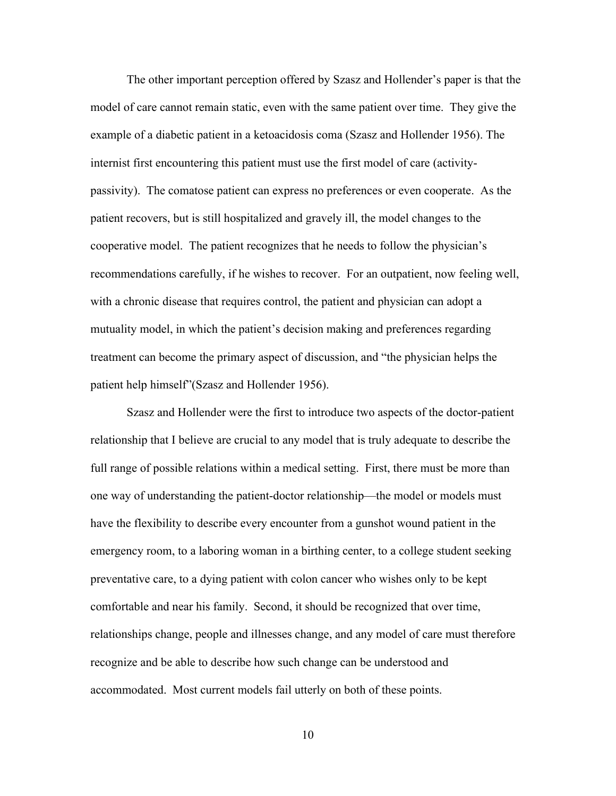The other important perception offered by Szasz and Hollender's paper is that the model of care cannot remain static, even with the same patient over time. They give the example of a diabetic patient in a ketoacidosis coma (Szasz and Hollender 1956). The internist first encountering this patient must use the first model of care (activitypassivity). The comatose patient can express no preferences or even cooperate. As the patient recovers, but is still hospitalized and gravely ill, the model changes to the cooperative model. The patient recognizes that he needs to follow the physician's recommendations carefully, if he wishes to recover. For an outpatient, now feeling well, with a chronic disease that requires control, the patient and physician can adopt a mutuality model, in which the patient's decision making and preferences regarding treatment can become the primary aspect of discussion, and "the physician helps the patient help himself"(Szasz and Hollender 1956).

Szasz and Hollender were the first to introduce two aspects of the doctor-patient relationship that I believe are crucial to any model that is truly adequate to describe the full range of possible relations within a medical setting. First, there must be more than one way of understanding the patient-doctor relationship—the model or models must have the flexibility to describe every encounter from a gunshot wound patient in the emergency room, to a laboring woman in a birthing center, to a college student seeking preventative care, to a dying patient with colon cancer who wishes only to be kept comfortable and near his family. Second, it should be recognized that over time, relationships change, people and illnesses change, and any model of care must therefore recognize and be able to describe how such change can be understood and accommodated. Most current models fail utterly on both of these points.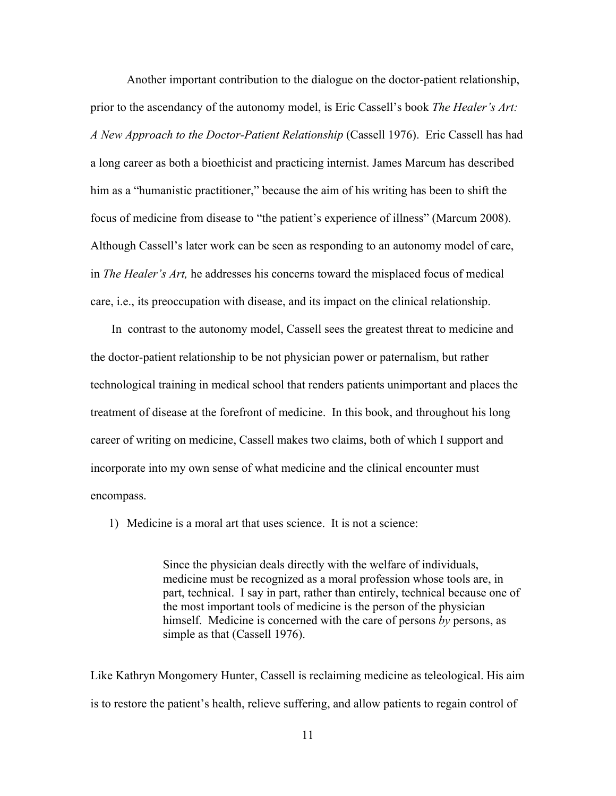Another important contribution to the dialogue on the doctor-patient relationship, prior to the ascendancy of the autonomy model, is Eric Cassell's book *The Healer's Art: A New Approach to the Doctor-Patient Relationship* (Cassell 1976). Eric Cassell has had a long career as both a bioethicist and practicing internist. James Marcum has described him as a "humanistic practitioner," because the aim of his writing has been to shift the focus of medicine from disease to "the patient's experience of illness" (Marcum 2008). Although Cassell's later work can be seen as responding to an autonomy model of care, in *The Healer's Art,* he addresses his concerns toward the misplaced focus of medical care, i.e., its preoccupation with disease, and its impact on the clinical relationship.

 In contrast to the autonomy model, Cassell sees the greatest threat to medicine and the doctor-patient relationship to be not physician power or paternalism, but rather technological training in medical school that renders patients unimportant and places the treatment of disease at the forefront of medicine. In this book, and throughout his long career of writing on medicine, Cassell makes two claims, both of which I support and incorporate into my own sense of what medicine and the clinical encounter must encompass.

1) Medicine is a moral art that uses science. It is not a science:

Since the physician deals directly with the welfare of individuals, medicine must be recognized as a moral profession whose tools are, in part, technical. I say in part, rather than entirely, technical because one of the most important tools of medicine is the person of the physician himself. Medicine is concerned with the care of persons *by* persons, as simple as that (Cassell 1976).

Like Kathryn Mongomery Hunter, Cassell is reclaiming medicine as teleological. His aim is to restore the patient's health, relieve suffering, and allow patients to regain control of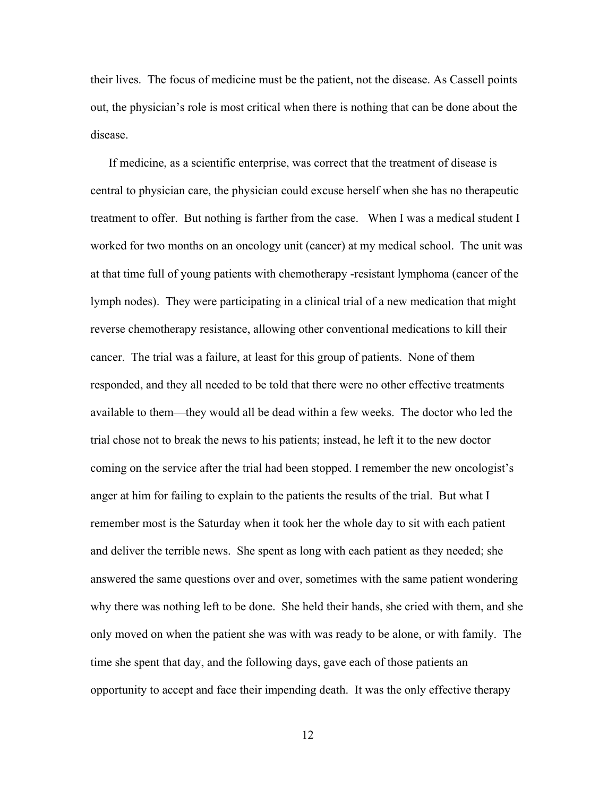their lives. The focus of medicine must be the patient, not the disease. As Cassell points out, the physician's role is most critical when there is nothing that can be done about the disease.

If medicine, as a scientific enterprise, was correct that the treatment of disease is central to physician care, the physician could excuse herself when she has no therapeutic treatment to offer. But nothing is farther from the case. When I was a medical student I worked for two months on an oncology unit (cancer) at my medical school. The unit was at that time full of young patients with chemotherapy -resistant lymphoma (cancer of the lymph nodes). They were participating in a clinical trial of a new medication that might reverse chemotherapy resistance, allowing other conventional medications to kill their cancer. The trial was a failure, at least for this group of patients. None of them responded, and they all needed to be told that there were no other effective treatments available to them—they would all be dead within a few weeks. The doctor who led the trial chose not to break the news to his patients; instead, he left it to the new doctor coming on the service after the trial had been stopped. I remember the new oncologist's anger at him for failing to explain to the patients the results of the trial. But what I remember most is the Saturday when it took her the whole day to sit with each patient and deliver the terrible news. She spent as long with each patient as they needed; she answered the same questions over and over, sometimes with the same patient wondering why there was nothing left to be done. She held their hands, she cried with them, and she only moved on when the patient she was with was ready to be alone, or with family. The time she spent that day, and the following days, gave each of those patients an opportunity to accept and face their impending death. It was the only effective therapy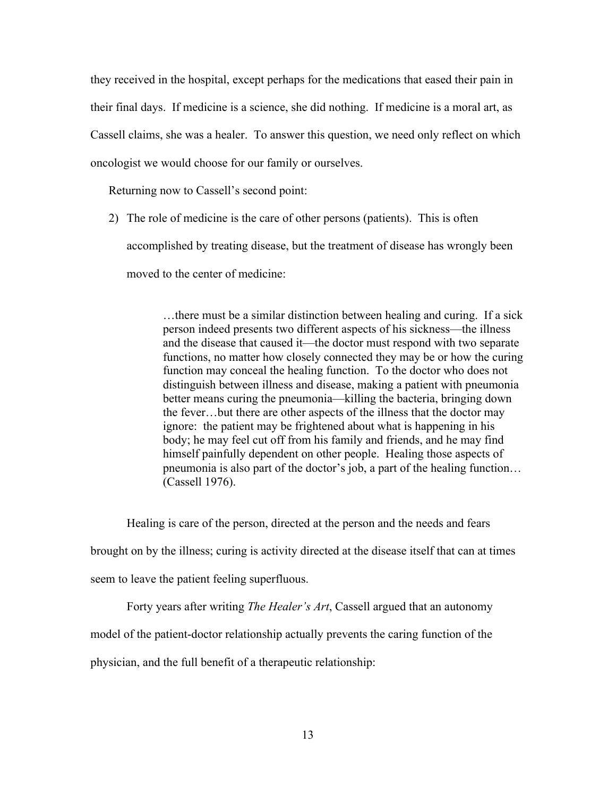they received in the hospital, except perhaps for the medications that eased their pain in their final days. If medicine is a science, she did nothing. If medicine is a moral art, as Cassell claims, she was a healer. To answer this question, we need only reflect on which oncologist we would choose for our family or ourselves.

Returning now to Cassell's second point:

2) The role of medicine is the care of other persons (patients). This is often

accomplished by treating disease, but the treatment of disease has wrongly been

moved to the center of medicine:

…there must be a similar distinction between healing and curing. If a sick person indeed presents two different aspects of his sickness—the illness and the disease that caused it—the doctor must respond with two separate functions, no matter how closely connected they may be or how the curing function may conceal the healing function. To the doctor who does not distinguish between illness and disease, making a patient with pneumonia better means curing the pneumonia—killing the bacteria, bringing down the fever…but there are other aspects of the illness that the doctor may ignore: the patient may be frightened about what is happening in his body; he may feel cut off from his family and friends, and he may find himself painfully dependent on other people. Healing those aspects of pneumonia is also part of the doctor's job, a part of the healing function… (Cassell 1976).

Healing is care of the person, directed at the person and the needs and fears brought on by the illness; curing is activity directed at the disease itself that can at times seem to leave the patient feeling superfluous.

Forty years after writing *The Healer's Art*, Cassell argued that an autonomy

model of the patient-doctor relationship actually prevents the caring function of the

physician, and the full benefit of a therapeutic relationship: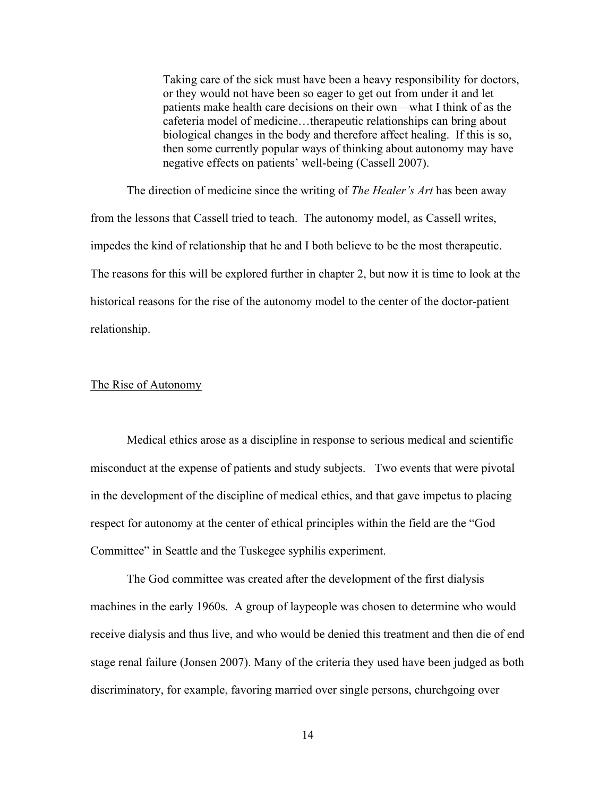Taking care of the sick must have been a heavy responsibility for doctors, or they would not have been so eager to get out from under it and let patients make health care decisions on their own—what I think of as the cafeteria model of medicine…therapeutic relationships can bring about biological changes in the body and therefore affect healing. If this is so, then some currently popular ways of thinking about autonomy may have negative effects on patients' well-being (Cassell 2007).

The direction of medicine since the writing of *The Healer's Art* has been away from the lessons that Cassell tried to teach. The autonomy model, as Cassell writes, impedes the kind of relationship that he and I both believe to be the most therapeutic. The reasons for this will be explored further in chapter 2, but now it is time to look at the historical reasons for the rise of the autonomy model to the center of the doctor-patient relationship.

## The Rise of Autonomy

Medical ethics arose as a discipline in response to serious medical and scientific misconduct at the expense of patients and study subjects. Two events that were pivotal in the development of the discipline of medical ethics, and that gave impetus to placing respect for autonomy at the center of ethical principles within the field are the "God Committee" in Seattle and the Tuskegee syphilis experiment.

The God committee was created after the development of the first dialysis machines in the early 1960s. A group of laypeople was chosen to determine who would receive dialysis and thus live, and who would be denied this treatment and then die of end stage renal failure (Jonsen 2007). Many of the criteria they used have been judged as both discriminatory, for example, favoring married over single persons, churchgoing over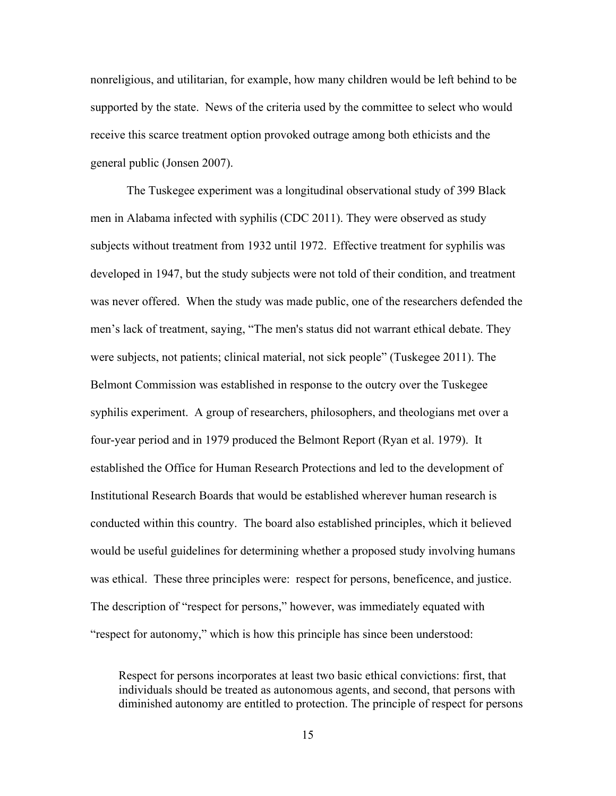nonreligious, and utilitarian, for example, how many children would be left behind to be supported by the state. News of the criteria used by the committee to select who would receive this scarce treatment option provoked outrage among both ethicists and the general public (Jonsen 2007).

The Tuskegee experiment was a longitudinal observational study of 399 Black men in Alabama infected with syphilis (CDC 2011). They were observed as study subjects without treatment from 1932 until 1972. Effective treatment for syphilis was developed in 1947, but the study subjects were not told of their condition, and treatment was never offered. When the study was made public, one of the researchers defended the men's lack of treatment, saying, "The men's status did not warrant ethical debate. They were subjects, not patients; clinical material, not sick people" (Tuskegee 2011). The Belmont Commission was established in response to the outcry over the Tuskegee syphilis experiment. A group of researchers, philosophers, and theologians met over a four-year period and in 1979 produced the Belmont Report (Ryan et al. 1979). It established the Office for Human Research Protections and led to the development of Institutional Research Boards that would be established wherever human research is conducted within this country. The board also established principles, which it believed would be useful guidelines for determining whether a proposed study involving humans was ethical. These three principles were: respect for persons, beneficence, and justice. The description of "respect for persons," however, was immediately equated with "respect for autonomy," which is how this principle has since been understood:

Respect for persons incorporates at least two basic ethical convictions: first, that individuals should be treated as autonomous agents, and second, that persons with diminished autonomy are entitled to protection. The principle of respect for persons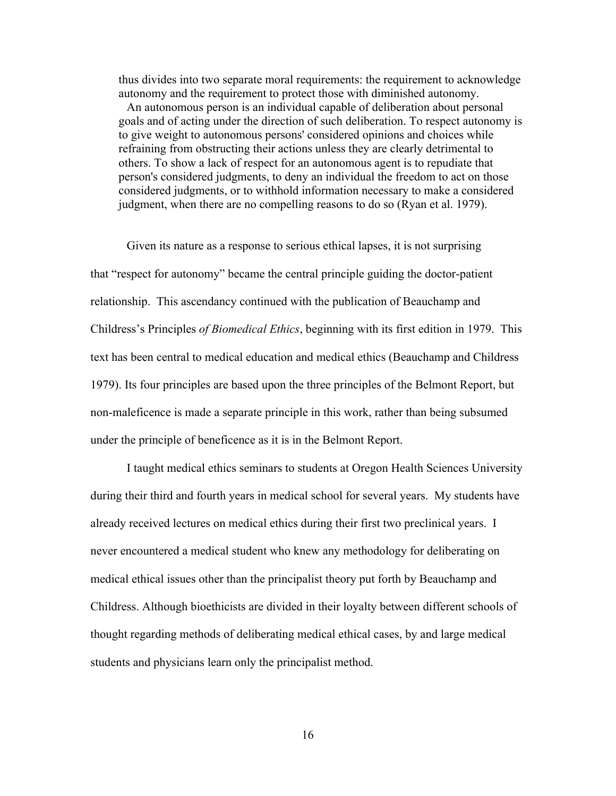thus divides into two separate moral requirements: the requirement to acknowledge autonomy and the requirement to protect those with diminished autonomy.

An autonomous person is an individual capable of deliberation about personal goals and of acting under the direction of such deliberation. To respect autonomy is to give weight to autonomous persons' considered opinions and choices while refraining from obstructing their actions unless they are clearly detrimental to others. To show a lack of respect for an autonomous agent is to repudiate that person's considered judgments, to deny an individual the freedom to act on those considered judgments, or to withhold information necessary to make a considered judgment, when there are no compelling reasons to do so (Ryan et al. 1979).

Given its nature as a response to serious ethical lapses, it is not surprising that "respect for autonomy" became the central principle guiding the doctor-patient relationship. This ascendancy continued with the publication of Beauchamp and Childress's Principles *of Biomedical Ethics*, beginning with its first edition in 1979. This text has been central to medical education and medical ethics (Beauchamp and Childress 1979). Its four principles are based upon the three principles of the Belmont Report, but non-maleficence is made a separate principle in this work, rather than being subsumed under the principle of beneficence as it is in the Belmont Report.

I taught medical ethics seminars to students at Oregon Health Sciences University during their third and fourth years in medical school for several years. My students have already received lectures on medical ethics during their first two preclinical years. I never encountered a medical student who knew any methodology for deliberating on medical ethical issues other than the principalist theory put forth by Beauchamp and Childress. Although bioethicists are divided in their loyalty between different schools of thought regarding methods of deliberating medical ethical cases, by and large medical students and physicians learn only the principalist method.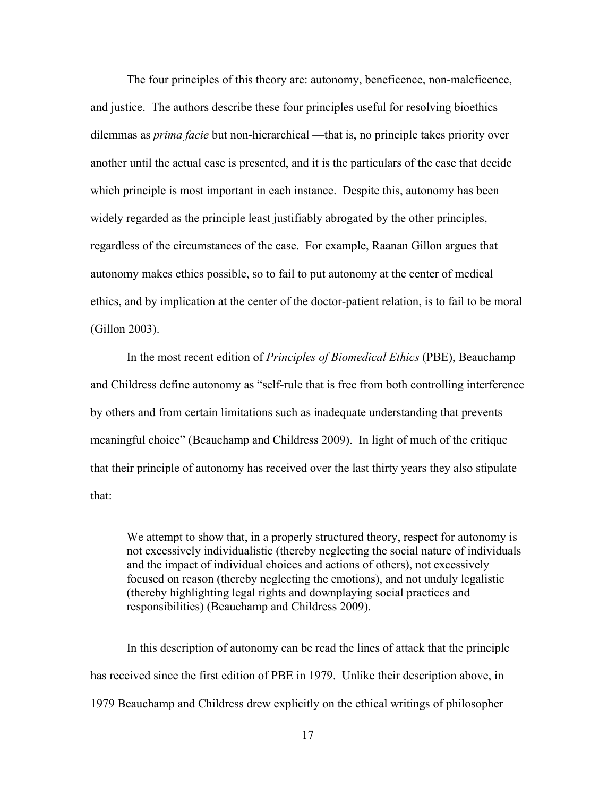The four principles of this theory are: autonomy, beneficence, non-maleficence, and justice. The authors describe these four principles useful for resolving bioethics dilemmas as *prima facie* but non-hierarchical —that is, no principle takes priority over another until the actual case is presented, and it is the particulars of the case that decide which principle is most important in each instance. Despite this, autonomy has been widely regarded as the principle least justifiably abrogated by the other principles, regardless of the circumstances of the case. For example, Raanan Gillon argues that autonomy makes ethics possible, so to fail to put autonomy at the center of medical ethics, and by implication at the center of the doctor-patient relation, is to fail to be moral (Gillon 2003).

In the most recent edition of *Principles of Biomedical Ethics* (PBE), Beauchamp and Childress define autonomy as "self-rule that is free from both controlling interference by others and from certain limitations such as inadequate understanding that prevents meaningful choice" (Beauchamp and Childress 2009). In light of much of the critique that their principle of autonomy has received over the last thirty years they also stipulate that:

We attempt to show that, in a properly structured theory, respect for autonomy is not excessively individualistic (thereby neglecting the social nature of individuals and the impact of individual choices and actions of others), not excessively focused on reason (thereby neglecting the emotions), and not unduly legalistic (thereby highlighting legal rights and downplaying social practices and responsibilities) (Beauchamp and Childress 2009).

In this description of autonomy can be read the lines of attack that the principle has received since the first edition of PBE in 1979. Unlike their description above, in 1979 Beauchamp and Childress drew explicitly on the ethical writings of philosopher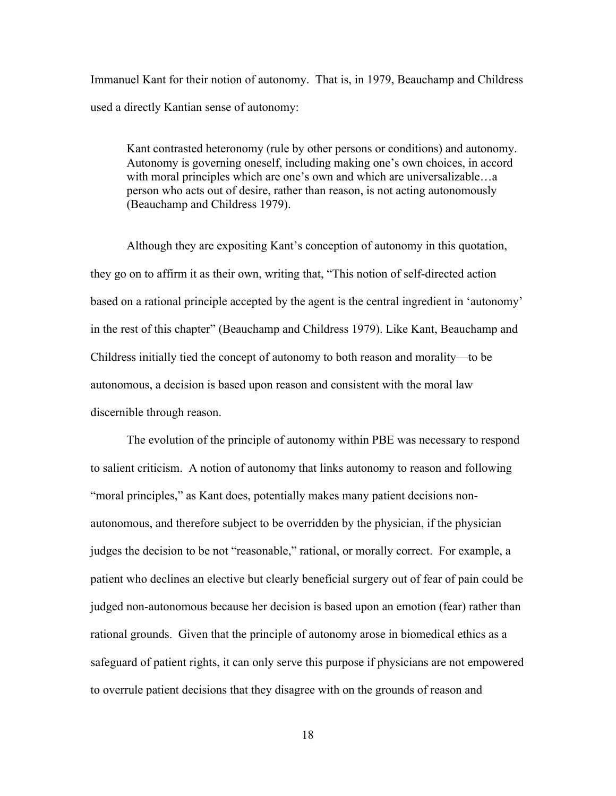Immanuel Kant for their notion of autonomy. That is, in 1979, Beauchamp and Childress used a directly Kantian sense of autonomy:

Kant contrasted heteronomy (rule by other persons or conditions) and autonomy. Autonomy is governing oneself, including making one's own choices, in accord with moral principles which are one's own and which are universalizable…a person who acts out of desire, rather than reason, is not acting autonomously (Beauchamp and Childress 1979).

Although they are expositing Kant's conception of autonomy in this quotation, they go on to affirm it as their own, writing that, "This notion of self-directed action based on a rational principle accepted by the agent is the central ingredient in 'autonomy' in the rest of this chapter" (Beauchamp and Childress 1979). Like Kant, Beauchamp and Childress initially tied the concept of autonomy to both reason and morality—to be autonomous, a decision is based upon reason and consistent with the moral law discernible through reason.

The evolution of the principle of autonomy within PBE was necessary to respond to salient criticism. A notion of autonomy that links autonomy to reason and following "moral principles," as Kant does, potentially makes many patient decisions nonautonomous, and therefore subject to be overridden by the physician, if the physician judges the decision to be not "reasonable," rational, or morally correct. For example, a patient who declines an elective but clearly beneficial surgery out of fear of pain could be judged non-autonomous because her decision is based upon an emotion (fear) rather than rational grounds. Given that the principle of autonomy arose in biomedical ethics as a safeguard of patient rights, it can only serve this purpose if physicians are not empowered to overrule patient decisions that they disagree with on the grounds of reason and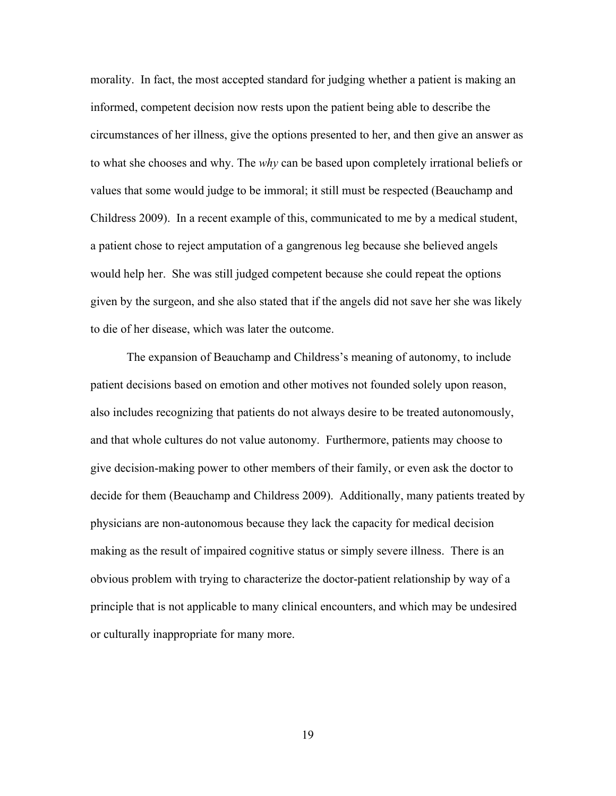morality. In fact, the most accepted standard for judging whether a patient is making an informed, competent decision now rests upon the patient being able to describe the circumstances of her illness, give the options presented to her, and then give an answer as to what she chooses and why. The *why* can be based upon completely irrational beliefs or values that some would judge to be immoral; it still must be respected (Beauchamp and Childress 2009). In a recent example of this, communicated to me by a medical student, a patient chose to reject amputation of a gangrenous leg because she believed angels would help her. She was still judged competent because she could repeat the options given by the surgeon, and she also stated that if the angels did not save her she was likely to die of her disease, which was later the outcome.

The expansion of Beauchamp and Childress's meaning of autonomy, to include patient decisions based on emotion and other motives not founded solely upon reason, also includes recognizing that patients do not always desire to be treated autonomously, and that whole cultures do not value autonomy. Furthermore, patients may choose to give decision-making power to other members of their family, or even ask the doctor to decide for them (Beauchamp and Childress 2009). Additionally, many patients treated by physicians are non-autonomous because they lack the capacity for medical decision making as the result of impaired cognitive status or simply severe illness. There is an obvious problem with trying to characterize the doctor-patient relationship by way of a principle that is not applicable to many clinical encounters, and which may be undesired or culturally inappropriate for many more.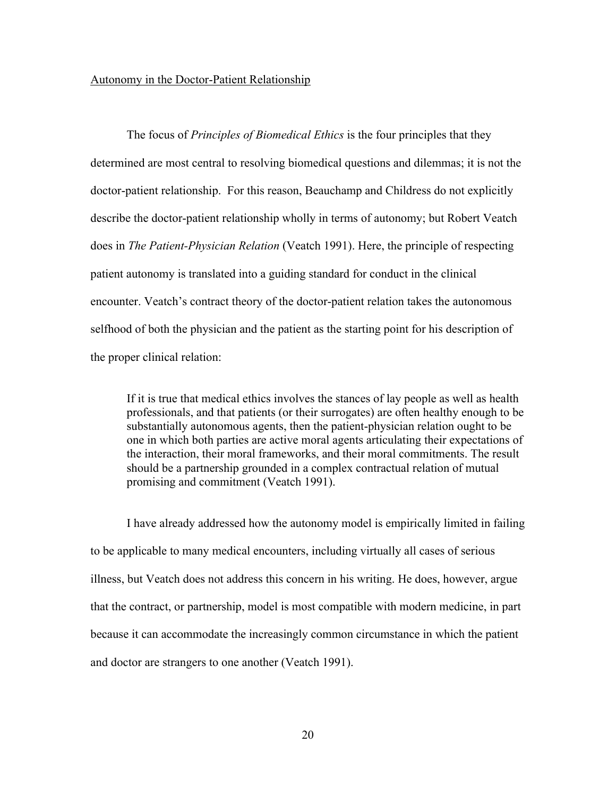### Autonomy in the Doctor-Patient Relationship

The focus of *Principles of Biomedical Ethics* is the four principles that they determined are most central to resolving biomedical questions and dilemmas; it is not the doctor-patient relationship. For this reason, Beauchamp and Childress do not explicitly describe the doctor-patient relationship wholly in terms of autonomy; but Robert Veatch does in *The Patient-Physician Relation* (Veatch 1991). Here, the principle of respecting patient autonomy is translated into a guiding standard for conduct in the clinical encounter. Veatch's contract theory of the doctor-patient relation takes the autonomous selfhood of both the physician and the patient as the starting point for his description of the proper clinical relation:

If it is true that medical ethics involves the stances of lay people as well as health professionals, and that patients (or their surrogates) are often healthy enough to be substantially autonomous agents, then the patient-physician relation ought to be one in which both parties are active moral agents articulating their expectations of the interaction, their moral frameworks, and their moral commitments. The result should be a partnership grounded in a complex contractual relation of mutual promising and commitment (Veatch 1991).

I have already addressed how the autonomy model is empirically limited in failing to be applicable to many medical encounters, including virtually all cases of serious illness, but Veatch does not address this concern in his writing. He does, however, argue that the contract, or partnership, model is most compatible with modern medicine, in part because it can accommodate the increasingly common circumstance in which the patient and doctor are strangers to one another (Veatch 1991).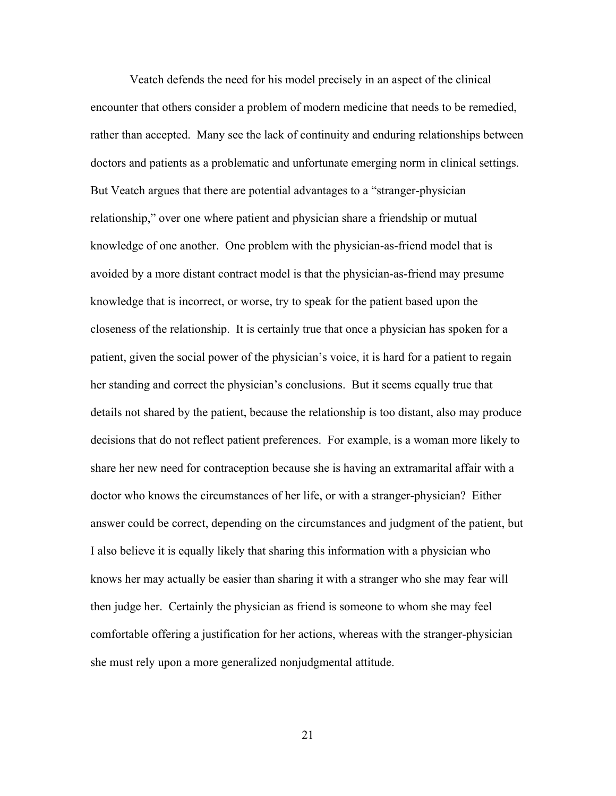Veatch defends the need for his model precisely in an aspect of the clinical encounter that others consider a problem of modern medicine that needs to be remedied, rather than accepted. Many see the lack of continuity and enduring relationships between doctors and patients as a problematic and unfortunate emerging norm in clinical settings. But Veatch argues that there are potential advantages to a "stranger-physician relationship," over one where patient and physician share a friendship or mutual knowledge of one another. One problem with the physician-as-friend model that is avoided by a more distant contract model is that the physician-as-friend may presume knowledge that is incorrect, or worse, try to speak for the patient based upon the closeness of the relationship. It is certainly true that once a physician has spoken for a patient, given the social power of the physician's voice, it is hard for a patient to regain her standing and correct the physician's conclusions. But it seems equally true that details not shared by the patient, because the relationship is too distant, also may produce decisions that do not reflect patient preferences. For example, is a woman more likely to share her new need for contraception because she is having an extramarital affair with a doctor who knows the circumstances of her life, or with a stranger-physician? Either answer could be correct, depending on the circumstances and judgment of the patient, but I also believe it is equally likely that sharing this information with a physician who knows her may actually be easier than sharing it with a stranger who she may fear will then judge her. Certainly the physician as friend is someone to whom she may feel comfortable offering a justification for her actions, whereas with the stranger-physician she must rely upon a more generalized nonjudgmental attitude.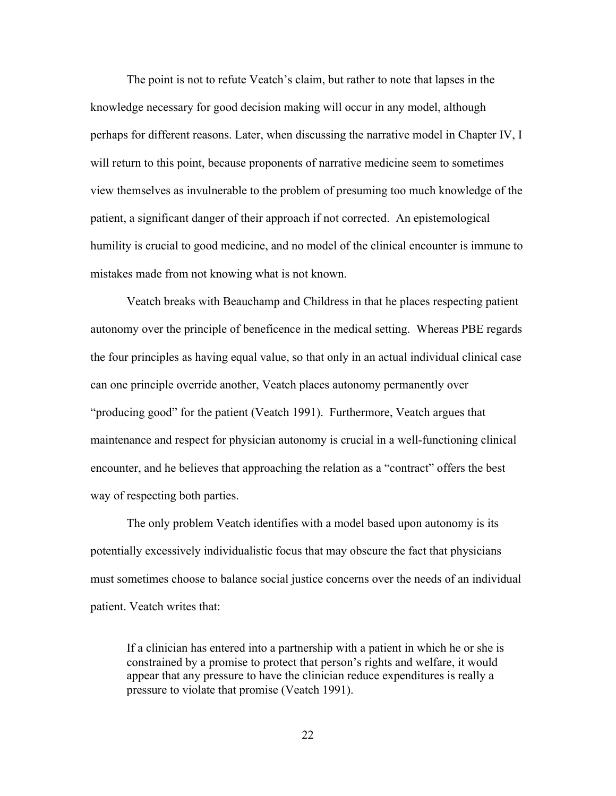The point is not to refute Veatch's claim, but rather to note that lapses in the knowledge necessary for good decision making will occur in any model, although perhaps for different reasons. Later, when discussing the narrative model in Chapter IV, I will return to this point, because proponents of narrative medicine seem to sometimes view themselves as invulnerable to the problem of presuming too much knowledge of the patient, a significant danger of their approach if not corrected. An epistemological humility is crucial to good medicine, and no model of the clinical encounter is immune to mistakes made from not knowing what is not known.

Veatch breaks with Beauchamp and Childress in that he places respecting patient autonomy over the principle of beneficence in the medical setting. Whereas PBE regards the four principles as having equal value, so that only in an actual individual clinical case can one principle override another, Veatch places autonomy permanently over "producing good" for the patient (Veatch 1991). Furthermore, Veatch argues that maintenance and respect for physician autonomy is crucial in a well-functioning clinical encounter, and he believes that approaching the relation as a "contract" offers the best way of respecting both parties.

The only problem Veatch identifies with a model based upon autonomy is its potentially excessively individualistic focus that may obscure the fact that physicians must sometimes choose to balance social justice concerns over the needs of an individual patient. Veatch writes that:

If a clinician has entered into a partnership with a patient in which he or she is constrained by a promise to protect that person's rights and welfare, it would appear that any pressure to have the clinician reduce expenditures is really a pressure to violate that promise (Veatch 1991).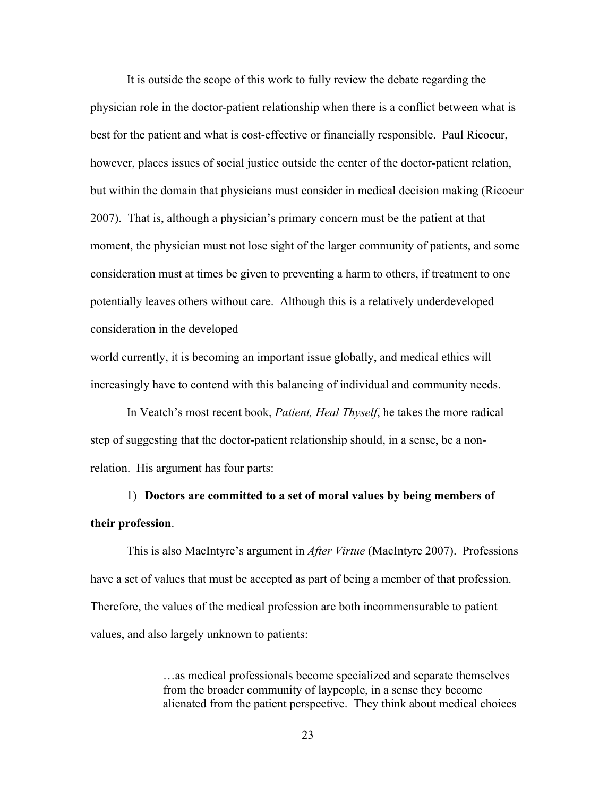It is outside the scope of this work to fully review the debate regarding the physician role in the doctor-patient relationship when there is a conflict between what is best for the patient and what is cost-effective or financially responsible. Paul Ricoeur, however, places issues of social justice outside the center of the doctor-patient relation, but within the domain that physicians must consider in medical decision making (Ricoeur 2007). That is, although a physician's primary concern must be the patient at that moment, the physician must not lose sight of the larger community of patients, and some consideration must at times be given to preventing a harm to others, if treatment to one potentially leaves others without care. Although this is a relatively underdeveloped consideration in the developed

world currently, it is becoming an important issue globally, and medical ethics will increasingly have to contend with this balancing of individual and community needs.

In Veatch's most recent book, *Patient, Heal Thyself*, he takes the more radical step of suggesting that the doctor-patient relationship should, in a sense, be a nonrelation. His argument has four parts:

# 1) **Doctors are committed to a set of moral values by being members of their profession**.

This is also MacIntyre's argument in *After Virtue* (MacIntyre 2007). Professions have a set of values that must be accepted as part of being a member of that profession. Therefore, the values of the medical profession are both incommensurable to patient values, and also largely unknown to patients:

> …as medical professionals become specialized and separate themselves from the broader community of laypeople, in a sense they become alienated from the patient perspective. They think about medical choices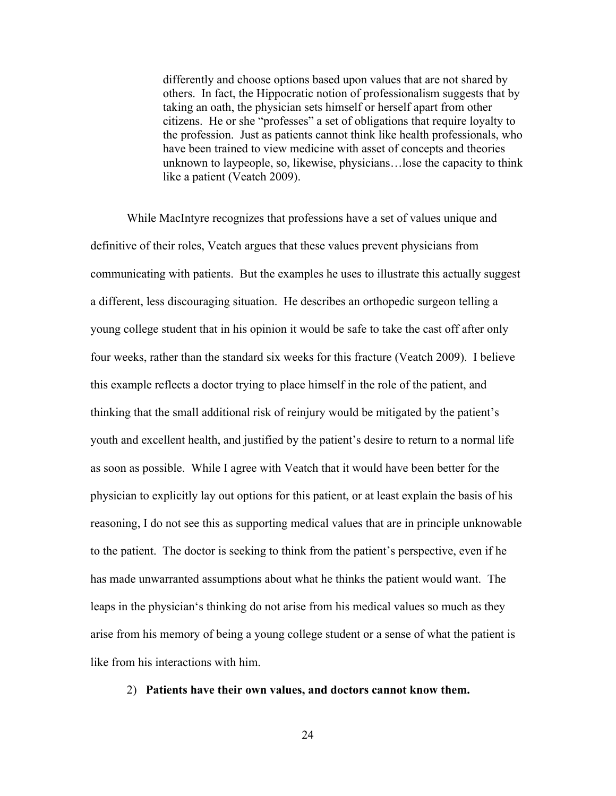differently and choose options based upon values that are not shared by others. In fact, the Hippocratic notion of professionalism suggests that by taking an oath, the physician sets himself or herself apart from other citizens. He or she "professes" a set of obligations that require loyalty to the profession. Just as patients cannot think like health professionals, who have been trained to view medicine with asset of concepts and theories unknown to laypeople, so, likewise, physicians…lose the capacity to think like a patient (Veatch 2009).

While MacIntyre recognizes that professions have a set of values unique and definitive of their roles, Veatch argues that these values prevent physicians from communicating with patients. But the examples he uses to illustrate this actually suggest a different, less discouraging situation. He describes an orthopedic surgeon telling a young college student that in his opinion it would be safe to take the cast off after only four weeks, rather than the standard six weeks for this fracture (Veatch 2009). I believe this example reflects a doctor trying to place himself in the role of the patient, and thinking that the small additional risk of reinjury would be mitigated by the patient's youth and excellent health, and justified by the patient's desire to return to a normal life as soon as possible. While I agree with Veatch that it would have been better for the physician to explicitly lay out options for this patient, or at least explain the basis of his reasoning, I do not see this as supporting medical values that are in principle unknowable to the patient. The doctor is seeking to think from the patient's perspective, even if he has made unwarranted assumptions about what he thinks the patient would want. The leaps in the physician's thinking do not arise from his medical values so much as they arise from his memory of being a young college student or a sense of what the patient is like from his interactions with him.

2) **Patients have their own values, and doctors cannot know them.**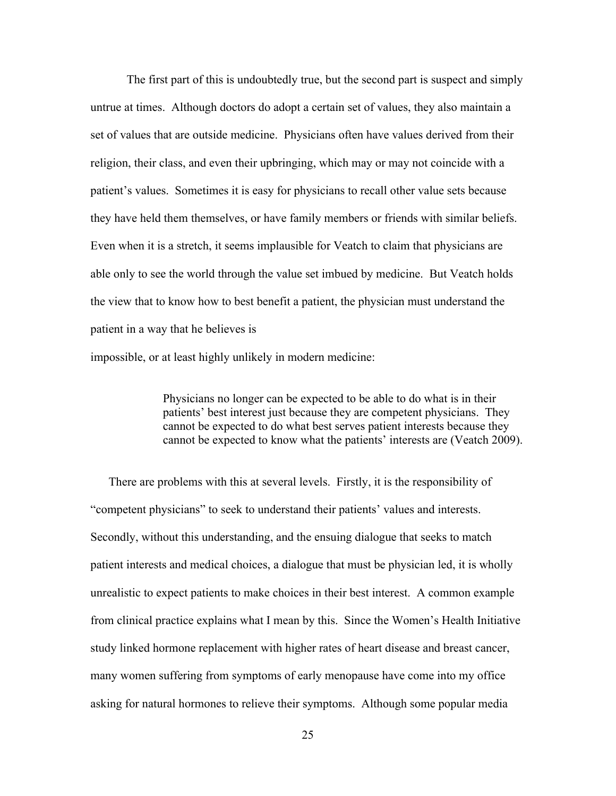The first part of this is undoubtedly true, but the second part is suspect and simply untrue at times. Although doctors do adopt a certain set of values, they also maintain a set of values that are outside medicine. Physicians often have values derived from their religion, their class, and even their upbringing, which may or may not coincide with a patient's values. Sometimes it is easy for physicians to recall other value sets because they have held them themselves, or have family members or friends with similar beliefs. Even when it is a stretch, it seems implausible for Veatch to claim that physicians are able only to see the world through the value set imbued by medicine. But Veatch holds the view that to know how to best benefit a patient, the physician must understand the patient in a way that he believes is

impossible, or at least highly unlikely in modern medicine:

Physicians no longer can be expected to be able to do what is in their patients' best interest just because they are competent physicians. They cannot be expected to do what best serves patient interests because they cannot be expected to know what the patients' interests are (Veatch 2009).

There are problems with this at several levels. Firstly, it is the responsibility of "competent physicians" to seek to understand their patients' values and interests. Secondly, without this understanding, and the ensuing dialogue that seeks to match patient interests and medical choices, a dialogue that must be physician led, it is wholly unrealistic to expect patients to make choices in their best interest. A common example from clinical practice explains what I mean by this. Since the Women's Health Initiative study linked hormone replacement with higher rates of heart disease and breast cancer, many women suffering from symptoms of early menopause have come into my office asking for natural hormones to relieve their symptoms. Although some popular media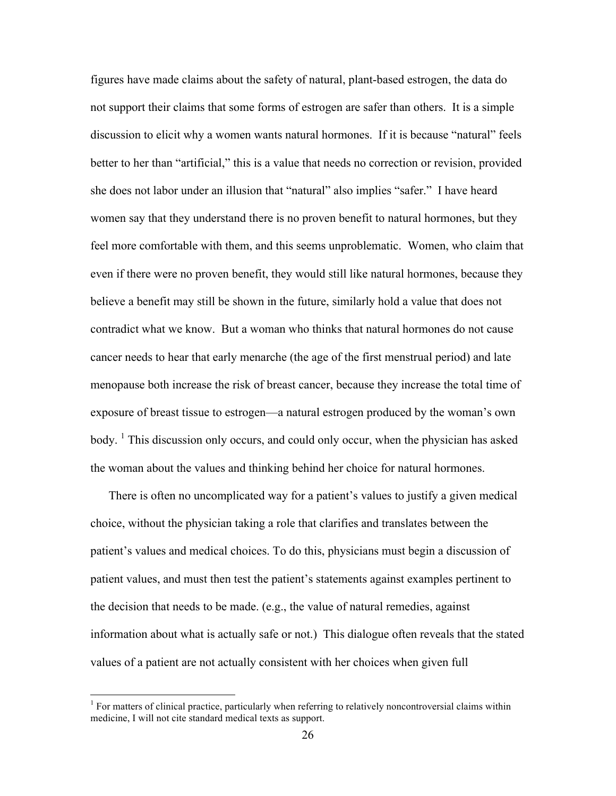figures have made claims about the safety of natural, plant-based estrogen, the data do not support their claims that some forms of estrogen are safer than others. It is a simple discussion to elicit why a women wants natural hormones. If it is because "natural" feels better to her than "artificial," this is a value that needs no correction or revision, provided she does not labor under an illusion that "natural" also implies "safer." I have heard women say that they understand there is no proven benefit to natural hormones, but they feel more comfortable with them, and this seems unproblematic. Women, who claim that even if there were no proven benefit, they would still like natural hormones, because they believe a benefit may still be shown in the future, similarly hold a value that does not contradict what we know. But a woman who thinks that natural hormones do not cause cancer needs to hear that early menarche (the age of the first menstrual period) and late menopause both increase the risk of breast cancer, because they increase the total time of exposure of breast tissue to estrogen—a natural estrogen produced by the woman's own body. <sup>1</sup> This discussion only occurs, and could only occur, when the physician has asked the woman about the values and thinking behind her choice for natural hormones.

There is often no uncomplicated way for a patient's values to justify a given medical choice, without the physician taking a role that clarifies and translates between the patient's values and medical choices. To do this, physicians must begin a discussion of patient values, and must then test the patient's statements against examples pertinent to the decision that needs to be made. (e.g., the value of natural remedies, against information about what is actually safe or not.) This dialogue often reveals that the stated values of a patient are not actually consistent with her choices when given full

 $\frac{1}{1}$ <sup>1</sup> For matters of clinical practice, particularly when referring to relatively noncontroversial claims within medicine, I will not cite standard medical texts as support.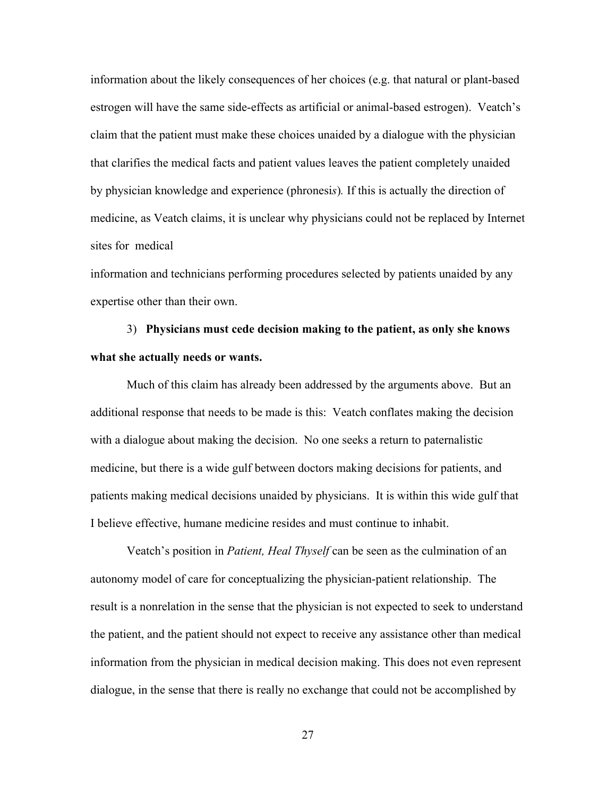information about the likely consequences of her choices (e.g. that natural or plant-based estrogen will have the same side-effects as artificial or animal-based estrogen). Veatch's claim that the patient must make these choices unaided by a dialogue with the physician that clarifies the medical facts and patient values leaves the patient completely unaided by physician knowledge and experience (phronesi*s*)*.* If this is actually the direction of medicine, as Veatch claims, it is unclear why physicians could not be replaced by Internet sites for medical

information and technicians performing procedures selected by patients unaided by any expertise other than their own.

# 3) **Physicians must cede decision making to the patient, as only she knows what she actually needs or wants.**

Much of this claim has already been addressed by the arguments above. But an additional response that needs to be made is this: Veatch conflates making the decision with a dialogue about making the decision. No one seeks a return to paternalistic medicine, but there is a wide gulf between doctors making decisions for patients, and patients making medical decisions unaided by physicians. It is within this wide gulf that I believe effective, humane medicine resides and must continue to inhabit.

Veatch's position in *Patient, Heal Thyself* can be seen as the culmination of an autonomy model of care for conceptualizing the physician-patient relationship. The result is a nonrelation in the sense that the physician is not expected to seek to understand the patient, and the patient should not expect to receive any assistance other than medical information from the physician in medical decision making. This does not even represent dialogue, in the sense that there is really no exchange that could not be accomplished by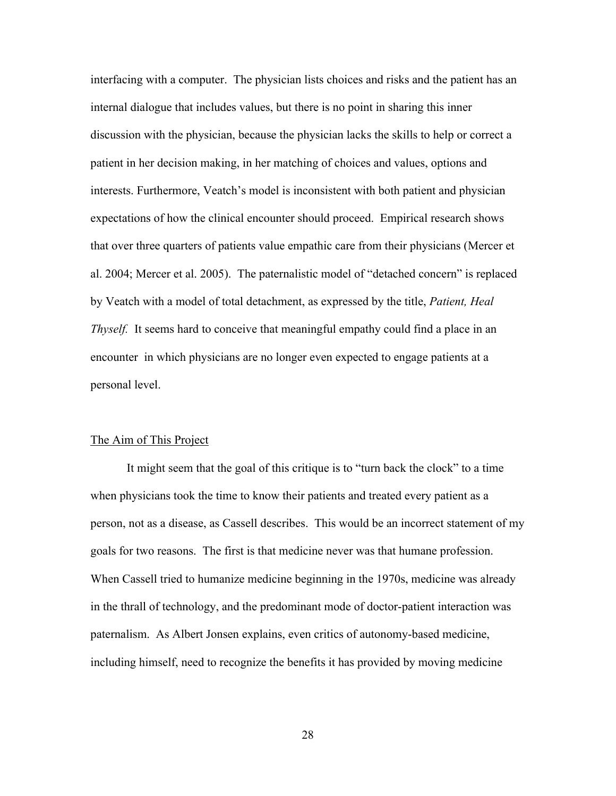interfacing with a computer. The physician lists choices and risks and the patient has an internal dialogue that includes values, but there is no point in sharing this inner discussion with the physician, because the physician lacks the skills to help or correct a patient in her decision making, in her matching of choices and values, options and interests. Furthermore, Veatch's model is inconsistent with both patient and physician expectations of how the clinical encounter should proceed. Empirical research shows that over three quarters of patients value empathic care from their physicians (Mercer et al. 2004; Mercer et al. 2005). The paternalistic model of "detached concern" is replaced by Veatch with a model of total detachment, as expressed by the title, *Patient, Heal Thyself.* It seems hard to conceive that meaningful empathy could find a place in an encounter in which physicians are no longer even expected to engage patients at a personal level.

#### The Aim of This Project

It might seem that the goal of this critique is to "turn back the clock" to a time when physicians took the time to know their patients and treated every patient as a person, not as a disease, as Cassell describes. This would be an incorrect statement of my goals for two reasons. The first is that medicine never was that humane profession. When Cassell tried to humanize medicine beginning in the 1970s, medicine was already in the thrall of technology, and the predominant mode of doctor-patient interaction was paternalism. As Albert Jonsen explains, even critics of autonomy-based medicine, including himself, need to recognize the benefits it has provided by moving medicine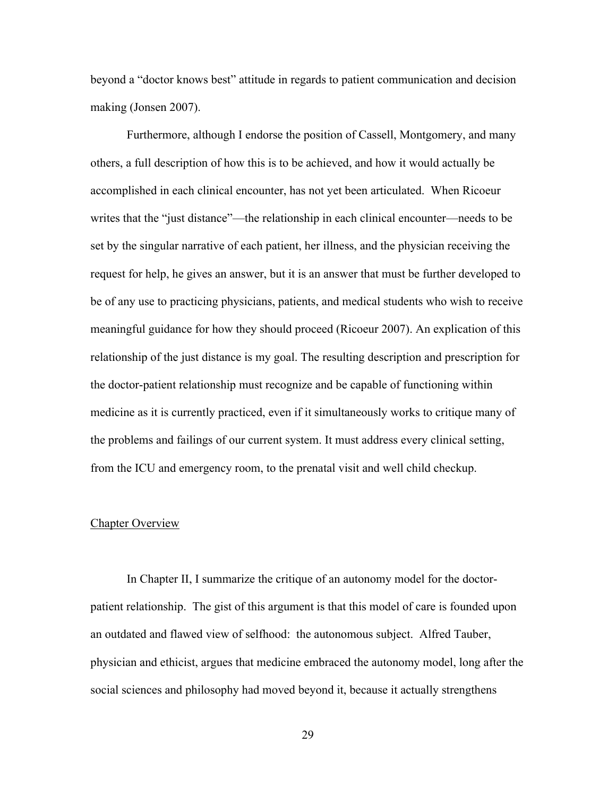beyond a "doctor knows best" attitude in regards to patient communication and decision making (Jonsen 2007).

Furthermore, although I endorse the position of Cassell, Montgomery, and many others, a full description of how this is to be achieved, and how it would actually be accomplished in each clinical encounter, has not yet been articulated. When Ricoeur writes that the "just distance"—the relationship in each clinical encounter—needs to be set by the singular narrative of each patient, her illness, and the physician receiving the request for help, he gives an answer, but it is an answer that must be further developed to be of any use to practicing physicians, patients, and medical students who wish to receive meaningful guidance for how they should proceed (Ricoeur 2007). An explication of this relationship of the just distance is my goal. The resulting description and prescription for the doctor-patient relationship must recognize and be capable of functioning within medicine as it is currently practiced, even if it simultaneously works to critique many of the problems and failings of our current system. It must address every clinical setting, from the ICU and emergency room, to the prenatal visit and well child checkup.

# Chapter Overview

In Chapter II, I summarize the critique of an autonomy model for the doctorpatient relationship. The gist of this argument is that this model of care is founded upon an outdated and flawed view of selfhood: the autonomous subject. Alfred Tauber, physician and ethicist, argues that medicine embraced the autonomy model, long after the social sciences and philosophy had moved beyond it, because it actually strengthens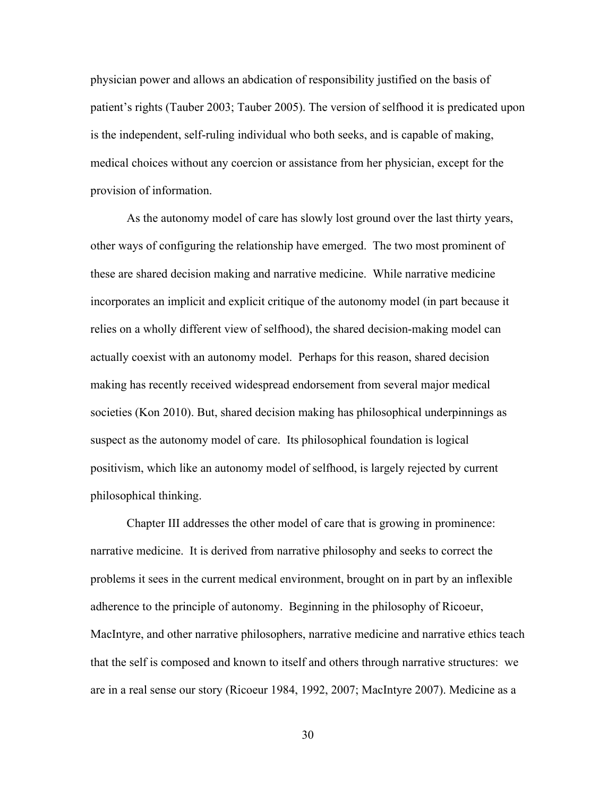physician power and allows an abdication of responsibility justified on the basis of patient's rights (Tauber 2003; Tauber 2005). The version of selfhood it is predicated upon is the independent, self-ruling individual who both seeks, and is capable of making, medical choices without any coercion or assistance from her physician, except for the provision of information.

As the autonomy model of care has slowly lost ground over the last thirty years, other ways of configuring the relationship have emerged. The two most prominent of these are shared decision making and narrative medicine. While narrative medicine incorporates an implicit and explicit critique of the autonomy model (in part because it relies on a wholly different view of selfhood), the shared decision-making model can actually coexist with an autonomy model. Perhaps for this reason, shared decision making has recently received widespread endorsement from several major medical societies (Kon 2010). But, shared decision making has philosophical underpinnings as suspect as the autonomy model of care. Its philosophical foundation is logical positivism, which like an autonomy model of selfhood, is largely rejected by current philosophical thinking.

Chapter III addresses the other model of care that is growing in prominence: narrative medicine. It is derived from narrative philosophy and seeks to correct the problems it sees in the current medical environment, brought on in part by an inflexible adherence to the principle of autonomy. Beginning in the philosophy of Ricoeur, MacIntyre, and other narrative philosophers, narrative medicine and narrative ethics teach that the self is composed and known to itself and others through narrative structures: we are in a real sense our story (Ricoeur 1984, 1992, 2007; MacIntyre 2007). Medicine as a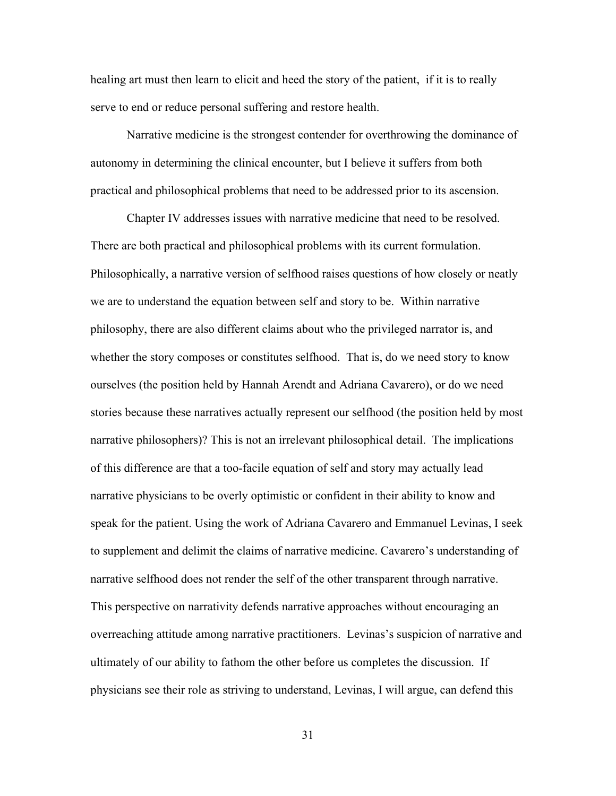healing art must then learn to elicit and heed the story of the patient, if it is to really serve to end or reduce personal suffering and restore health.

Narrative medicine is the strongest contender for overthrowing the dominance of autonomy in determining the clinical encounter, but I believe it suffers from both practical and philosophical problems that need to be addressed prior to its ascension.

Chapter IV addresses issues with narrative medicine that need to be resolved. There are both practical and philosophical problems with its current formulation. Philosophically, a narrative version of selfhood raises questions of how closely or neatly we are to understand the equation between self and story to be. Within narrative philosophy, there are also different claims about who the privileged narrator is, and whether the story composes or constitutes selfhood. That is, do we need story to know ourselves (the position held by Hannah Arendt and Adriana Cavarero), or do we need stories because these narratives actually represent our selfhood (the position held by most narrative philosophers)? This is not an irrelevant philosophical detail. The implications of this difference are that a too-facile equation of self and story may actually lead narrative physicians to be overly optimistic or confident in their ability to know and speak for the patient. Using the work of Adriana Cavarero and Emmanuel Levinas, I seek to supplement and delimit the claims of narrative medicine. Cavarero's understanding of narrative selfhood does not render the self of the other transparent through narrative. This perspective on narrativity defends narrative approaches without encouraging an overreaching attitude among narrative practitioners. Levinas's suspicion of narrative and ultimately of our ability to fathom the other before us completes the discussion. If physicians see their role as striving to understand, Levinas, I will argue, can defend this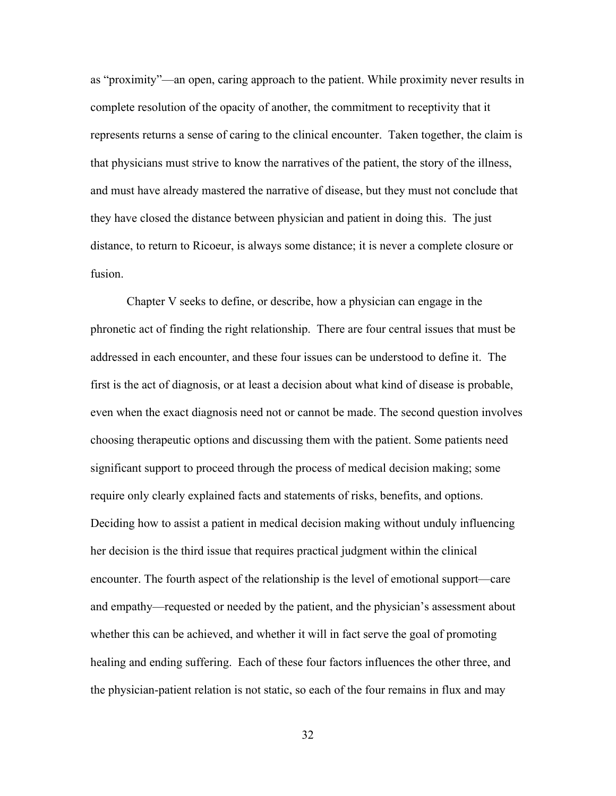as "proximity"—an open, caring approach to the patient. While proximity never results in complete resolution of the opacity of another, the commitment to receptivity that it represents returns a sense of caring to the clinical encounter. Taken together, the claim is that physicians must strive to know the narratives of the patient, the story of the illness, and must have already mastered the narrative of disease, but they must not conclude that they have closed the distance between physician and patient in doing this. The just distance, to return to Ricoeur, is always some distance; it is never a complete closure or fusion.

Chapter V seeks to define, or describe, how a physician can engage in the phronetic act of finding the right relationship. There are four central issues that must be addressed in each encounter, and these four issues can be understood to define it. The first is the act of diagnosis, or at least a decision about what kind of disease is probable, even when the exact diagnosis need not or cannot be made. The second question involves choosing therapeutic options and discussing them with the patient. Some patients need significant support to proceed through the process of medical decision making; some require only clearly explained facts and statements of risks, benefits, and options. Deciding how to assist a patient in medical decision making without unduly influencing her decision is the third issue that requires practical judgment within the clinical encounter. The fourth aspect of the relationship is the level of emotional support—care and empathy—requested or needed by the patient, and the physician's assessment about whether this can be achieved, and whether it will in fact serve the goal of promoting healing and ending suffering. Each of these four factors influences the other three, and the physician-patient relation is not static, so each of the four remains in flux and may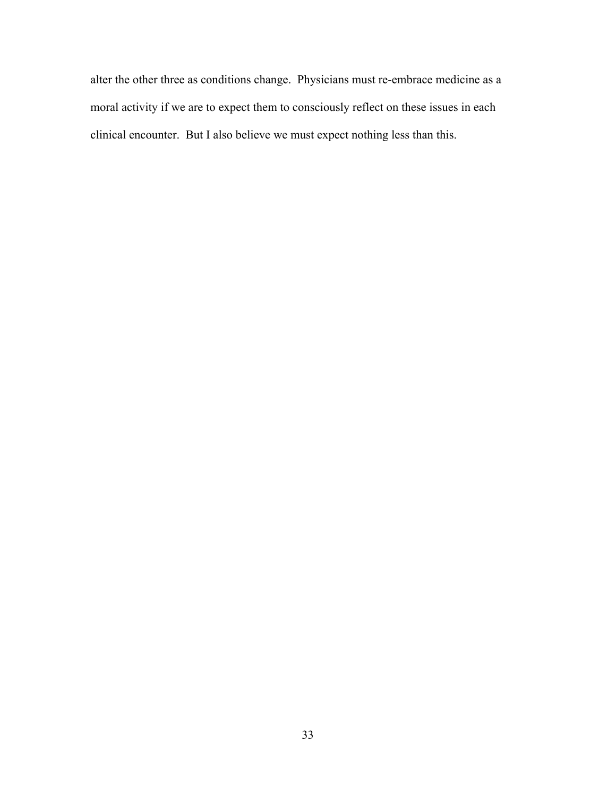alter the other three as conditions change. Physicians must re-embrace medicine as a moral activity if we are to expect them to consciously reflect on these issues in each clinical encounter. But I also believe we must expect nothing less than this.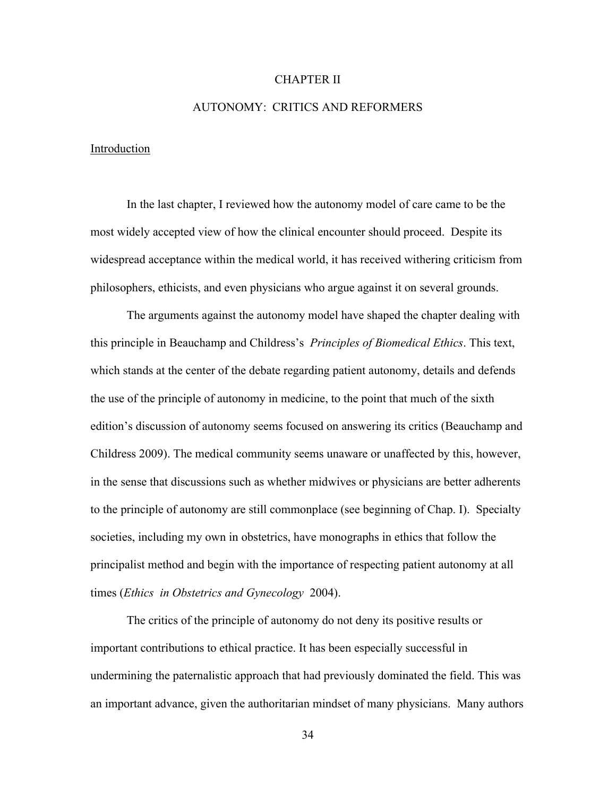#### CHAPTER II

# AUTONOMY: CRITICS AND REFORMERS

#### Introduction

In the last chapter, I reviewed how the autonomy model of care came to be the most widely accepted view of how the clinical encounter should proceed. Despite its widespread acceptance within the medical world, it has received withering criticism from philosophers, ethicists, and even physicians who argue against it on several grounds.

The arguments against the autonomy model have shaped the chapter dealing with this principle in Beauchamp and Childress's *Principles of Biomedical Ethics*. This text, which stands at the center of the debate regarding patient autonomy, details and defends the use of the principle of autonomy in medicine, to the point that much of the sixth edition's discussion of autonomy seems focused on answering its critics (Beauchamp and Childress 2009). The medical community seems unaware or unaffected by this, however, in the sense that discussions such as whether midwives or physicians are better adherents to the principle of autonomy are still commonplace (see beginning of Chap. I). Specialty societies, including my own in obstetrics, have monographs in ethics that follow the principalist method and begin with the importance of respecting patient autonomy at all times (*Ethics in Obstetrics and Gynecology* 2004).

The critics of the principle of autonomy do not deny its positive results or important contributions to ethical practice. It has been especially successful in undermining the paternalistic approach that had previously dominated the field. This was an important advance, given the authoritarian mindset of many physicians. Many authors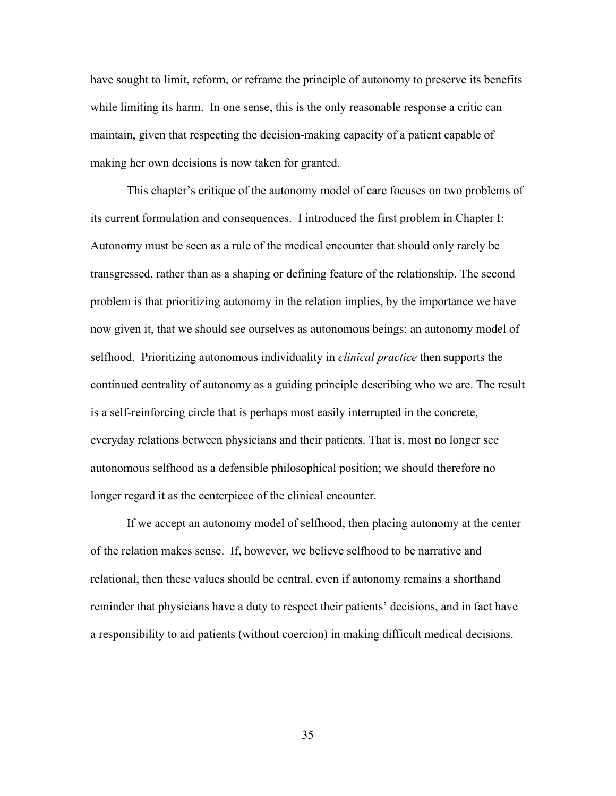have sought to limit, reform, or reframe the principle of autonomy to preserve its benefits while limiting its harm. In one sense, this is the only reasonable response a critic can maintain, given that respecting the decision-making capacity of a patient capable of making her own decisions is now taken for granted.

This chapter's critique of the autonomy model of care focuses on two problems of its current formulation and consequences. I introduced the first problem in Chapter I: Autonomy must be seen as a rule of the medical encounter that should only rarely be transgressed, rather than as a shaping or defining feature of the relationship. The second problem is that prioritizing autonomy in the relation implies, by the importance we have now given it, that we should see ourselves as autonomous beings: an autonomy model of selfhood. Prioritizing autonomous individuality in *clinical practice* then supports the continued centrality of autonomy as a guiding principle describing who we are. The result is a self-reinforcing circle that is perhaps most easily interrupted in the concrete, everyday relations between physicians and their patients. That is, most no longer see autonomous selfhood as a defensible philosophical position; we should therefore no longer regard it as the centerpiece of the clinical encounter.

If we accept an autonomy model of selfhood, then placing autonomy at the center of the relation makes sense. If, however, we believe selfhood to be narrative and relational, then these values should be central, even if autonomy remains a shorthand reminder that physicians have a duty to respect their patients' decisions, and in fact have a responsibility to aid patients (without coercion) in making difficult medical decisions.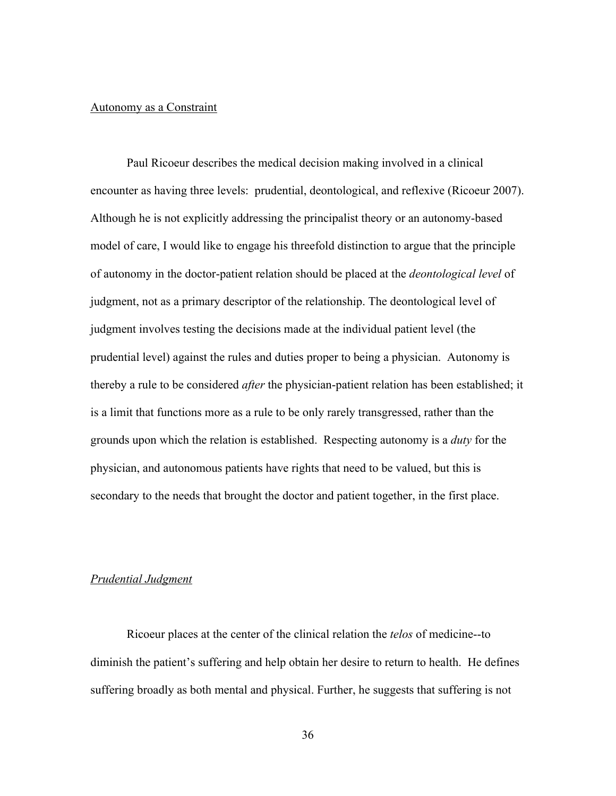# Autonomy as a Constraint

Paul Ricoeur describes the medical decision making involved in a clinical encounter as having three levels: prudential, deontological, and reflexive (Ricoeur 2007). Although he is not explicitly addressing the principalist theory or an autonomy-based model of care, I would like to engage his threefold distinction to argue that the principle of autonomy in the doctor-patient relation should be placed at the *deontological level* of judgment, not as a primary descriptor of the relationship. The deontological level of judgment involves testing the decisions made at the individual patient level (the prudential level) against the rules and duties proper to being a physician. Autonomy is thereby a rule to be considered *after* the physician-patient relation has been established; it is a limit that functions more as a rule to be only rarely transgressed, rather than the grounds upon which the relation is established. Respecting autonomy is a *duty* for the physician, and autonomous patients have rights that need to be valued, but this is secondary to the needs that brought the doctor and patient together, in the first place.

# *Prudential Judgment*

Ricoeur places at the center of the clinical relation the *telos* of medicine--to diminish the patient's suffering and help obtain her desire to return to health. He defines suffering broadly as both mental and physical. Further, he suggests that suffering is not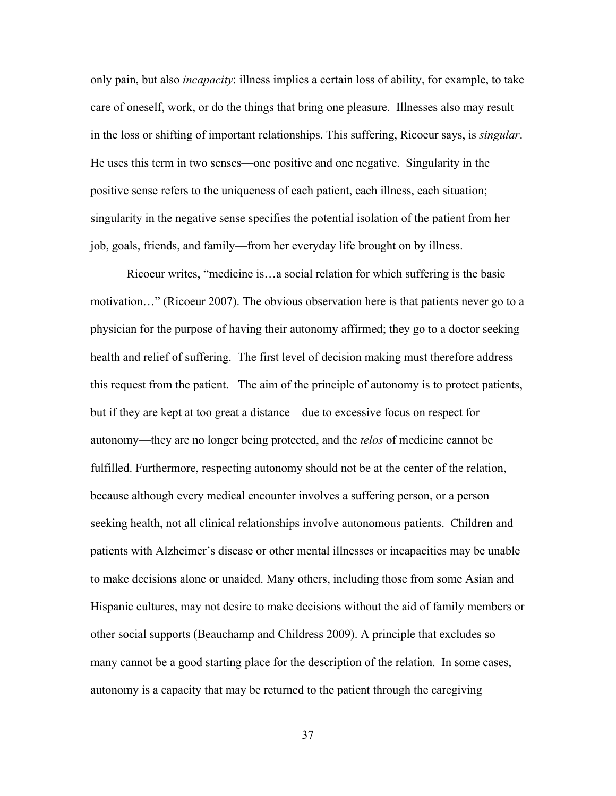only pain, but also *incapacity*: illness implies a certain loss of ability, for example, to take care of oneself, work, or do the things that bring one pleasure. Illnesses also may result in the loss or shifting of important relationships. This suffering, Ricoeur says, is *singular*. He uses this term in two senses—one positive and one negative. Singularity in the positive sense refers to the uniqueness of each patient, each illness, each situation; singularity in the negative sense specifies the potential isolation of the patient from her job, goals, friends, and family—from her everyday life brought on by illness.

Ricoeur writes, "medicine is…a social relation for which suffering is the basic motivation…" (Ricoeur 2007). The obvious observation here is that patients never go to a physician for the purpose of having their autonomy affirmed; they go to a doctor seeking health and relief of suffering. The first level of decision making must therefore address this request from the patient. The aim of the principle of autonomy is to protect patients, but if they are kept at too great a distance—due to excessive focus on respect for autonomy—they are no longer being protected, and the *telos* of medicine cannot be fulfilled. Furthermore, respecting autonomy should not be at the center of the relation, because although every medical encounter involves a suffering person, or a person seeking health, not all clinical relationships involve autonomous patients. Children and patients with Alzheimer's disease or other mental illnesses or incapacities may be unable to make decisions alone or unaided. Many others, including those from some Asian and Hispanic cultures, may not desire to make decisions without the aid of family members or other social supports (Beauchamp and Childress 2009). A principle that excludes so many cannot be a good starting place for the description of the relation. In some cases, autonomy is a capacity that may be returned to the patient through the caregiving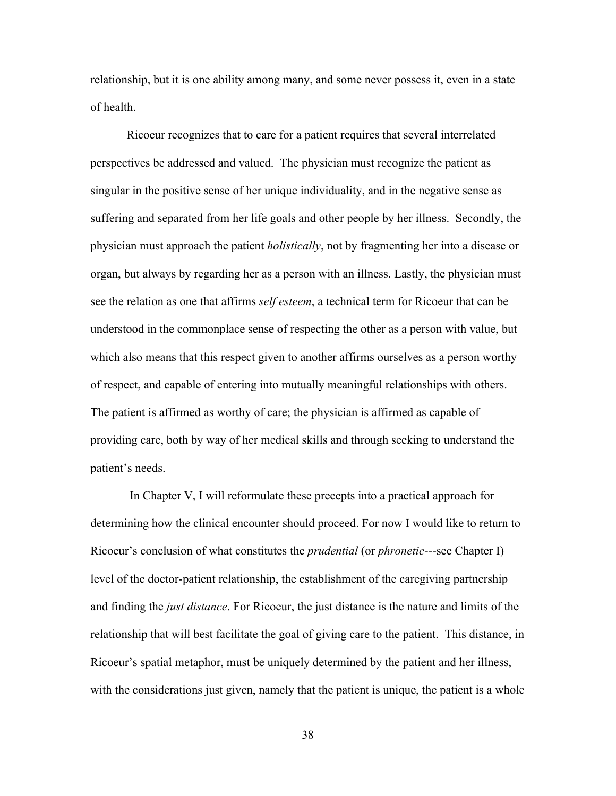relationship, but it is one ability among many, and some never possess it, even in a state of health.

Ricoeur recognizes that to care for a patient requires that several interrelated perspectives be addressed and valued. The physician must recognize the patient as singular in the positive sense of her unique individuality, and in the negative sense as suffering and separated from her life goals and other people by her illness. Secondly, the physician must approach the patient *holistically*, not by fragmenting her into a disease or organ, but always by regarding her as a person with an illness. Lastly, the physician must see the relation as one that affirms *self esteem*, a technical term for Ricoeur that can be understood in the commonplace sense of respecting the other as a person with value, but which also means that this respect given to another affirms ourselves as a person worthy of respect, and capable of entering into mutually meaningful relationships with others. The patient is affirmed as worthy of care; the physician is affirmed as capable of providing care, both by way of her medical skills and through seeking to understand the patient's needs.

 In Chapter V, I will reformulate these precepts into a practical approach for determining how the clinical encounter should proceed. For now I would like to return to Ricoeur's conclusion of what constitutes the *prudential* (or *phronetic---*see Chapter I) level of the doctor-patient relationship, the establishment of the caregiving partnership and finding the *just distance*. For Ricoeur, the just distance is the nature and limits of the relationship that will best facilitate the goal of giving care to the patient. This distance, in Ricoeur's spatial metaphor, must be uniquely determined by the patient and her illness, with the considerations just given, namely that the patient is unique, the patient is a whole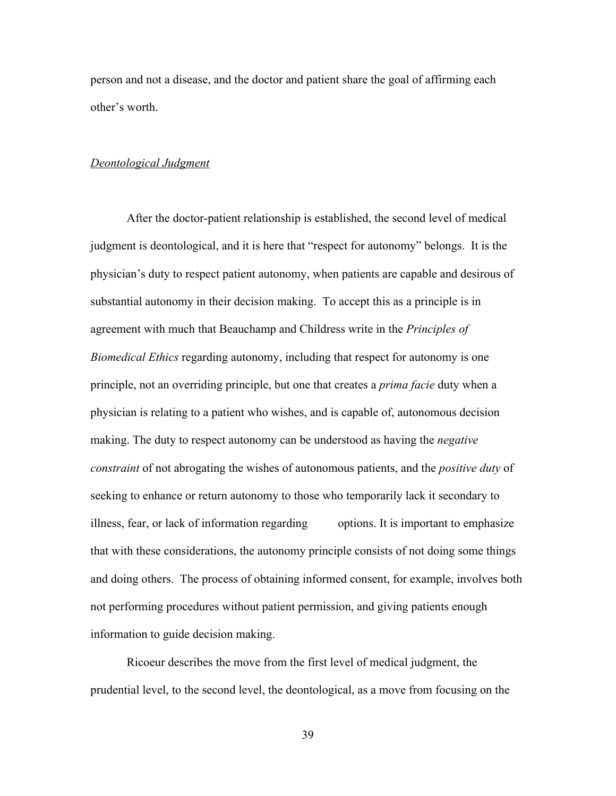person and not a disease, and the doctor and patient share the goal of affirming each other's worth.

## *Deontological Judgment*

After the doctor-patient relationship is established, the second level of medical judgment is deontological, and it is here that "respect for autonomy" belongs. It is the physician's duty to respect patient autonomy, when patients are capable and desirous of substantial autonomy in their decision making. To accept this as a principle is in agreement with much that Beauchamp and Childress write in the *Principles of Biomedical Ethics* regarding autonomy, including that respect for autonomy is one principle, not an overriding principle, but one that creates a *prima facie* duty when a physician is relating to a patient who wishes, and is capable of, autonomous decision making. The duty to respect autonomy can be understood as having the *negative constraint* of not abrogating the wishes of autonomous patients, and the *positive duty* of seeking to enhance or return autonomy to those who temporarily lack it secondary to illness, fear, or lack of information regarding options. It is important to emphasize that with these considerations, the autonomy principle consists of not doing some things and doing others. The process of obtaining informed consent, for example, involves both not performing procedures without patient permission, and giving patients enough information to guide decision making.

Ricoeur describes the move from the first level of medical judgment, the prudential level, to the second level, the deontological, as a move from focusing on the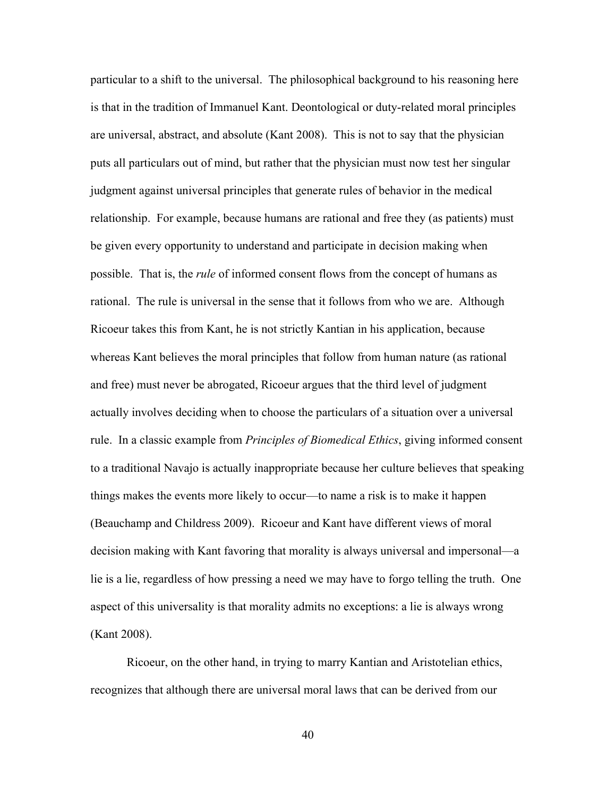particular to a shift to the universal. The philosophical background to his reasoning here is that in the tradition of Immanuel Kant. Deontological or duty-related moral principles are universal, abstract, and absolute (Kant 2008). This is not to say that the physician puts all particulars out of mind, but rather that the physician must now test her singular judgment against universal principles that generate rules of behavior in the medical relationship. For example, because humans are rational and free they (as patients) must be given every opportunity to understand and participate in decision making when possible. That is, the *rule* of informed consent flows from the concept of humans as rational. The rule is universal in the sense that it follows from who we are. Although Ricoeur takes this from Kant, he is not strictly Kantian in his application, because whereas Kant believes the moral principles that follow from human nature (as rational and free) must never be abrogated, Ricoeur argues that the third level of judgment actually involves deciding when to choose the particulars of a situation over a universal rule. In a classic example from *Principles of Biomedical Ethics*, giving informed consent to a traditional Navajo is actually inappropriate because her culture believes that speaking things makes the events more likely to occur—to name a risk is to make it happen (Beauchamp and Childress 2009). Ricoeur and Kant have different views of moral decision making with Kant favoring that morality is always universal and impersonal—a lie is a lie, regardless of how pressing a need we may have to forgo telling the truth. One aspect of this universality is that morality admits no exceptions: a lie is always wrong (Kant 2008).

Ricoeur, on the other hand, in trying to marry Kantian and Aristotelian ethics, recognizes that although there are universal moral laws that can be derived from our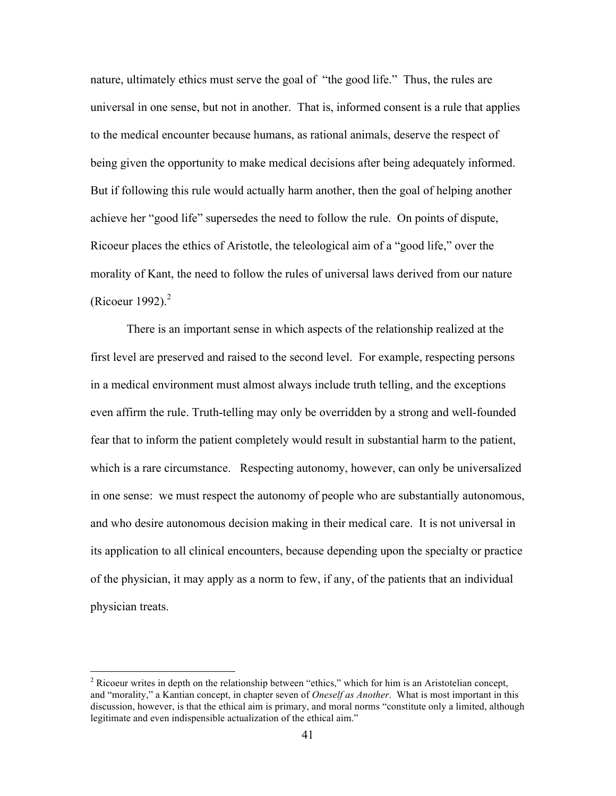nature, ultimately ethics must serve the goal of "the good life." Thus, the rules are universal in one sense, but not in another. That is, informed consent is a rule that applies to the medical encounter because humans, as rational animals, deserve the respect of being given the opportunity to make medical decisions after being adequately informed. But if following this rule would actually harm another, then the goal of helping another achieve her "good life" supersedes the need to follow the rule. On points of dispute, Ricoeur places the ethics of Aristotle, the teleological aim of a "good life," over the morality of Kant, the need to follow the rules of universal laws derived from our nature (Ricoeur 1992).<sup>2</sup>

There is an important sense in which aspects of the relationship realized at the first level are preserved and raised to the second level. For example, respecting persons in a medical environment must almost always include truth telling, and the exceptions even affirm the rule. Truth-telling may only be overridden by a strong and well-founded fear that to inform the patient completely would result in substantial harm to the patient, which is a rare circumstance. Respecting autonomy, however, can only be universalized in one sense: we must respect the autonomy of people who are substantially autonomous, and who desire autonomous decision making in their medical care. It is not universal in its application to all clinical encounters, because depending upon the specialty or practice of the physician, it may apply as a norm to few, if any, of the patients that an individual physician treats.

 $\frac{1}{2}$  $2$  Ricoeur writes in depth on the relationship between "ethics," which for him is an Aristotelian concept, and "morality," a Kantian concept, in chapter seven of *Oneself as Another*. What is most important in this discussion, however, is that the ethical aim is primary, and moral norms "constitute only a limited, although legitimate and even indispensible actualization of the ethical aim."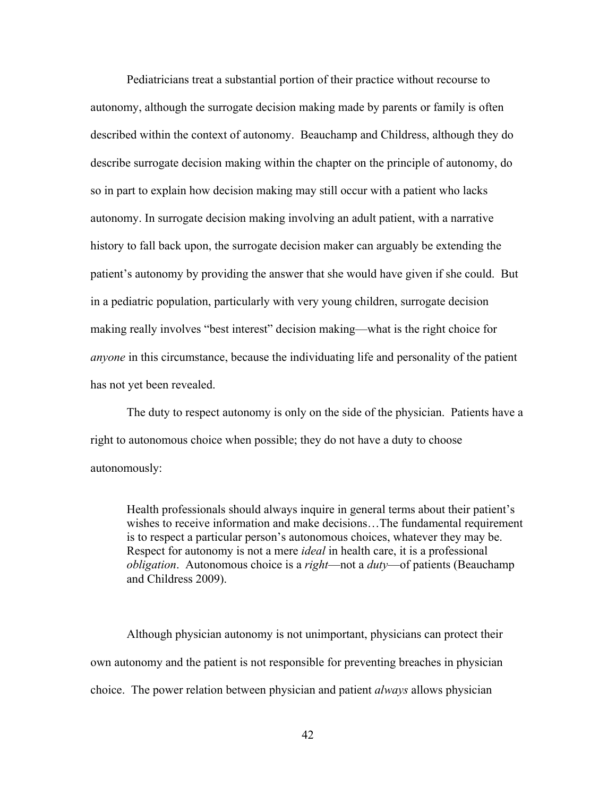Pediatricians treat a substantial portion of their practice without recourse to autonomy, although the surrogate decision making made by parents or family is often described within the context of autonomy. Beauchamp and Childress, although they do describe surrogate decision making within the chapter on the principle of autonomy, do so in part to explain how decision making may still occur with a patient who lacks autonomy. In surrogate decision making involving an adult patient, with a narrative history to fall back upon, the surrogate decision maker can arguably be extending the patient's autonomy by providing the answer that she would have given if she could. But in a pediatric population, particularly with very young children, surrogate decision making really involves "best interest" decision making—what is the right choice for *anyone* in this circumstance, because the individuating life and personality of the patient has not yet been revealed.

The duty to respect autonomy is only on the side of the physician. Patients have a right to autonomous choice when possible; they do not have a duty to choose autonomously:

Health professionals should always inquire in general terms about their patient's wishes to receive information and make decisions…The fundamental requirement is to respect a particular person's autonomous choices, whatever they may be. Respect for autonomy is not a mere *ideal* in health care, it is a professional *obligation*. Autonomous choice is a *right*—not a *duty*—of patients (Beauchamp and Childress 2009).

Although physician autonomy is not unimportant, physicians can protect their own autonomy and the patient is not responsible for preventing breaches in physician choice. The power relation between physician and patient *always* allows physician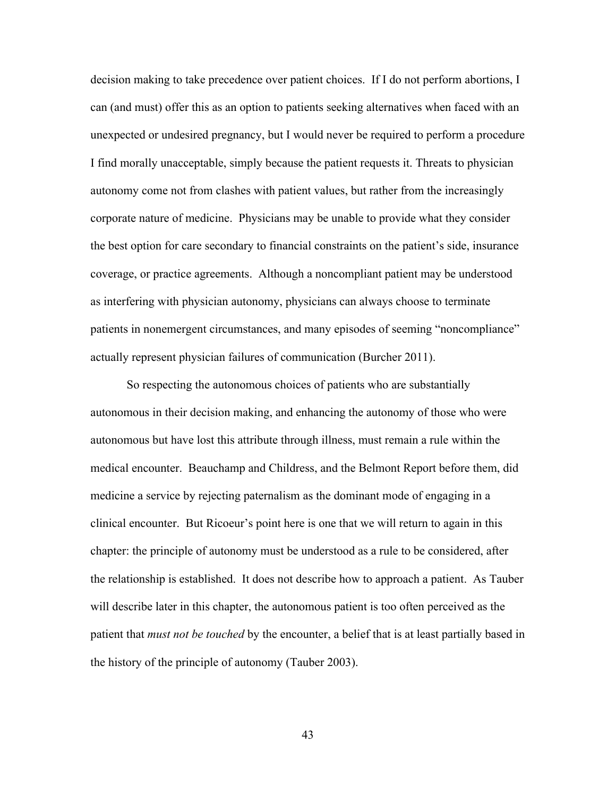decision making to take precedence over patient choices. If I do not perform abortions, I can (and must) offer this as an option to patients seeking alternatives when faced with an unexpected or undesired pregnancy, but I would never be required to perform a procedure I find morally unacceptable, simply because the patient requests it. Threats to physician autonomy come not from clashes with patient values, but rather from the increasingly corporate nature of medicine. Physicians may be unable to provide what they consider the best option for care secondary to financial constraints on the patient's side, insurance coverage, or practice agreements. Although a noncompliant patient may be understood as interfering with physician autonomy, physicians can always choose to terminate patients in nonemergent circumstances, and many episodes of seeming "noncompliance" actually represent physician failures of communication (Burcher 2011).

So respecting the autonomous choices of patients who are substantially autonomous in their decision making, and enhancing the autonomy of those who were autonomous but have lost this attribute through illness, must remain a rule within the medical encounter. Beauchamp and Childress, and the Belmont Report before them, did medicine a service by rejecting paternalism as the dominant mode of engaging in a clinical encounter. But Ricoeur's point here is one that we will return to again in this chapter: the principle of autonomy must be understood as a rule to be considered, after the relationship is established. It does not describe how to approach a patient. As Tauber will describe later in this chapter, the autonomous patient is too often perceived as the patient that *must not be touched* by the encounter, a belief that is at least partially based in the history of the principle of autonomy (Tauber 2003).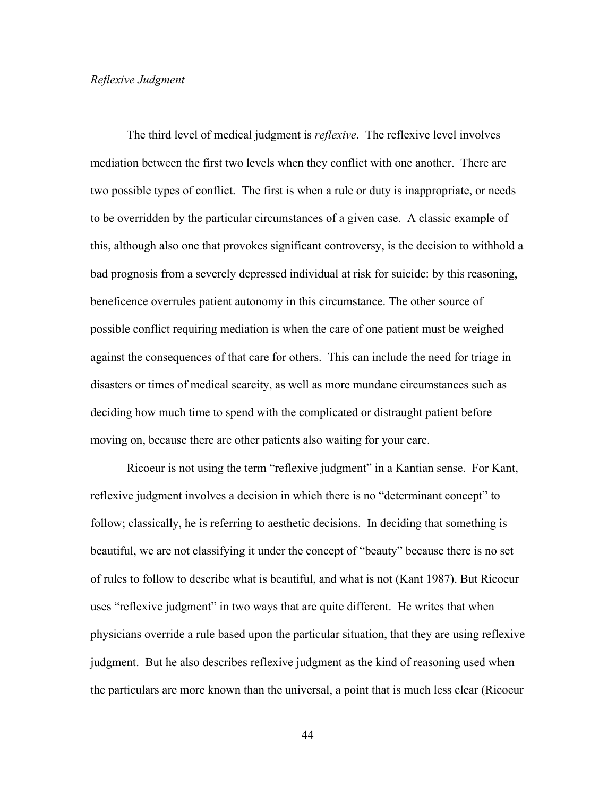# *Reflexive Judgment*

The third level of medical judgment is *reflexive*. The reflexive level involves mediation between the first two levels when they conflict with one another. There are two possible types of conflict. The first is when a rule or duty is inappropriate, or needs to be overridden by the particular circumstances of a given case. A classic example of this, although also one that provokes significant controversy, is the decision to withhold a bad prognosis from a severely depressed individual at risk for suicide: by this reasoning, beneficence overrules patient autonomy in this circumstance. The other source of possible conflict requiring mediation is when the care of one patient must be weighed against the consequences of that care for others. This can include the need for triage in disasters or times of medical scarcity, as well as more mundane circumstances such as deciding how much time to spend with the complicated or distraught patient before moving on, because there are other patients also waiting for your care.

Ricoeur is not using the term "reflexive judgment" in a Kantian sense. For Kant, reflexive judgment involves a decision in which there is no "determinant concept" to follow; classically, he is referring to aesthetic decisions. In deciding that something is beautiful, we are not classifying it under the concept of "beauty" because there is no set of rules to follow to describe what is beautiful, and what is not (Kant 1987). But Ricoeur uses "reflexive judgment" in two ways that are quite different. He writes that when physicians override a rule based upon the particular situation, that they are using reflexive judgment. But he also describes reflexive judgment as the kind of reasoning used when the particulars are more known than the universal, a point that is much less clear (Ricoeur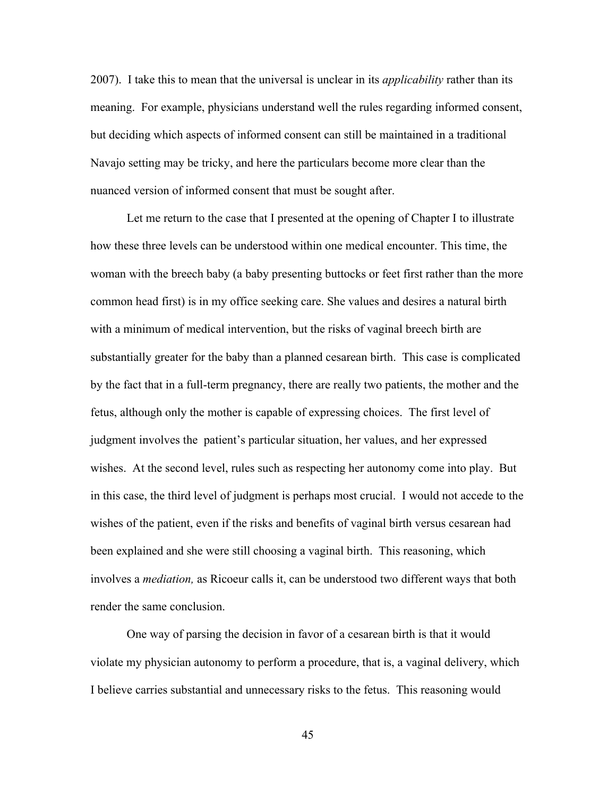2007). I take this to mean that the universal is unclear in its *applicability* rather than its meaning. For example, physicians understand well the rules regarding informed consent, but deciding which aspects of informed consent can still be maintained in a traditional Navajo setting may be tricky, and here the particulars become more clear than the nuanced version of informed consent that must be sought after.

Let me return to the case that I presented at the opening of Chapter I to illustrate how these three levels can be understood within one medical encounter. This time, the woman with the breech baby (a baby presenting buttocks or feet first rather than the more common head first) is in my office seeking care. She values and desires a natural birth with a minimum of medical intervention, but the risks of vaginal breech birth are substantially greater for the baby than a planned cesarean birth. This case is complicated by the fact that in a full-term pregnancy, there are really two patients, the mother and the fetus, although only the mother is capable of expressing choices. The first level of judgment involves the patient's particular situation, her values, and her expressed wishes. At the second level, rules such as respecting her autonomy come into play. But in this case, the third level of judgment is perhaps most crucial. I would not accede to the wishes of the patient, even if the risks and benefits of vaginal birth versus cesarean had been explained and she were still choosing a vaginal birth. This reasoning, which involves a *mediation,* as Ricoeur calls it, can be understood two different ways that both render the same conclusion.

One way of parsing the decision in favor of a cesarean birth is that it would violate my physician autonomy to perform a procedure, that is, a vaginal delivery, which I believe carries substantial and unnecessary risks to the fetus. This reasoning would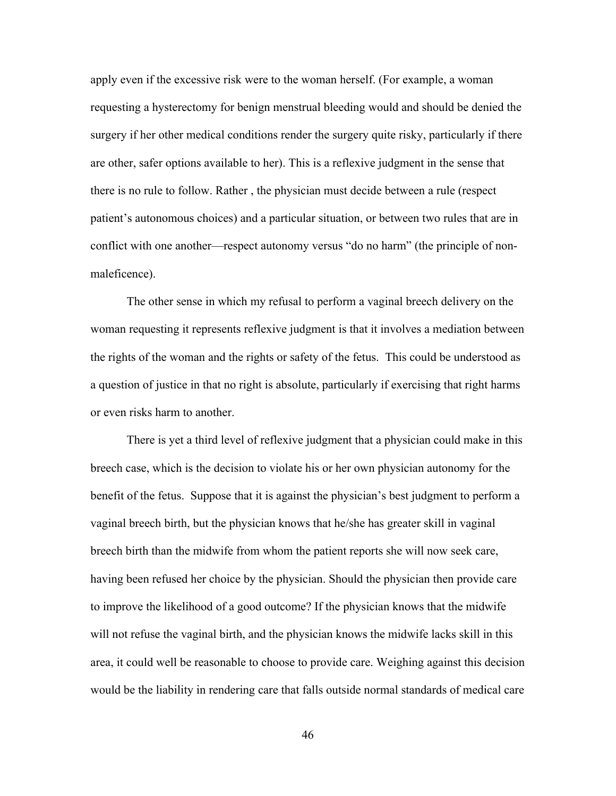apply even if the excessive risk were to the woman herself. (For example, a woman requesting a hysterectomy for benign menstrual bleeding would and should be denied the surgery if her other medical conditions render the surgery quite risky, particularly if there are other, safer options available to her). This is a reflexive judgment in the sense that there is no rule to follow. Rather , the physician must decide between a rule (respect patient's autonomous choices) and a particular situation, or between two rules that are in conflict with one another—respect autonomy versus "do no harm" (the principle of nonmaleficence).

The other sense in which my refusal to perform a vaginal breech delivery on the woman requesting it represents reflexive judgment is that it involves a mediation between the rights of the woman and the rights or safety of the fetus. This could be understood as a question of justice in that no right is absolute, particularly if exercising that right harms or even risks harm to another.

There is yet a third level of reflexive judgment that a physician could make in this breech case, which is the decision to violate his or her own physician autonomy for the benefit of the fetus. Suppose that it is against the physician's best judgment to perform a vaginal breech birth, but the physician knows that he/she has greater skill in vaginal breech birth than the midwife from whom the patient reports she will now seek care, having been refused her choice by the physician. Should the physician then provide care to improve the likelihood of a good outcome? If the physician knows that the midwife will not refuse the vaginal birth, and the physician knows the midwife lacks skill in this area, it could well be reasonable to choose to provide care. Weighing against this decision would be the liability in rendering care that falls outside normal standards of medical care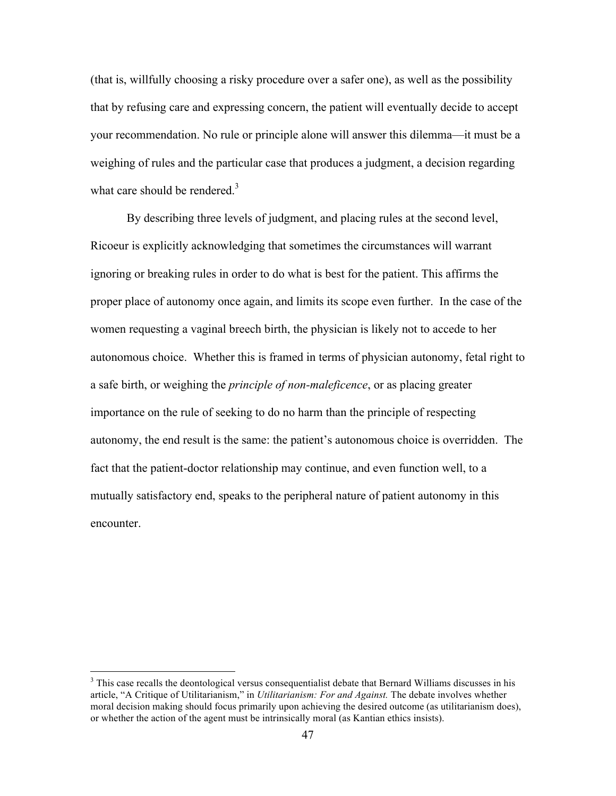(that is, willfully choosing a risky procedure over a safer one), as well as the possibility that by refusing care and expressing concern, the patient will eventually decide to accept your recommendation. No rule or principle alone will answer this dilemma—it must be a weighing of rules and the particular case that produces a judgment, a decision regarding what care should be rendered.<sup>3</sup>

By describing three levels of judgment, and placing rules at the second level, Ricoeur is explicitly acknowledging that sometimes the circumstances will warrant ignoring or breaking rules in order to do what is best for the patient. This affirms the proper place of autonomy once again, and limits its scope even further. In the case of the women requesting a vaginal breech birth, the physician is likely not to accede to her autonomous choice. Whether this is framed in terms of physician autonomy, fetal right to a safe birth, or weighing the *principle of non-maleficence*, or as placing greater importance on the rule of seeking to do no harm than the principle of respecting autonomy, the end result is the same: the patient's autonomous choice is overridden. The fact that the patient-doctor relationship may continue, and even function well, to a mutually satisfactory end, speaks to the peripheral nature of patient autonomy in this encounter.

<sup>&</sup>lt;sup>2</sup><br>3  $3$  This case recalls the deontological versus consequentialist debate that Bernard Williams discusses in his article, "A Critique of Utilitarianism," in *Utilitarianism: For and Against.* The debate involves whether moral decision making should focus primarily upon achieving the desired outcome (as utilitarianism does), or whether the action of the agent must be intrinsically moral (as Kantian ethics insists).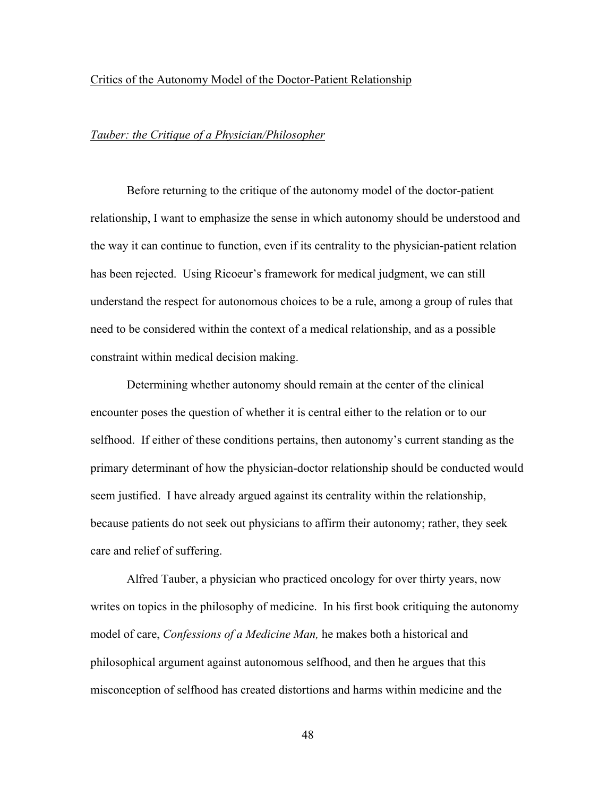#### Critics of the Autonomy Model of the Doctor-Patient Relationship

# *Tauber: the Critique of a Physician/Philosopher*

Before returning to the critique of the autonomy model of the doctor-patient relationship, I want to emphasize the sense in which autonomy should be understood and the way it can continue to function, even if its centrality to the physician-patient relation has been rejected. Using Ricoeur's framework for medical judgment, we can still understand the respect for autonomous choices to be a rule, among a group of rules that need to be considered within the context of a medical relationship, and as a possible constraint within medical decision making.

Determining whether autonomy should remain at the center of the clinical encounter poses the question of whether it is central either to the relation or to our selfhood. If either of these conditions pertains, then autonomy's current standing as the primary determinant of how the physician-doctor relationship should be conducted would seem justified. I have already argued against its centrality within the relationship, because patients do not seek out physicians to affirm their autonomy; rather, they seek care and relief of suffering.

Alfred Tauber, a physician who practiced oncology for over thirty years, now writes on topics in the philosophy of medicine. In his first book critiquing the autonomy model of care, *Confessions of a Medicine Man,* he makes both a historical and philosophical argument against autonomous selfhood, and then he argues that this misconception of selfhood has created distortions and harms within medicine and the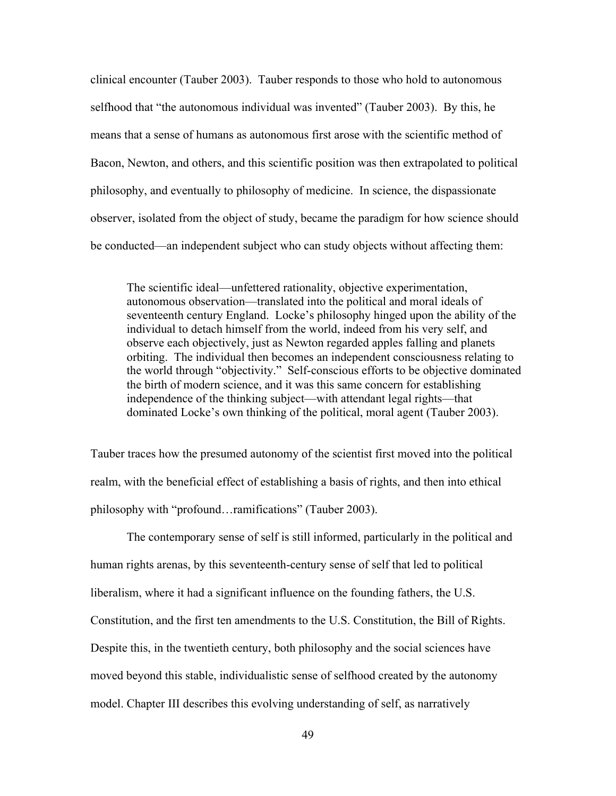clinical encounter (Tauber 2003). Tauber responds to those who hold to autonomous selfhood that "the autonomous individual was invented" (Tauber 2003). By this, he means that a sense of humans as autonomous first arose with the scientific method of Bacon, Newton, and others, and this scientific position was then extrapolated to political philosophy, and eventually to philosophy of medicine. In science, the dispassionate observer, isolated from the object of study, became the paradigm for how science should be conducted—an independent subject who can study objects without affecting them:

The scientific ideal—unfettered rationality, objective experimentation, autonomous observation—translated into the political and moral ideals of seventeenth century England. Locke's philosophy hinged upon the ability of the individual to detach himself from the world, indeed from his very self, and observe each objectively, just as Newton regarded apples falling and planets orbiting. The individual then becomes an independent consciousness relating to the world through "objectivity." Self-conscious efforts to be objective dominated the birth of modern science, and it was this same concern for establishing independence of the thinking subject—with attendant legal rights—that dominated Locke's own thinking of the political, moral agent (Tauber 2003).

Tauber traces how the presumed autonomy of the scientist first moved into the political realm, with the beneficial effect of establishing a basis of rights, and then into ethical philosophy with "profound…ramifications" (Tauber 2003).

The contemporary sense of self is still informed, particularly in the political and human rights arenas, by this seventeenth-century sense of self that led to political liberalism, where it had a significant influence on the founding fathers, the U.S. Constitution, and the first ten amendments to the U.S. Constitution, the Bill of Rights. Despite this, in the twentieth century, both philosophy and the social sciences have moved beyond this stable, individualistic sense of selfhood created by the autonomy model. Chapter III describes this evolving understanding of self, as narratively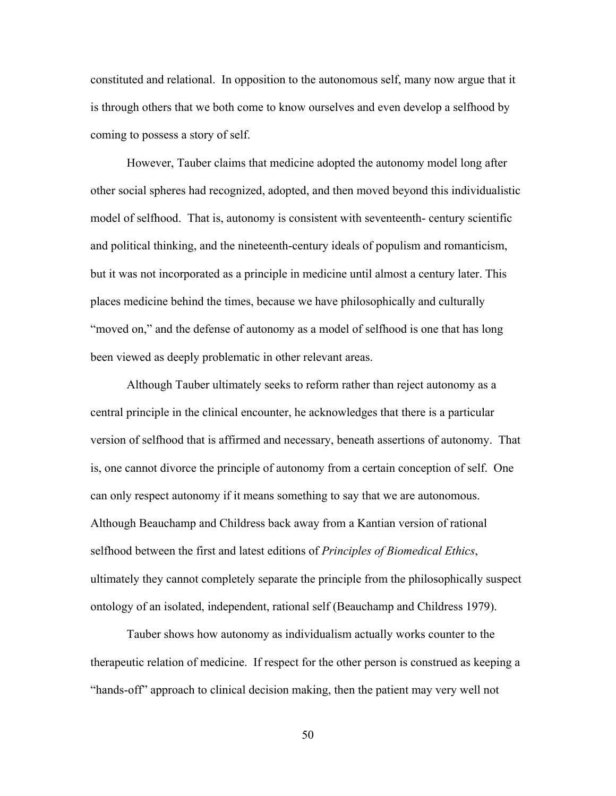constituted and relational. In opposition to the autonomous self, many now argue that it is through others that we both come to know ourselves and even develop a selfhood by coming to possess a story of self.

However, Tauber claims that medicine adopted the autonomy model long after other social spheres had recognized, adopted, and then moved beyond this individualistic model of selfhood. That is, autonomy is consistent with seventeenth- century scientific and political thinking, and the nineteenth-century ideals of populism and romanticism, but it was not incorporated as a principle in medicine until almost a century later. This places medicine behind the times, because we have philosophically and culturally "moved on," and the defense of autonomy as a model of selfhood is one that has long been viewed as deeply problematic in other relevant areas.

Although Tauber ultimately seeks to reform rather than reject autonomy as a central principle in the clinical encounter, he acknowledges that there is a particular version of selfhood that is affirmed and necessary, beneath assertions of autonomy. That is, one cannot divorce the principle of autonomy from a certain conception of self. One can only respect autonomy if it means something to say that we are autonomous. Although Beauchamp and Childress back away from a Kantian version of rational selfhood between the first and latest editions of *Principles of Biomedical Ethics*, ultimately they cannot completely separate the principle from the philosophically suspect ontology of an isolated, independent, rational self (Beauchamp and Childress 1979).

Tauber shows how autonomy as individualism actually works counter to the therapeutic relation of medicine. If respect for the other person is construed as keeping a "hands-off" approach to clinical decision making, then the patient may very well not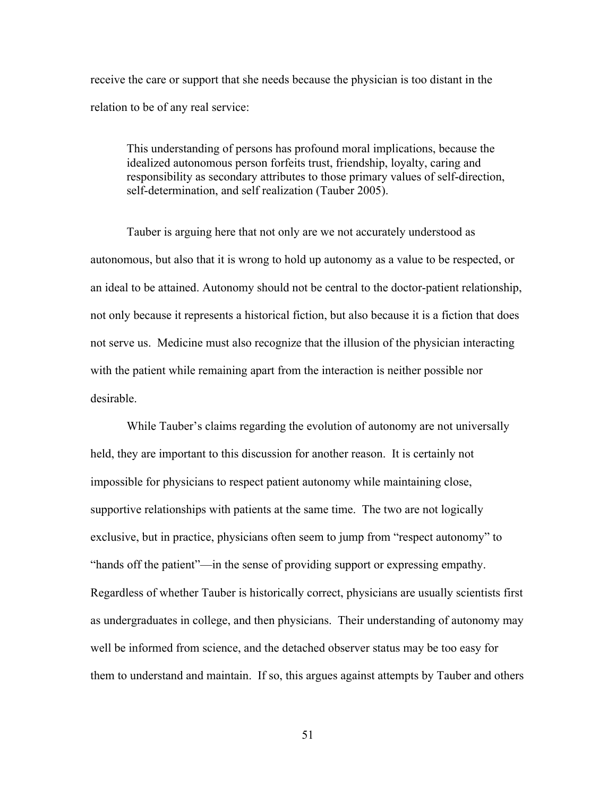receive the care or support that she needs because the physician is too distant in the relation to be of any real service:

This understanding of persons has profound moral implications, because the idealized autonomous person forfeits trust, friendship, loyalty, caring and responsibility as secondary attributes to those primary values of self-direction, self-determination, and self realization (Tauber 2005).

Tauber is arguing here that not only are we not accurately understood as autonomous, but also that it is wrong to hold up autonomy as a value to be respected, or an ideal to be attained. Autonomy should not be central to the doctor-patient relationship, not only because it represents a historical fiction, but also because it is a fiction that does not serve us. Medicine must also recognize that the illusion of the physician interacting with the patient while remaining apart from the interaction is neither possible nor desirable.

While Tauber's claims regarding the evolution of autonomy are not universally held, they are important to this discussion for another reason. It is certainly not impossible for physicians to respect patient autonomy while maintaining close, supportive relationships with patients at the same time. The two are not logically exclusive, but in practice, physicians often seem to jump from "respect autonomy" to "hands off the patient"—in the sense of providing support or expressing empathy. Regardless of whether Tauber is historically correct, physicians are usually scientists first as undergraduates in college, and then physicians. Their understanding of autonomy may well be informed from science, and the detached observer status may be too easy for them to understand and maintain. If so, this argues against attempts by Tauber and others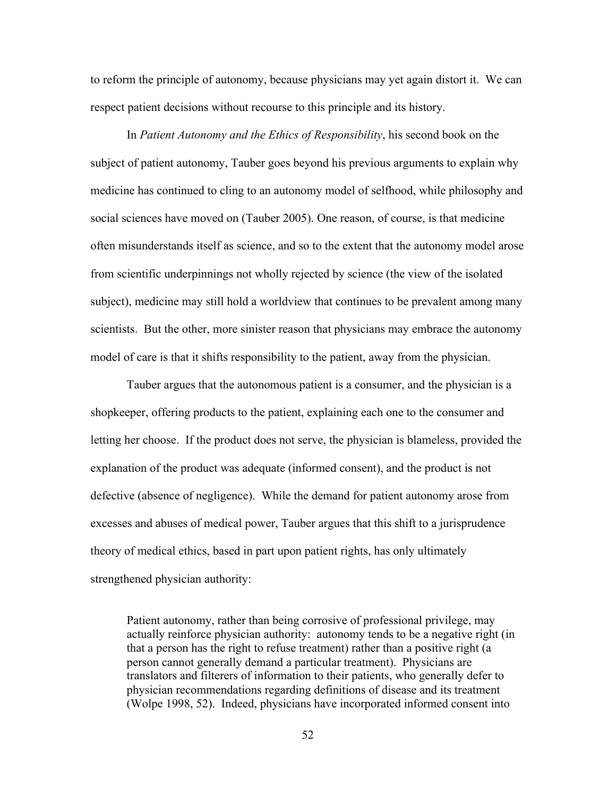to reform the principle of autonomy, because physicians may yet again distort it. We can respect patient decisions without recourse to this principle and its history.

In *Patient Autonomy and the Ethics of Responsibility*, his second book on the subject of patient autonomy, Tauber goes beyond his previous arguments to explain why medicine has continued to cling to an autonomy model of selfhood, while philosophy and social sciences have moved on (Tauber 2005). One reason, of course, is that medicine often misunderstands itself as science, and so to the extent that the autonomy model arose from scientific underpinnings not wholly rejected by science (the view of the isolated subject), medicine may still hold a worldview that continues to be prevalent among many scientists. But the other, more sinister reason that physicians may embrace the autonomy model of care is that it shifts responsibility to the patient, away from the physician.

Tauber argues that the autonomous patient is a consumer, and the physician is a shopkeeper, offering products to the patient, explaining each one to the consumer and letting her choose. If the product does not serve, the physician is blameless, provided the explanation of the product was adequate (informed consent), and the product is not defective (absence of negligence). While the demand for patient autonomy arose from excesses and abuses of medical power, Tauber argues that this shift to a jurisprudence theory of medical ethics, based in part upon patient rights, has only ultimately strengthened physician authority:

Patient autonomy, rather than being corrosive of professional privilege, may actually reinforce physician authority: autonomy tends to be a negative right (in that a person has the right to refuse treatment) rather than a positive right (a person cannot generally demand a particular treatment). Physicians are translators and filterers of information to their patients, who generally defer to physician recommendations regarding definitions of disease and its treatment (Wolpe 1998, 52). Indeed, physicians have incorporated informed consent into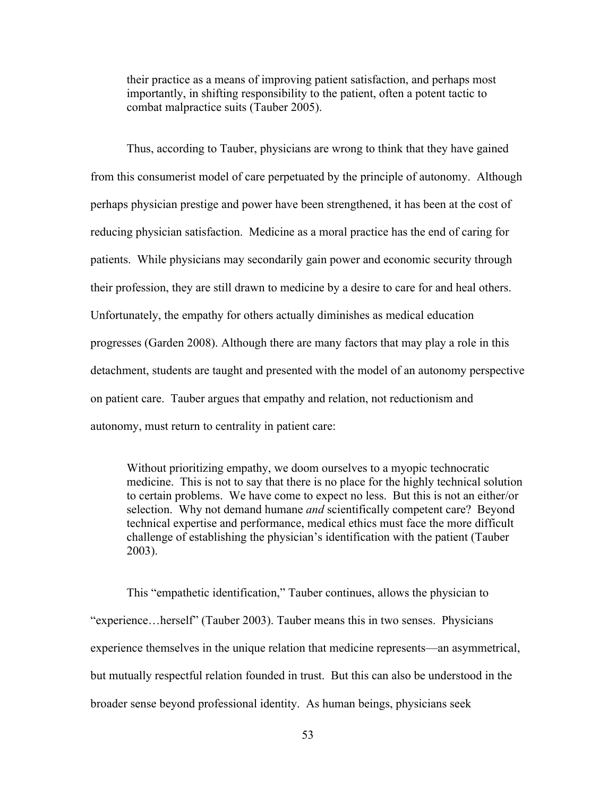their practice as a means of improving patient satisfaction, and perhaps most importantly, in shifting responsibility to the patient, often a potent tactic to combat malpractice suits (Tauber 2005).

Thus, according to Tauber, physicians are wrong to think that they have gained from this consumerist model of care perpetuated by the principle of autonomy. Although perhaps physician prestige and power have been strengthened, it has been at the cost of reducing physician satisfaction. Medicine as a moral practice has the end of caring for patients. While physicians may secondarily gain power and economic security through their profession, they are still drawn to medicine by a desire to care for and heal others. Unfortunately, the empathy for others actually diminishes as medical education progresses (Garden 2008). Although there are many factors that may play a role in this detachment, students are taught and presented with the model of an autonomy perspective on patient care. Tauber argues that empathy and relation, not reductionism and autonomy, must return to centrality in patient care:

Without prioritizing empathy, we doom ourselves to a myopic technocratic medicine. This is not to say that there is no place for the highly technical solution to certain problems. We have come to expect no less. But this is not an either/or selection. Why not demand humane *and* scientifically competent care? Beyond technical expertise and performance, medical ethics must face the more difficult challenge of establishing the physician's identification with the patient (Tauber 2003).

This "empathetic identification," Tauber continues, allows the physician to "experience…herself" (Tauber 2003). Tauber means this in two senses. Physicians experience themselves in the unique relation that medicine represents—an asymmetrical, but mutually respectful relation founded in trust. But this can also be understood in the broader sense beyond professional identity. As human beings, physicians seek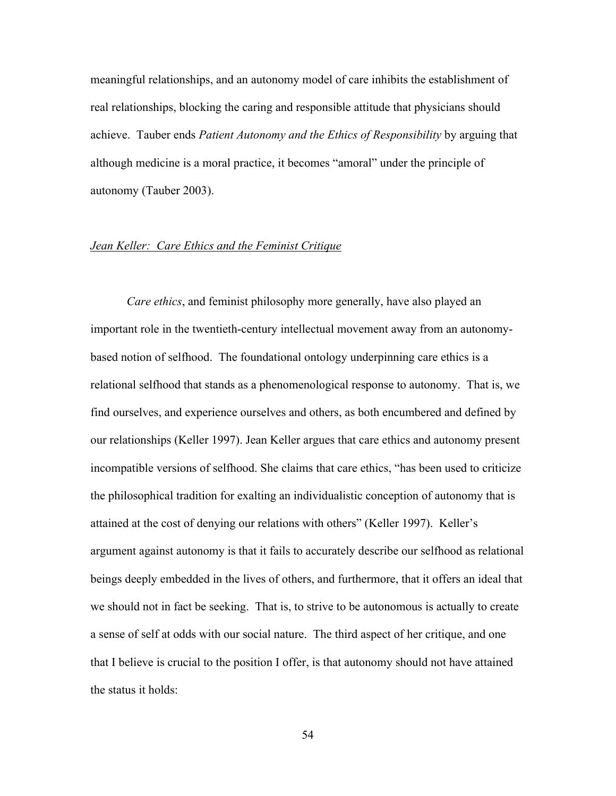meaningful relationships, and an autonomy model of care inhibits the establishment of real relationships, blocking the caring and responsible attitude that physicians should achieve. Tauber ends *Patient Autonomy and the Ethics of Responsibility* by arguing that although medicine is a moral practice, it becomes "amoral" under the principle of autonomy (Tauber 2003).

# *Jean Keller: Care Ethics and the Feminist Critique*

*Care ethics*, and feminist philosophy more generally, have also played an important role in the twentieth-century intellectual movement away from an autonomybased notion of selfhood. The foundational ontology underpinning care ethics is a relational selfhood that stands as a phenomenological response to autonomy. That is, we find ourselves, and experience ourselves and others, as both encumbered and defined by our relationships (Keller 1997). Jean Keller argues that care ethics and autonomy present incompatible versions of selfhood. She claims that care ethics, "has been used to criticize the philosophical tradition for exalting an individualistic conception of autonomy that is attained at the cost of denying our relations with others" (Keller 1997). Keller's argument against autonomy is that it fails to accurately describe our selfhood as relational beings deeply embedded in the lives of others, and furthermore, that it offers an ideal that we should not in fact be seeking. That is, to strive to be autonomous is actually to create a sense of self at odds with our social nature. The third aspect of her critique, and one that I believe is crucial to the position I offer, is that autonomy should not have attained the status it holds: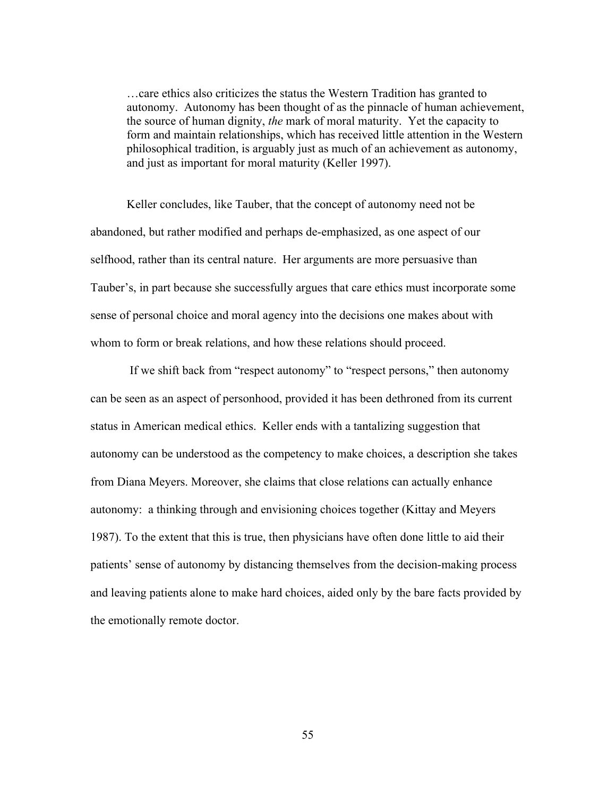…care ethics also criticizes the status the Western Tradition has granted to autonomy. Autonomy has been thought of as the pinnacle of human achievement, the source of human dignity, *the* mark of moral maturity. Yet the capacity to form and maintain relationships, which has received little attention in the Western philosophical tradition, is arguably just as much of an achievement as autonomy, and just as important for moral maturity (Keller 1997).

Keller concludes, like Tauber, that the concept of autonomy need not be abandoned, but rather modified and perhaps de-emphasized, as one aspect of our selfhood, rather than its central nature. Her arguments are more persuasive than Tauber's, in part because she successfully argues that care ethics must incorporate some sense of personal choice and moral agency into the decisions one makes about with whom to form or break relations, and how these relations should proceed.

 If we shift back from "respect autonomy" to "respect persons," then autonomy can be seen as an aspect of personhood, provided it has been dethroned from its current status in American medical ethics. Keller ends with a tantalizing suggestion that autonomy can be understood as the competency to make choices, a description she takes from Diana Meyers. Moreover, she claims that close relations can actually enhance autonomy: a thinking through and envisioning choices together (Kittay and Meyers 1987). To the extent that this is true, then physicians have often done little to aid their patients' sense of autonomy by distancing themselves from the decision-making process and leaving patients alone to make hard choices, aided only by the bare facts provided by the emotionally remote doctor.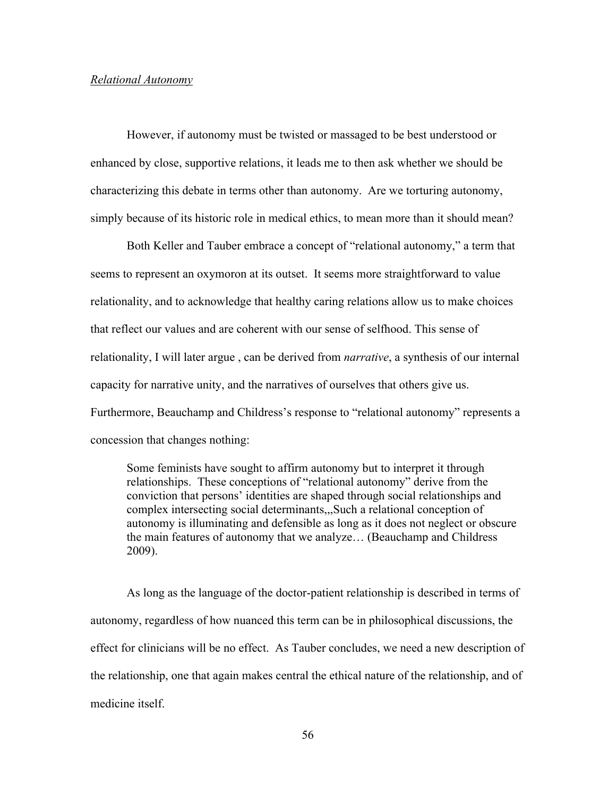# *Relational Autonomy*

However, if autonomy must be twisted or massaged to be best understood or enhanced by close, supportive relations, it leads me to then ask whether we should be characterizing this debate in terms other than autonomy. Are we torturing autonomy, simply because of its historic role in medical ethics, to mean more than it should mean?

Both Keller and Tauber embrace a concept of "relational autonomy," a term that seems to represent an oxymoron at its outset. It seems more straightforward to value relationality, and to acknowledge that healthy caring relations allow us to make choices that reflect our values and are coherent with our sense of selfhood. This sense of relationality, I will later argue , can be derived from *narrative*, a synthesis of our internal capacity for narrative unity, and the narratives of ourselves that others give us. Furthermore, Beauchamp and Childress's response to "relational autonomy" represents a concession that changes nothing:

Some feminists have sought to affirm autonomy but to interpret it through relationships. These conceptions of "relational autonomy" derive from the conviction that persons' identities are shaped through social relationships and complex intersecting social determinants,,,Such a relational conception of autonomy is illuminating and defensible as long as it does not neglect or obscure the main features of autonomy that we analyze… (Beauchamp and Childress 2009).

As long as the language of the doctor-patient relationship is described in terms of autonomy, regardless of how nuanced this term can be in philosophical discussions, the effect for clinicians will be no effect. As Tauber concludes, we need a new description of the relationship, one that again makes central the ethical nature of the relationship, and of medicine itself.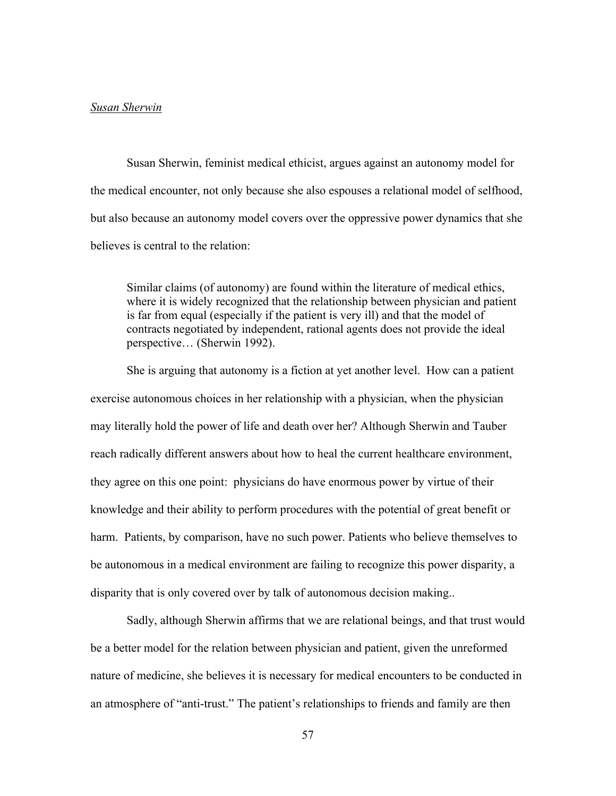# *Susan Sherwin*

Susan Sherwin, feminist medical ethicist, argues against an autonomy model for the medical encounter, not only because she also espouses a relational model of selfhood, but also because an autonomy model covers over the oppressive power dynamics that she believes is central to the relation:

Similar claims (of autonomy) are found within the literature of medical ethics, where it is widely recognized that the relationship between physician and patient is far from equal (especially if the patient is very ill) and that the model of contracts negotiated by independent, rational agents does not provide the ideal perspective… (Sherwin 1992).

She is arguing that autonomy is a fiction at yet another level. How can a patient exercise autonomous choices in her relationship with a physician, when the physician may literally hold the power of life and death over her? Although Sherwin and Tauber reach radically different answers about how to heal the current healthcare environment, they agree on this one point: physicians do have enormous power by virtue of their knowledge and their ability to perform procedures with the potential of great benefit or harm. Patients, by comparison, have no such power. Patients who believe themselves to be autonomous in a medical environment are failing to recognize this power disparity, a disparity that is only covered over by talk of autonomous decision making..

Sadly, although Sherwin affirms that we are relational beings, and that trust would be a better model for the relation between physician and patient, given the unreformed nature of medicine, she believes it is necessary for medical encounters to be conducted in an atmosphere of "anti-trust." The patient's relationships to friends and family are then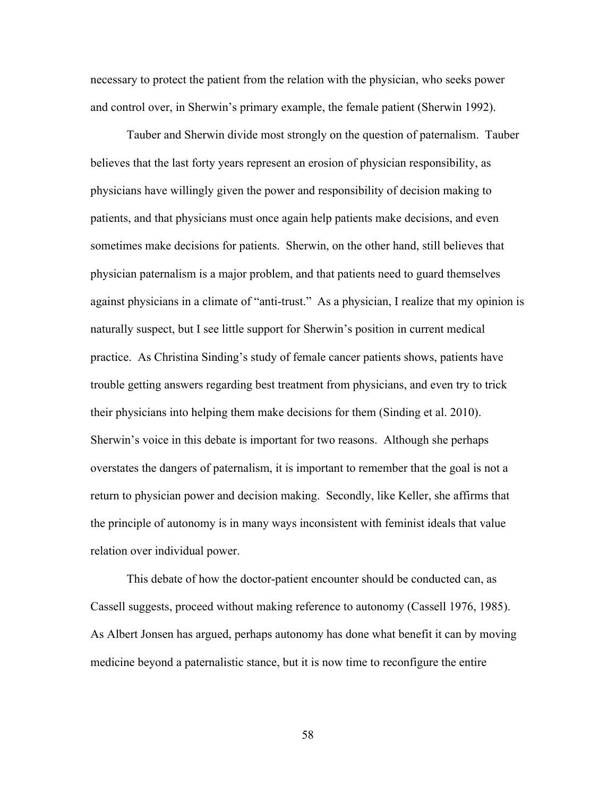necessary to protect the patient from the relation with the physician, who seeks power and control over, in Sherwin's primary example, the female patient (Sherwin 1992).

Tauber and Sherwin divide most strongly on the question of paternalism. Tauber believes that the last forty years represent an erosion of physician responsibility, as physicians have willingly given the power and responsibility of decision making to patients, and that physicians must once again help patients make decisions, and even sometimes make decisions for patients. Sherwin, on the other hand, still believes that physician paternalism is a major problem, and that patients need to guard themselves against physicians in a climate of "anti-trust." As a physician, I realize that my opinion is naturally suspect, but I see little support for Sherwin's position in current medical practice. As Christina Sinding's study of female cancer patients shows, patients have trouble getting answers regarding best treatment from physicians, and even try to trick their physicians into helping them make decisions for them (Sinding et al. 2010). Sherwin's voice in this debate is important for two reasons. Although she perhaps overstates the dangers of paternalism, it is important to remember that the goal is not a return to physician power and decision making. Secondly, like Keller, she affirms that the principle of autonomy is in many ways inconsistent with feminist ideals that value relation over individual power.

This debate of how the doctor-patient encounter should be conducted can, as Cassell suggests, proceed without making reference to autonomy (Cassell 1976, 1985). As Albert Jonsen has argued, perhaps autonomy has done what benefit it can by moving medicine beyond a paternalistic stance, but it is now time to reconfigure the entire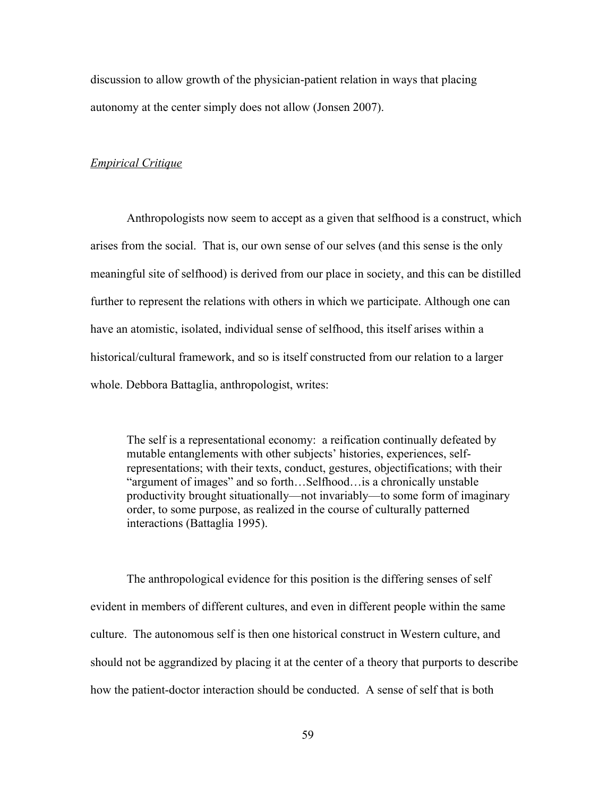discussion to allow growth of the physician-patient relation in ways that placing autonomy at the center simply does not allow (Jonsen 2007).

# *Empirical Critique*

Anthropologists now seem to accept as a given that selfhood is a construct, which arises from the social. That is, our own sense of our selves (and this sense is the only meaningful site of selfhood) is derived from our place in society, and this can be distilled further to represent the relations with others in which we participate. Although one can have an atomistic, isolated, individual sense of selfhood, this itself arises within a historical/cultural framework, and so is itself constructed from our relation to a larger whole. Debbora Battaglia, anthropologist, writes:

The self is a representational economy: a reification continually defeated by mutable entanglements with other subjects' histories, experiences, selfrepresentations; with their texts, conduct, gestures, objectifications; with their "argument of images" and so forth…Selfhood…is a chronically unstable productivity brought situationally—not invariably—to some form of imaginary order, to some purpose, as realized in the course of culturally patterned interactions (Battaglia 1995).

The anthropological evidence for this position is the differing senses of self evident in members of different cultures, and even in different people within the same culture. The autonomous self is then one historical construct in Western culture, and should not be aggrandized by placing it at the center of a theory that purports to describe how the patient-doctor interaction should be conducted. A sense of self that is both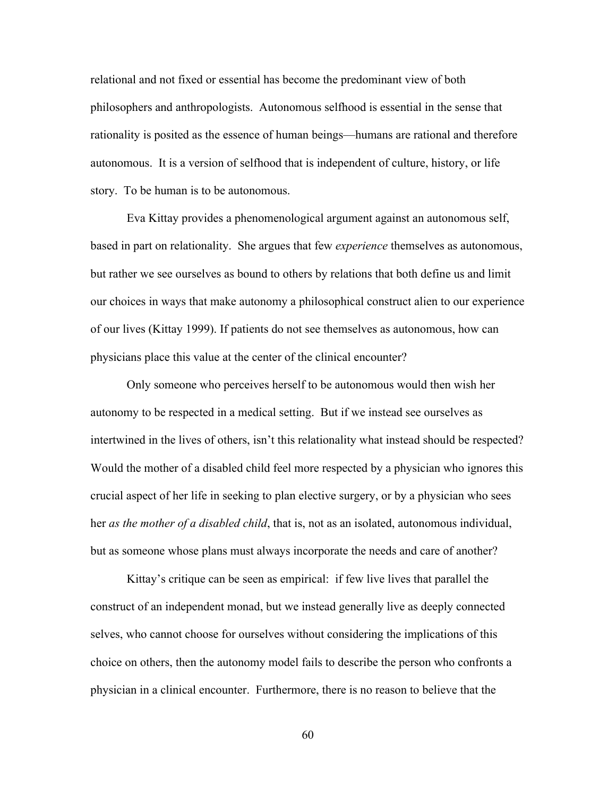relational and not fixed or essential has become the predominant view of both philosophers and anthropologists. Autonomous selfhood is essential in the sense that rationality is posited as the essence of human beings—humans are rational and therefore autonomous. It is a version of selfhood that is independent of culture, history, or life story. To be human is to be autonomous.

Eva Kittay provides a phenomenological argument against an autonomous self, based in part on relationality. She argues that few *experience* themselves as autonomous, but rather we see ourselves as bound to others by relations that both define us and limit our choices in ways that make autonomy a philosophical construct alien to our experience of our lives (Kittay 1999). If patients do not see themselves as autonomous, how can physicians place this value at the center of the clinical encounter?

Only someone who perceives herself to be autonomous would then wish her autonomy to be respected in a medical setting. But if we instead see ourselves as intertwined in the lives of others, isn't this relationality what instead should be respected? Would the mother of a disabled child feel more respected by a physician who ignores this crucial aspect of her life in seeking to plan elective surgery, or by a physician who sees her *as the mother of a disabled child*, that is, not as an isolated, autonomous individual, but as someone whose plans must always incorporate the needs and care of another?

Kittay's critique can be seen as empirical: if few live lives that parallel the construct of an independent monad, but we instead generally live as deeply connected selves, who cannot choose for ourselves without considering the implications of this choice on others, then the autonomy model fails to describe the person who confronts a physician in a clinical encounter. Furthermore, there is no reason to believe that the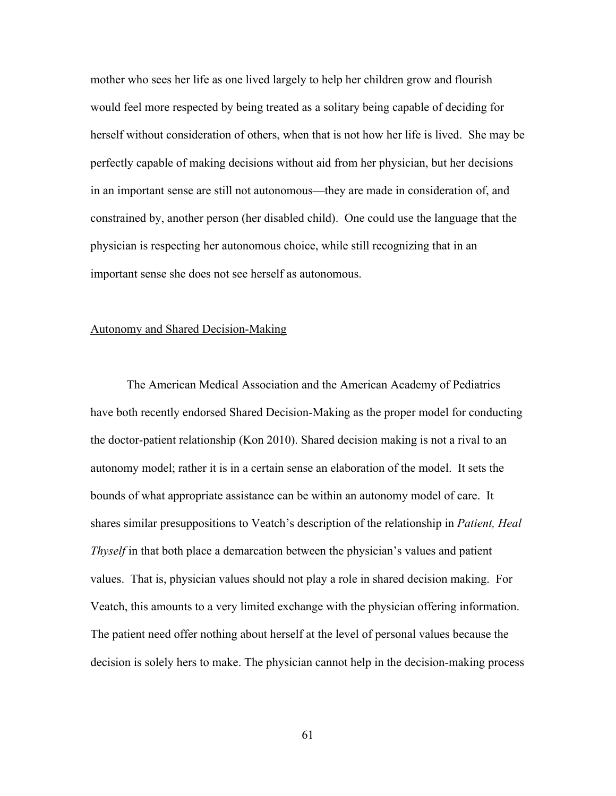mother who sees her life as one lived largely to help her children grow and flourish would feel more respected by being treated as a solitary being capable of deciding for herself without consideration of others, when that is not how her life is lived. She may be perfectly capable of making decisions without aid from her physician, but her decisions in an important sense are still not autonomous—they are made in consideration of, and constrained by, another person (her disabled child). One could use the language that the physician is respecting her autonomous choice, while still recognizing that in an important sense she does not see herself as autonomous.

# Autonomy and Shared Decision-Making

The American Medical Association and the American Academy of Pediatrics have both recently endorsed Shared Decision-Making as the proper model for conducting the doctor-patient relationship (Kon 2010). Shared decision making is not a rival to an autonomy model; rather it is in a certain sense an elaboration of the model. It sets the bounds of what appropriate assistance can be within an autonomy model of care. It shares similar presuppositions to Veatch's description of the relationship in *Patient, Heal Thyself* in that both place a demarcation between the physician's values and patient values. That is, physician values should not play a role in shared decision making. For Veatch, this amounts to a very limited exchange with the physician offering information. The patient need offer nothing about herself at the level of personal values because the decision is solely hers to make. The physician cannot help in the decision-making process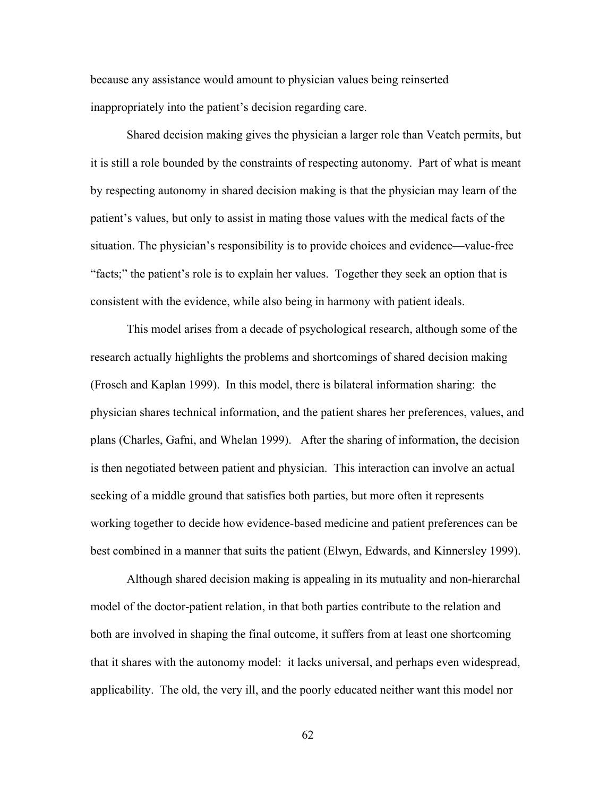because any assistance would amount to physician values being reinserted inappropriately into the patient's decision regarding care.

Shared decision making gives the physician a larger role than Veatch permits, but it is still a role bounded by the constraints of respecting autonomy. Part of what is meant by respecting autonomy in shared decision making is that the physician may learn of the patient's values, but only to assist in mating those values with the medical facts of the situation. The physician's responsibility is to provide choices and evidence—value-free "facts;" the patient's role is to explain her values. Together they seek an option that is consistent with the evidence, while also being in harmony with patient ideals.

This model arises from a decade of psychological research, although some of the research actually highlights the problems and shortcomings of shared decision making (Frosch and Kaplan 1999). In this model, there is bilateral information sharing: the physician shares technical information, and the patient shares her preferences, values, and plans (Charles, Gafni, and Whelan 1999). After the sharing of information, the decision is then negotiated between patient and physician. This interaction can involve an actual seeking of a middle ground that satisfies both parties, but more often it represents working together to decide how evidence-based medicine and patient preferences can be best combined in a manner that suits the patient (Elwyn, Edwards, and Kinnersley 1999).

Although shared decision making is appealing in its mutuality and non-hierarchal model of the doctor-patient relation, in that both parties contribute to the relation and both are involved in shaping the final outcome, it suffers from at least one shortcoming that it shares with the autonomy model: it lacks universal, and perhaps even widespread, applicability. The old, the very ill, and the poorly educated neither want this model nor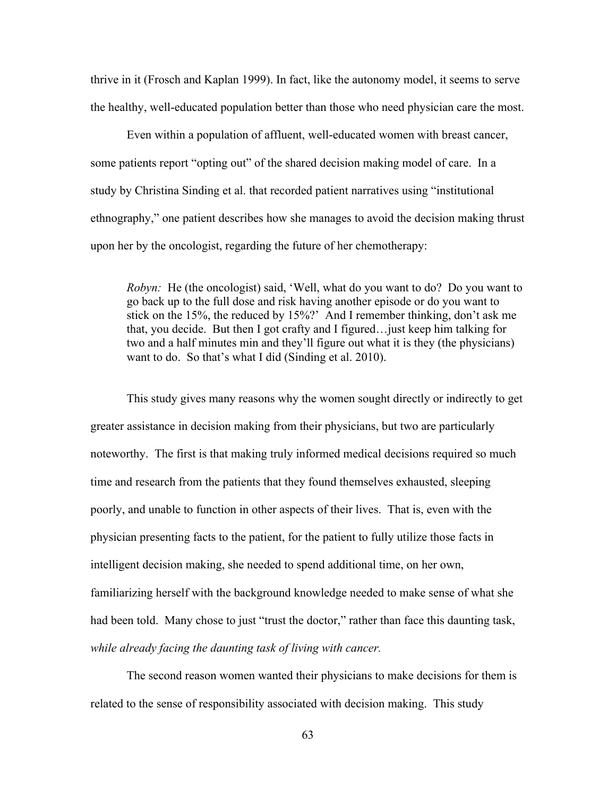thrive in it (Frosch and Kaplan 1999). In fact, like the autonomy model, it seems to serve the healthy, well-educated population better than those who need physician care the most.

Even within a population of affluent, well-educated women with breast cancer, some patients report "opting out" of the shared decision making model of care. In a study by Christina Sinding et al. that recorded patient narratives using "institutional ethnography," one patient describes how she manages to avoid the decision making thrust upon her by the oncologist, regarding the future of her chemotherapy:

*Robyn:* He (the oncologist) said, 'Well, what do you want to do? Do you want to go back up to the full dose and risk having another episode or do you want to stick on the 15%, the reduced by 15%?' And I remember thinking, don't ask me that, you decide. But then I got crafty and I figured…just keep him talking for two and a half minutes min and they'll figure out what it is they (the physicians) want to do. So that's what I did (Sinding et al. 2010).

This study gives many reasons why the women sought directly or indirectly to get greater assistance in decision making from their physicians, but two are particularly noteworthy. The first is that making truly informed medical decisions required so much time and research from the patients that they found themselves exhausted, sleeping poorly, and unable to function in other aspects of their lives. That is, even with the physician presenting facts to the patient, for the patient to fully utilize those facts in intelligent decision making, she needed to spend additional time, on her own, familiarizing herself with the background knowledge needed to make sense of what she had been told. Many chose to just "trust the doctor," rather than face this daunting task, *while already facing the daunting task of living with cancer.* 

The second reason women wanted their physicians to make decisions for them is related to the sense of responsibility associated with decision making. This study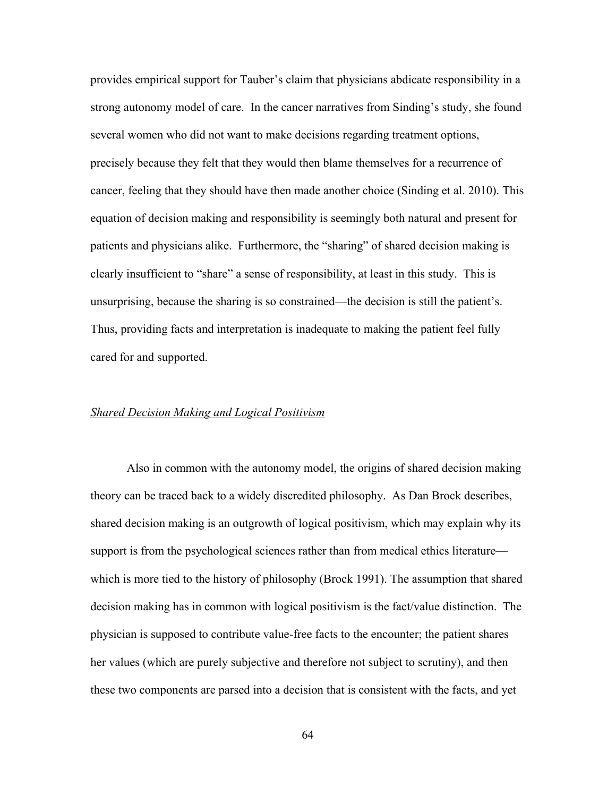provides empirical support for Tauber's claim that physicians abdicate responsibility in a strong autonomy model of care. In the cancer narratives from Sinding's study, she found several women who did not want to make decisions regarding treatment options, precisely because they felt that they would then blame themselves for a recurrence of cancer, feeling that they should have then made another choice (Sinding et al. 2010). This equation of decision making and responsibility is seemingly both natural and present for patients and physicians alike. Furthermore, the "sharing" of shared decision making is clearly insufficient to "share" a sense of responsibility, at least in this study. This is unsurprising, because the sharing is so constrained—the decision is still the patient's. Thus, providing facts and interpretation is inadequate to making the patient feel fully cared for and supported.

# *Shared Decision Making and Logical Positivism*

Also in common with the autonomy model, the origins of shared decision making theory can be traced back to a widely discredited philosophy. As Dan Brock describes, shared decision making is an outgrowth of logical positivism, which may explain why its support is from the psychological sciences rather than from medical ethics literature which is more tied to the history of philosophy (Brock 1991). The assumption that shared decision making has in common with logical positivism is the fact/value distinction. The physician is supposed to contribute value-free facts to the encounter; the patient shares her values (which are purely subjective and therefore not subject to scrutiny), and then these two components are parsed into a decision that is consistent with the facts, and yet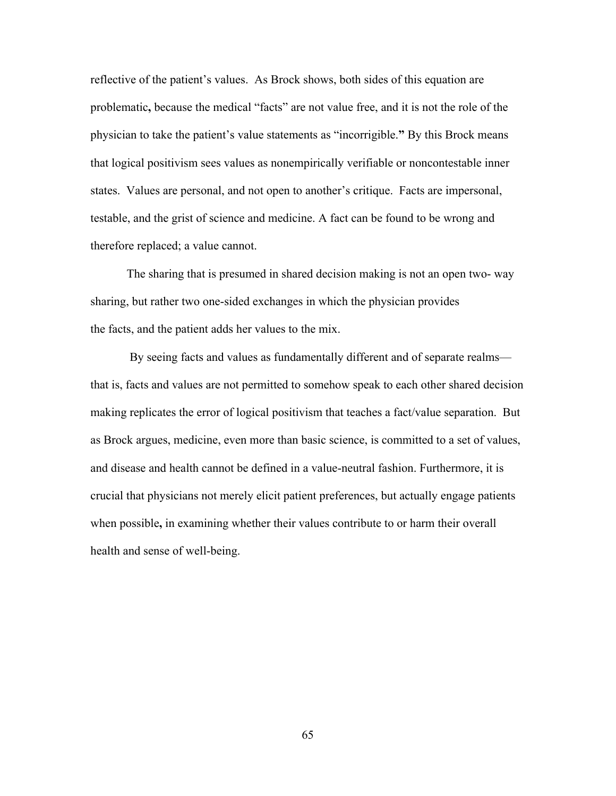reflective of the patient's values. As Brock shows, both sides of this equation are problematic**,** because the medical "facts" are not value free, and it is not the role of the physician to take the patient's value statements as "incorrigible.**"** By this Brock means that logical positivism sees values as nonempirically verifiable or noncontestable inner states. Values are personal, and not open to another's critique. Facts are impersonal, testable, and the grist of science and medicine. A fact can be found to be wrong and therefore replaced; a value cannot.

The sharing that is presumed in shared decision making is not an open two- way sharing, but rather two one-sided exchanges in which the physician provides the facts, and the patient adds her values to the mix.

 By seeing facts and values as fundamentally different and of separate realms that is, facts and values are not permitted to somehow speak to each other shared decision making replicates the error of logical positivism that teaches a fact/value separation. But as Brock argues, medicine, even more than basic science, is committed to a set of values, and disease and health cannot be defined in a value-neutral fashion. Furthermore, it is crucial that physicians not merely elicit patient preferences, but actually engage patients when possible**,** in examining whether their values contribute to or harm their overall health and sense of well-being.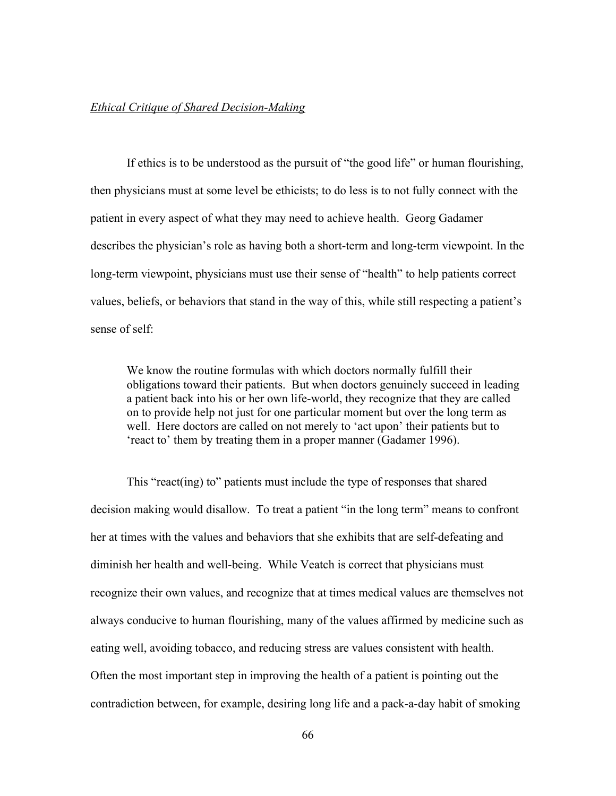# *Ethical Critique of Shared Decision-Making*

If ethics is to be understood as the pursuit of "the good life" or human flourishing, then physicians must at some level be ethicists; to do less is to not fully connect with the patient in every aspect of what they may need to achieve health. Georg Gadamer describes the physician's role as having both a short-term and long-term viewpoint. In the long-term viewpoint, physicians must use their sense of "health" to help patients correct values, beliefs, or behaviors that stand in the way of this, while still respecting a patient's sense of self:

We know the routine formulas with which doctors normally fulfill their obligations toward their patients. But when doctors genuinely succeed in leading a patient back into his or her own life-world, they recognize that they are called on to provide help not just for one particular moment but over the long term as well. Here doctors are called on not merely to 'act upon' their patients but to 'react to' them by treating them in a proper manner (Gadamer 1996).

This "react(ing) to" patients must include the type of responses that shared decision making would disallow. To treat a patient "in the long term" means to confront her at times with the values and behaviors that she exhibits that are self-defeating and diminish her health and well-being. While Veatch is correct that physicians must recognize their own values, and recognize that at times medical values are themselves not always conducive to human flourishing, many of the values affirmed by medicine such as eating well, avoiding tobacco, and reducing stress are values consistent with health. Often the most important step in improving the health of a patient is pointing out the contradiction between, for example, desiring long life and a pack-a-day habit of smoking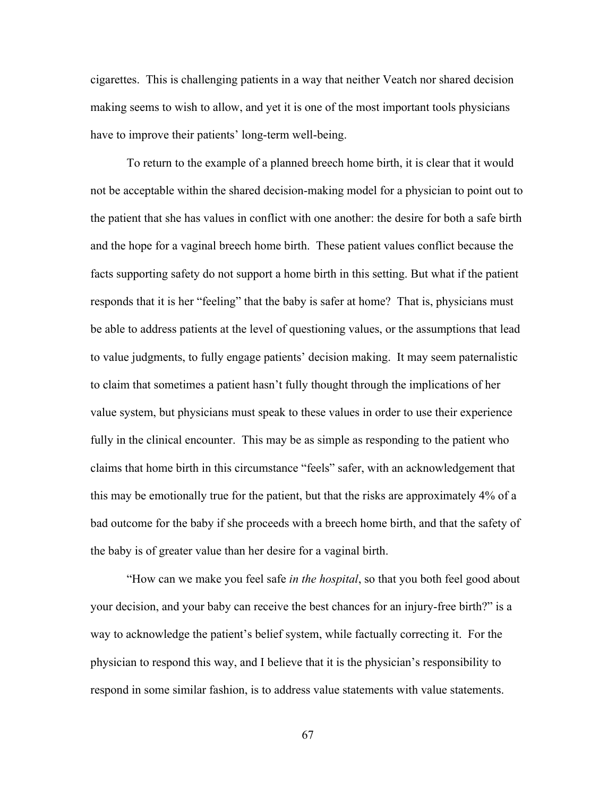cigarettes. This is challenging patients in a way that neither Veatch nor shared decision making seems to wish to allow, and yet it is one of the most important tools physicians have to improve their patients' long-term well-being.

To return to the example of a planned breech home birth, it is clear that it would not be acceptable within the shared decision-making model for a physician to point out to the patient that she has values in conflict with one another: the desire for both a safe birth and the hope for a vaginal breech home birth. These patient values conflict because the facts supporting safety do not support a home birth in this setting. But what if the patient responds that it is her "feeling" that the baby is safer at home? That is, physicians must be able to address patients at the level of questioning values, or the assumptions that lead to value judgments, to fully engage patients' decision making. It may seem paternalistic to claim that sometimes a patient hasn't fully thought through the implications of her value system, but physicians must speak to these values in order to use their experience fully in the clinical encounter. This may be as simple as responding to the patient who claims that home birth in this circumstance "feels" safer, with an acknowledgement that this may be emotionally true for the patient, but that the risks are approximately 4% of a bad outcome for the baby if she proceeds with a breech home birth, and that the safety of the baby is of greater value than her desire for a vaginal birth.

"How can we make you feel safe *in the hospital*, so that you both feel good about your decision, and your baby can receive the best chances for an injury-free birth?" is a way to acknowledge the patient's belief system, while factually correcting it. For the physician to respond this way, and I believe that it is the physician's responsibility to respond in some similar fashion, is to address value statements with value statements.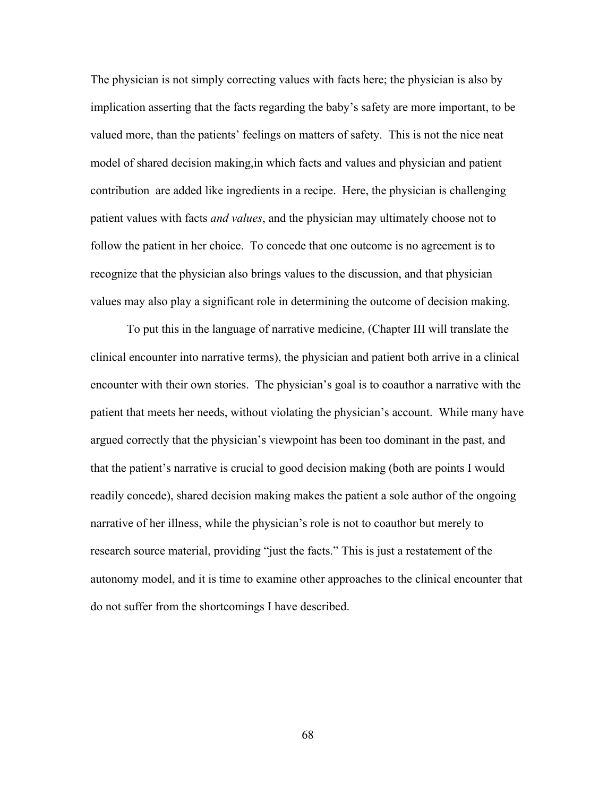The physician is not simply correcting values with facts here; the physician is also by implication asserting that the facts regarding the baby's safety are more important, to be valued more, than the patients' feelings on matters of safety. This is not the nice neat model of shared decision making,in which facts and values and physician and patient contribution are added like ingredients in a recipe. Here, the physician is challenging patient values with facts *and values*, and the physician may ultimately choose not to follow the patient in her choice. To concede that one outcome is no agreement is to recognize that the physician also brings values to the discussion, and that physician values may also play a significant role in determining the outcome of decision making.

To put this in the language of narrative medicine, (Chapter III will translate the clinical encounter into narrative terms), the physician and patient both arrive in a clinical encounter with their own stories. The physician's goal is to coauthor a narrative with the patient that meets her needs, without violating the physician's account. While many have argued correctly that the physician's viewpoint has been too dominant in the past, and that the patient's narrative is crucial to good decision making (both are points I would readily concede), shared decision making makes the patient a sole author of the ongoing narrative of her illness, while the physician's role is not to coauthor but merely to research source material, providing "just the facts." This is just a restatement of the autonomy model, and it is time to examine other approaches to the clinical encounter that do not suffer from the shortcomings I have described.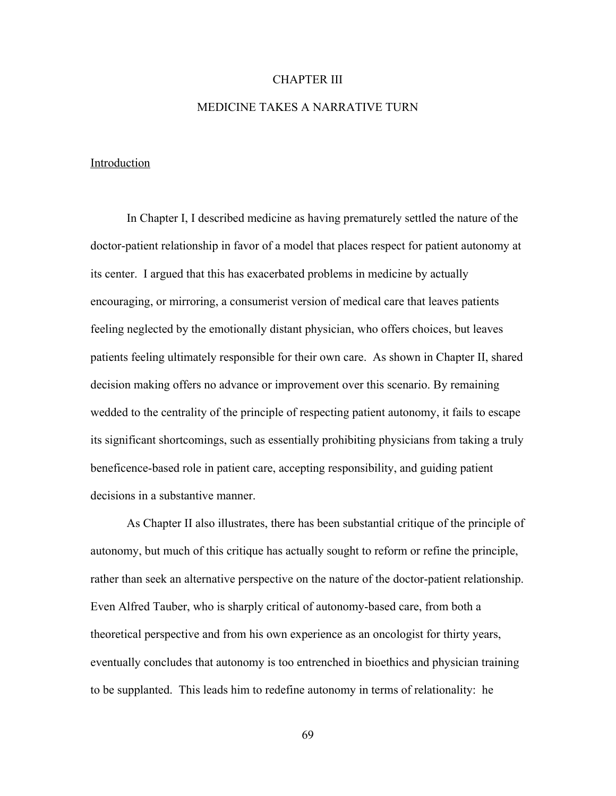#### CHAPTER III

# MEDICINE TAKES A NARRATIVE TURN

#### Introduction

In Chapter I, I described medicine as having prematurely settled the nature of the doctor-patient relationship in favor of a model that places respect for patient autonomy at its center. I argued that this has exacerbated problems in medicine by actually encouraging, or mirroring, a consumerist version of medical care that leaves patients feeling neglected by the emotionally distant physician, who offers choices, but leaves patients feeling ultimately responsible for their own care. As shown in Chapter II, shared decision making offers no advance or improvement over this scenario. By remaining wedded to the centrality of the principle of respecting patient autonomy, it fails to escape its significant shortcomings, such as essentially prohibiting physicians from taking a truly beneficence-based role in patient care, accepting responsibility, and guiding patient decisions in a substantive manner.

As Chapter II also illustrates, there has been substantial critique of the principle of autonomy, but much of this critique has actually sought to reform or refine the principle, rather than seek an alternative perspective on the nature of the doctor-patient relationship. Even Alfred Tauber, who is sharply critical of autonomy-based care, from both a theoretical perspective and from his own experience as an oncologist for thirty years, eventually concludes that autonomy is too entrenched in bioethics and physician training to be supplanted. This leads him to redefine autonomy in terms of relationality: he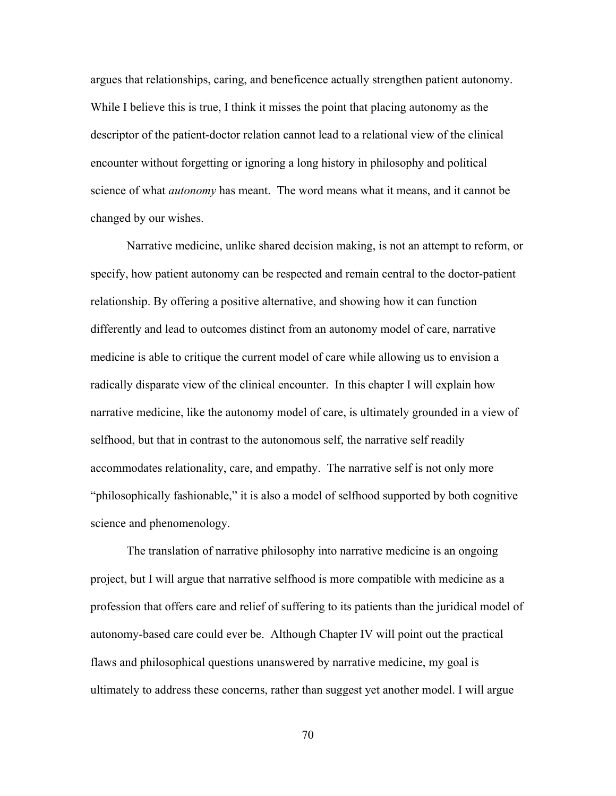argues that relationships, caring, and beneficence actually strengthen patient autonomy. While I believe this is true, I think it misses the point that placing autonomy as the descriptor of the patient-doctor relation cannot lead to a relational view of the clinical encounter without forgetting or ignoring a long history in philosophy and political science of what *autonomy* has meant. The word means what it means, and it cannot be changed by our wishes.

Narrative medicine, unlike shared decision making, is not an attempt to reform, or specify, how patient autonomy can be respected and remain central to the doctor-patient relationship. By offering a positive alternative, and showing how it can function differently and lead to outcomes distinct from an autonomy model of care, narrative medicine is able to critique the current model of care while allowing us to envision a radically disparate view of the clinical encounter. In this chapter I will explain how narrative medicine, like the autonomy model of care, is ultimately grounded in a view of selfhood, but that in contrast to the autonomous self, the narrative self readily accommodates relationality, care, and empathy. The narrative self is not only more "philosophically fashionable," it is also a model of selfhood supported by both cognitive science and phenomenology.

The translation of narrative philosophy into narrative medicine is an ongoing project, but I will argue that narrative selfhood is more compatible with medicine as a profession that offers care and relief of suffering to its patients than the juridical model of autonomy-based care could ever be. Although Chapter IV will point out the practical flaws and philosophical questions unanswered by narrative medicine, my goal is ultimately to address these concerns, rather than suggest yet another model. I will argue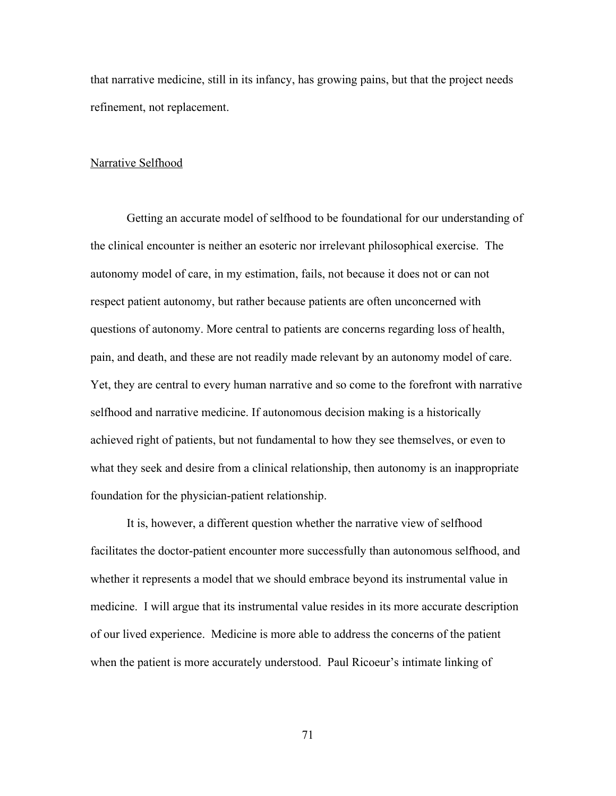that narrative medicine, still in its infancy, has growing pains, but that the project needs refinement, not replacement.

#### Narrative Selfhood

Getting an accurate model of selfhood to be foundational for our understanding of the clinical encounter is neither an esoteric nor irrelevant philosophical exercise. The autonomy model of care, in my estimation, fails, not because it does not or can not respect patient autonomy, but rather because patients are often unconcerned with questions of autonomy. More central to patients are concerns regarding loss of health, pain, and death, and these are not readily made relevant by an autonomy model of care. Yet, they are central to every human narrative and so come to the forefront with narrative selfhood and narrative medicine. If autonomous decision making is a historically achieved right of patients, but not fundamental to how they see themselves, or even to what they seek and desire from a clinical relationship, then autonomy is an inappropriate foundation for the physician-patient relationship.

It is, however, a different question whether the narrative view of selfhood facilitates the doctor-patient encounter more successfully than autonomous selfhood, and whether it represents a model that we should embrace beyond its instrumental value in medicine. I will argue that its instrumental value resides in its more accurate description of our lived experience. Medicine is more able to address the concerns of the patient when the patient is more accurately understood. Paul Ricoeur's intimate linking of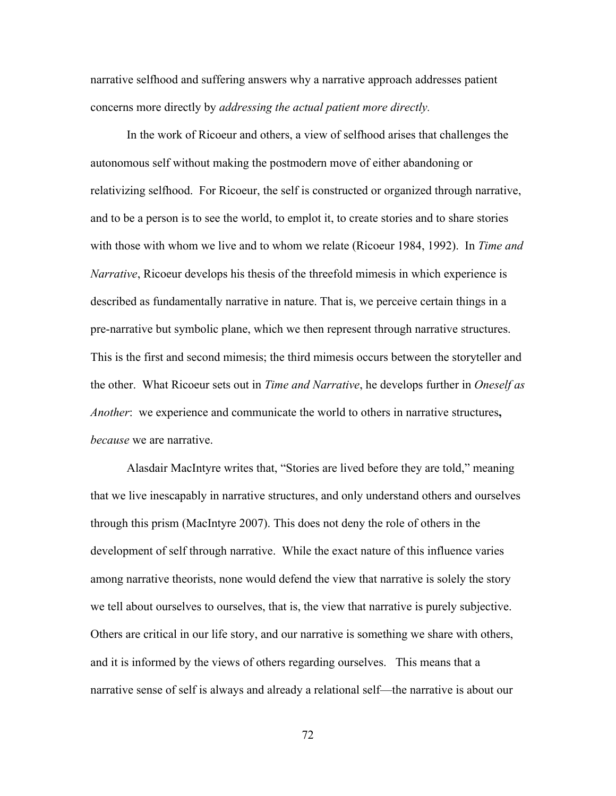narrative selfhood and suffering answers why a narrative approach addresses patient concerns more directly by *addressing the actual patient more directly.*

In the work of Ricoeur and others, a view of selfhood arises that challenges the autonomous self without making the postmodern move of either abandoning or relativizing selfhood. For Ricoeur, the self is constructed or organized through narrative, and to be a person is to see the world, to emplot it, to create stories and to share stories with those with whom we live and to whom we relate (Ricoeur 1984, 1992). In *Time and Narrative*, Ricoeur develops his thesis of the threefold mimesis in which experience is described as fundamentally narrative in nature. That is, we perceive certain things in a pre-narrative but symbolic plane, which we then represent through narrative structures. This is the first and second mimesis; the third mimesis occurs between the storyteller and the other. What Ricoeur sets out in *Time and Narrative*, he develops further in *Oneself as Another*: we experience and communicate the world to others in narrative structures**,** *because* we are narrative.

Alasdair MacIntyre writes that, "Stories are lived before they are told," meaning that we live inescapably in narrative structures, and only understand others and ourselves through this prism (MacIntyre 2007). This does not deny the role of others in the development of self through narrative. While the exact nature of this influence varies among narrative theorists, none would defend the view that narrative is solely the story we tell about ourselves to ourselves, that is, the view that narrative is purely subjective. Others are critical in our life story, and our narrative is something we share with others, and it is informed by the views of others regarding ourselves. This means that a narrative sense of self is always and already a relational self—the narrative is about our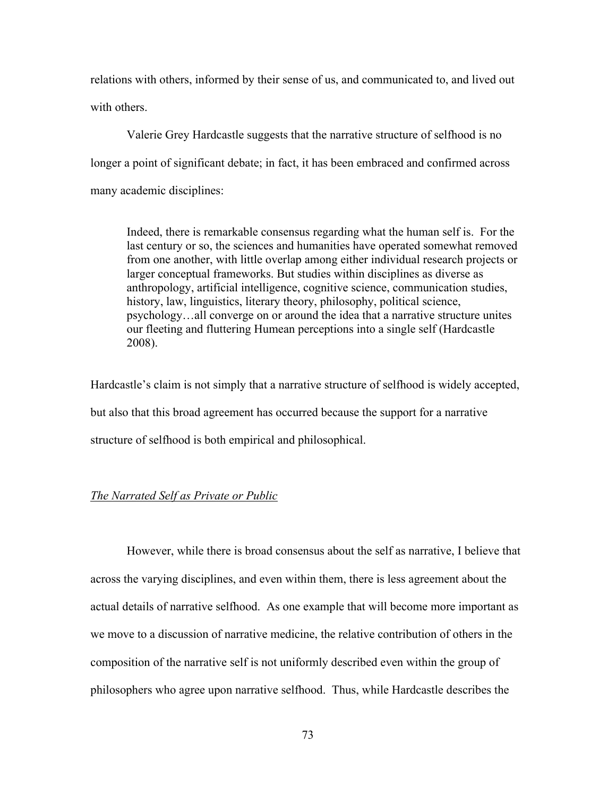relations with others, informed by their sense of us, and communicated to, and lived out with others.

Valerie Grey Hardcastle suggests that the narrative structure of selfhood is no longer a point of significant debate; in fact, it has been embraced and confirmed across many academic disciplines:

Indeed, there is remarkable consensus regarding what the human self is. For the last century or so, the sciences and humanities have operated somewhat removed from one another, with little overlap among either individual research projects or larger conceptual frameworks. But studies within disciplines as diverse as anthropology, artificial intelligence, cognitive science, communication studies, history, law, linguistics, literary theory, philosophy, political science, psychology…all converge on or around the idea that a narrative structure unites our fleeting and fluttering Humean perceptions into a single self (Hardcastle 2008).

Hardcastle's claim is not simply that a narrative structure of selfhood is widely accepted, but also that this broad agreement has occurred because the support for a narrative structure of selfhood is both empirical and philosophical.

# *The Narrated Self as Private or Public*

However, while there is broad consensus about the self as narrative, I believe that across the varying disciplines, and even within them, there is less agreement about the actual details of narrative selfhood. As one example that will become more important as we move to a discussion of narrative medicine, the relative contribution of others in the composition of the narrative self is not uniformly described even within the group of philosophers who agree upon narrative selfhood. Thus, while Hardcastle describes the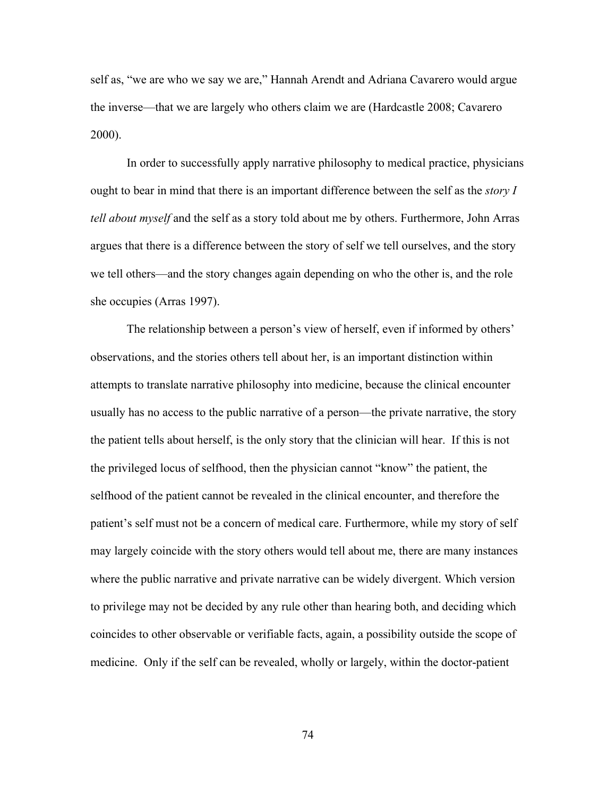self as, "we are who we say we are," Hannah Arendt and Adriana Cavarero would argue the inverse—that we are largely who others claim we are (Hardcastle 2008; Cavarero 2000).

In order to successfully apply narrative philosophy to medical practice, physicians ought to bear in mind that there is an important difference between the self as the *story I tell about myself* and the self as a story told about me by others. Furthermore, John Arras argues that there is a difference between the story of self we tell ourselves, and the story we tell others—and the story changes again depending on who the other is, and the role she occupies (Arras 1997).

The relationship between a person's view of herself, even if informed by others' observations, and the stories others tell about her, is an important distinction within attempts to translate narrative philosophy into medicine, because the clinical encounter usually has no access to the public narrative of a person—the private narrative, the story the patient tells about herself, is the only story that the clinician will hear. If this is not the privileged locus of selfhood, then the physician cannot "know" the patient, the selfhood of the patient cannot be revealed in the clinical encounter, and therefore the patient's self must not be a concern of medical care. Furthermore, while my story of self may largely coincide with the story others would tell about me, there are many instances where the public narrative and private narrative can be widely divergent. Which version to privilege may not be decided by any rule other than hearing both, and deciding which coincides to other observable or verifiable facts, again, a possibility outside the scope of medicine. Only if the self can be revealed, wholly or largely, within the doctor-patient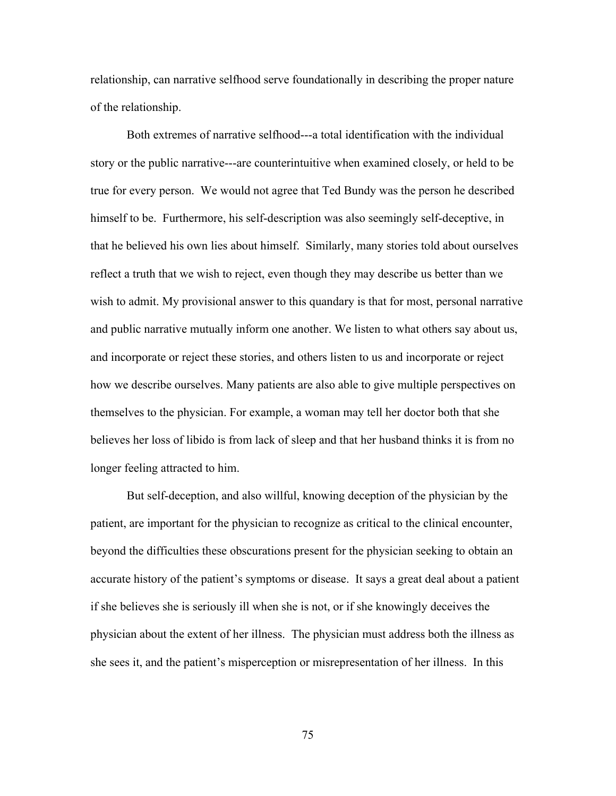relationship, can narrative selfhood serve foundationally in describing the proper nature of the relationship.

Both extremes of narrative selfhood---a total identification with the individual story or the public narrative---are counterintuitive when examined closely, or held to be true for every person. We would not agree that Ted Bundy was the person he described himself to be. Furthermore, his self-description was also seemingly self-deceptive, in that he believed his own lies about himself. Similarly, many stories told about ourselves reflect a truth that we wish to reject, even though they may describe us better than we wish to admit. My provisional answer to this quandary is that for most, personal narrative and public narrative mutually inform one another. We listen to what others say about us, and incorporate or reject these stories, and others listen to us and incorporate or reject how we describe ourselves. Many patients are also able to give multiple perspectives on themselves to the physician. For example, a woman may tell her doctor both that she believes her loss of libido is from lack of sleep and that her husband thinks it is from no longer feeling attracted to him.

But self-deception, and also willful, knowing deception of the physician by the patient, are important for the physician to recognize as critical to the clinical encounter, beyond the difficulties these obscurations present for the physician seeking to obtain an accurate history of the patient's symptoms or disease. It says a great deal about a patient if she believes she is seriously ill when she is not, or if she knowingly deceives the physician about the extent of her illness. The physician must address both the illness as she sees it, and the patient's misperception or misrepresentation of her illness. In this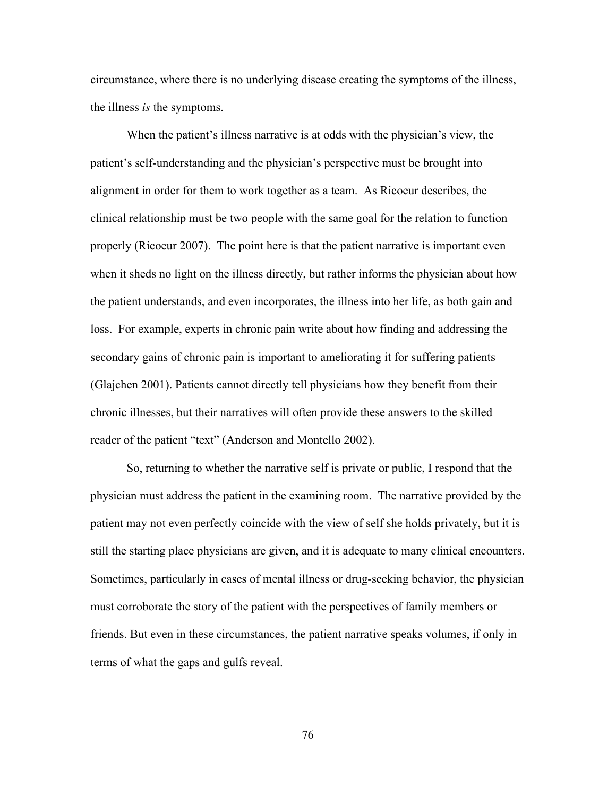circumstance, where there is no underlying disease creating the symptoms of the illness, the illness *is* the symptoms.

When the patient's illness narrative is at odds with the physician's view, the patient's self-understanding and the physician's perspective must be brought into alignment in order for them to work together as a team. As Ricoeur describes, the clinical relationship must be two people with the same goal for the relation to function properly (Ricoeur 2007). The point here is that the patient narrative is important even when it sheds no light on the illness directly, but rather informs the physician about how the patient understands, and even incorporates, the illness into her life, as both gain and loss. For example, experts in chronic pain write about how finding and addressing the secondary gains of chronic pain is important to ameliorating it for suffering patients (Glajchen 2001). Patients cannot directly tell physicians how they benefit from their chronic illnesses, but their narratives will often provide these answers to the skilled reader of the patient "text" (Anderson and Montello 2002).

So, returning to whether the narrative self is private or public, I respond that the physician must address the patient in the examining room. The narrative provided by the patient may not even perfectly coincide with the view of self she holds privately, but it is still the starting place physicians are given, and it is adequate to many clinical encounters. Sometimes, particularly in cases of mental illness or drug-seeking behavior, the physician must corroborate the story of the patient with the perspectives of family members or friends. But even in these circumstances, the patient narrative speaks volumes, if only in terms of what the gaps and gulfs reveal.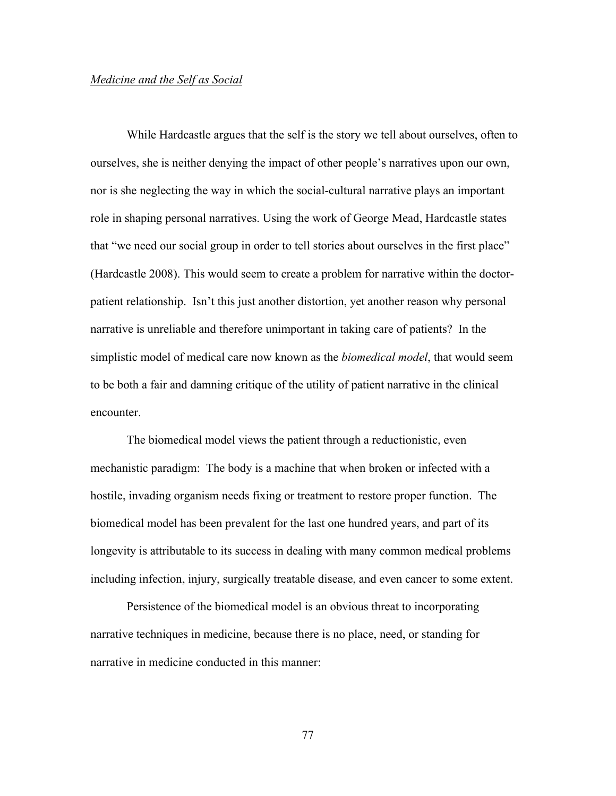# *Medicine and the Self as Social*

While Hardcastle argues that the self is the story we tell about ourselves, often to ourselves, she is neither denying the impact of other people's narratives upon our own, nor is she neglecting the way in which the social-cultural narrative plays an important role in shaping personal narratives. Using the work of George Mead, Hardcastle states that "we need our social group in order to tell stories about ourselves in the first place" (Hardcastle 2008). This would seem to create a problem for narrative within the doctorpatient relationship. Isn't this just another distortion, yet another reason why personal narrative is unreliable and therefore unimportant in taking care of patients? In the simplistic model of medical care now known as the *biomedical model*, that would seem to be both a fair and damning critique of the utility of patient narrative in the clinical encounter.

The biomedical model views the patient through a reductionistic, even mechanistic paradigm: The body is a machine that when broken or infected with a hostile, invading organism needs fixing or treatment to restore proper function. The biomedical model has been prevalent for the last one hundred years, and part of its longevity is attributable to its success in dealing with many common medical problems including infection, injury, surgically treatable disease, and even cancer to some extent.

Persistence of the biomedical model is an obvious threat to incorporating narrative techniques in medicine, because there is no place, need, or standing for narrative in medicine conducted in this manner: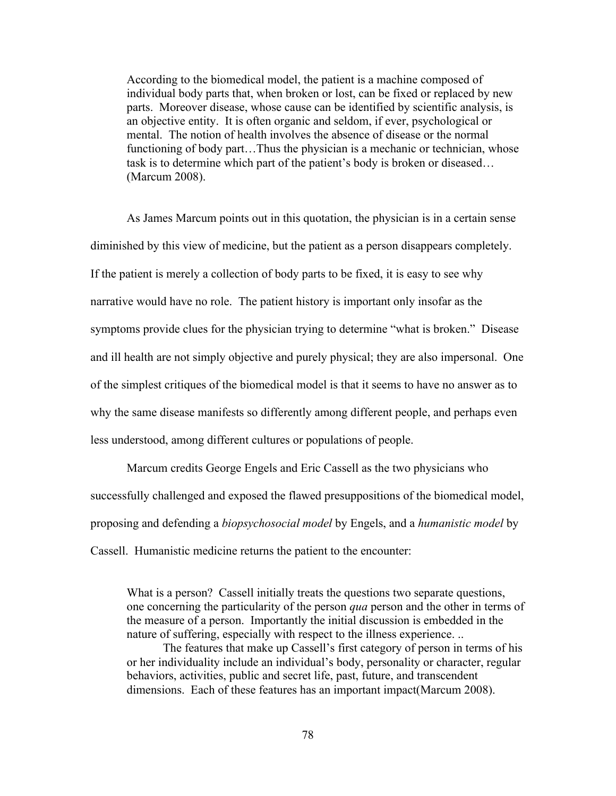According to the biomedical model, the patient is a machine composed of individual body parts that, when broken or lost, can be fixed or replaced by new parts. Moreover disease, whose cause can be identified by scientific analysis, is an objective entity. It is often organic and seldom, if ever, psychological or mental. The notion of health involves the absence of disease or the normal functioning of body part...Thus the physician is a mechanic or technician, whose task is to determine which part of the patient's body is broken or diseased… (Marcum 2008).

As James Marcum points out in this quotation, the physician is in a certain sense diminished by this view of medicine, but the patient as a person disappears completely. If the patient is merely a collection of body parts to be fixed, it is easy to see why narrative would have no role. The patient history is important only insofar as the symptoms provide clues for the physician trying to determine "what is broken." Disease and ill health are not simply objective and purely physical; they are also impersonal. One of the simplest critiques of the biomedical model is that it seems to have no answer as to why the same disease manifests so differently among different people, and perhaps even less understood, among different cultures or populations of people.

Marcum credits George Engels and Eric Cassell as the two physicians who successfully challenged and exposed the flawed presuppositions of the biomedical model, proposing and defending a *biopsychosocial model* by Engels, and a *humanistic model* by Cassell. Humanistic medicine returns the patient to the encounter:

What is a person? Cassell initially treats the questions two separate questions, one concerning the particularity of the person *qua* person and the other in terms of the measure of a person. Importantly the initial discussion is embedded in the nature of suffering, especially with respect to the illness experience. ..

The features that make up Cassell's first category of person in terms of his or her individuality include an individual's body, personality or character, regular behaviors, activities, public and secret life, past, future, and transcendent dimensions. Each of these features has an important impact(Marcum 2008).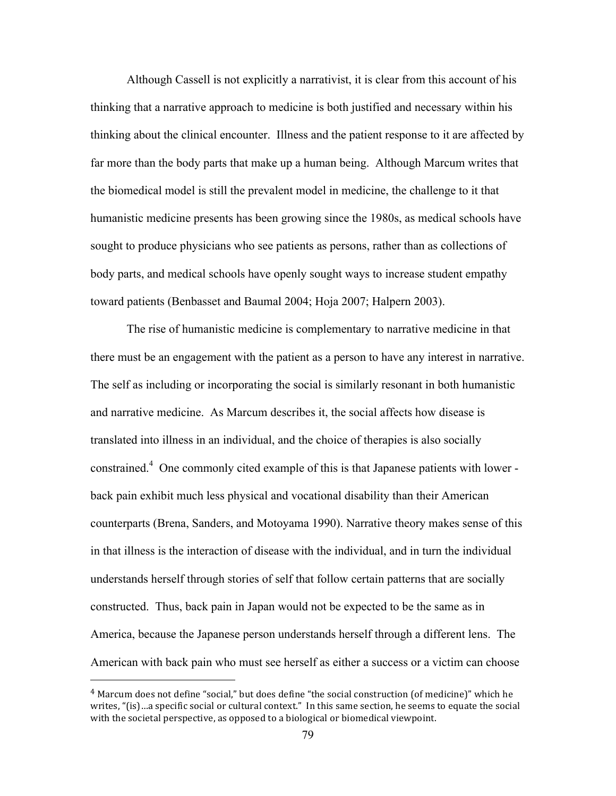Although Cassell is not explicitly a narrativist, it is clear from this account of his thinking that a narrative approach to medicine is both justified and necessary within his thinking about the clinical encounter. Illness and the patient response to it are affected by far more than the body parts that make up a human being. Although Marcum writes that the biomedical model is still the prevalent model in medicine, the challenge to it that humanistic medicine presents has been growing since the 1980s, as medical schools have sought to produce physicians who see patients as persons, rather than as collections of body parts, and medical schools have openly sought ways to increase student empathy toward patients (Benbasset and Baumal 2004; Hoja 2007; Halpern 2003).

The rise of humanistic medicine is complementary to narrative medicine in that there must be an engagement with the patient as a person to have any interest in narrative. The self as including or incorporating the social is similarly resonant in both humanistic and narrative medicine. As Marcum describes it, the social affects how disease is translated into illness in an individual, and the choice of therapies is also socially constrained.<sup>4</sup> One commonly cited example of this is that Japanese patients with lower back pain exhibit much less physical and vocational disability than their American counterparts (Brena, Sanders, and Motoyama 1990). Narrative theory makes sense of this in that illness is the interaction of disease with the individual, and in turn the individual understands herself through stories of self that follow certain patterns that are socially constructed. Thus, back pain in Japan would not be expected to be the same as in America, because the Japanese person understands herself through a different lens. The American with back pain who must see herself as either a success or a victim can choose

 $\overline{a}$ 

 $4$  Marcum does not define "social," but does define "the social construction (of medicine)" which he writes, "(is)...a specific social or cultural context." In this same section, he seems to equate the social with the societal perspective, as opposed to a biological or biomedical viewpoint.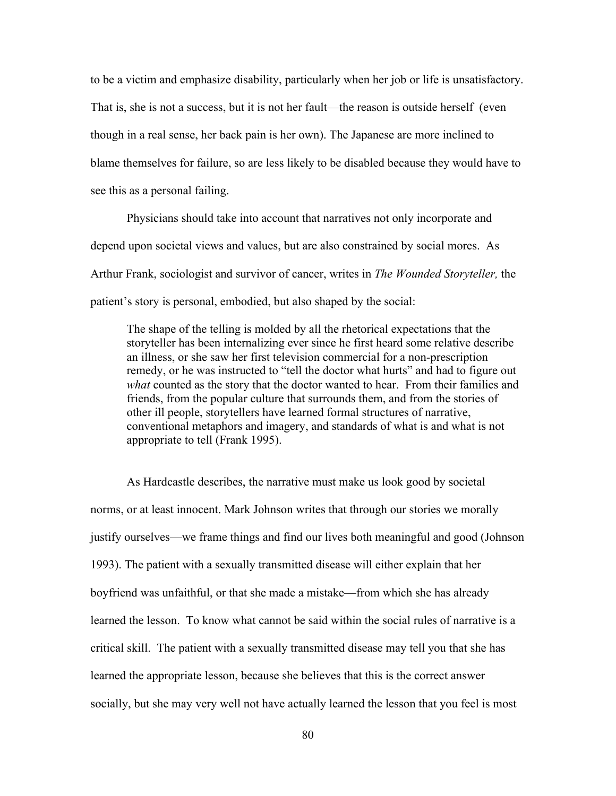to be a victim and emphasize disability, particularly when her job or life is unsatisfactory. That is, she is not a success, but it is not her fault—the reason is outside herself (even though in a real sense, her back pain is her own). The Japanese are more inclined to blame themselves for failure, so are less likely to be disabled because they would have to see this as a personal failing.

Physicians should take into account that narratives not only incorporate and depend upon societal views and values, but are also constrained by social mores. As Arthur Frank, sociologist and survivor of cancer, writes in *The Wounded Storyteller,* the patient's story is personal, embodied, but also shaped by the social:

The shape of the telling is molded by all the rhetorical expectations that the storyteller has been internalizing ever since he first heard some relative describe an illness, or she saw her first television commercial for a non-prescription remedy, or he was instructed to "tell the doctor what hurts" and had to figure out *what* counted as the story that the doctor wanted to hear. From their families and friends, from the popular culture that surrounds them, and from the stories of other ill people, storytellers have learned formal structures of narrative, conventional metaphors and imagery, and standards of what is and what is not appropriate to tell (Frank 1995).

As Hardcastle describes, the narrative must make us look good by societal norms, or at least innocent. Mark Johnson writes that through our stories we morally justify ourselves—we frame things and find our lives both meaningful and good (Johnson 1993). The patient with a sexually transmitted disease will either explain that her boyfriend was unfaithful, or that she made a mistake—from which she has already learned the lesson. To know what cannot be said within the social rules of narrative is a critical skill. The patient with a sexually transmitted disease may tell you that she has learned the appropriate lesson, because she believes that this is the correct answer socially, but she may very well not have actually learned the lesson that you feel is most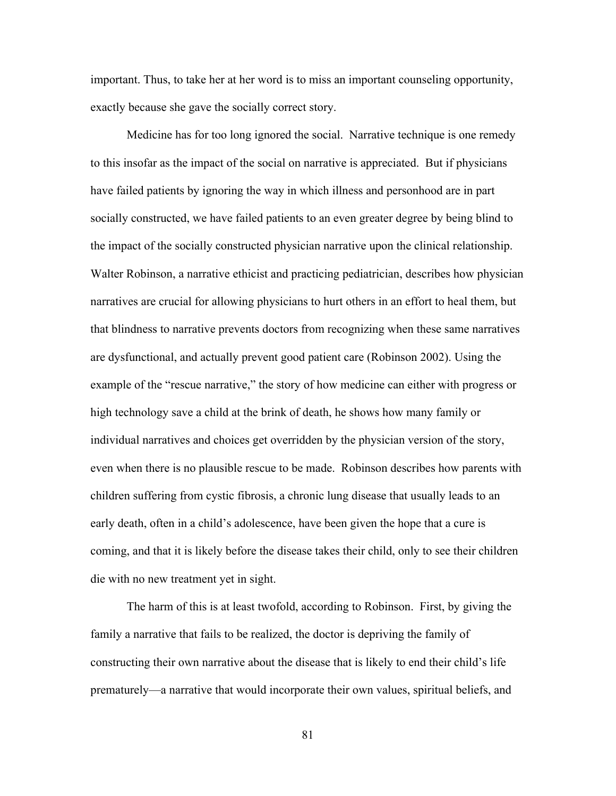important. Thus, to take her at her word is to miss an important counseling opportunity, exactly because she gave the socially correct story.

Medicine has for too long ignored the social. Narrative technique is one remedy to this insofar as the impact of the social on narrative is appreciated. But if physicians have failed patients by ignoring the way in which illness and personhood are in part socially constructed, we have failed patients to an even greater degree by being blind to the impact of the socially constructed physician narrative upon the clinical relationship. Walter Robinson, a narrative ethicist and practicing pediatrician, describes how physician narratives are crucial for allowing physicians to hurt others in an effort to heal them, but that blindness to narrative prevents doctors from recognizing when these same narratives are dysfunctional, and actually prevent good patient care (Robinson 2002). Using the example of the "rescue narrative," the story of how medicine can either with progress or high technology save a child at the brink of death, he shows how many family or individual narratives and choices get overridden by the physician version of the story, even when there is no plausible rescue to be made. Robinson describes how parents with children suffering from cystic fibrosis, a chronic lung disease that usually leads to an early death, often in a child's adolescence, have been given the hope that a cure is coming, and that it is likely before the disease takes their child, only to see their children die with no new treatment yet in sight.

The harm of this is at least twofold, according to Robinson. First, by giving the family a narrative that fails to be realized, the doctor is depriving the family of constructing their own narrative about the disease that is likely to end their child's life prematurely—a narrative that would incorporate their own values, spiritual beliefs, and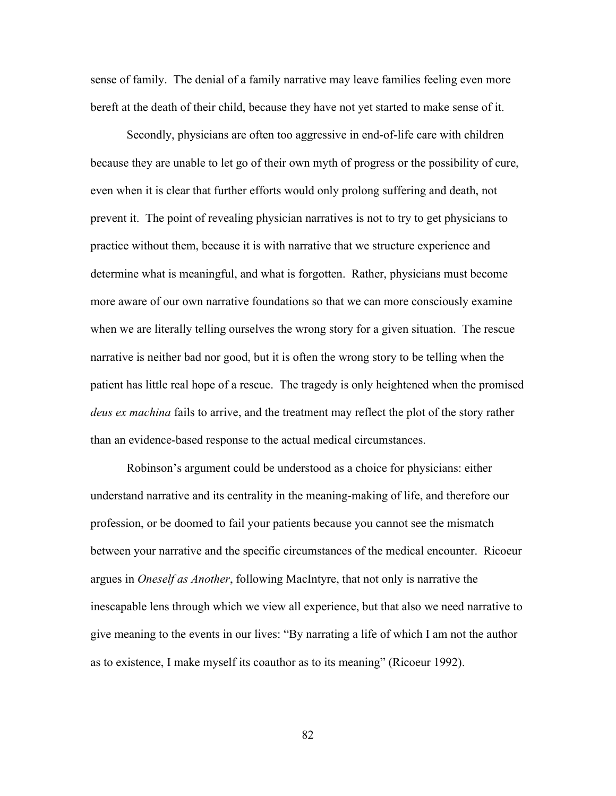sense of family. The denial of a family narrative may leave families feeling even more bereft at the death of their child, because they have not yet started to make sense of it.

Secondly, physicians are often too aggressive in end-of-life care with children because they are unable to let go of their own myth of progress or the possibility of cure, even when it is clear that further efforts would only prolong suffering and death, not prevent it. The point of revealing physician narratives is not to try to get physicians to practice without them, because it is with narrative that we structure experience and determine what is meaningful, and what is forgotten. Rather, physicians must become more aware of our own narrative foundations so that we can more consciously examine when we are literally telling ourselves the wrong story for a given situation. The rescue narrative is neither bad nor good, but it is often the wrong story to be telling when the patient has little real hope of a rescue. The tragedy is only heightened when the promised *deus ex machina* fails to arrive, and the treatment may reflect the plot of the story rather than an evidence-based response to the actual medical circumstances.

Robinson's argument could be understood as a choice for physicians: either understand narrative and its centrality in the meaning-making of life, and therefore our profession, or be doomed to fail your patients because you cannot see the mismatch between your narrative and the specific circumstances of the medical encounter. Ricoeur argues in *Oneself as Another*, following MacIntyre, that not only is narrative the inescapable lens through which we view all experience, but that also we need narrative to give meaning to the events in our lives: "By narrating a life of which I am not the author as to existence, I make myself its coauthor as to its meaning" (Ricoeur 1992).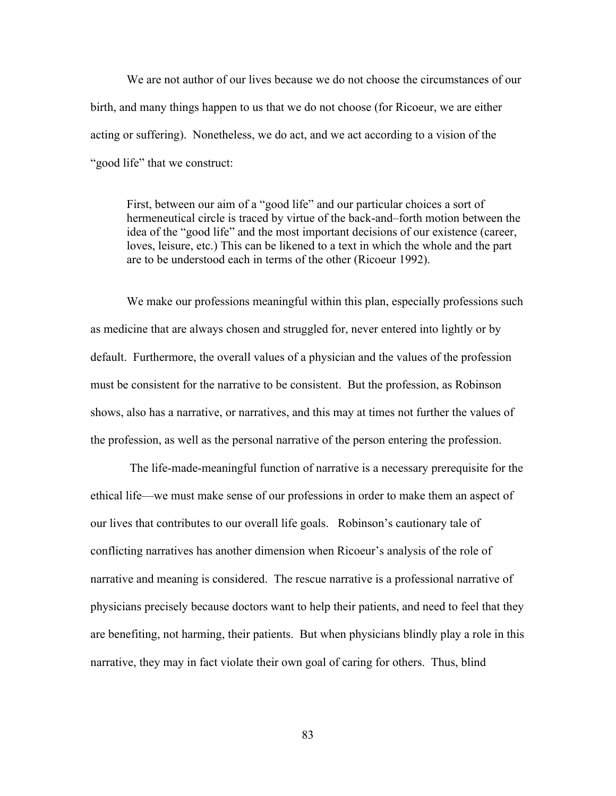We are not author of our lives because we do not choose the circumstances of our birth, and many things happen to us that we do not choose (for Ricoeur, we are either acting or suffering). Nonetheless, we do act, and we act according to a vision of the "good life" that we construct:

First, between our aim of a "good life" and our particular choices a sort of hermeneutical circle is traced by virtue of the back-and–forth motion between the idea of the "good life" and the most important decisions of our existence (career, loves, leisure, etc.) This can be likened to a text in which the whole and the part are to be understood each in terms of the other (Ricoeur 1992).

We make our professions meaningful within this plan, especially professions such as medicine that are always chosen and struggled for, never entered into lightly or by default. Furthermore, the overall values of a physician and the values of the profession must be consistent for the narrative to be consistent. But the profession, as Robinson shows, also has a narrative, or narratives, and this may at times not further the values of the profession, as well as the personal narrative of the person entering the profession.

 The life-made-meaningful function of narrative is a necessary prerequisite for the ethical life—we must make sense of our professions in order to make them an aspect of our lives that contributes to our overall life goals. Robinson's cautionary tale of conflicting narratives has another dimension when Ricoeur's analysis of the role of narrative and meaning is considered. The rescue narrative is a professional narrative of physicians precisely because doctors want to help their patients, and need to feel that they are benefiting, not harming, their patients. But when physicians blindly play a role in this narrative, they may in fact violate their own goal of caring for others. Thus, blind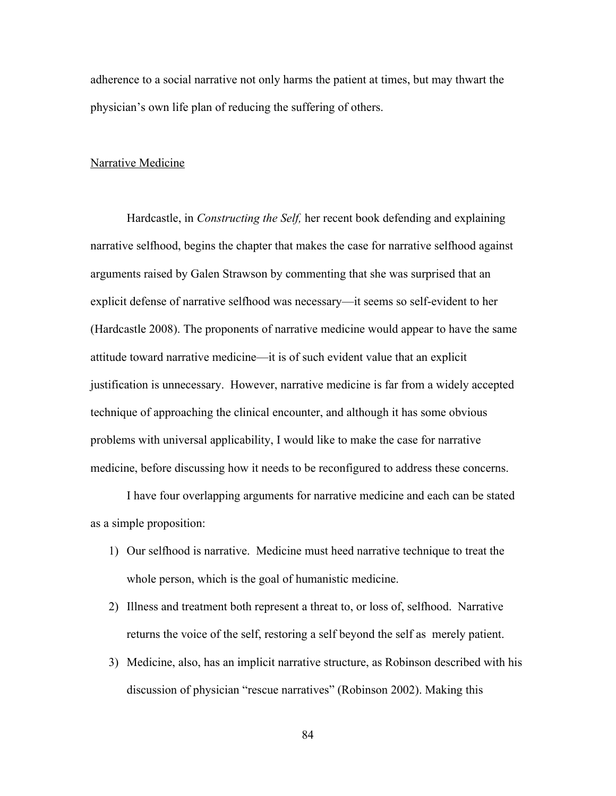adherence to a social narrative not only harms the patient at times, but may thwart the physician's own life plan of reducing the suffering of others.

#### Narrative Medicine

Hardcastle, in *Constructing the Self,* her recent book defending and explaining narrative selfhood, begins the chapter that makes the case for narrative selfhood against arguments raised by Galen Strawson by commenting that she was surprised that an explicit defense of narrative selfhood was necessary—it seems so self-evident to her (Hardcastle 2008). The proponents of narrative medicine would appear to have the same attitude toward narrative medicine—it is of such evident value that an explicit justification is unnecessary. However, narrative medicine is far from a widely accepted technique of approaching the clinical encounter, and although it has some obvious problems with universal applicability, I would like to make the case for narrative medicine, before discussing how it needs to be reconfigured to address these concerns.

I have four overlapping arguments for narrative medicine and each can be stated as a simple proposition:

- 1) Our selfhood is narrative. Medicine must heed narrative technique to treat the whole person, which is the goal of humanistic medicine.
- 2) Illness and treatment both represent a threat to, or loss of, selfhood. Narrative returns the voice of the self, restoring a self beyond the self as merely patient.
- 3) Medicine, also, has an implicit narrative structure, as Robinson described with his discussion of physician "rescue narratives" (Robinson 2002). Making this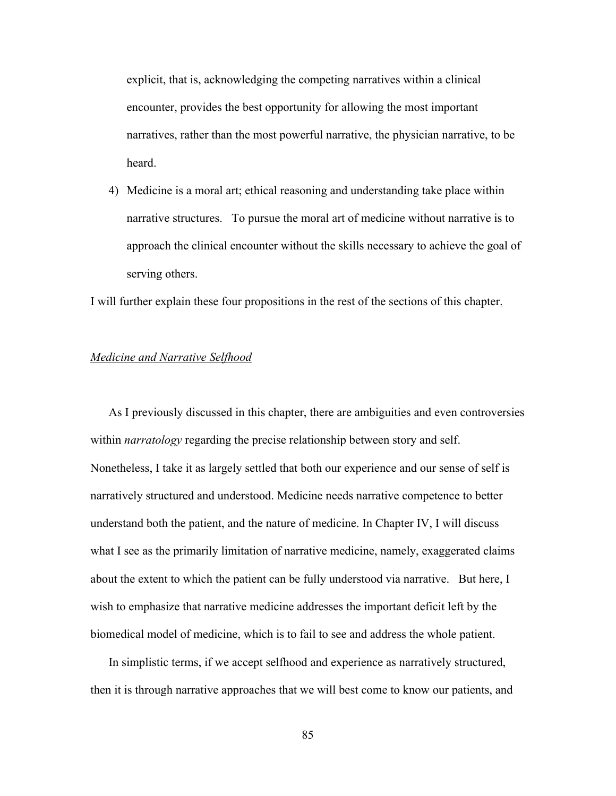explicit, that is, acknowledging the competing narratives within a clinical encounter, provides the best opportunity for allowing the most important narratives, rather than the most powerful narrative, the physician narrative, to be heard.

4) Medicine is a moral art; ethical reasoning and understanding take place within narrative structures. To pursue the moral art of medicine without narrative is to approach the clinical encounter without the skills necessary to achieve the goal of serving others.

I will further explain these four propositions in the rest of the sections of this chapter.

### *Medicine and Narrative Selfhood*

As I previously discussed in this chapter, there are ambiguities and even controversies within *narratology* regarding the precise relationship between story and self. Nonetheless, I take it as largely settled that both our experience and our sense of self is narratively structured and understood. Medicine needs narrative competence to better understand both the patient, and the nature of medicine. In Chapter IV, I will discuss what I see as the primarily limitation of narrative medicine, namely, exaggerated claims about the extent to which the patient can be fully understood via narrative. But here, I wish to emphasize that narrative medicine addresses the important deficit left by the biomedical model of medicine, which is to fail to see and address the whole patient.

In simplistic terms, if we accept selfhood and experience as narratively structured, then it is through narrative approaches that we will best come to know our patients, and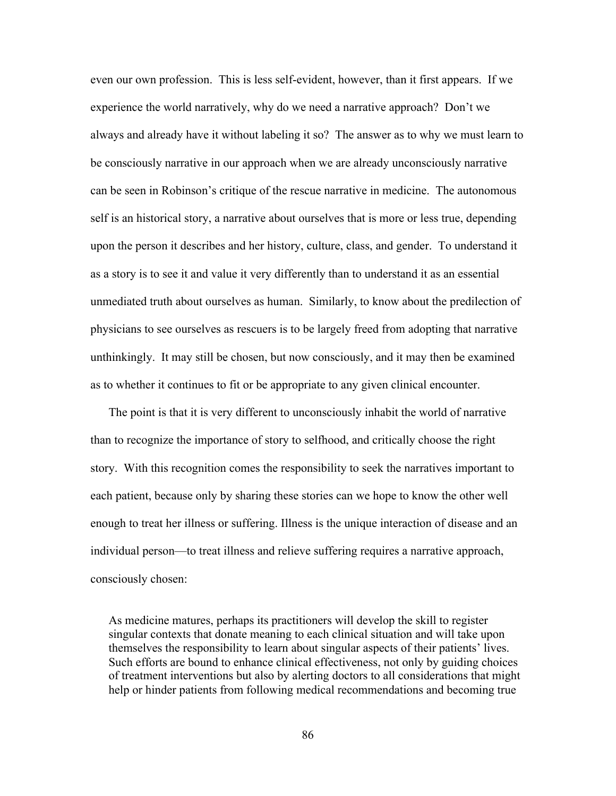even our own profession. This is less self-evident, however, than it first appears. If we experience the world narratively, why do we need a narrative approach? Don't we always and already have it without labeling it so? The answer as to why we must learn to be consciously narrative in our approach when we are already unconsciously narrative can be seen in Robinson's critique of the rescue narrative in medicine. The autonomous self is an historical story, a narrative about ourselves that is more or less true, depending upon the person it describes and her history, culture, class, and gender. To understand it as a story is to see it and value it very differently than to understand it as an essential unmediated truth about ourselves as human. Similarly, to know about the predilection of physicians to see ourselves as rescuers is to be largely freed from adopting that narrative unthinkingly. It may still be chosen, but now consciously, and it may then be examined as to whether it continues to fit or be appropriate to any given clinical encounter.

The point is that it is very different to unconsciously inhabit the world of narrative than to recognize the importance of story to selfhood, and critically choose the right story. With this recognition comes the responsibility to seek the narratives important to each patient, because only by sharing these stories can we hope to know the other well enough to treat her illness or suffering. Illness is the unique interaction of disease and an individual person—to treat illness and relieve suffering requires a narrative approach, consciously chosen:

As medicine matures, perhaps its practitioners will develop the skill to register singular contexts that donate meaning to each clinical situation and will take upon themselves the responsibility to learn about singular aspects of their patients' lives. Such efforts are bound to enhance clinical effectiveness, not only by guiding choices of treatment interventions but also by alerting doctors to all considerations that might help or hinder patients from following medical recommendations and becoming true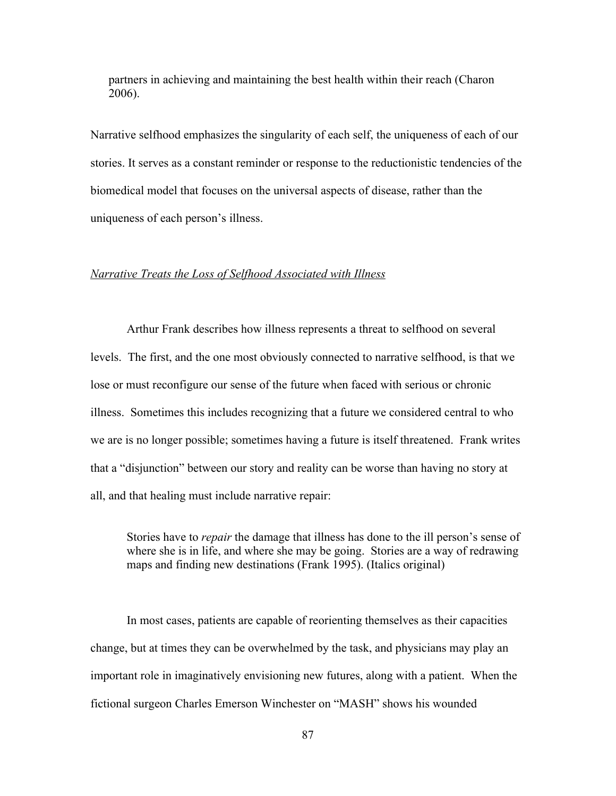partners in achieving and maintaining the best health within their reach (Charon 2006).

Narrative selfhood emphasizes the singularity of each self, the uniqueness of each of our stories. It serves as a constant reminder or response to the reductionistic tendencies of the biomedical model that focuses on the universal aspects of disease, rather than the uniqueness of each person's illness.

# *Narrative Treats the Loss of Selfhood Associated with Illness*

Arthur Frank describes how illness represents a threat to selfhood on several levels. The first, and the one most obviously connected to narrative selfhood, is that we lose or must reconfigure our sense of the future when faced with serious or chronic illness. Sometimes this includes recognizing that a future we considered central to who we are is no longer possible; sometimes having a future is itself threatened. Frank writes that a "disjunction" between our story and reality can be worse than having no story at all, and that healing must include narrative repair:

Stories have to *repair* the damage that illness has done to the ill person's sense of where she is in life, and where she may be going. Stories are a way of redrawing maps and finding new destinations (Frank 1995). (Italics original)

In most cases, patients are capable of reorienting themselves as their capacities change, but at times they can be overwhelmed by the task, and physicians may play an important role in imaginatively envisioning new futures, along with a patient. When the fictional surgeon Charles Emerson Winchester on "MASH" shows his wounded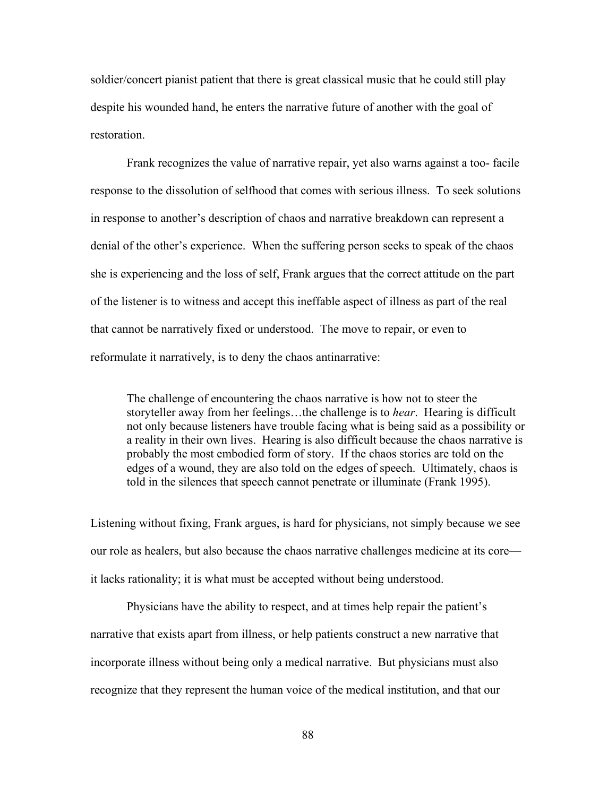soldier/concert pianist patient that there is great classical music that he could still play despite his wounded hand, he enters the narrative future of another with the goal of restoration.

Frank recognizes the value of narrative repair, yet also warns against a too- facile response to the dissolution of selfhood that comes with serious illness. To seek solutions in response to another's description of chaos and narrative breakdown can represent a denial of the other's experience. When the suffering person seeks to speak of the chaos she is experiencing and the loss of self, Frank argues that the correct attitude on the part of the listener is to witness and accept this ineffable aspect of illness as part of the real that cannot be narratively fixed or understood. The move to repair, or even to reformulate it narratively, is to deny the chaos antinarrative:

The challenge of encountering the chaos narrative is how not to steer the storyteller away from her feelings…the challenge is to *hear*. Hearing is difficult not only because listeners have trouble facing what is being said as a possibility or a reality in their own lives. Hearing is also difficult because the chaos narrative is probably the most embodied form of story. If the chaos stories are told on the edges of a wound, they are also told on the edges of speech. Ultimately, chaos is told in the silences that speech cannot penetrate or illuminate (Frank 1995).

Listening without fixing, Frank argues, is hard for physicians, not simply because we see our role as healers, but also because the chaos narrative challenges medicine at its core it lacks rationality; it is what must be accepted without being understood.

Physicians have the ability to respect, and at times help repair the patient's narrative that exists apart from illness, or help patients construct a new narrative that incorporate illness without being only a medical narrative. But physicians must also recognize that they represent the human voice of the medical institution, and that our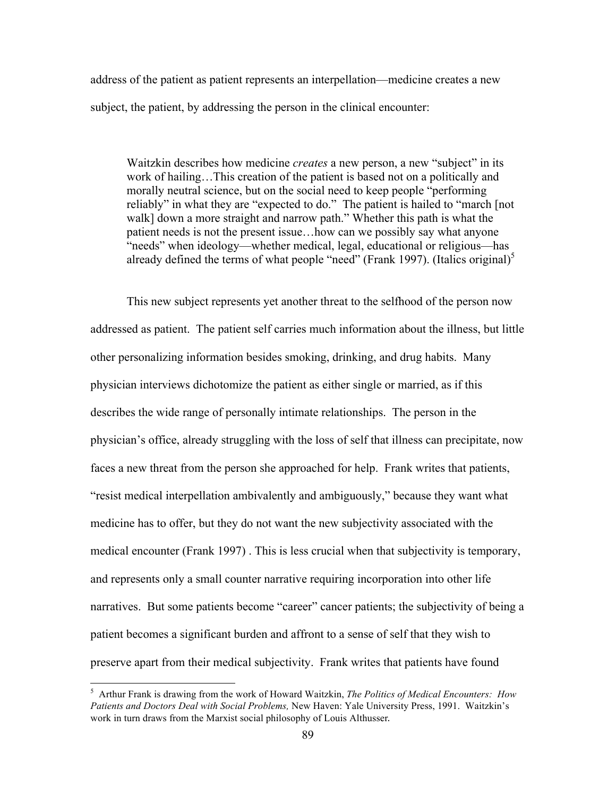address of the patient as patient represents an interpellation—medicine creates a new subject, the patient, by addressing the person in the clinical encounter:

Waitzkin describes how medicine *creates* a new person, a new "subject" in its work of hailing…This creation of the patient is based not on a politically and morally neutral science, but on the social need to keep people "performing reliably" in what they are "expected to do." The patient is hailed to "march [not walk] down a more straight and narrow path." Whether this path is what the patient needs is not the present issue…how can we possibly say what anyone "needs" when ideology—whether medical, legal, educational or religious—has already defined the terms of what people "need" (Frank 1997). (Italics original) $5$ 

This new subject represents yet another threat to the selfhood of the person now addressed as patient. The patient self carries much information about the illness, but little other personalizing information besides smoking, drinking, and drug habits. Many physician interviews dichotomize the patient as either single or married, as if this describes the wide range of personally intimate relationships. The person in the physician's office, already struggling with the loss of self that illness can precipitate, now faces a new threat from the person she approached for help. Frank writes that patients, "resist medical interpellation ambivalently and ambiguously," because they want what medicine has to offer, but they do not want the new subjectivity associated with the medical encounter (Frank 1997) . This is less crucial when that subjectivity is temporary, and represents only a small counter narrative requiring incorporation into other life narratives. But some patients become "career" cancer patients; the subjectivity of being a patient becomes a significant burden and affront to a sense of self that they wish to preserve apart from their medical subjectivity. Frank writes that patients have found

 <sup>5</sup> Arthur Frank is drawing from the work of Howard Waitzkin, *The Politics of Medical Encounters: How Patients and Doctors Deal with Social Problems,* New Haven: Yale University Press, 1991. Waitzkin's work in turn draws from the Marxist social philosophy of Louis Althusser.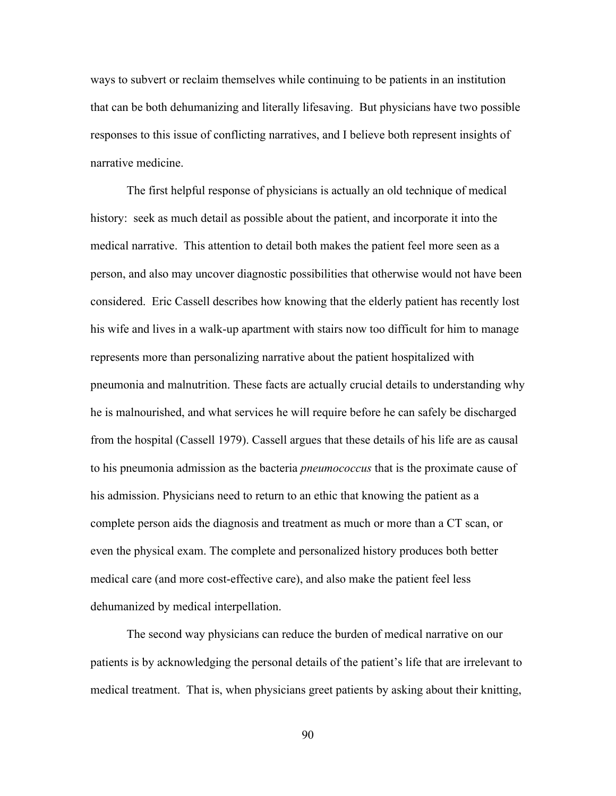ways to subvert or reclaim themselves while continuing to be patients in an institution that can be both dehumanizing and literally lifesaving. But physicians have two possible responses to this issue of conflicting narratives, and I believe both represent insights of narrative medicine.

The first helpful response of physicians is actually an old technique of medical history: seek as much detail as possible about the patient, and incorporate it into the medical narrative. This attention to detail both makes the patient feel more seen as a person, and also may uncover diagnostic possibilities that otherwise would not have been considered. Eric Cassell describes how knowing that the elderly patient has recently lost his wife and lives in a walk-up apartment with stairs now too difficult for him to manage represents more than personalizing narrative about the patient hospitalized with pneumonia and malnutrition. These facts are actually crucial details to understanding why he is malnourished, and what services he will require before he can safely be discharged from the hospital (Cassell 1979). Cassell argues that these details of his life are as causal to his pneumonia admission as the bacteria *pneumococcus* that is the proximate cause of his admission. Physicians need to return to an ethic that knowing the patient as a complete person aids the diagnosis and treatment as much or more than a CT scan, or even the physical exam. The complete and personalized history produces both better medical care (and more cost-effective care), and also make the patient feel less dehumanized by medical interpellation.

The second way physicians can reduce the burden of medical narrative on our patients is by acknowledging the personal details of the patient's life that are irrelevant to medical treatment. That is, when physicians greet patients by asking about their knitting,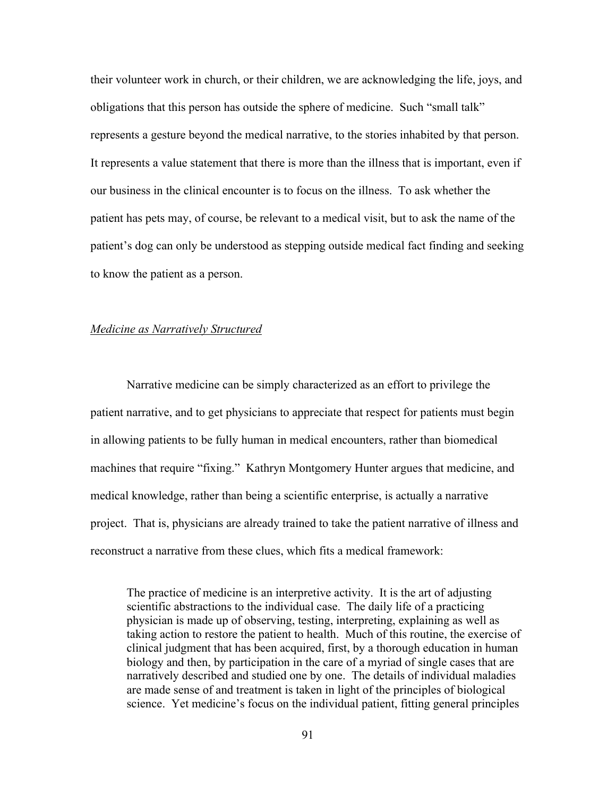their volunteer work in church, or their children, we are acknowledging the life, joys, and obligations that this person has outside the sphere of medicine. Such "small talk" represents a gesture beyond the medical narrative, to the stories inhabited by that person. It represents a value statement that there is more than the illness that is important, even if our business in the clinical encounter is to focus on the illness. To ask whether the patient has pets may, of course, be relevant to a medical visit, but to ask the name of the patient's dog can only be understood as stepping outside medical fact finding and seeking to know the patient as a person.

#### *Medicine as Narratively Structured*

Narrative medicine can be simply characterized as an effort to privilege the patient narrative, and to get physicians to appreciate that respect for patients must begin in allowing patients to be fully human in medical encounters, rather than biomedical machines that require "fixing." Kathryn Montgomery Hunter argues that medicine, and medical knowledge, rather than being a scientific enterprise, is actually a narrative project. That is, physicians are already trained to take the patient narrative of illness and reconstruct a narrative from these clues, which fits a medical framework:

The practice of medicine is an interpretive activity. It is the art of adjusting scientific abstractions to the individual case. The daily life of a practicing physician is made up of observing, testing, interpreting, explaining as well as taking action to restore the patient to health. Much of this routine, the exercise of clinical judgment that has been acquired, first, by a thorough education in human biology and then, by participation in the care of a myriad of single cases that are narratively described and studied one by one. The details of individual maladies are made sense of and treatment is taken in light of the principles of biological science. Yet medicine's focus on the individual patient, fitting general principles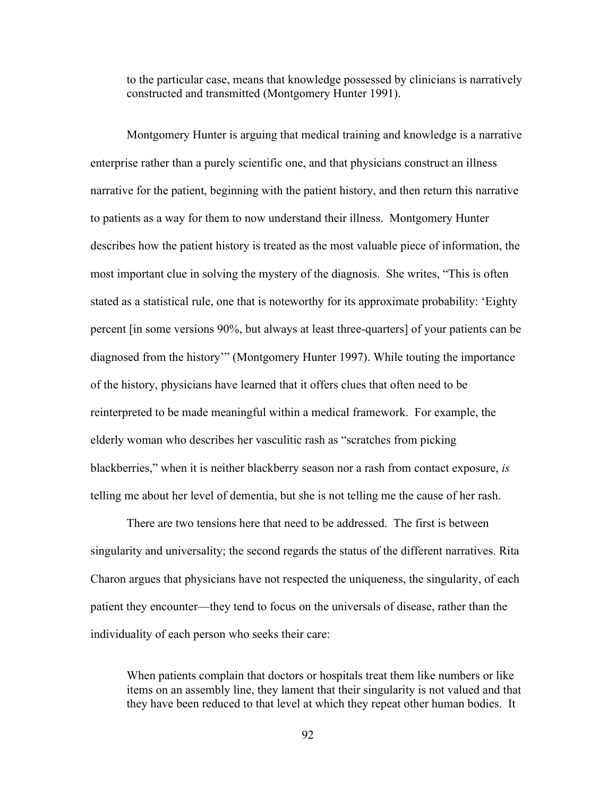to the particular case, means that knowledge possessed by clinicians is narratively constructed and transmitted (Montgomery Hunter 1991).

Montgomery Hunter is arguing that medical training and knowledge is a narrative enterprise rather than a purely scientific one, and that physicians construct an illness narrative for the patient, beginning with the patient history, and then return this narrative to patients as a way for them to now understand their illness. Montgomery Hunter describes how the patient history is treated as the most valuable piece of information, the most important clue in solving the mystery of the diagnosis. She writes, "This is often stated as a statistical rule, one that is noteworthy for its approximate probability: 'Eighty percent [in some versions 90%, but always at least three-quarters] of your patients can be diagnosed from the history'" (Montgomery Hunter 1997). While touting the importance of the history, physicians have learned that it offers clues that often need to be reinterpreted to be made meaningful within a medical framework. For example, the elderly woman who describes her vasculitic rash as "scratches from picking blackberries," when it is neither blackberry season nor a rash from contact exposure, *is*  telling me about her level of dementia, but she is not telling me the cause of her rash.

There are two tensions here that need to be addressed. The first is between singularity and universality; the second regards the status of the different narratives. Rita Charon argues that physicians have not respected the uniqueness, the singularity, of each patient they encounter—they tend to focus on the universals of disease, rather than the individuality of each person who seeks their care:

When patients complain that doctors or hospitals treat them like numbers or like items on an assembly line, they lament that their singularity is not valued and that they have been reduced to that level at which they repeat other human bodies. It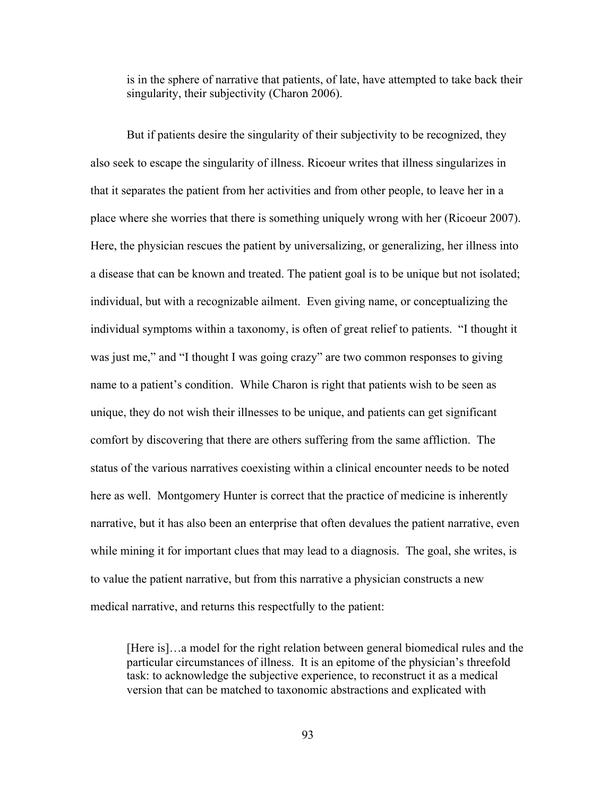is in the sphere of narrative that patients, of late, have attempted to take back their singularity, their subjectivity (Charon 2006).

But if patients desire the singularity of their subjectivity to be recognized, they also seek to escape the singularity of illness. Ricoeur writes that illness singularizes in that it separates the patient from her activities and from other people, to leave her in a place where she worries that there is something uniquely wrong with her (Ricoeur 2007). Here, the physician rescues the patient by universalizing, or generalizing, her illness into a disease that can be known and treated. The patient goal is to be unique but not isolated; individual, but with a recognizable ailment. Even giving name, or conceptualizing the individual symptoms within a taxonomy, is often of great relief to patients. "I thought it was just me," and "I thought I was going crazy" are two common responses to giving name to a patient's condition. While Charon is right that patients wish to be seen as unique, they do not wish their illnesses to be unique, and patients can get significant comfort by discovering that there are others suffering from the same affliction. The status of the various narratives coexisting within a clinical encounter needs to be noted here as well. Montgomery Hunter is correct that the practice of medicine is inherently narrative, but it has also been an enterprise that often devalues the patient narrative, even while mining it for important clues that may lead to a diagnosis. The goal, she writes, is to value the patient narrative, but from this narrative a physician constructs a new medical narrative, and returns this respectfully to the patient:

[Here is]…a model for the right relation between general biomedical rules and the particular circumstances of illness. It is an epitome of the physician's threefold task: to acknowledge the subjective experience, to reconstruct it as a medical version that can be matched to taxonomic abstractions and explicated with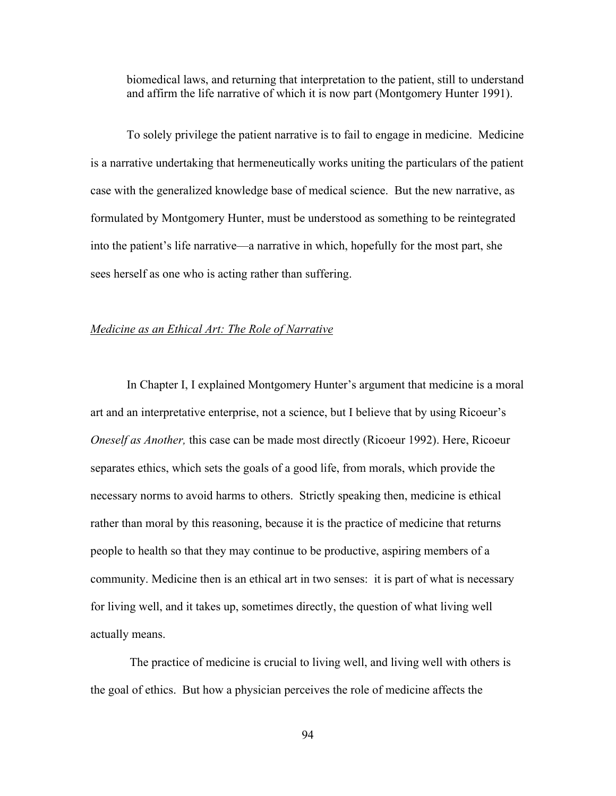biomedical laws, and returning that interpretation to the patient, still to understand and affirm the life narrative of which it is now part (Montgomery Hunter 1991).

To solely privilege the patient narrative is to fail to engage in medicine. Medicine is a narrative undertaking that hermeneutically works uniting the particulars of the patient case with the generalized knowledge base of medical science. But the new narrative, as formulated by Montgomery Hunter, must be understood as something to be reintegrated into the patient's life narrative—a narrative in which, hopefully for the most part, she sees herself as one who is acting rather than suffering.

# *Medicine as an Ethical Art: The Role of Narrative*

In Chapter I, I explained Montgomery Hunter's argument that medicine is a moral art and an interpretative enterprise, not a science, but I believe that by using Ricoeur's *Oneself as Another,* this case can be made most directly (Ricoeur 1992). Here, Ricoeur separates ethics, which sets the goals of a good life, from morals, which provide the necessary norms to avoid harms to others. Strictly speaking then, medicine is ethical rather than moral by this reasoning, because it is the practice of medicine that returns people to health so that they may continue to be productive, aspiring members of a community. Medicine then is an ethical art in two senses: it is part of what is necessary for living well, and it takes up, sometimes directly, the question of what living well actually means.

 The practice of medicine is crucial to living well, and living well with others is the goal of ethics. But how a physician perceives the role of medicine affects the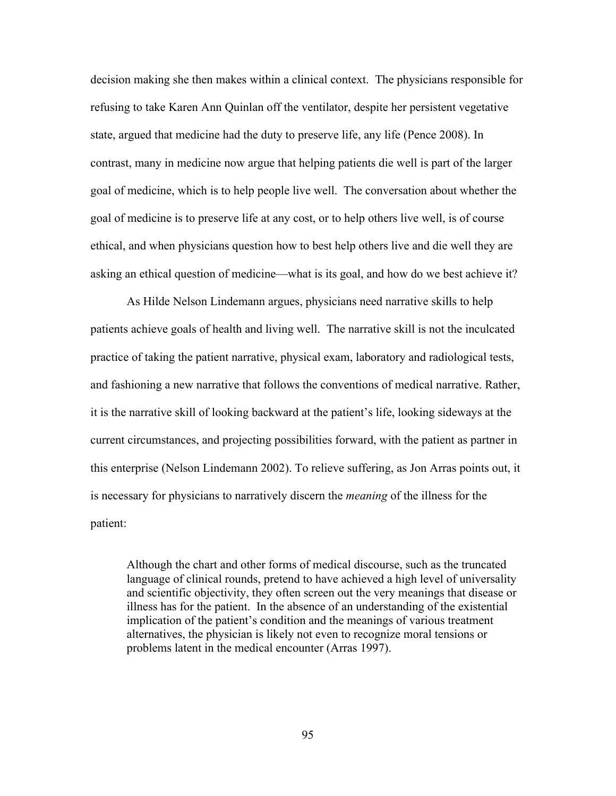decision making she then makes within a clinical context. The physicians responsible for refusing to take Karen Ann Quinlan off the ventilator, despite her persistent vegetative state, argued that medicine had the duty to preserve life, any life (Pence 2008). In contrast, many in medicine now argue that helping patients die well is part of the larger goal of medicine, which is to help people live well. The conversation about whether the goal of medicine is to preserve life at any cost, or to help others live well, is of course ethical, and when physicians question how to best help others live and die well they are asking an ethical question of medicine—what is its goal, and how do we best achieve it?

As Hilde Nelson Lindemann argues, physicians need narrative skills to help patients achieve goals of health and living well. The narrative skill is not the inculcated practice of taking the patient narrative, physical exam, laboratory and radiological tests, and fashioning a new narrative that follows the conventions of medical narrative. Rather, it is the narrative skill of looking backward at the patient's life, looking sideways at the current circumstances, and projecting possibilities forward, with the patient as partner in this enterprise (Nelson Lindemann 2002). To relieve suffering, as Jon Arras points out, it is necessary for physicians to narratively discern the *meaning* of the illness for the patient:

Although the chart and other forms of medical discourse, such as the truncated language of clinical rounds, pretend to have achieved a high level of universality and scientific objectivity, they often screen out the very meanings that disease or illness has for the patient. In the absence of an understanding of the existential implication of the patient's condition and the meanings of various treatment alternatives, the physician is likely not even to recognize moral tensions or problems latent in the medical encounter (Arras 1997).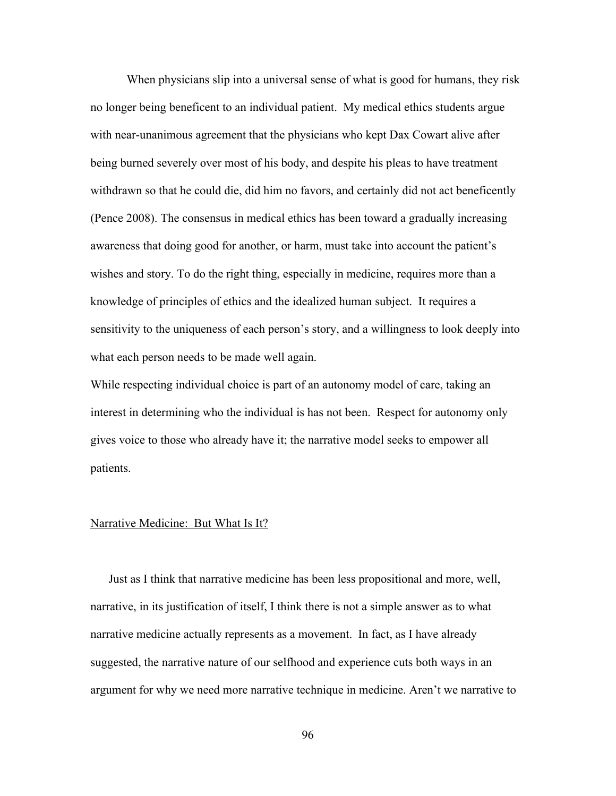When physicians slip into a universal sense of what is good for humans, they risk no longer being beneficent to an individual patient. My medical ethics students argue with near-unanimous agreement that the physicians who kept Dax Cowart alive after being burned severely over most of his body, and despite his pleas to have treatment withdrawn so that he could die, did him no favors, and certainly did not act beneficently (Pence 2008). The consensus in medical ethics has been toward a gradually increasing awareness that doing good for another, or harm, must take into account the patient's wishes and story. To do the right thing, especially in medicine, requires more than a knowledge of principles of ethics and the idealized human subject. It requires a sensitivity to the uniqueness of each person's story, and a willingness to look deeply into what each person needs to be made well again.

While respecting individual choice is part of an autonomy model of care, taking an interest in determining who the individual is has not been. Respect for autonomy only gives voice to those who already have it; the narrative model seeks to empower all patients.

# Narrative Medicine: But What Is It?

Just as I think that narrative medicine has been less propositional and more, well, narrative, in its justification of itself, I think there is not a simple answer as to what narrative medicine actually represents as a movement. In fact, as I have already suggested, the narrative nature of our selfhood and experience cuts both ways in an argument for why we need more narrative technique in medicine. Aren't we narrative to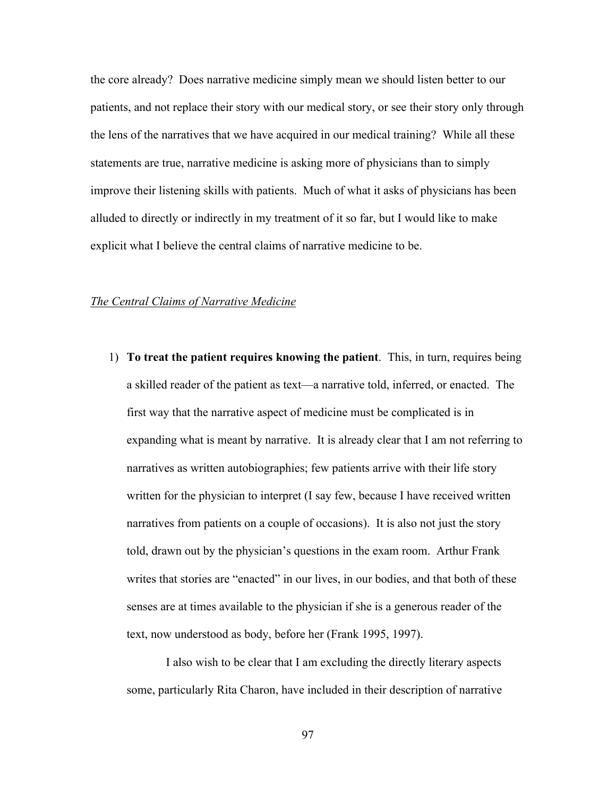the core already? Does narrative medicine simply mean we should listen better to our patients, and not replace their story with our medical story, or see their story only through the lens of the narratives that we have acquired in our medical training? While all these statements are true, narrative medicine is asking more of physicians than to simply improve their listening skills with patients. Much of what it asks of physicians has been alluded to directly or indirectly in my treatment of it so far, but I would like to make explicit what I believe the central claims of narrative medicine to be.

## *The Central Claims of Narrative Medicine*

1) **To treat the patient requires knowing the patient**. This, in turn, requires being a skilled reader of the patient as text—a narrative told, inferred, or enacted. The first way that the narrative aspect of medicine must be complicated is in expanding what is meant by narrative. It is already clear that I am not referring to narratives as written autobiographies; few patients arrive with their life story written for the physician to interpret (I say few, because I have received written narratives from patients on a couple of occasions). It is also not just the story told, drawn out by the physician's questions in the exam room. Arthur Frank writes that stories are "enacted" in our lives, in our bodies, and that both of these senses are at times available to the physician if she is a generous reader of the text, now understood as body, before her (Frank 1995, 1997).

 I also wish to be clear that I am excluding the directly literary aspects some, particularly Rita Charon, have included in their description of narrative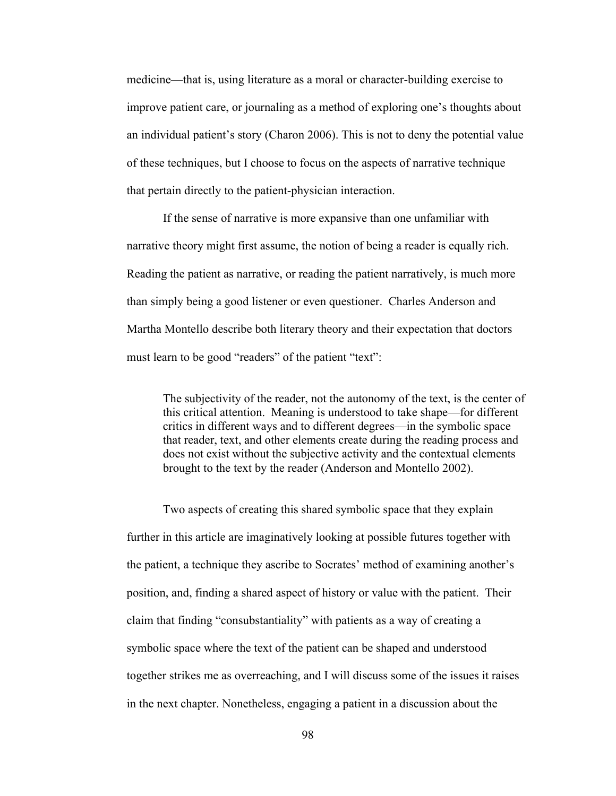medicine—that is, using literature as a moral or character-building exercise to improve patient care, or journaling as a method of exploring one's thoughts about an individual patient's story (Charon 2006). This is not to deny the potential value of these techniques, but I choose to focus on the aspects of narrative technique that pertain directly to the patient-physician interaction.

If the sense of narrative is more expansive than one unfamiliar with narrative theory might first assume, the notion of being a reader is equally rich. Reading the patient as narrative, or reading the patient narratively, is much more than simply being a good listener or even questioner. Charles Anderson and Martha Montello describe both literary theory and their expectation that doctors must learn to be good "readers" of the patient "text":

The subjectivity of the reader, not the autonomy of the text, is the center of this critical attention. Meaning is understood to take shape—for different critics in different ways and to different degrees—in the symbolic space that reader, text, and other elements create during the reading process and does not exist without the subjective activity and the contextual elements brought to the text by the reader (Anderson and Montello 2002).

Two aspects of creating this shared symbolic space that they explain further in this article are imaginatively looking at possible futures together with the patient, a technique they ascribe to Socrates' method of examining another's position, and, finding a shared aspect of history or value with the patient. Their claim that finding "consubstantiality" with patients as a way of creating a symbolic space where the text of the patient can be shaped and understood together strikes me as overreaching, and I will discuss some of the issues it raises in the next chapter. Nonetheless, engaging a patient in a discussion about the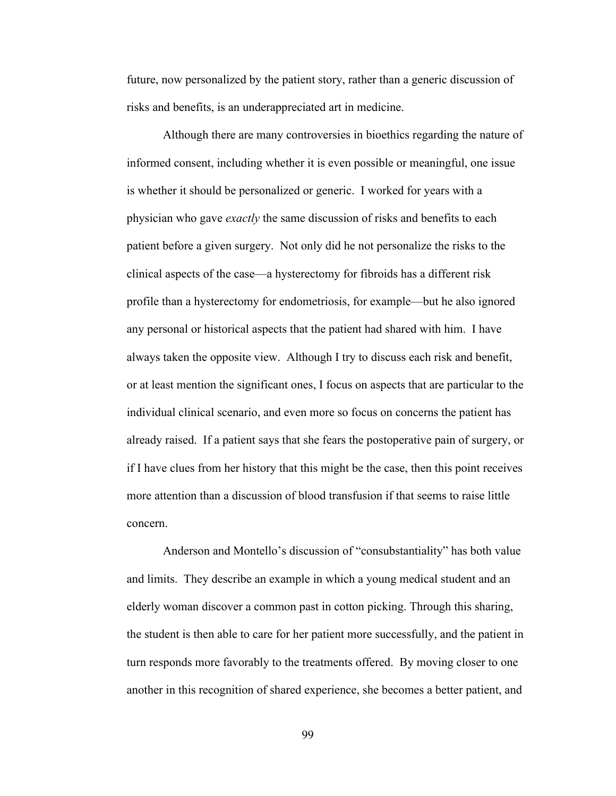future, now personalized by the patient story, rather than a generic discussion of risks and benefits, is an underappreciated art in medicine.

Although there are many controversies in bioethics regarding the nature of informed consent, including whether it is even possible or meaningful, one issue is whether it should be personalized or generic. I worked for years with a physician who gave *exactly* the same discussion of risks and benefits to each patient before a given surgery. Not only did he not personalize the risks to the clinical aspects of the case—a hysterectomy for fibroids has a different risk profile than a hysterectomy for endometriosis, for example—but he also ignored any personal or historical aspects that the patient had shared with him. I have always taken the opposite view. Although I try to discuss each risk and benefit, or at least mention the significant ones, I focus on aspects that are particular to the individual clinical scenario, and even more so focus on concerns the patient has already raised. If a patient says that she fears the postoperative pain of surgery, or if I have clues from her history that this might be the case, then this point receives more attention than a discussion of blood transfusion if that seems to raise little concern.

Anderson and Montello's discussion of "consubstantiality" has both value and limits. They describe an example in which a young medical student and an elderly woman discover a common past in cotton picking. Through this sharing, the student is then able to care for her patient more successfully, and the patient in turn responds more favorably to the treatments offered. By moving closer to one another in this recognition of shared experience, she becomes a better patient, and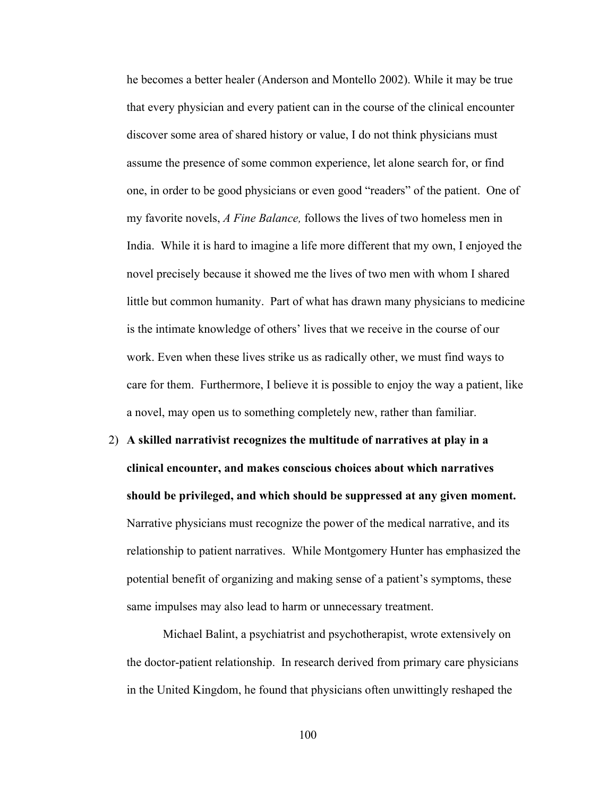he becomes a better healer (Anderson and Montello 2002). While it may be true that every physician and every patient can in the course of the clinical encounter discover some area of shared history or value, I do not think physicians must assume the presence of some common experience, let alone search for, or find one, in order to be good physicians or even good "readers" of the patient. One of my favorite novels, *A Fine Balance,* follows the lives of two homeless men in India. While it is hard to imagine a life more different that my own, I enjoyed the novel precisely because it showed me the lives of two men with whom I shared little but common humanity. Part of what has drawn many physicians to medicine is the intimate knowledge of others' lives that we receive in the course of our work. Even when these lives strike us as radically other, we must find ways to care for them. Furthermore, I believe it is possible to enjoy the way a patient, like a novel, may open us to something completely new, rather than familiar.

2) **A skilled narrativist recognizes the multitude of narratives at play in a clinical encounter, and makes conscious choices about which narratives should be privileged, and which should be suppressed at any given moment.** Narrative physicians must recognize the power of the medical narrative, and its relationship to patient narratives. While Montgomery Hunter has emphasized the potential benefit of organizing and making sense of a patient's symptoms, these same impulses may also lead to harm or unnecessary treatment.

Michael Balint, a psychiatrist and psychotherapist, wrote extensively on the doctor-patient relationship. In research derived from primary care physicians in the United Kingdom, he found that physicians often unwittingly reshaped the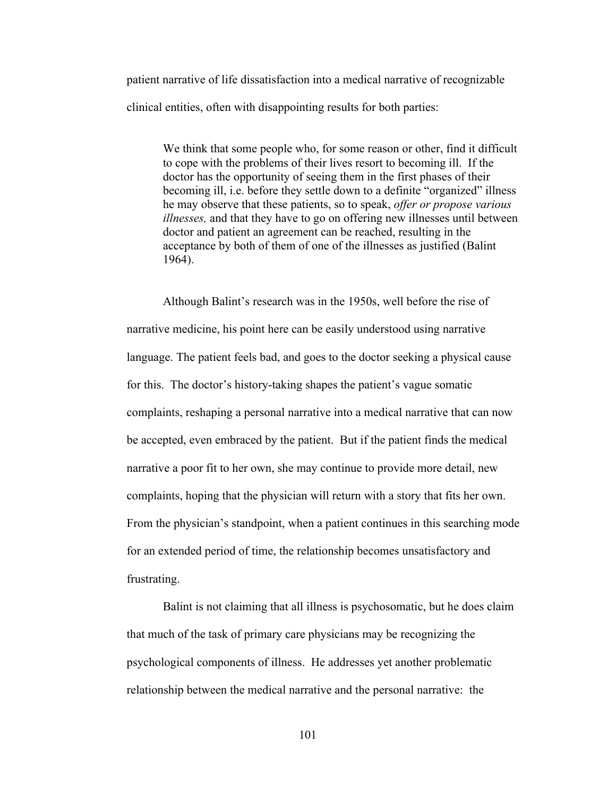patient narrative of life dissatisfaction into a medical narrative of recognizable clinical entities, often with disappointing results for both parties:

We think that some people who, for some reason or other, find it difficult to cope with the problems of their lives resort to becoming ill. If the doctor has the opportunity of seeing them in the first phases of their becoming ill, i.e. before they settle down to a definite "organized" illness he may observe that these patients, so to speak, *offer or propose various illnesses,* and that they have to go on offering new illnesses until between doctor and patient an agreement can be reached, resulting in the acceptance by both of them of one of the illnesses as justified (Balint 1964).

Although Balint's research was in the 1950s, well before the rise of narrative medicine, his point here can be easily understood using narrative language. The patient feels bad, and goes to the doctor seeking a physical cause for this. The doctor's history-taking shapes the patient's vague somatic complaints, reshaping a personal narrative into a medical narrative that can now be accepted, even embraced by the patient. But if the patient finds the medical narrative a poor fit to her own, she may continue to provide more detail, new complaints, hoping that the physician will return with a story that fits her own. From the physician's standpoint, when a patient continues in this searching mode for an extended period of time, the relationship becomes unsatisfactory and frustrating.

Balint is not claiming that all illness is psychosomatic, but he does claim that much of the task of primary care physicians may be recognizing the psychological components of illness. He addresses yet another problematic relationship between the medical narrative and the personal narrative: the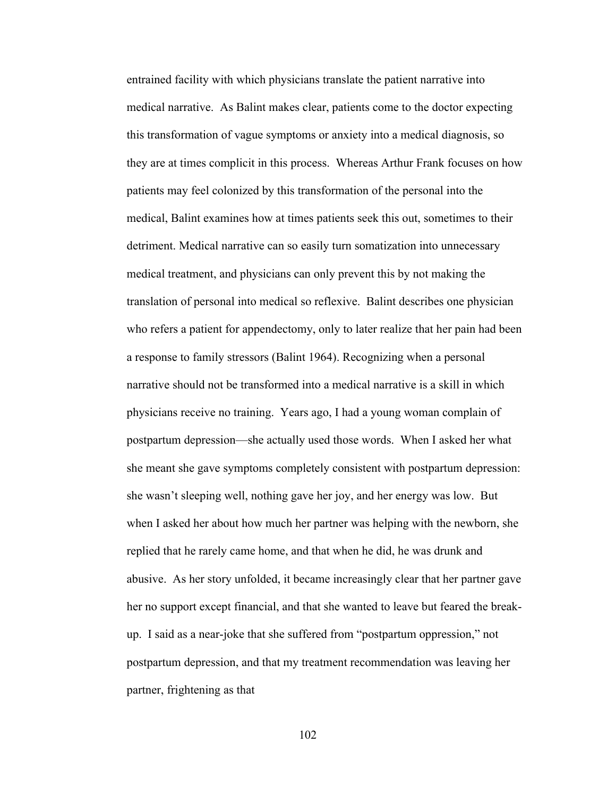entrained facility with which physicians translate the patient narrative into medical narrative. As Balint makes clear, patients come to the doctor expecting this transformation of vague symptoms or anxiety into a medical diagnosis, so they are at times complicit in this process. Whereas Arthur Frank focuses on how patients may feel colonized by this transformation of the personal into the medical, Balint examines how at times patients seek this out, sometimes to their detriment. Medical narrative can so easily turn somatization into unnecessary medical treatment, and physicians can only prevent this by not making the translation of personal into medical so reflexive. Balint describes one physician who refers a patient for appendectomy, only to later realize that her pain had been a response to family stressors (Balint 1964). Recognizing when a personal narrative should not be transformed into a medical narrative is a skill in which physicians receive no training. Years ago, I had a young woman complain of postpartum depression—she actually used those words. When I asked her what she meant she gave symptoms completely consistent with postpartum depression: she wasn't sleeping well, nothing gave her joy, and her energy was low. But when I asked her about how much her partner was helping with the newborn, she replied that he rarely came home, and that when he did, he was drunk and abusive. As her story unfolded, it became increasingly clear that her partner gave her no support except financial, and that she wanted to leave but feared the breakup. I said as a near-joke that she suffered from "postpartum oppression," not postpartum depression, and that my treatment recommendation was leaving her partner, frightening as that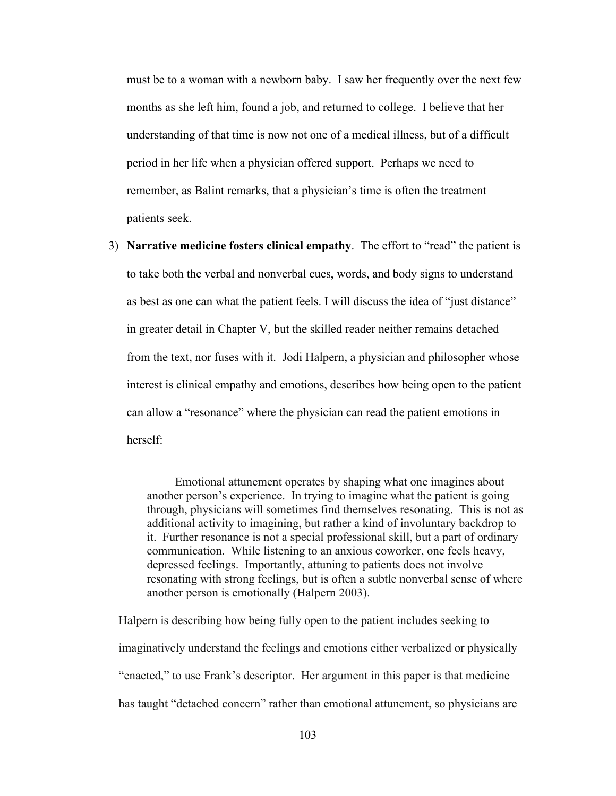must be to a woman with a newborn baby. I saw her frequently over the next few months as she left him, found a job, and returned to college. I believe that her understanding of that time is now not one of a medical illness, but of a difficult period in her life when a physician offered support. Perhaps we need to remember, as Balint remarks, that a physician's time is often the treatment patients seek.

3) **Narrative medicine fosters clinical empathy**. The effort to "read" the patient is to take both the verbal and nonverbal cues, words, and body signs to understand as best as one can what the patient feels. I will discuss the idea of "just distance" in greater detail in Chapter V, but the skilled reader neither remains detached from the text, nor fuses with it. Jodi Halpern, a physician and philosopher whose interest is clinical empathy and emotions, describes how being open to the patient can allow a "resonance" where the physician can read the patient emotions in herself:

Emotional attunement operates by shaping what one imagines about another person's experience. In trying to imagine what the patient is going through, physicians will sometimes find themselves resonating. This is not as additional activity to imagining, but rather a kind of involuntary backdrop to it. Further resonance is not a special professional skill, but a part of ordinary communication. While listening to an anxious coworker, one feels heavy, depressed feelings. Importantly, attuning to patients does not involve resonating with strong feelings, but is often a subtle nonverbal sense of where another person is emotionally (Halpern 2003).

Halpern is describing how being fully open to the patient includes seeking to imaginatively understand the feelings and emotions either verbalized or physically "enacted," to use Frank's descriptor. Her argument in this paper is that medicine has taught "detached concern" rather than emotional attunement, so physicians are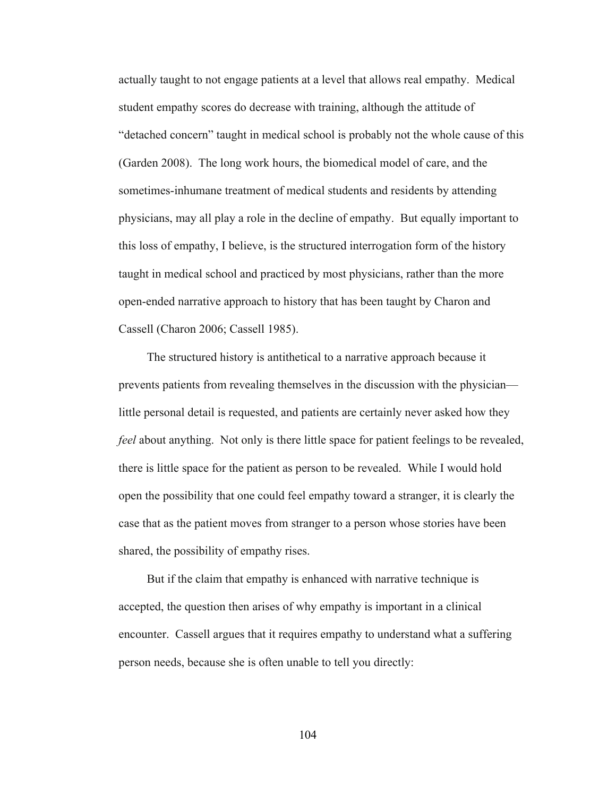actually taught to not engage patients at a level that allows real empathy. Medical student empathy scores do decrease with training, although the attitude of "detached concern" taught in medical school is probably not the whole cause of this (Garden 2008). The long work hours, the biomedical model of care, and the sometimes-inhumane treatment of medical students and residents by attending physicians, may all play a role in the decline of empathy. But equally important to this loss of empathy, I believe, is the structured interrogation form of the history taught in medical school and practiced by most physicians, rather than the more open-ended narrative approach to history that has been taught by Charon and Cassell (Charon 2006; Cassell 1985).

The structured history is antithetical to a narrative approach because it prevents patients from revealing themselves in the discussion with the physician little personal detail is requested, and patients are certainly never asked how they *feel* about anything. Not only is there little space for patient feelings to be revealed, there is little space for the patient as person to be revealed. While I would hold open the possibility that one could feel empathy toward a stranger, it is clearly the case that as the patient moves from stranger to a person whose stories have been shared, the possibility of empathy rises.

But if the claim that empathy is enhanced with narrative technique is accepted, the question then arises of why empathy is important in a clinical encounter. Cassell argues that it requires empathy to understand what a suffering person needs, because she is often unable to tell you directly: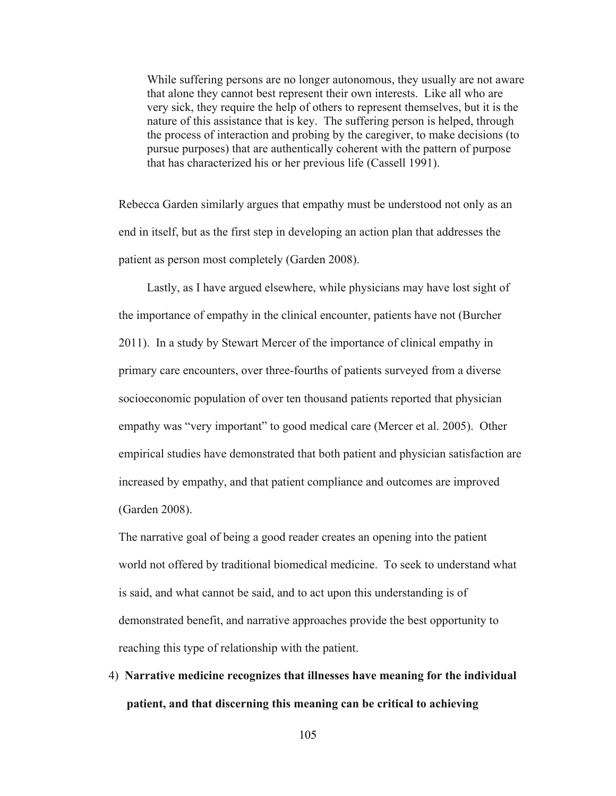While suffering persons are no longer autonomous, they usually are not aware that alone they cannot best represent their own interests. Like all who are very sick, they require the help of others to represent themselves, but it is the nature of this assistance that is key. The suffering person is helped, through the process of interaction and probing by the caregiver, to make decisions (to pursue purposes) that are authentically coherent with the pattern of purpose that has characterized his or her previous life (Cassell 1991).

Rebecca Garden similarly argues that empathy must be understood not only as an end in itself, but as the first step in developing an action plan that addresses the patient as person most completely (Garden 2008).

Lastly, as I have argued elsewhere, while physicians may have lost sight of the importance of empathy in the clinical encounter, patients have not (Burcher 2011). In a study by Stewart Mercer of the importance of clinical empathy in primary care encounters, over three-fourths of patients surveyed from a diverse socioeconomic population of over ten thousand patients reported that physician empathy was "very important" to good medical care (Mercer et al. 2005). Other empirical studies have demonstrated that both patient and physician satisfaction are increased by empathy, and that patient compliance and outcomes are improved (Garden 2008).

The narrative goal of being a good reader creates an opening into the patient world not offered by traditional biomedical medicine. To seek to understand what is said, and what cannot be said, and to act upon this understanding is of demonstrated benefit, and narrative approaches provide the best opportunity to reaching this type of relationship with the patient.

4) **Narrative medicine recognizes that illnesses have meaning for the individual patient, and that discerning this meaning can be critical to achieving**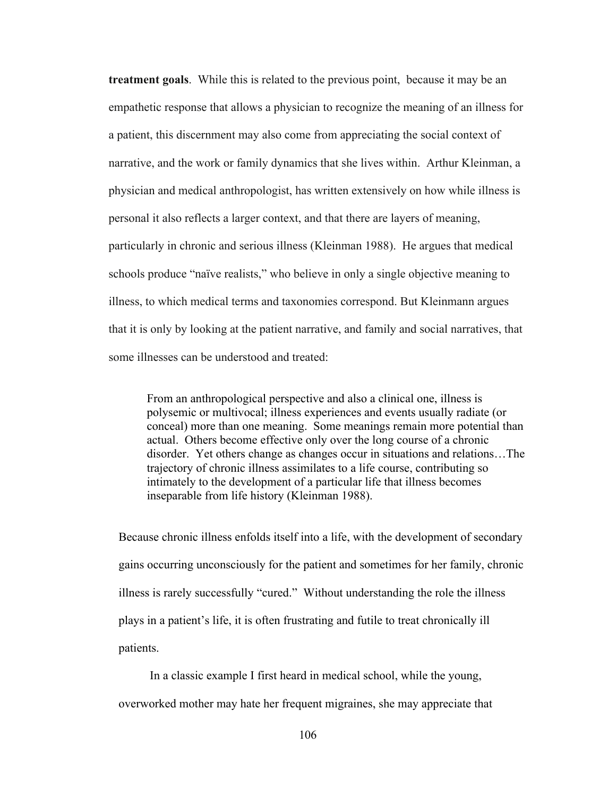**treatment goals**. While this is related to the previous point, because it may be an empathetic response that allows a physician to recognize the meaning of an illness for a patient, this discernment may also come from appreciating the social context of narrative, and the work or family dynamics that she lives within. Arthur Kleinman, a physician and medical anthropologist, has written extensively on how while illness is personal it also reflects a larger context, and that there are layers of meaning, particularly in chronic and serious illness (Kleinman 1988). He argues that medical schools produce "naïve realists," who believe in only a single objective meaning to illness, to which medical terms and taxonomies correspond. But Kleinmann argues that it is only by looking at the patient narrative, and family and social narratives, that some illnesses can be understood and treated:

From an anthropological perspective and also a clinical one, illness is polysemic or multivocal; illness experiences and events usually radiate (or conceal) more than one meaning. Some meanings remain more potential than actual. Others become effective only over the long course of a chronic disorder. Yet others change as changes occur in situations and relations…The trajectory of chronic illness assimilates to a life course, contributing so intimately to the development of a particular life that illness becomes inseparable from life history (Kleinman 1988).

Because chronic illness enfolds itself into a life, with the development of secondary gains occurring unconsciously for the patient and sometimes for her family, chronic illness is rarely successfully "cured." Without understanding the role the illness plays in a patient's life, it is often frustrating and futile to treat chronically ill patients.

 In a classic example I first heard in medical school, while the young, overworked mother may hate her frequent migraines, she may appreciate that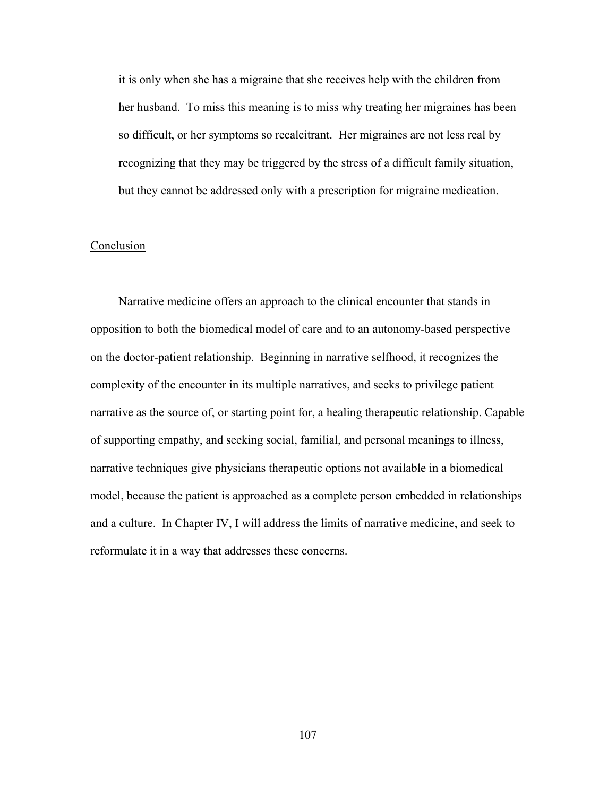it is only when she has a migraine that she receives help with the children from her husband. To miss this meaning is to miss why treating her migraines has been so difficult, or her symptoms so recalcitrant. Her migraines are not less real by recognizing that they may be triggered by the stress of a difficult family situation, but they cannot be addressed only with a prescription for migraine medication.

### Conclusion

Narrative medicine offers an approach to the clinical encounter that stands in opposition to both the biomedical model of care and to an autonomy-based perspective on the doctor-patient relationship. Beginning in narrative selfhood, it recognizes the complexity of the encounter in its multiple narratives, and seeks to privilege patient narrative as the source of, or starting point for, a healing therapeutic relationship. Capable of supporting empathy, and seeking social, familial, and personal meanings to illness, narrative techniques give physicians therapeutic options not available in a biomedical model, because the patient is approached as a complete person embedded in relationships and a culture. In Chapter IV, I will address the limits of narrative medicine, and seek to reformulate it in a way that addresses these concerns.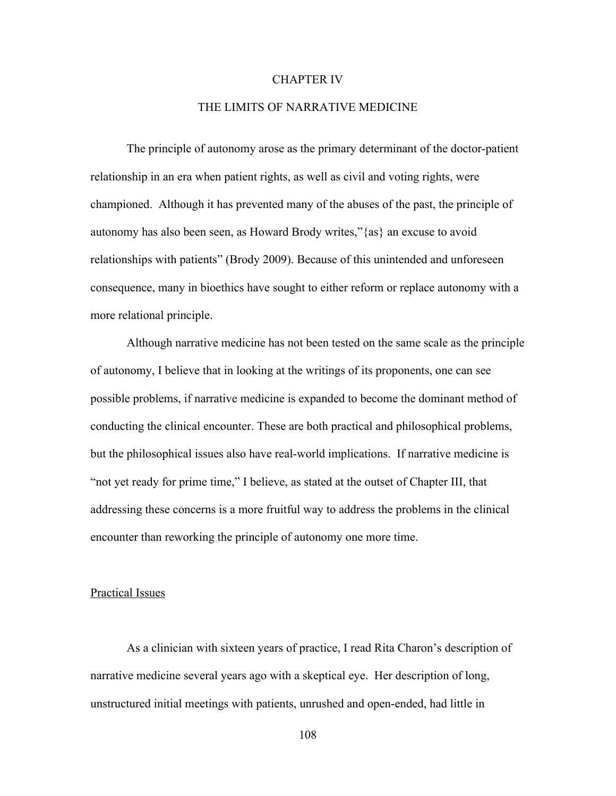#### CHAPTER IV

# THE LIMITS OF NARRATIVE MEDICINE

The principle of autonomy arose as the primary determinant of the doctor-patient relationship in an era when patient rights, as well as civil and voting rights, were championed. Although it has prevented many of the abuses of the past, the principle of autonomy has also been seen, as Howard Brody writes,"{as} an excuse to avoid relationships with patients" (Brody 2009). Because of this unintended and unforeseen consequence, many in bioethics have sought to either reform or replace autonomy with a more relational principle.

Although narrative medicine has not been tested on the same scale as the principle of autonomy, I believe that in looking at the writings of its proponents, one can see possible problems, if narrative medicine is expanded to become the dominant method of conducting the clinical encounter. These are both practical and philosophical problems, but the philosophical issues also have real-world implications. If narrative medicine is "not yet ready for prime time," I believe, as stated at the outset of Chapter III, that addressing these concerns is a more fruitful way to address the problems in the clinical encounter than reworking the principle of autonomy one more time.

### Practical Issues

As a clinician with sixteen years of practice, I read Rita Charon's description of narrative medicine several years ago with a skeptical eye. Her description of long, unstructured initial meetings with patients, unrushed and open-ended, had little in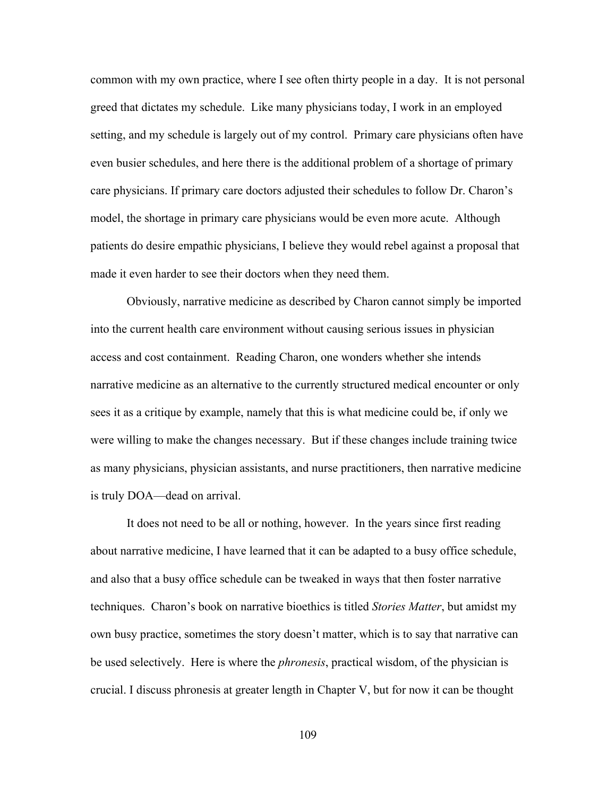common with my own practice, where I see often thirty people in a day. It is not personal greed that dictates my schedule. Like many physicians today, I work in an employed setting, and my schedule is largely out of my control. Primary care physicians often have even busier schedules, and here there is the additional problem of a shortage of primary care physicians. If primary care doctors adjusted their schedules to follow Dr. Charon's model, the shortage in primary care physicians would be even more acute. Although patients do desire empathic physicians, I believe they would rebel against a proposal that made it even harder to see their doctors when they need them.

Obviously, narrative medicine as described by Charon cannot simply be imported into the current health care environment without causing serious issues in physician access and cost containment. Reading Charon, one wonders whether she intends narrative medicine as an alternative to the currently structured medical encounter or only sees it as a critique by example, namely that this is what medicine could be, if only we were willing to make the changes necessary. But if these changes include training twice as many physicians, physician assistants, and nurse practitioners, then narrative medicine is truly DOA—dead on arrival.

It does not need to be all or nothing, however. In the years since first reading about narrative medicine, I have learned that it can be adapted to a busy office schedule, and also that a busy office schedule can be tweaked in ways that then foster narrative techniques. Charon's book on narrative bioethics is titled *Stories Matter*, but amidst my own busy practice, sometimes the story doesn't matter, which is to say that narrative can be used selectively. Here is where the *phronesis*, practical wisdom, of the physician is crucial. I discuss phronesis at greater length in Chapter V, but for now it can be thought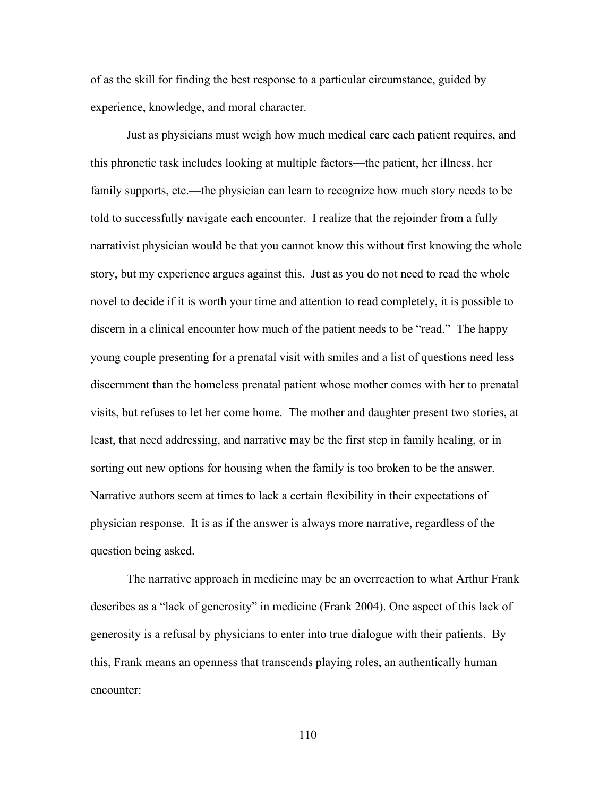of as the skill for finding the best response to a particular circumstance, guided by experience, knowledge, and moral character.

Just as physicians must weigh how much medical care each patient requires, and this phronetic task includes looking at multiple factors—the patient, her illness, her family supports, etc.—the physician can learn to recognize how much story needs to be told to successfully navigate each encounter. I realize that the rejoinder from a fully narrativist physician would be that you cannot know this without first knowing the whole story, but my experience argues against this. Just as you do not need to read the whole novel to decide if it is worth your time and attention to read completely, it is possible to discern in a clinical encounter how much of the patient needs to be "read." The happy young couple presenting for a prenatal visit with smiles and a list of questions need less discernment than the homeless prenatal patient whose mother comes with her to prenatal visits, but refuses to let her come home. The mother and daughter present two stories, at least, that need addressing, and narrative may be the first step in family healing, or in sorting out new options for housing when the family is too broken to be the answer. Narrative authors seem at times to lack a certain flexibility in their expectations of physician response. It is as if the answer is always more narrative, regardless of the question being asked.

The narrative approach in medicine may be an overreaction to what Arthur Frank describes as a "lack of generosity" in medicine (Frank 2004). One aspect of this lack of generosity is a refusal by physicians to enter into true dialogue with their patients. By this, Frank means an openness that transcends playing roles, an authentically human encounter: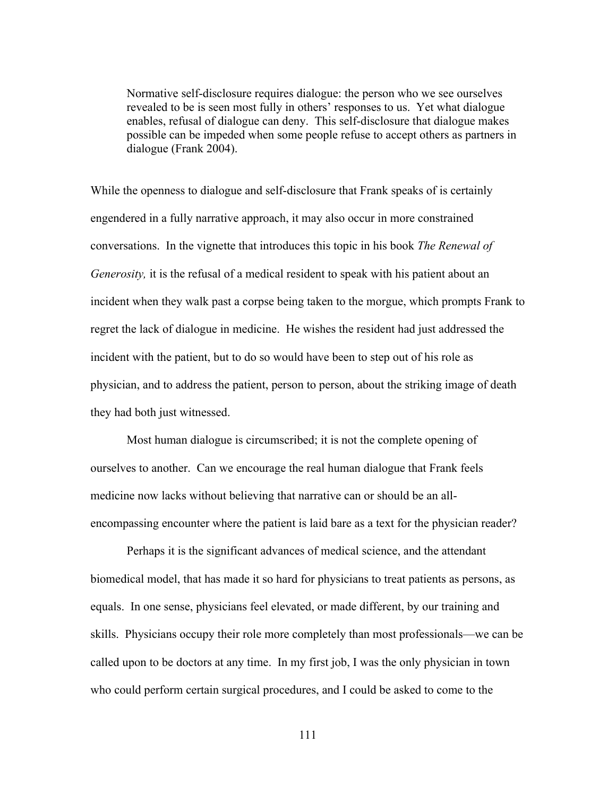Normative self-disclosure requires dialogue: the person who we see ourselves revealed to be is seen most fully in others' responses to us. Yet what dialogue enables, refusal of dialogue can deny. This self-disclosure that dialogue makes possible can be impeded when some people refuse to accept others as partners in dialogue (Frank 2004).

While the openness to dialogue and self-disclosure that Frank speaks of is certainly engendered in a fully narrative approach, it may also occur in more constrained conversations. In the vignette that introduces this topic in his book *The Renewal of Generosity*, it is the refusal of a medical resident to speak with his patient about an incident when they walk past a corpse being taken to the morgue, which prompts Frank to regret the lack of dialogue in medicine. He wishes the resident had just addressed the incident with the patient, but to do so would have been to step out of his role as physician, and to address the patient, person to person, about the striking image of death they had both just witnessed.

Most human dialogue is circumscribed; it is not the complete opening of ourselves to another. Can we encourage the real human dialogue that Frank feels medicine now lacks without believing that narrative can or should be an allencompassing encounter where the patient is laid bare as a text for the physician reader?

Perhaps it is the significant advances of medical science, and the attendant biomedical model, that has made it so hard for physicians to treat patients as persons, as equals. In one sense, physicians feel elevated, or made different, by our training and skills. Physicians occupy their role more completely than most professionals—we can be called upon to be doctors at any time. In my first job, I was the only physician in town who could perform certain surgical procedures, and I could be asked to come to the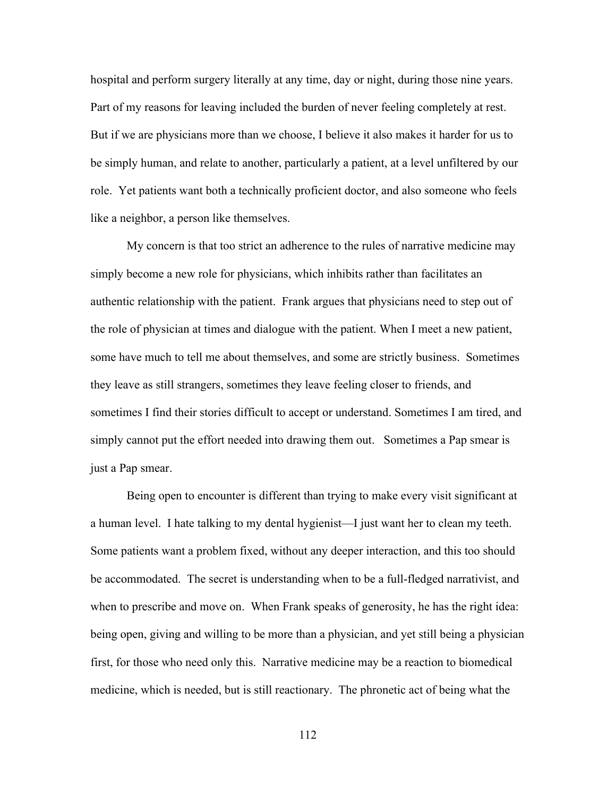hospital and perform surgery literally at any time, day or night, during those nine years. Part of my reasons for leaving included the burden of never feeling completely at rest. But if we are physicians more than we choose, I believe it also makes it harder for us to be simply human, and relate to another, particularly a patient, at a level unfiltered by our role. Yet patients want both a technically proficient doctor, and also someone who feels like a neighbor, a person like themselves.

My concern is that too strict an adherence to the rules of narrative medicine may simply become a new role for physicians, which inhibits rather than facilitates an authentic relationship with the patient. Frank argues that physicians need to step out of the role of physician at times and dialogue with the patient. When I meet a new patient, some have much to tell me about themselves, and some are strictly business. Sometimes they leave as still strangers, sometimes they leave feeling closer to friends, and sometimes I find their stories difficult to accept or understand. Sometimes I am tired, and simply cannot put the effort needed into drawing them out. Sometimes a Pap smear is just a Pap smear.

Being open to encounter is different than trying to make every visit significant at a human level. I hate talking to my dental hygienist—I just want her to clean my teeth. Some patients want a problem fixed, without any deeper interaction, and this too should be accommodated. The secret is understanding when to be a full-fledged narrativist, and when to prescribe and move on. When Frank speaks of generosity, he has the right idea: being open, giving and willing to be more than a physician, and yet still being a physician first, for those who need only this. Narrative medicine may be a reaction to biomedical medicine, which is needed, but is still reactionary. The phronetic act of being what the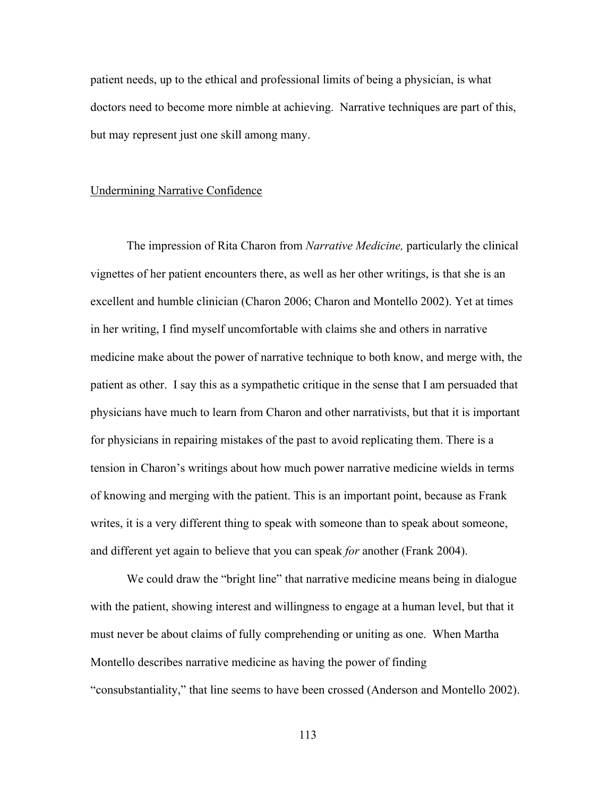patient needs, up to the ethical and professional limits of being a physician, is what doctors need to become more nimble at achieving. Narrative techniques are part of this, but may represent just one skill among many.

#### Undermining Narrative Confidence

The impression of Rita Charon from *Narrative Medicine,* particularly the clinical vignettes of her patient encounters there, as well as her other writings, is that she is an excellent and humble clinician (Charon 2006; Charon and Montello 2002). Yet at times in her writing, I find myself uncomfortable with claims she and others in narrative medicine make about the power of narrative technique to both know, and merge with, the patient as other. I say this as a sympathetic critique in the sense that I am persuaded that physicians have much to learn from Charon and other narrativists, but that it is important for physicians in repairing mistakes of the past to avoid replicating them. There is a tension in Charon's writings about how much power narrative medicine wields in terms of knowing and merging with the patient. This is an important point, because as Frank writes, it is a very different thing to speak with someone than to speak about someone, and different yet again to believe that you can speak *for* another (Frank 2004).

We could draw the "bright line" that narrative medicine means being in dialogue with the patient, showing interest and willingness to engage at a human level, but that it must never be about claims of fully comprehending or uniting as one. When Martha Montello describes narrative medicine as having the power of finding "consubstantiality," that line seems to have been crossed (Anderson and Montello 2002).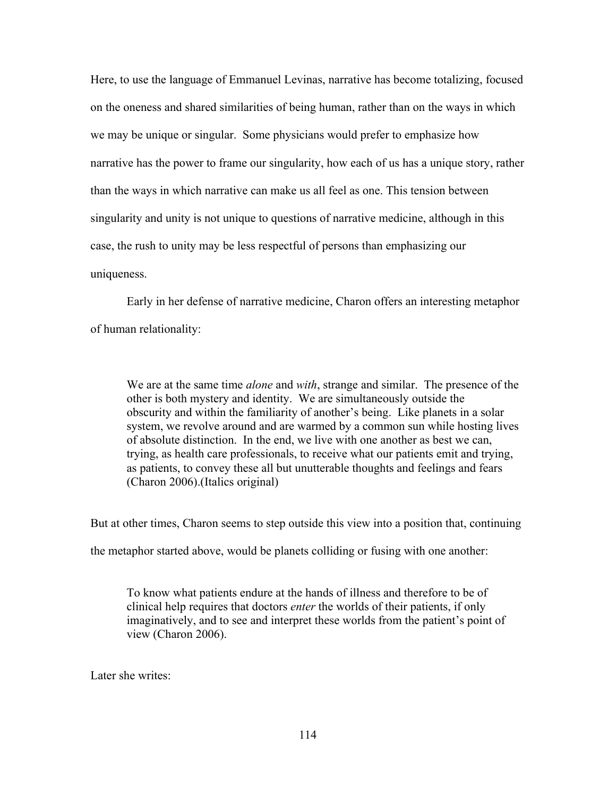Here, to use the language of Emmanuel Levinas, narrative has become totalizing, focused on the oneness and shared similarities of being human, rather than on the ways in which we may be unique or singular. Some physicians would prefer to emphasize how narrative has the power to frame our singularity, how each of us has a unique story, rather than the ways in which narrative can make us all feel as one. This tension between singularity and unity is not unique to questions of narrative medicine, although in this case, the rush to unity may be less respectful of persons than emphasizing our uniqueness.

Early in her defense of narrative medicine, Charon offers an interesting metaphor of human relationality:

We are at the same time *alone* and *with*, strange and similar. The presence of the other is both mystery and identity. We are simultaneously outside the obscurity and within the familiarity of another's being. Like planets in a solar system, we revolve around and are warmed by a common sun while hosting lives of absolute distinction. In the end, we live with one another as best we can, trying, as health care professionals, to receive what our patients emit and trying, as patients, to convey these all but unutterable thoughts and feelings and fears (Charon 2006).(Italics original)

But at other times, Charon seems to step outside this view into a position that, continuing

the metaphor started above, would be planets colliding or fusing with one another:

To know what patients endure at the hands of illness and therefore to be of clinical help requires that doctors *enter* the worlds of their patients, if only imaginatively, and to see and interpret these worlds from the patient's point of view (Charon 2006).

Later she writes: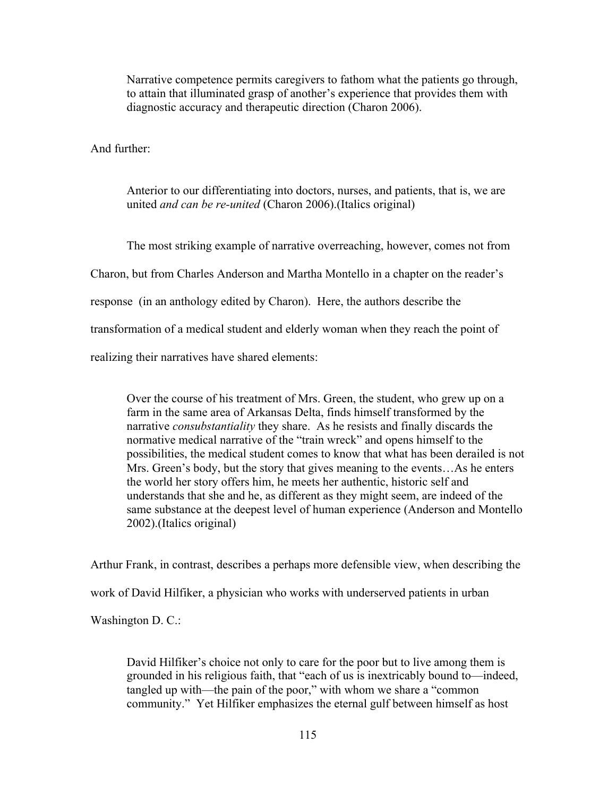Narrative competence permits caregivers to fathom what the patients go through, to attain that illuminated grasp of another's experience that provides them with diagnostic accuracy and therapeutic direction (Charon 2006).

And further:

Anterior to our differentiating into doctors, nurses, and patients, that is, we are united *and can be re-united* (Charon 2006).(Italics original)

The most striking example of narrative overreaching, however, comes not from Charon, but from Charles Anderson and Martha Montello in a chapter on the reader's response (in an anthology edited by Charon). Here, the authors describe the transformation of a medical student and elderly woman when they reach the point of realizing their narratives have shared elements:

Over the course of his treatment of Mrs. Green, the student, who grew up on a farm in the same area of Arkansas Delta, finds himself transformed by the narrative *consubstantiality* they share. As he resists and finally discards the normative medical narrative of the "train wreck" and opens himself to the possibilities, the medical student comes to know that what has been derailed is not Mrs. Green's body, but the story that gives meaning to the events…As he enters the world her story offers him, he meets her authentic, historic self and understands that she and he, as different as they might seem, are indeed of the same substance at the deepest level of human experience (Anderson and Montello 2002).(Italics original)

Arthur Frank, in contrast, describes a perhaps more defensible view, when describing the work of David Hilfiker, a physician who works with underserved patients in urban Washington D. C.:

David Hilfiker's choice not only to care for the poor but to live among them is grounded in his religious faith, that "each of us is inextricably bound to—indeed, tangled up with—the pain of the poor," with whom we share a "common community." Yet Hilfiker emphasizes the eternal gulf between himself as host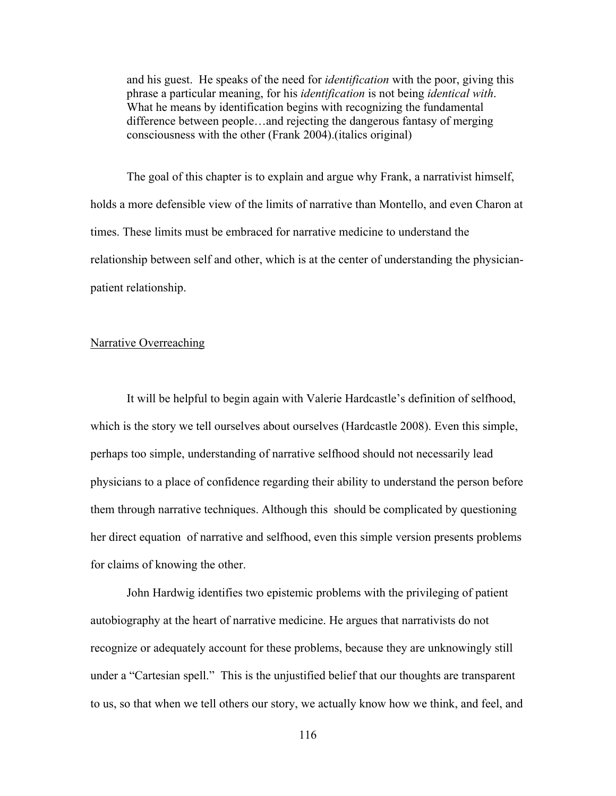and his guest. He speaks of the need for *identification* with the poor, giving this phrase a particular meaning, for his *identification* is not being *identical with*. What he means by identification begins with recognizing the fundamental difference between people…and rejecting the dangerous fantasy of merging consciousness with the other (Frank 2004).(italics original)

The goal of this chapter is to explain and argue why Frank, a narrativist himself, holds a more defensible view of the limits of narrative than Montello, and even Charon at times. These limits must be embraced for narrative medicine to understand the relationship between self and other, which is at the center of understanding the physicianpatient relationship.

### Narrative Overreaching

It will be helpful to begin again with Valerie Hardcastle's definition of selfhood, which is the story we tell ourselves about ourselves (Hardcastle 2008). Even this simple, perhaps too simple, understanding of narrative selfhood should not necessarily lead physicians to a place of confidence regarding their ability to understand the person before them through narrative techniques. Although this should be complicated by questioning her direct equation of narrative and selfhood, even this simple version presents problems for claims of knowing the other.

John Hardwig identifies two epistemic problems with the privileging of patient autobiography at the heart of narrative medicine. He argues that narrativists do not recognize or adequately account for these problems, because they are unknowingly still under a "Cartesian spell." This is the unjustified belief that our thoughts are transparent to us, so that when we tell others our story, we actually know how we think, and feel, and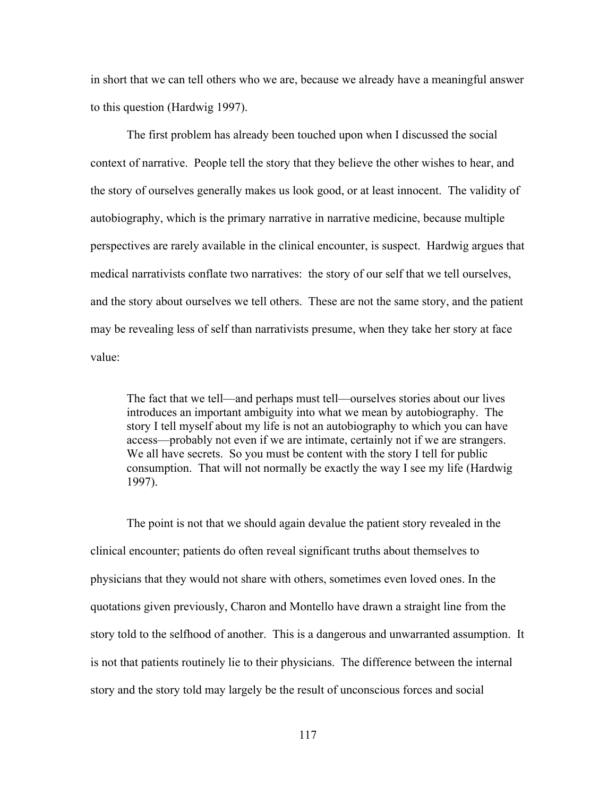in short that we can tell others who we are, because we already have a meaningful answer to this question (Hardwig 1997).

The first problem has already been touched upon when I discussed the social context of narrative. People tell the story that they believe the other wishes to hear, and the story of ourselves generally makes us look good, or at least innocent. The validity of autobiography, which is the primary narrative in narrative medicine, because multiple perspectives are rarely available in the clinical encounter, is suspect. Hardwig argues that medical narrativists conflate two narratives: the story of our self that we tell ourselves, and the story about ourselves we tell others. These are not the same story, and the patient may be revealing less of self than narrativists presume, when they take her story at face value:

The fact that we tell—and perhaps must tell—ourselves stories about our lives introduces an important ambiguity into what we mean by autobiography. The story I tell myself about my life is not an autobiography to which you can have access—probably not even if we are intimate, certainly not if we are strangers. We all have secrets. So you must be content with the story I tell for public consumption. That will not normally be exactly the way I see my life (Hardwig 1997).

The point is not that we should again devalue the patient story revealed in the clinical encounter; patients do often reveal significant truths about themselves to physicians that they would not share with others, sometimes even loved ones. In the quotations given previously, Charon and Montello have drawn a straight line from the story told to the selfhood of another. This is a dangerous and unwarranted assumption. It is not that patients routinely lie to their physicians. The difference between the internal story and the story told may largely be the result of unconscious forces and social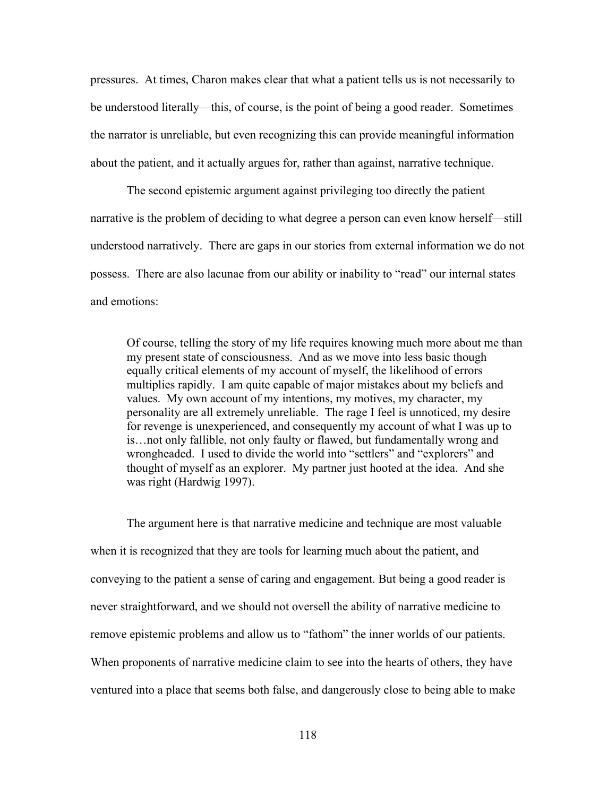pressures. At times, Charon makes clear that what a patient tells us is not necessarily to be understood literally—this, of course, is the point of being a good reader. Sometimes the narrator is unreliable, but even recognizing this can provide meaningful information about the patient, and it actually argues for, rather than against, narrative technique.

The second epistemic argument against privileging too directly the patient narrative is the problem of deciding to what degree a person can even know herself—still understood narratively. There are gaps in our stories from external information we do not possess. There are also lacunae from our ability or inability to "read" our internal states and emotions:

Of course, telling the story of my life requires knowing much more about me than my present state of consciousness. And as we move into less basic though equally critical elements of my account of myself, the likelihood of errors multiplies rapidly. I am quite capable of major mistakes about my beliefs and values. My own account of my intentions, my motives, my character, my personality are all extremely unreliable. The rage I feel is unnoticed, my desire for revenge is unexperienced, and consequently my account of what I was up to is…not only fallible, not only faulty or flawed, but fundamentally wrong and wrongheaded. I used to divide the world into "settlers" and "explorers" and thought of myself as an explorer. My partner just hooted at the idea. And she was right (Hardwig 1997).

The argument here is that narrative medicine and technique are most valuable when it is recognized that they are tools for learning much about the patient, and conveying to the patient a sense of caring and engagement. But being a good reader is never straightforward, and we should not oversell the ability of narrative medicine to remove epistemic problems and allow us to "fathom" the inner worlds of our patients. When proponents of narrative medicine claim to see into the hearts of others, they have ventured into a place that seems both false, and dangerously close to being able to make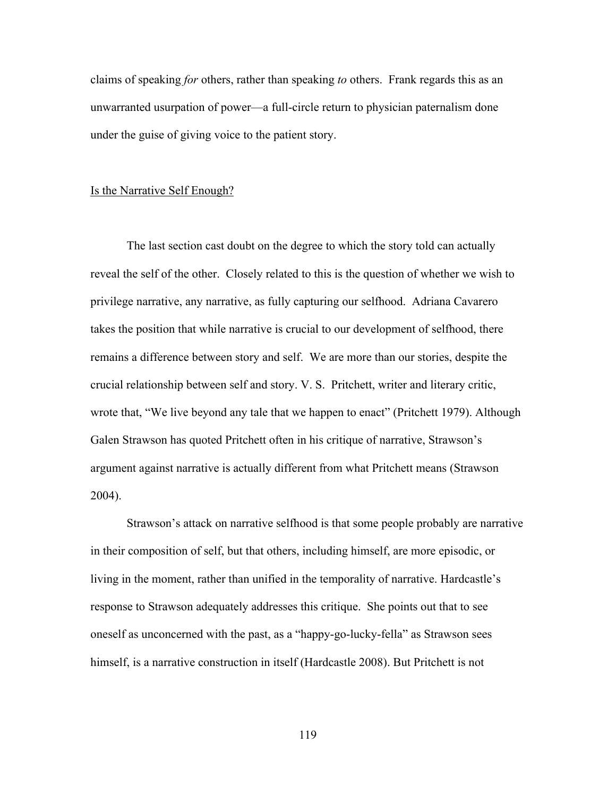claims of speaking *for* others, rather than speaking *to* others. Frank regards this as an unwarranted usurpation of power—a full-circle return to physician paternalism done under the guise of giving voice to the patient story.

#### Is the Narrative Self Enough?

The last section cast doubt on the degree to which the story told can actually reveal the self of the other. Closely related to this is the question of whether we wish to privilege narrative, any narrative, as fully capturing our selfhood. Adriana Cavarero takes the position that while narrative is crucial to our development of selfhood, there remains a difference between story and self. We are more than our stories, despite the crucial relationship between self and story. V. S. Pritchett, writer and literary critic, wrote that, "We live beyond any tale that we happen to enact" (Pritchett 1979). Although Galen Strawson has quoted Pritchett often in his critique of narrative, Strawson's argument against narrative is actually different from what Pritchett means (Strawson 2004).

Strawson's attack on narrative selfhood is that some people probably are narrative in their composition of self, but that others, including himself, are more episodic, or living in the moment, rather than unified in the temporality of narrative. Hardcastle's response to Strawson adequately addresses this critique. She points out that to see oneself as unconcerned with the past, as a "happy-go-lucky-fella" as Strawson sees himself, is a narrative construction in itself (Hardcastle 2008). But Pritchett is not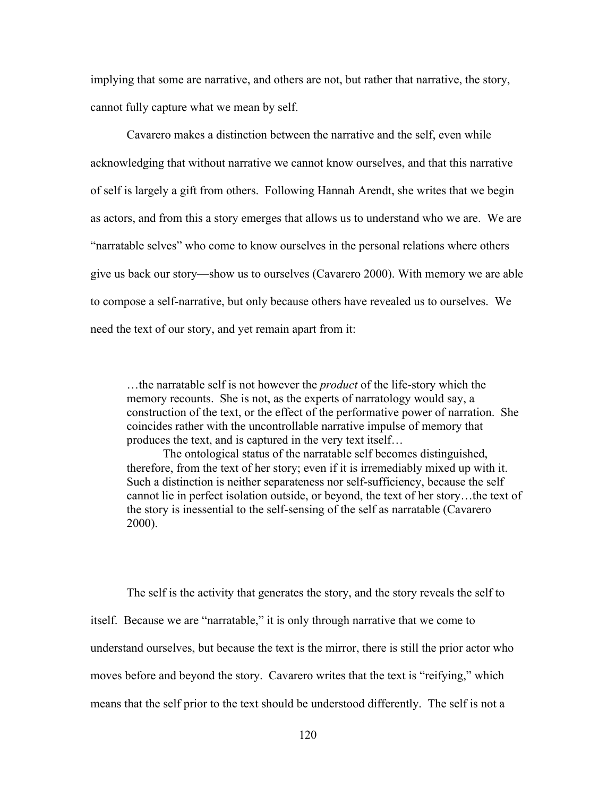implying that some are narrative, and others are not, but rather that narrative, the story, cannot fully capture what we mean by self.

Cavarero makes a distinction between the narrative and the self, even while acknowledging that without narrative we cannot know ourselves, and that this narrative of self is largely a gift from others. Following Hannah Arendt, she writes that we begin as actors, and from this a story emerges that allows us to understand who we are. We are "narratable selves" who come to know ourselves in the personal relations where others give us back our story—show us to ourselves (Cavarero 2000). With memory we are able to compose a self-narrative, but only because others have revealed us to ourselves. We need the text of our story, and yet remain apart from it:

…the narratable self is not however the *product* of the life-story which the memory recounts. She is not, as the experts of narratology would say, a construction of the text, or the effect of the performative power of narration. She coincides rather with the uncontrollable narrative impulse of memory that produces the text, and is captured in the very text itself…

The ontological status of the narratable self becomes distinguished, therefore, from the text of her story; even if it is irremediably mixed up with it. Such a distinction is neither separateness nor self-sufficiency, because the self cannot lie in perfect isolation outside, or beyond, the text of her story…the text of the story is inessential to the self-sensing of the self as narratable (Cavarero 2000).

The self is the activity that generates the story, and the story reveals the self to itself. Because we are "narratable," it is only through narrative that we come to understand ourselves, but because the text is the mirror, there is still the prior actor who moves before and beyond the story. Cavarero writes that the text is "reifying," which means that the self prior to the text should be understood differently. The self is not a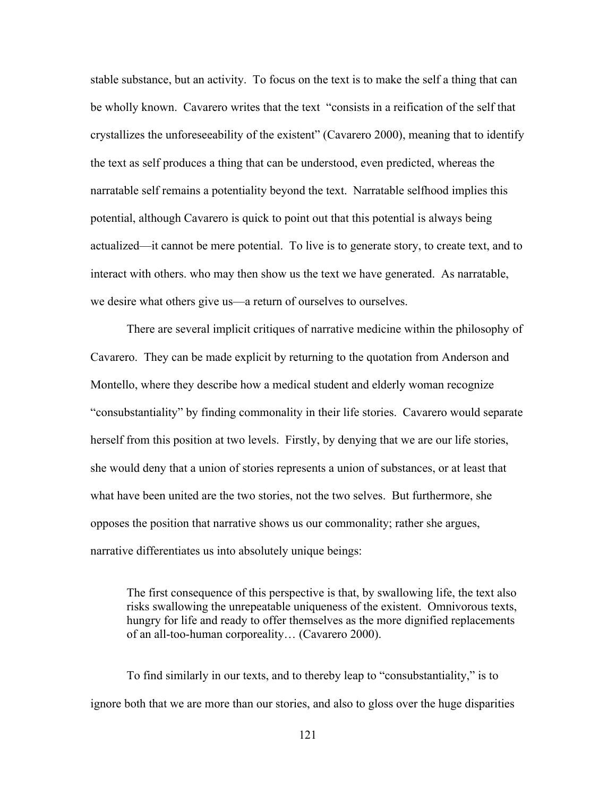stable substance, but an activity. To focus on the text is to make the self a thing that can be wholly known. Cavarero writes that the text "consists in a reification of the self that crystallizes the unforeseeability of the existent" (Cavarero 2000), meaning that to identify the text as self produces a thing that can be understood, even predicted, whereas the narratable self remains a potentiality beyond the text. Narratable selfhood implies this potential, although Cavarero is quick to point out that this potential is always being actualized—it cannot be mere potential. To live is to generate story, to create text, and to interact with others. who may then show us the text we have generated. As narratable, we desire what others give us—a return of ourselves to ourselves.

There are several implicit critiques of narrative medicine within the philosophy of Cavarero. They can be made explicit by returning to the quotation from Anderson and Montello, where they describe how a medical student and elderly woman recognize "consubstantiality" by finding commonality in their life stories. Cavarero would separate herself from this position at two levels. Firstly, by denying that we are our life stories, she would deny that a union of stories represents a union of substances, or at least that what have been united are the two stories, not the two selves. But furthermore, she opposes the position that narrative shows us our commonality; rather she argues, narrative differentiates us into absolutely unique beings:

The first consequence of this perspective is that, by swallowing life, the text also risks swallowing the unrepeatable uniqueness of the existent. Omnivorous texts, hungry for life and ready to offer themselves as the more dignified replacements of an all-too-human corporeality… (Cavarero 2000).

To find similarly in our texts, and to thereby leap to "consubstantiality," is to ignore both that we are more than our stories, and also to gloss over the huge disparities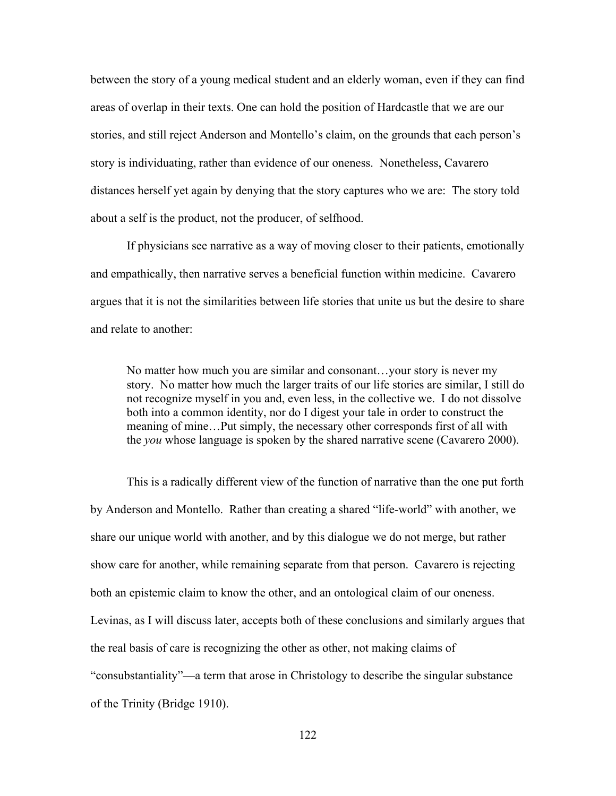between the story of a young medical student and an elderly woman, even if they can find areas of overlap in their texts. One can hold the position of Hardcastle that we are our stories, and still reject Anderson and Montello's claim, on the grounds that each person's story is individuating, rather than evidence of our oneness. Nonetheless, Cavarero distances herself yet again by denying that the story captures who we are: The story told about a self is the product, not the producer, of selfhood.

If physicians see narrative as a way of moving closer to their patients, emotionally and empathically, then narrative serves a beneficial function within medicine. Cavarero argues that it is not the similarities between life stories that unite us but the desire to share and relate to another:

No matter how much you are similar and consonant…your story is never my story. No matter how much the larger traits of our life stories are similar, I still do not recognize myself in you and, even less, in the collective we. I do not dissolve both into a common identity, nor do I digest your tale in order to construct the meaning of mine…Put simply, the necessary other corresponds first of all with the *you* whose language is spoken by the shared narrative scene (Cavarero 2000).

This is a radically different view of the function of narrative than the one put forth by Anderson and Montello. Rather than creating a shared "life-world" with another, we share our unique world with another, and by this dialogue we do not merge, but rather show care for another, while remaining separate from that person. Cavarero is rejecting both an epistemic claim to know the other, and an ontological claim of our oneness. Levinas, as I will discuss later, accepts both of these conclusions and similarly argues that the real basis of care is recognizing the other as other, not making claims of "consubstantiality"—a term that arose in Christology to describe the singular substance of the Trinity (Bridge 1910).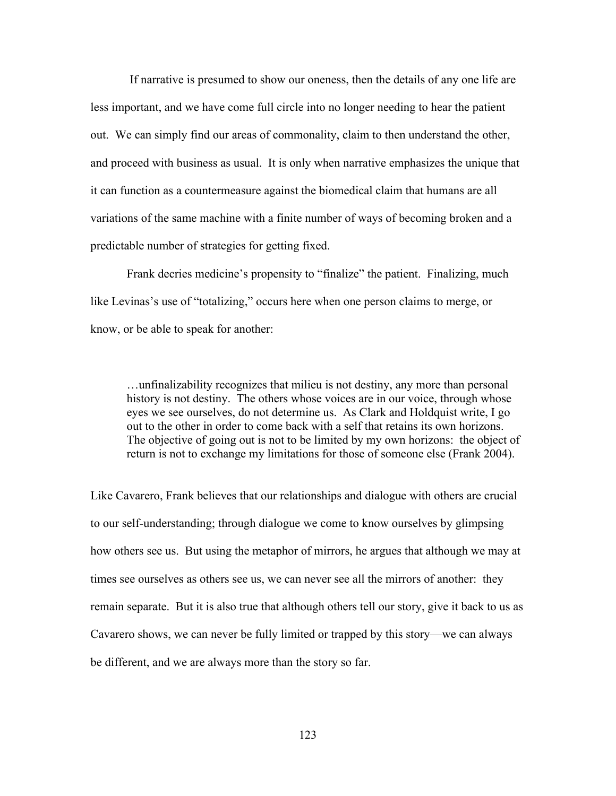If narrative is presumed to show our oneness, then the details of any one life are less important, and we have come full circle into no longer needing to hear the patient out. We can simply find our areas of commonality, claim to then understand the other, and proceed with business as usual. It is only when narrative emphasizes the unique that it can function as a countermeasure against the biomedical claim that humans are all variations of the same machine with a finite number of ways of becoming broken and a predictable number of strategies for getting fixed.

Frank decries medicine's propensity to "finalize" the patient. Finalizing, much like Levinas's use of "totalizing," occurs here when one person claims to merge, or know, or be able to speak for another:

…unfinalizability recognizes that milieu is not destiny, any more than personal history is not destiny. The others whose voices are in our voice, through whose eyes we see ourselves, do not determine us. As Clark and Holdquist write, I go out to the other in order to come back with a self that retains its own horizons. The objective of going out is not to be limited by my own horizons: the object of return is not to exchange my limitations for those of someone else (Frank 2004).

Like Cavarero, Frank believes that our relationships and dialogue with others are crucial to our self-understanding; through dialogue we come to know ourselves by glimpsing how others see us. But using the metaphor of mirrors, he argues that although we may at times see ourselves as others see us, we can never see all the mirrors of another: they remain separate. But it is also true that although others tell our story, give it back to us as Cavarero shows, we can never be fully limited or trapped by this story—we can always be different, and we are always more than the story so far.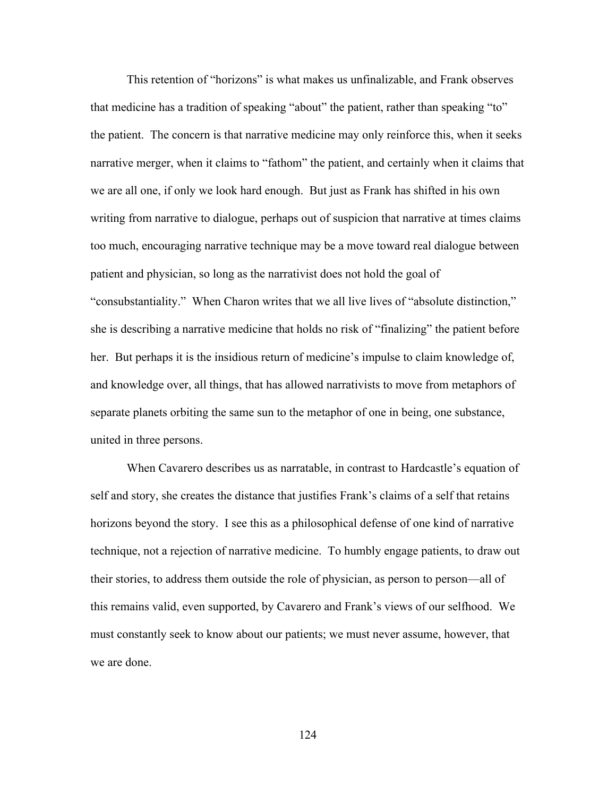This retention of "horizons" is what makes us unfinalizable, and Frank observes that medicine has a tradition of speaking "about" the patient, rather than speaking "to" the patient. The concern is that narrative medicine may only reinforce this, when it seeks narrative merger, when it claims to "fathom" the patient, and certainly when it claims that we are all one, if only we look hard enough. But just as Frank has shifted in his own writing from narrative to dialogue, perhaps out of suspicion that narrative at times claims too much, encouraging narrative technique may be a move toward real dialogue between patient and physician, so long as the narrativist does not hold the goal of "consubstantiality." When Charon writes that we all live lives of "absolute distinction," she is describing a narrative medicine that holds no risk of "finalizing" the patient before her. But perhaps it is the insidious return of medicine's impulse to claim knowledge of, and knowledge over, all things, that has allowed narrativists to move from metaphors of separate planets orbiting the same sun to the metaphor of one in being, one substance, united in three persons.

When Cavarero describes us as narratable, in contrast to Hardcastle's equation of self and story, she creates the distance that justifies Frank's claims of a self that retains horizons beyond the story. I see this as a philosophical defense of one kind of narrative technique, not a rejection of narrative medicine. To humbly engage patients, to draw out their stories, to address them outside the role of physician, as person to person—all of this remains valid, even supported, by Cavarero and Frank's views of our selfhood. We must constantly seek to know about our patients; we must never assume, however, that we are done.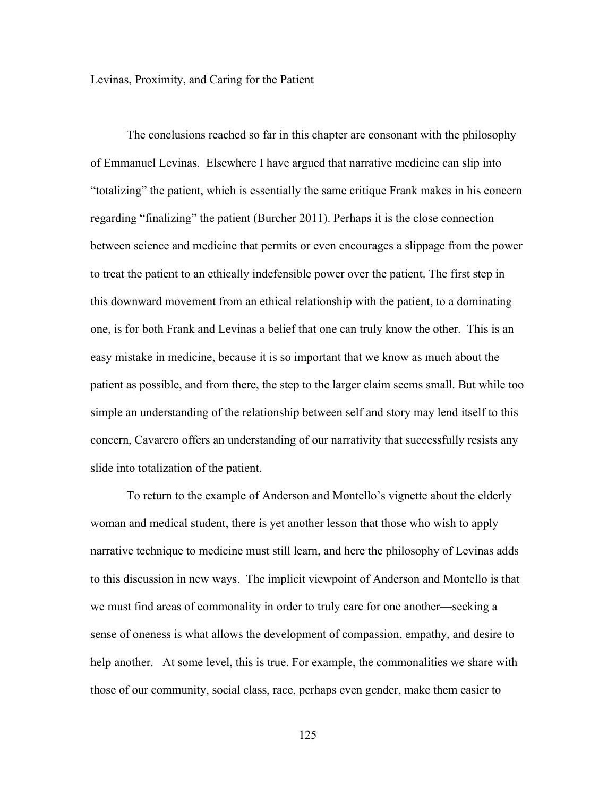# Levinas, Proximity, and Caring for the Patient

The conclusions reached so far in this chapter are consonant with the philosophy of Emmanuel Levinas. Elsewhere I have argued that narrative medicine can slip into "totalizing" the patient, which is essentially the same critique Frank makes in his concern regarding "finalizing" the patient (Burcher 2011). Perhaps it is the close connection between science and medicine that permits or even encourages a slippage from the power to treat the patient to an ethically indefensible power over the patient. The first step in this downward movement from an ethical relationship with the patient, to a dominating one, is for both Frank and Levinas a belief that one can truly know the other. This is an easy mistake in medicine, because it is so important that we know as much about the patient as possible, and from there, the step to the larger claim seems small. But while too simple an understanding of the relationship between self and story may lend itself to this concern, Cavarero offers an understanding of our narrativity that successfully resists any slide into totalization of the patient.

To return to the example of Anderson and Montello's vignette about the elderly woman and medical student, there is yet another lesson that those who wish to apply narrative technique to medicine must still learn, and here the philosophy of Levinas adds to this discussion in new ways. The implicit viewpoint of Anderson and Montello is that we must find areas of commonality in order to truly care for one another—seeking a sense of oneness is what allows the development of compassion, empathy, and desire to help another. At some level, this is true. For example, the commonalities we share with those of our community, social class, race, perhaps even gender, make them easier to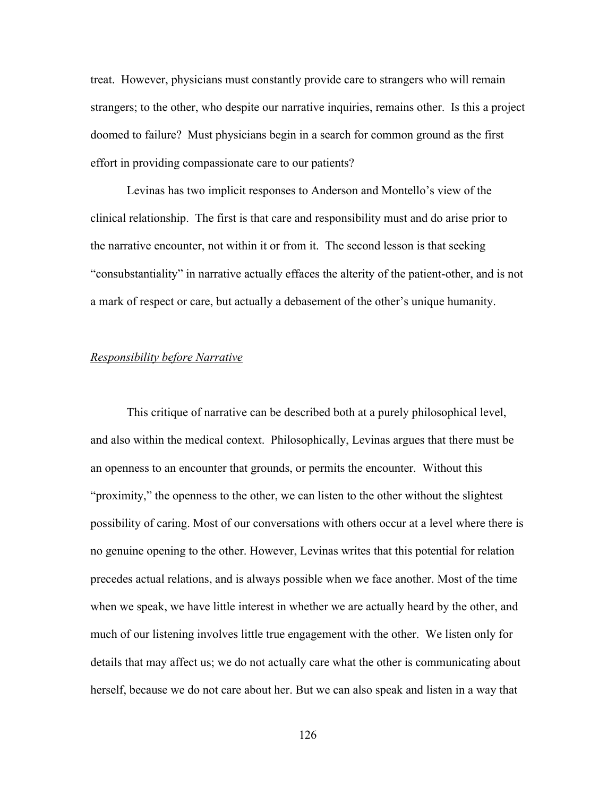treat. However, physicians must constantly provide care to strangers who will remain strangers; to the other, who despite our narrative inquiries, remains other. Is this a project doomed to failure? Must physicians begin in a search for common ground as the first effort in providing compassionate care to our patients?

Levinas has two implicit responses to Anderson and Montello's view of the clinical relationship. The first is that care and responsibility must and do arise prior to the narrative encounter, not within it or from it. The second lesson is that seeking "consubstantiality" in narrative actually effaces the alterity of the patient-other, and is not a mark of respect or care, but actually a debasement of the other's unique humanity.

#### *Responsibility before Narrative*

This critique of narrative can be described both at a purely philosophical level, and also within the medical context. Philosophically, Levinas argues that there must be an openness to an encounter that grounds, or permits the encounter. Without this "proximity," the openness to the other, we can listen to the other without the slightest possibility of caring. Most of our conversations with others occur at a level where there is no genuine opening to the other. However, Levinas writes that this potential for relation precedes actual relations, and is always possible when we face another. Most of the time when we speak, we have little interest in whether we are actually heard by the other, and much of our listening involves little true engagement with the other. We listen only for details that may affect us; we do not actually care what the other is communicating about herself, because we do not care about her. But we can also speak and listen in a way that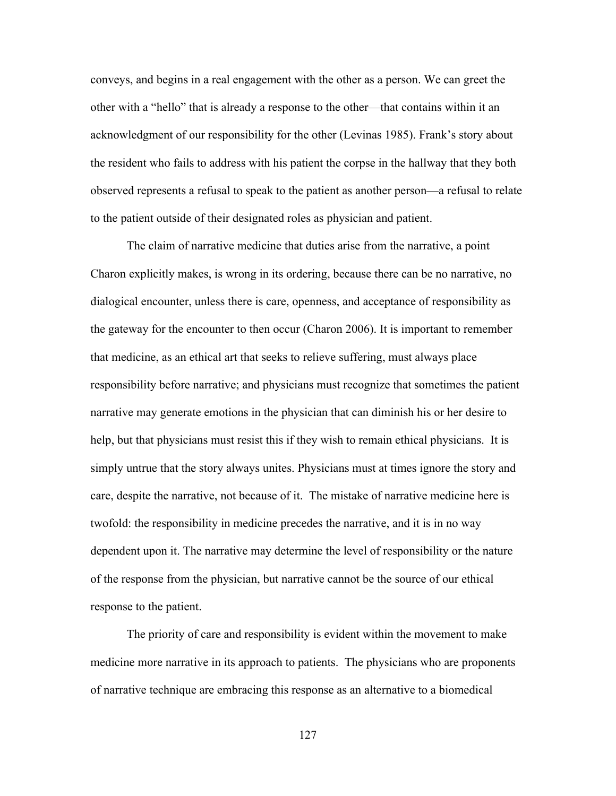conveys, and begins in a real engagement with the other as a person. We can greet the other with a "hello" that is already a response to the other—that contains within it an acknowledgment of our responsibility for the other (Levinas 1985). Frank's story about the resident who fails to address with his patient the corpse in the hallway that they both observed represents a refusal to speak to the patient as another person—a refusal to relate to the patient outside of their designated roles as physician and patient.

The claim of narrative medicine that duties arise from the narrative, a point Charon explicitly makes, is wrong in its ordering, because there can be no narrative, no dialogical encounter, unless there is care, openness, and acceptance of responsibility as the gateway for the encounter to then occur (Charon 2006). It is important to remember that medicine, as an ethical art that seeks to relieve suffering, must always place responsibility before narrative; and physicians must recognize that sometimes the patient narrative may generate emotions in the physician that can diminish his or her desire to help, but that physicians must resist this if they wish to remain ethical physicians. It is simply untrue that the story always unites. Physicians must at times ignore the story and care, despite the narrative, not because of it. The mistake of narrative medicine here is twofold: the responsibility in medicine precedes the narrative, and it is in no way dependent upon it. The narrative may determine the level of responsibility or the nature of the response from the physician, but narrative cannot be the source of our ethical response to the patient.

The priority of care and responsibility is evident within the movement to make medicine more narrative in its approach to patients. The physicians who are proponents of narrative technique are embracing this response as an alternative to a biomedical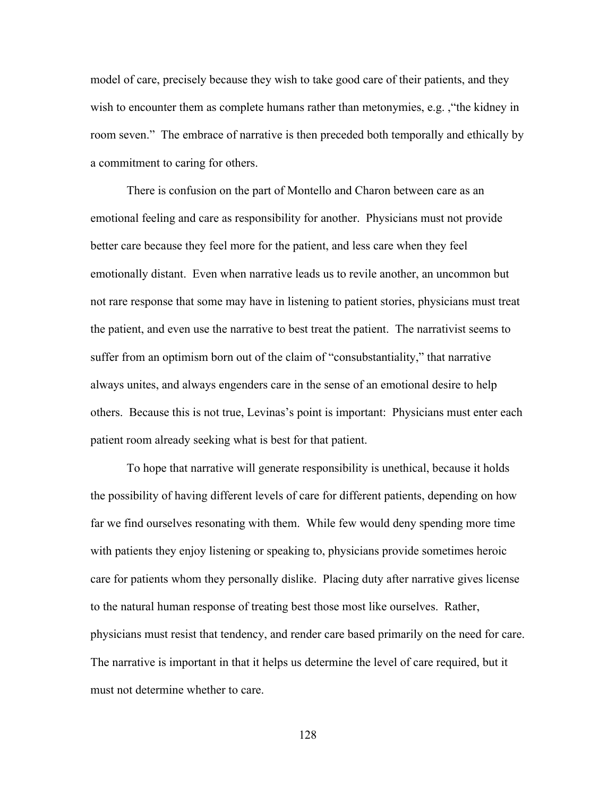model of care, precisely because they wish to take good care of their patients, and they wish to encounter them as complete humans rather than metonymies, e.g., "the kidney in room seven." The embrace of narrative is then preceded both temporally and ethically by a commitment to caring for others.

There is confusion on the part of Montello and Charon between care as an emotional feeling and care as responsibility for another. Physicians must not provide better care because they feel more for the patient, and less care when they feel emotionally distant. Even when narrative leads us to revile another, an uncommon but not rare response that some may have in listening to patient stories, physicians must treat the patient, and even use the narrative to best treat the patient. The narrativist seems to suffer from an optimism born out of the claim of "consubstantiality," that narrative always unites, and always engenders care in the sense of an emotional desire to help others. Because this is not true, Levinas's point is important: Physicians must enter each patient room already seeking what is best for that patient.

To hope that narrative will generate responsibility is unethical, because it holds the possibility of having different levels of care for different patients, depending on how far we find ourselves resonating with them. While few would deny spending more time with patients they enjoy listening or speaking to, physicians provide sometimes heroic care for patients whom they personally dislike. Placing duty after narrative gives license to the natural human response of treating best those most like ourselves. Rather, physicians must resist that tendency, and render care based primarily on the need for care. The narrative is important in that it helps us determine the level of care required, but it must not determine whether to care.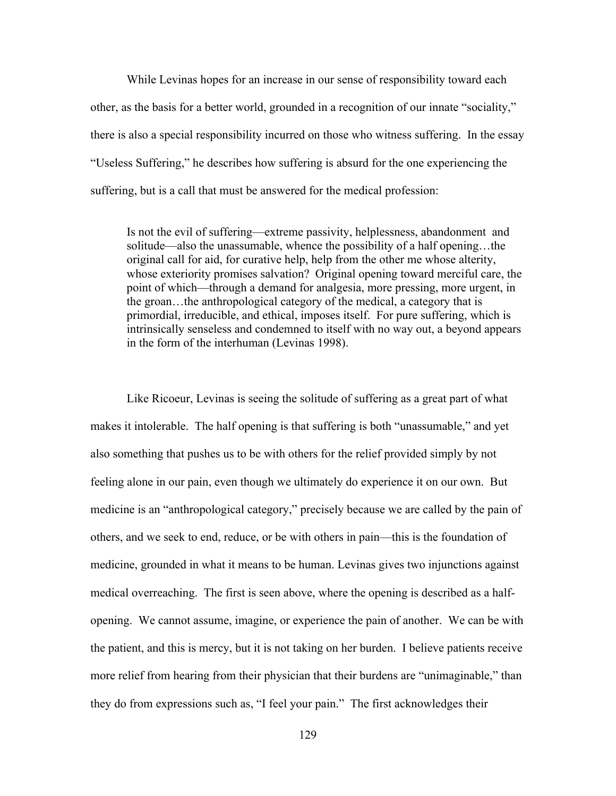While Levinas hopes for an increase in our sense of responsibility toward each other, as the basis for a better world, grounded in a recognition of our innate "sociality," there is also a special responsibility incurred on those who witness suffering. In the essay "Useless Suffering," he describes how suffering is absurd for the one experiencing the suffering, but is a call that must be answered for the medical profession:

Is not the evil of suffering—extreme passivity, helplessness, abandonment and solitude—also the unassumable, whence the possibility of a half opening…the original call for aid, for curative help, help from the other me whose alterity, whose exteriority promises salvation? Original opening toward merciful care, the point of which—through a demand for analgesia, more pressing, more urgent, in the groan…the anthropological category of the medical, a category that is primordial, irreducible, and ethical, imposes itself. For pure suffering, which is intrinsically senseless and condemned to itself with no way out, a beyond appears in the form of the interhuman (Levinas 1998).

Like Ricoeur, Levinas is seeing the solitude of suffering as a great part of what makes it intolerable. The half opening is that suffering is both "unassumable," and yet also something that pushes us to be with others for the relief provided simply by not feeling alone in our pain, even though we ultimately do experience it on our own. But medicine is an "anthropological category," precisely because we are called by the pain of others, and we seek to end, reduce, or be with others in pain—this is the foundation of medicine, grounded in what it means to be human. Levinas gives two injunctions against medical overreaching. The first is seen above, where the opening is described as a halfopening. We cannot assume, imagine, or experience the pain of another. We can be with the patient, and this is mercy, but it is not taking on her burden. I believe patients receive more relief from hearing from their physician that their burdens are "unimaginable," than they do from expressions such as, "I feel your pain." The first acknowledges their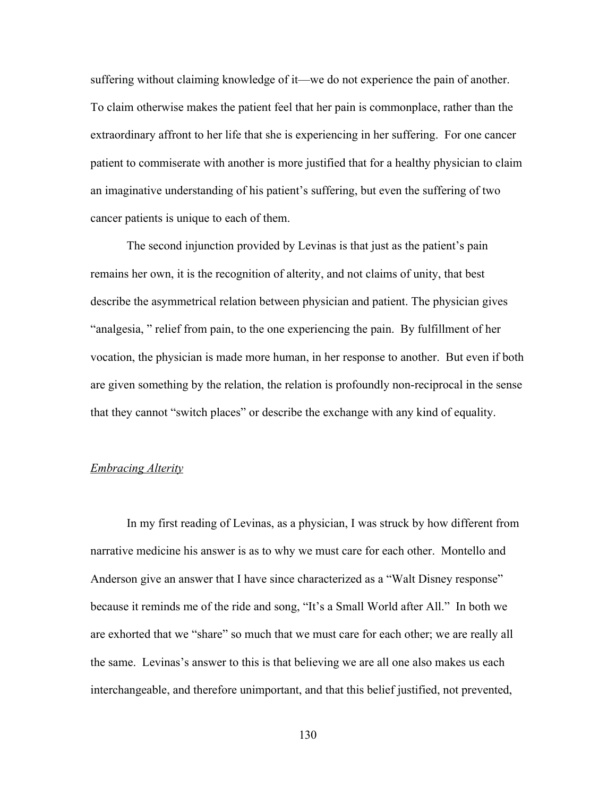suffering without claiming knowledge of it—we do not experience the pain of another. To claim otherwise makes the patient feel that her pain is commonplace, rather than the extraordinary affront to her life that she is experiencing in her suffering. For one cancer patient to commiserate with another is more justified that for a healthy physician to claim an imaginative understanding of his patient's suffering, but even the suffering of two cancer patients is unique to each of them.

The second injunction provided by Levinas is that just as the patient's pain remains her own, it is the recognition of alterity, and not claims of unity, that best describe the asymmetrical relation between physician and patient. The physician gives "analgesia, " relief from pain, to the one experiencing the pain. By fulfillment of her vocation, the physician is made more human, in her response to another. But even if both are given something by the relation, the relation is profoundly non-reciprocal in the sense that they cannot "switch places" or describe the exchange with any kind of equality.

### *Embracing Alterity*

In my first reading of Levinas, as a physician, I was struck by how different from narrative medicine his answer is as to why we must care for each other. Montello and Anderson give an answer that I have since characterized as a "Walt Disney response" because it reminds me of the ride and song, "It's a Small World after All." In both we are exhorted that we "share" so much that we must care for each other; we are really all the same. Levinas's answer to this is that believing we are all one also makes us each interchangeable, and therefore unimportant, and that this belief justified, not prevented,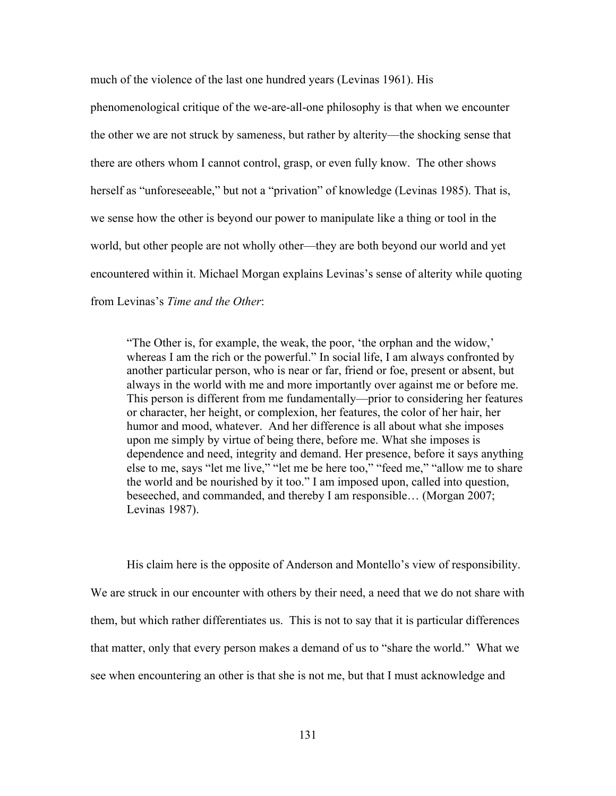much of the violence of the last one hundred years (Levinas 1961). His

phenomenological critique of the we-are-all-one philosophy is that when we encounter the other we are not struck by sameness, but rather by alterity—the shocking sense that there are others whom I cannot control, grasp, or even fully know. The other shows herself as "unforeseeable," but not a "privation" of knowledge (Levinas 1985). That is, we sense how the other is beyond our power to manipulate like a thing or tool in the world, but other people are not wholly other—they are both beyond our world and yet encountered within it. Michael Morgan explains Levinas's sense of alterity while quoting from Levinas's *Time and the Other*:

"The Other is, for example, the weak, the poor, 'the orphan and the widow,' whereas I am the rich or the powerful." In social life, I am always confronted by another particular person, who is near or far, friend or foe, present or absent, but always in the world with me and more importantly over against me or before me. This person is different from me fundamentally—prior to considering her features or character, her height, or complexion, her features, the color of her hair, her humor and mood, whatever. And her difference is all about what she imposes upon me simply by virtue of being there, before me. What she imposes is dependence and need, integrity and demand. Her presence, before it says anything else to me, says "let me live," "let me be here too," "feed me," "allow me to share the world and be nourished by it too." I am imposed upon, called into question, beseeched, and commanded, and thereby I am responsible… (Morgan 2007; Levinas 1987).

His claim here is the opposite of Anderson and Montello's view of responsibility. We are struck in our encounter with others by their need, a need that we do not share with them, but which rather differentiates us. This is not to say that it is particular differences that matter, only that every person makes a demand of us to "share the world." What we see when encountering an other is that she is not me, but that I must acknowledge and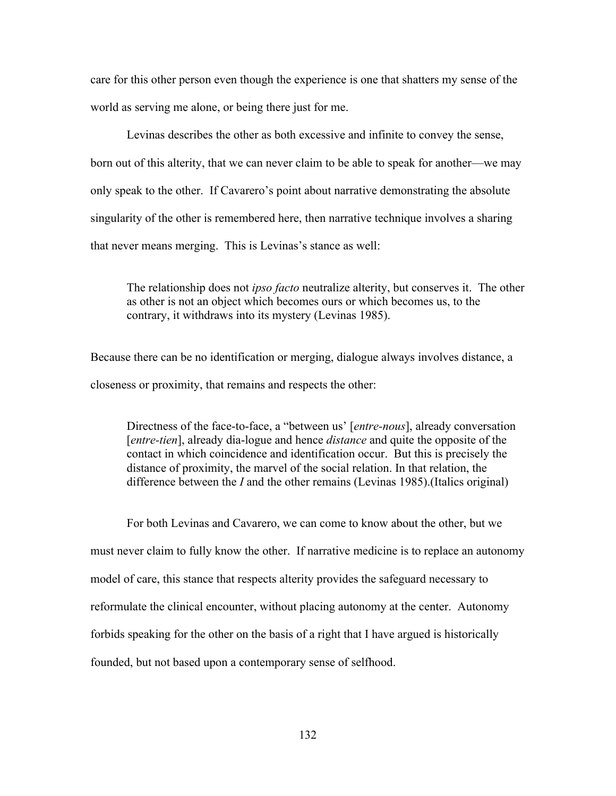care for this other person even though the experience is one that shatters my sense of the world as serving me alone, or being there just for me.

Levinas describes the other as both excessive and infinite to convey the sense, born out of this alterity, that we can never claim to be able to speak for another—we may only speak to the other. If Cavarero's point about narrative demonstrating the absolute singularity of the other is remembered here, then narrative technique involves a sharing that never means merging. This is Levinas's stance as well:

The relationship does not *ipso facto* neutralize alterity, but conserves it. The other as other is not an object which becomes ours or which becomes us, to the contrary, it withdraws into its mystery (Levinas 1985).

Because there can be no identification or merging, dialogue always involves distance, a closeness or proximity, that remains and respects the other:

Directness of the face-to-face, a "between us' [*entre-nous*], already conversation [*entre-tien*], already dia-logue and hence *distance* and quite the opposite of the contact in which coincidence and identification occur. But this is precisely the distance of proximity, the marvel of the social relation. In that relation, the difference between the *I* and the other remains (Levinas 1985).(Italics original)

For both Levinas and Cavarero, we can come to know about the other, but we must never claim to fully know the other. If narrative medicine is to replace an autonomy model of care, this stance that respects alterity provides the safeguard necessary to reformulate the clinical encounter, without placing autonomy at the center. Autonomy forbids speaking for the other on the basis of a right that I have argued is historically founded, but not based upon a contemporary sense of selfhood.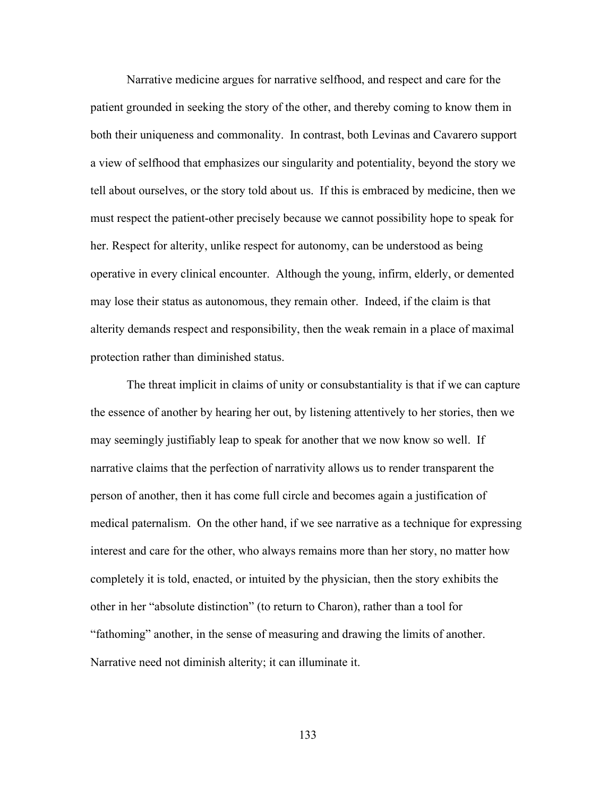Narrative medicine argues for narrative selfhood, and respect and care for the patient grounded in seeking the story of the other, and thereby coming to know them in both their uniqueness and commonality. In contrast, both Levinas and Cavarero support a view of selfhood that emphasizes our singularity and potentiality, beyond the story we tell about ourselves, or the story told about us. If this is embraced by medicine, then we must respect the patient-other precisely because we cannot possibility hope to speak for her. Respect for alterity, unlike respect for autonomy, can be understood as being operative in every clinical encounter. Although the young, infirm, elderly, or demented may lose their status as autonomous, they remain other. Indeed, if the claim is that alterity demands respect and responsibility, then the weak remain in a place of maximal protection rather than diminished status.

The threat implicit in claims of unity or consubstantiality is that if we can capture the essence of another by hearing her out, by listening attentively to her stories, then we may seemingly justifiably leap to speak for another that we now know so well. If narrative claims that the perfection of narrativity allows us to render transparent the person of another, then it has come full circle and becomes again a justification of medical paternalism. On the other hand, if we see narrative as a technique for expressing interest and care for the other, who always remains more than her story, no matter how completely it is told, enacted, or intuited by the physician, then the story exhibits the other in her "absolute distinction" (to return to Charon), rather than a tool for "fathoming" another, in the sense of measuring and drawing the limits of another. Narrative need not diminish alterity; it can illuminate it.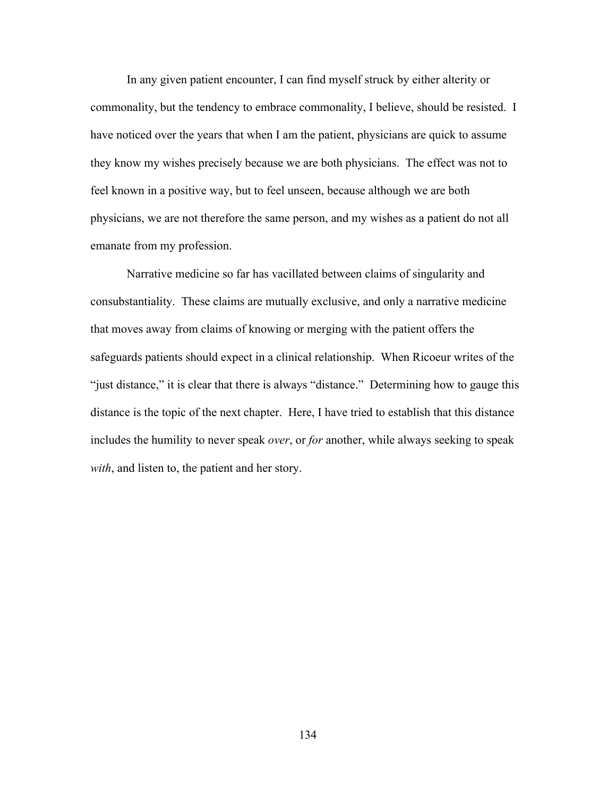In any given patient encounter, I can find myself struck by either alterity or commonality, but the tendency to embrace commonality, I believe, should be resisted. I have noticed over the years that when I am the patient, physicians are quick to assume they know my wishes precisely because we are both physicians. The effect was not to feel known in a positive way, but to feel unseen, because although we are both physicians, we are not therefore the same person, and my wishes as a patient do not all emanate from my profession.

Narrative medicine so far has vacillated between claims of singularity and consubstantiality. These claims are mutually exclusive, and only a narrative medicine that moves away from claims of knowing or merging with the patient offers the safeguards patients should expect in a clinical relationship. When Ricoeur writes of the "just distance," it is clear that there is always "distance." Determining how to gauge this distance is the topic of the next chapter. Here, I have tried to establish that this distance includes the humility to never speak *over*, or *for* another, while always seeking to speak *with*, and listen to, the patient and her story.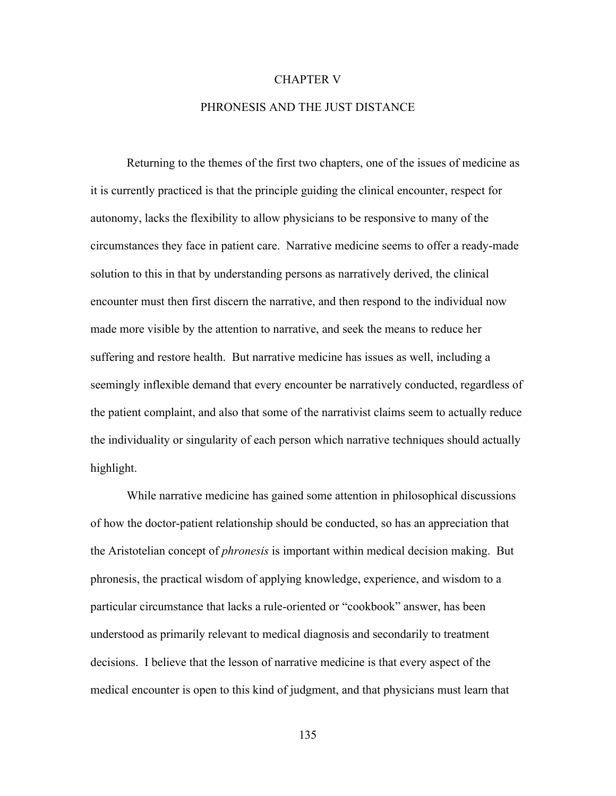### CHAPTER V

# PHRONESIS AND THE JUST DISTANCE

Returning to the themes of the first two chapters, one of the issues of medicine as it is currently practiced is that the principle guiding the clinical encounter, respect for autonomy, lacks the flexibility to allow physicians to be responsive to many of the circumstances they face in patient care. Narrative medicine seems to offer a ready-made solution to this in that by understanding persons as narratively derived, the clinical encounter must then first discern the narrative, and then respond to the individual now made more visible by the attention to narrative, and seek the means to reduce her suffering and restore health. But narrative medicine has issues as well, including a seemingly inflexible demand that every encounter be narratively conducted, regardless of the patient complaint, and also that some of the narrativist claims seem to actually reduce the individuality or singularity of each person which narrative techniques should actually highlight.

While narrative medicine has gained some attention in philosophical discussions of how the doctor-patient relationship should be conducted, so has an appreciation that the Aristotelian concept of *phronesis* is important within medical decision making. But phronesis, the practical wisdom of applying knowledge, experience, and wisdom to a particular circumstance that lacks a rule-oriented or "cookbook" answer, has been understood as primarily relevant to medical diagnosis and secondarily to treatment decisions. I believe that the lesson of narrative medicine is that every aspect of the medical encounter is open to this kind of judgment, and that physicians must learn that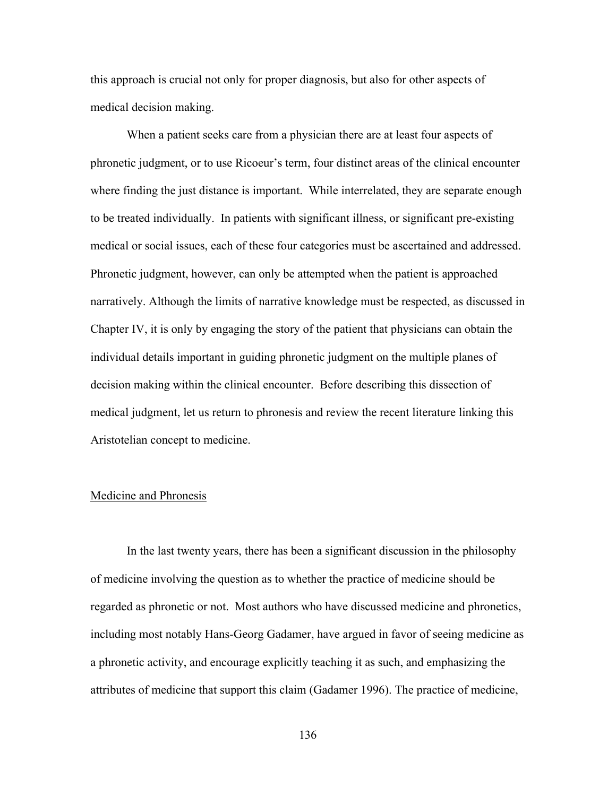this approach is crucial not only for proper diagnosis, but also for other aspects of medical decision making.

When a patient seeks care from a physician there are at least four aspects of phronetic judgment, or to use Ricoeur's term, four distinct areas of the clinical encounter where finding the just distance is important. While interrelated, they are separate enough to be treated individually. In patients with significant illness, or significant pre-existing medical or social issues, each of these four categories must be ascertained and addressed. Phronetic judgment, however, can only be attempted when the patient is approached narratively. Although the limits of narrative knowledge must be respected, as discussed in Chapter IV, it is only by engaging the story of the patient that physicians can obtain the individual details important in guiding phronetic judgment on the multiple planes of decision making within the clinical encounter. Before describing this dissection of medical judgment, let us return to phronesis and review the recent literature linking this Aristotelian concept to medicine.

### Medicine and Phronesis

In the last twenty years, there has been a significant discussion in the philosophy of medicine involving the question as to whether the practice of medicine should be regarded as phronetic or not. Most authors who have discussed medicine and phronetics, including most notably Hans-Georg Gadamer, have argued in favor of seeing medicine as a phronetic activity, and encourage explicitly teaching it as such, and emphasizing the attributes of medicine that support this claim (Gadamer 1996). The practice of medicine,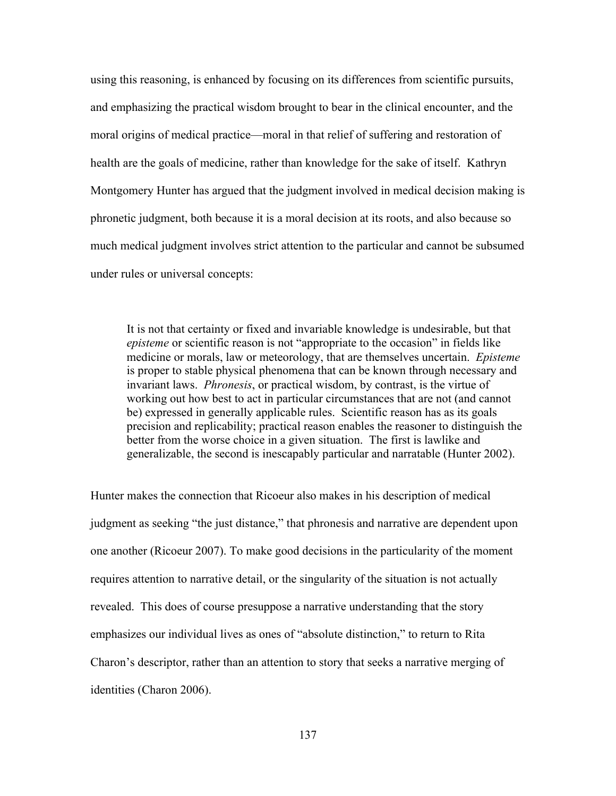using this reasoning, is enhanced by focusing on its differences from scientific pursuits, and emphasizing the practical wisdom brought to bear in the clinical encounter, and the moral origins of medical practice—moral in that relief of suffering and restoration of health are the goals of medicine, rather than knowledge for the sake of itself. Kathryn Montgomery Hunter has argued that the judgment involved in medical decision making is phronetic judgment, both because it is a moral decision at its roots, and also because so much medical judgment involves strict attention to the particular and cannot be subsumed under rules or universal concepts:

It is not that certainty or fixed and invariable knowledge is undesirable, but that *episteme* or scientific reason is not "appropriate to the occasion" in fields like medicine or morals, law or meteorology, that are themselves uncertain. *Episteme*  is proper to stable physical phenomena that can be known through necessary and invariant laws. *Phronesis*, or practical wisdom, by contrast, is the virtue of working out how best to act in particular circumstances that are not (and cannot be) expressed in generally applicable rules. Scientific reason has as its goals precision and replicability; practical reason enables the reasoner to distinguish the better from the worse choice in a given situation. The first is lawlike and generalizable, the second is inescapably particular and narratable (Hunter 2002).

Hunter makes the connection that Ricoeur also makes in his description of medical judgment as seeking "the just distance," that phronesis and narrative are dependent upon one another (Ricoeur 2007). To make good decisions in the particularity of the moment requires attention to narrative detail, or the singularity of the situation is not actually revealed. This does of course presuppose a narrative understanding that the story emphasizes our individual lives as ones of "absolute distinction," to return to Rita Charon's descriptor, rather than an attention to story that seeks a narrative merging of identities (Charon 2006).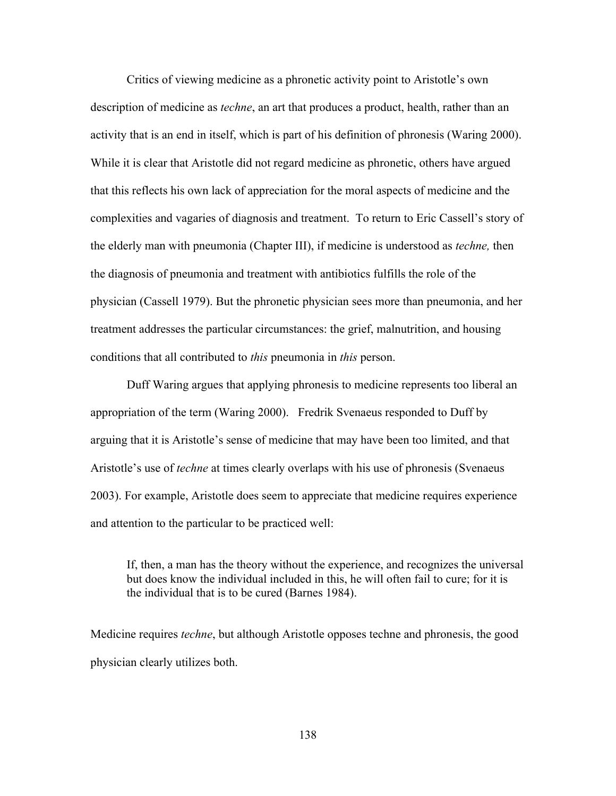Critics of viewing medicine as a phronetic activity point to Aristotle's own description of medicine as *techne*, an art that produces a product, health, rather than an activity that is an end in itself, which is part of his definition of phronesis (Waring 2000). While it is clear that Aristotle did not regard medicine as phronetic, others have argued that this reflects his own lack of appreciation for the moral aspects of medicine and the complexities and vagaries of diagnosis and treatment. To return to Eric Cassell's story of the elderly man with pneumonia (Chapter III), if medicine is understood as *techne,* then the diagnosis of pneumonia and treatment with antibiotics fulfills the role of the physician (Cassell 1979). But the phronetic physician sees more than pneumonia, and her treatment addresses the particular circumstances: the grief, malnutrition, and housing conditions that all contributed to *this* pneumonia in *this* person.

Duff Waring argues that applying phronesis to medicine represents too liberal an appropriation of the term (Waring 2000). Fredrik Svenaeus responded to Duff by arguing that it is Aristotle's sense of medicine that may have been too limited, and that Aristotle's use of *techne* at times clearly overlaps with his use of phronesis (Svenaeus 2003). For example, Aristotle does seem to appreciate that medicine requires experience and attention to the particular to be practiced well:

If, then, a man has the theory without the experience, and recognizes the universal but does know the individual included in this, he will often fail to cure; for it is the individual that is to be cured (Barnes 1984).

Medicine requires *techne*, but although Aristotle opposes techne and phronesis, the good physician clearly utilizes both.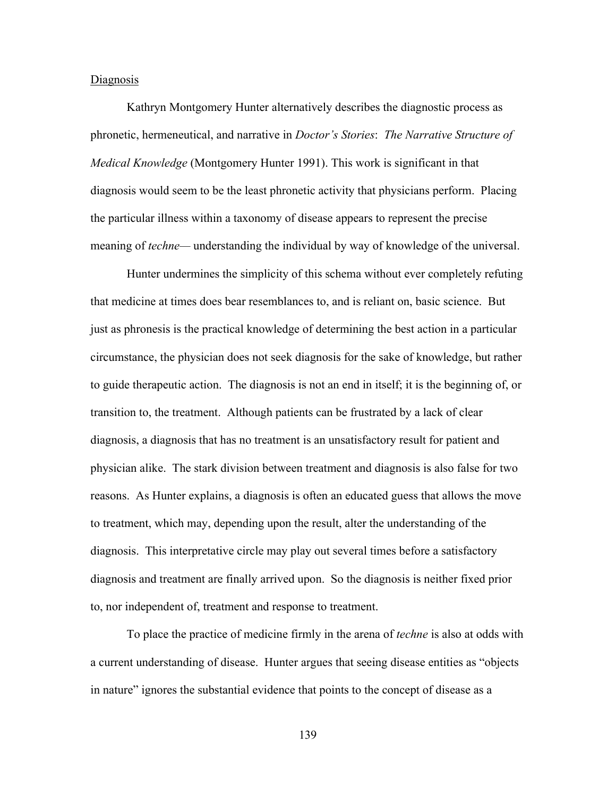## Diagnosis

Kathryn Montgomery Hunter alternatively describes the diagnostic process as phronetic, hermeneutical, and narrative in *Doctor's Stories*: *The Narrative Structure of Medical Knowledge* (Montgomery Hunter 1991). This work is significant in that diagnosis would seem to be the least phronetic activity that physicians perform. Placing the particular illness within a taxonomy of disease appears to represent the precise meaning of *techne—* understanding the individual by way of knowledge of the universal.

Hunter undermines the simplicity of this schema without ever completely refuting that medicine at times does bear resemblances to, and is reliant on, basic science. But just as phronesis is the practical knowledge of determining the best action in a particular circumstance, the physician does not seek diagnosis for the sake of knowledge, but rather to guide therapeutic action. The diagnosis is not an end in itself; it is the beginning of, or transition to, the treatment. Although patients can be frustrated by a lack of clear diagnosis, a diagnosis that has no treatment is an unsatisfactory result for patient and physician alike. The stark division between treatment and diagnosis is also false for two reasons. As Hunter explains, a diagnosis is often an educated guess that allows the move to treatment, which may, depending upon the result, alter the understanding of the diagnosis. This interpretative circle may play out several times before a satisfactory diagnosis and treatment are finally arrived upon. So the diagnosis is neither fixed prior to, nor independent of, treatment and response to treatment.

To place the practice of medicine firmly in the arena of *techne* is also at odds with a current understanding of disease. Hunter argues that seeing disease entities as "objects in nature" ignores the substantial evidence that points to the concept of disease as a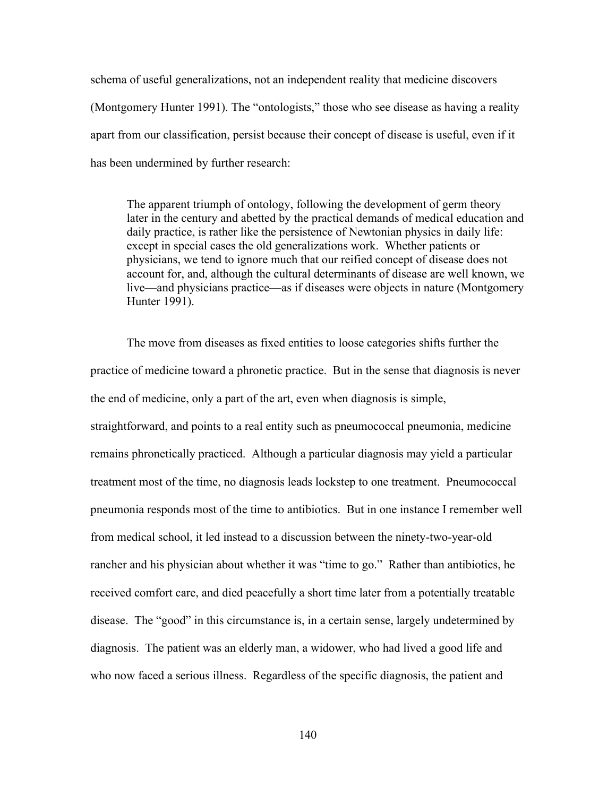schema of useful generalizations, not an independent reality that medicine discovers (Montgomery Hunter 1991). The "ontologists," those who see disease as having a reality apart from our classification, persist because their concept of disease is useful, even if it has been undermined by further research:

The apparent triumph of ontology, following the development of germ theory later in the century and abetted by the practical demands of medical education and daily practice, is rather like the persistence of Newtonian physics in daily life: except in special cases the old generalizations work. Whether patients or physicians, we tend to ignore much that our reified concept of disease does not account for, and, although the cultural determinants of disease are well known, we live—and physicians practice—as if diseases were objects in nature (Montgomery Hunter 1991).

The move from diseases as fixed entities to loose categories shifts further the practice of medicine toward a phronetic practice. But in the sense that diagnosis is never the end of medicine, only a part of the art, even when diagnosis is simple, straightforward, and points to a real entity such as pneumococcal pneumonia, medicine remains phronetically practiced. Although a particular diagnosis may yield a particular treatment most of the time, no diagnosis leads lockstep to one treatment. Pneumococcal pneumonia responds most of the time to antibiotics. But in one instance I remember well from medical school, it led instead to a discussion between the ninety-two-year-old rancher and his physician about whether it was "time to go." Rather than antibiotics, he received comfort care, and died peacefully a short time later from a potentially treatable disease. The "good" in this circumstance is, in a certain sense, largely undetermined by diagnosis. The patient was an elderly man, a widower, who had lived a good life and who now faced a serious illness. Regardless of the specific diagnosis, the patient and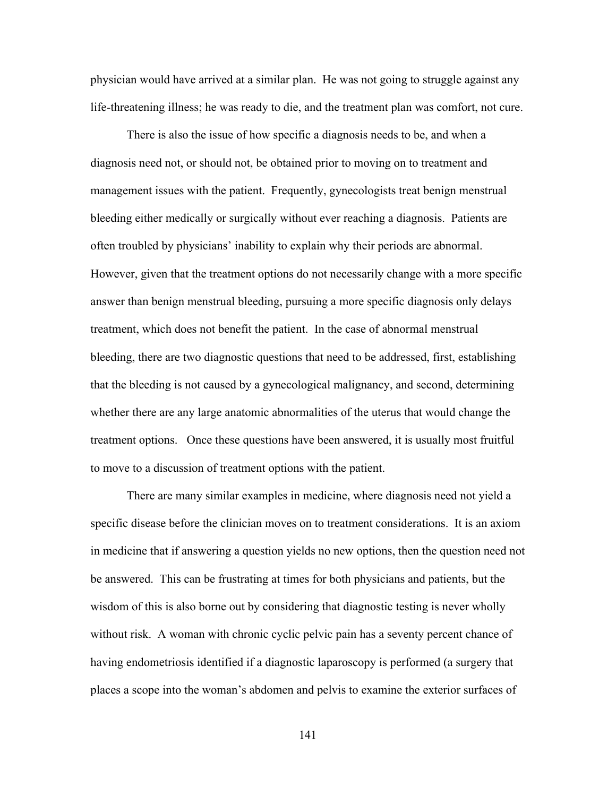physician would have arrived at a similar plan. He was not going to struggle against any life-threatening illness; he was ready to die, and the treatment plan was comfort, not cure.

There is also the issue of how specific a diagnosis needs to be, and when a diagnosis need not, or should not, be obtained prior to moving on to treatment and management issues with the patient. Frequently, gynecologists treat benign menstrual bleeding either medically or surgically without ever reaching a diagnosis. Patients are often troubled by physicians' inability to explain why their periods are abnormal. However, given that the treatment options do not necessarily change with a more specific answer than benign menstrual bleeding, pursuing a more specific diagnosis only delays treatment, which does not benefit the patient. In the case of abnormal menstrual bleeding, there are two diagnostic questions that need to be addressed, first, establishing that the bleeding is not caused by a gynecological malignancy, and second, determining whether there are any large anatomic abnormalities of the uterus that would change the treatment options. Once these questions have been answered, it is usually most fruitful to move to a discussion of treatment options with the patient.

There are many similar examples in medicine, where diagnosis need not yield a specific disease before the clinician moves on to treatment considerations. It is an axiom in medicine that if answering a question yields no new options, then the question need not be answered. This can be frustrating at times for both physicians and patients, but the wisdom of this is also borne out by considering that diagnostic testing is never wholly without risk. A woman with chronic cyclic pelvic pain has a seventy percent chance of having endometriosis identified if a diagnostic laparoscopy is performed (a surgery that places a scope into the woman's abdomen and pelvis to examine the exterior surfaces of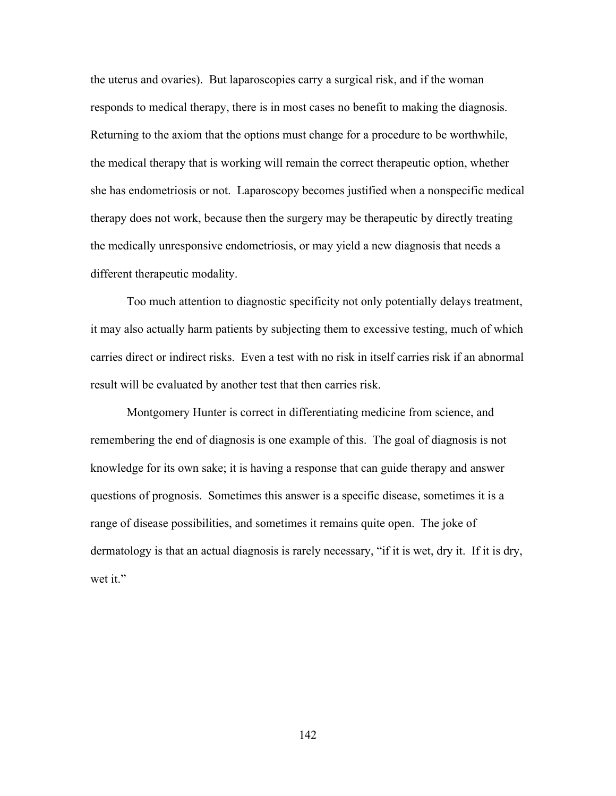the uterus and ovaries). But laparoscopies carry a surgical risk, and if the woman responds to medical therapy, there is in most cases no benefit to making the diagnosis. Returning to the axiom that the options must change for a procedure to be worthwhile, the medical therapy that is working will remain the correct therapeutic option, whether she has endometriosis or not. Laparoscopy becomes justified when a nonspecific medical therapy does not work, because then the surgery may be therapeutic by directly treating the medically unresponsive endometriosis, or may yield a new diagnosis that needs a different therapeutic modality.

Too much attention to diagnostic specificity not only potentially delays treatment, it may also actually harm patients by subjecting them to excessive testing, much of which carries direct or indirect risks. Even a test with no risk in itself carries risk if an abnormal result will be evaluated by another test that then carries risk.

Montgomery Hunter is correct in differentiating medicine from science, and remembering the end of diagnosis is one example of this. The goal of diagnosis is not knowledge for its own sake; it is having a response that can guide therapy and answer questions of prognosis. Sometimes this answer is a specific disease, sometimes it is a range of disease possibilities, and sometimes it remains quite open. The joke of dermatology is that an actual diagnosis is rarely necessary, "if it is wet, dry it. If it is dry, wet it."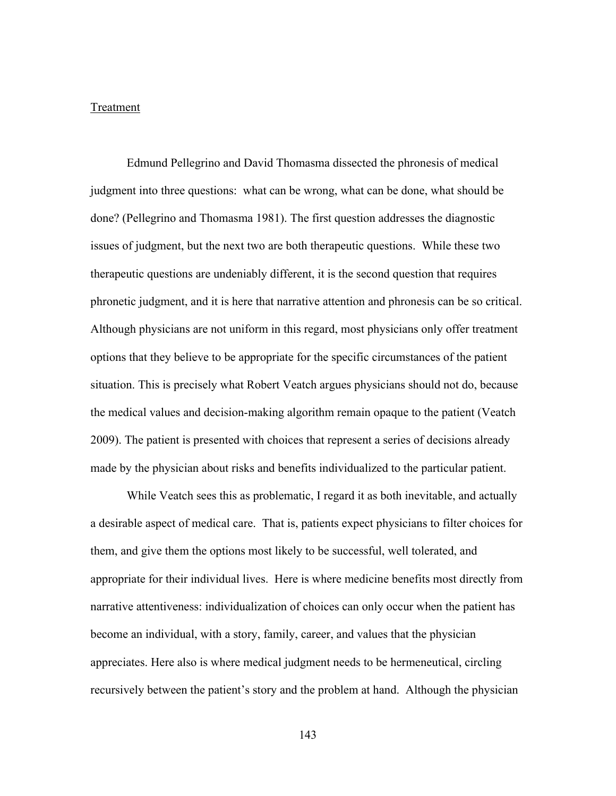## Treatment

Edmund Pellegrino and David Thomasma dissected the phronesis of medical judgment into three questions: what can be wrong, what can be done, what should be done? (Pellegrino and Thomasma 1981). The first question addresses the diagnostic issues of judgment, but the next two are both therapeutic questions. While these two therapeutic questions are undeniably different, it is the second question that requires phronetic judgment, and it is here that narrative attention and phronesis can be so critical. Although physicians are not uniform in this regard, most physicians only offer treatment options that they believe to be appropriate for the specific circumstances of the patient situation. This is precisely what Robert Veatch argues physicians should not do, because the medical values and decision-making algorithm remain opaque to the patient (Veatch 2009). The patient is presented with choices that represent a series of decisions already made by the physician about risks and benefits individualized to the particular patient.

While Veatch sees this as problematic, I regard it as both inevitable, and actually a desirable aspect of medical care. That is, patients expect physicians to filter choices for them, and give them the options most likely to be successful, well tolerated, and appropriate for their individual lives. Here is where medicine benefits most directly from narrative attentiveness: individualization of choices can only occur when the patient has become an individual, with a story, family, career, and values that the physician appreciates. Here also is where medical judgment needs to be hermeneutical, circling recursively between the patient's story and the problem at hand. Although the physician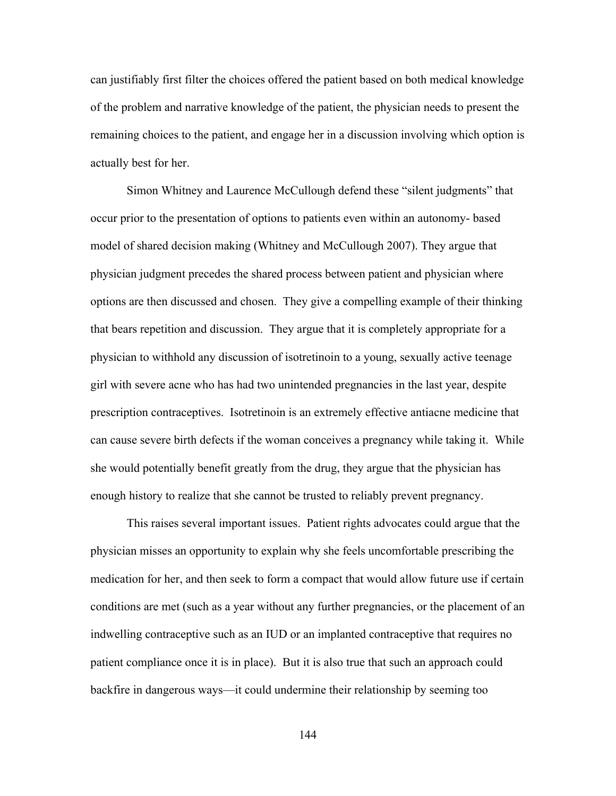can justifiably first filter the choices offered the patient based on both medical knowledge of the problem and narrative knowledge of the patient, the physician needs to present the remaining choices to the patient, and engage her in a discussion involving which option is actually best for her.

Simon Whitney and Laurence McCullough defend these "silent judgments" that occur prior to the presentation of options to patients even within an autonomy- based model of shared decision making (Whitney and McCullough 2007). They argue that physician judgment precedes the shared process between patient and physician where options are then discussed and chosen. They give a compelling example of their thinking that bears repetition and discussion. They argue that it is completely appropriate for a physician to withhold any discussion of isotretinoin to a young, sexually active teenage girl with severe acne who has had two unintended pregnancies in the last year, despite prescription contraceptives. Isotretinoin is an extremely effective antiacne medicine that can cause severe birth defects if the woman conceives a pregnancy while taking it. While she would potentially benefit greatly from the drug, they argue that the physician has enough history to realize that she cannot be trusted to reliably prevent pregnancy.

This raises several important issues. Patient rights advocates could argue that the physician misses an opportunity to explain why she feels uncomfortable prescribing the medication for her, and then seek to form a compact that would allow future use if certain conditions are met (such as a year without any further pregnancies, or the placement of an indwelling contraceptive such as an IUD or an implanted contraceptive that requires no patient compliance once it is in place). But it is also true that such an approach could backfire in dangerous ways—it could undermine their relationship by seeming too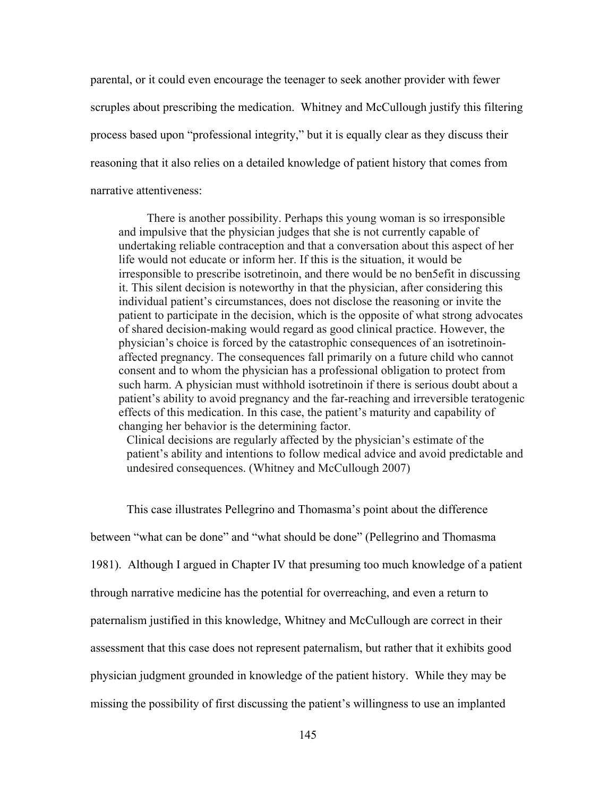parental, or it could even encourage the teenager to seek another provider with fewer scruples about prescribing the medication. Whitney and McCullough justify this filtering process based upon "professional integrity," but it is equally clear as they discuss their reasoning that it also relies on a detailed knowledge of patient history that comes from narrative attentiveness:

There is another possibility. Perhaps this young woman is so irresponsible and impulsive that the physician judges that she is not currently capable of undertaking reliable contraception and that a conversation about this aspect of her life would not educate or inform her. If this is the situation, it would be irresponsible to prescribe isotretinoin, and there would be no ben5efit in discussing it. This silent decision is noteworthy in that the physician, after considering this individual patient's circumstances, does not disclose the reasoning or invite the patient to participate in the decision, which is the opposite of what strong advocates of shared decision-making would regard as good clinical practice. However, the physician's choice is forced by the catastrophic consequences of an isotretinoinaffected pregnancy. The consequences fall primarily on a future child who cannot consent and to whom the physician has a professional obligation to protect from such harm. A physician must withhold isotretinoin if there is serious doubt about a patient's ability to avoid pregnancy and the far-reaching and irreversible teratogenic effects of this medication. In this case, the patient's maturity and capability of changing her behavior is the determining factor.

Clinical decisions are regularly affected by the physician's estimate of the patient's ability and intentions to follow medical advice and avoid predictable and undesired consequences. (Whitney and McCullough 2007)

This case illustrates Pellegrino and Thomasma's point about the difference between "what can be done" and "what should be done" (Pellegrino and Thomasma 1981). Although I argued in Chapter IV that presuming too much knowledge of a patient through narrative medicine has the potential for overreaching, and even a return to paternalism justified in this knowledge, Whitney and McCullough are correct in their assessment that this case does not represent paternalism, but rather that it exhibits good physician judgment grounded in knowledge of the patient history. While they may be missing the possibility of first discussing the patient's willingness to use an implanted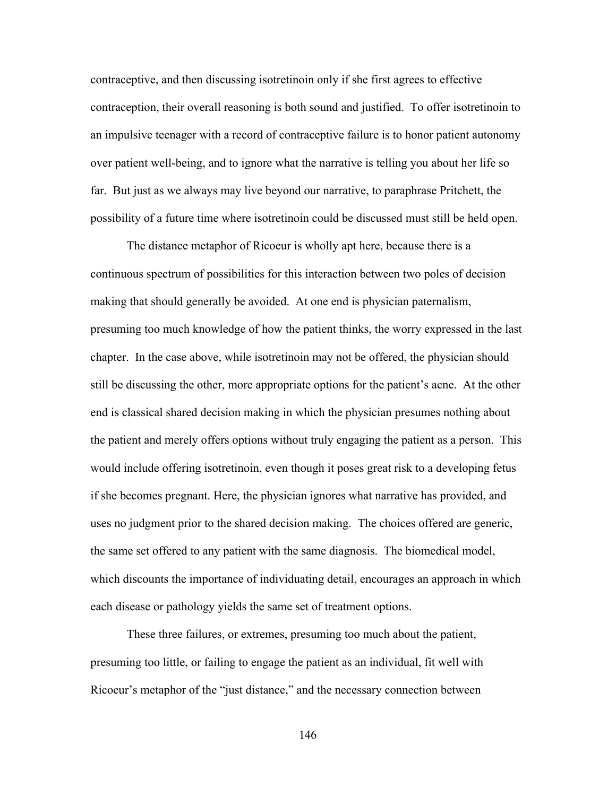contraceptive, and then discussing isotretinoin only if she first agrees to effective contraception, their overall reasoning is both sound and justified. To offer isotretinoin to an impulsive teenager with a record of contraceptive failure is to honor patient autonomy over patient well-being, and to ignore what the narrative is telling you about her life so far. But just as we always may live beyond our narrative, to paraphrase Pritchett, the possibility of a future time where isotretinoin could be discussed must still be held open.

The distance metaphor of Ricoeur is wholly apt here, because there is a continuous spectrum of possibilities for this interaction between two poles of decision making that should generally be avoided. At one end is physician paternalism, presuming too much knowledge of how the patient thinks, the worry expressed in the last chapter. In the case above, while isotretinoin may not be offered, the physician should still be discussing the other, more appropriate options for the patient's acne. At the other end is classical shared decision making in which the physician presumes nothing about the patient and merely offers options without truly engaging the patient as a person. This would include offering isotretinoin, even though it poses great risk to a developing fetus if she becomes pregnant. Here, the physician ignores what narrative has provided, and uses no judgment prior to the shared decision making. The choices offered are generic, the same set offered to any patient with the same diagnosis. The biomedical model, which discounts the importance of individuating detail, encourages an approach in which each disease or pathology yields the same set of treatment options.

These three failures, or extremes, presuming too much about the patient, presuming too little, or failing to engage the patient as an individual, fit well with Ricoeur's metaphor of the "just distance," and the necessary connection between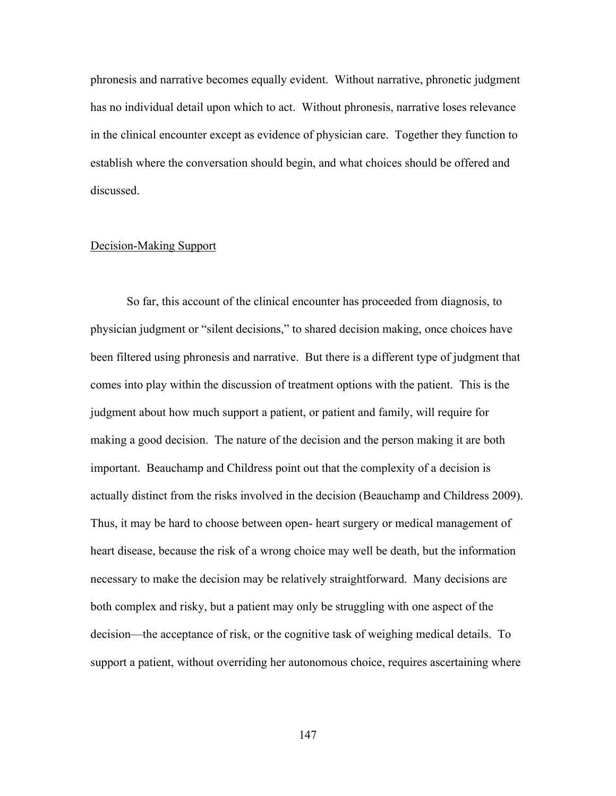phronesis and narrative becomes equally evident. Without narrative, phronetic judgment has no individual detail upon which to act. Without phronesis, narrative loses relevance in the clinical encounter except as evidence of physician care. Together they function to establish where the conversation should begin, and what choices should be offered and discussed.

## Decision-Making Support

So far, this account of the clinical encounter has proceeded from diagnosis, to physician judgment or "silent decisions," to shared decision making, once choices have been filtered using phronesis and narrative. But there is a different type of judgment that comes into play within the discussion of treatment options with the patient. This is the judgment about how much support a patient, or patient and family, will require for making a good decision. The nature of the decision and the person making it are both important. Beauchamp and Childress point out that the complexity of a decision is actually distinct from the risks involved in the decision (Beauchamp and Childress 2009). Thus, it may be hard to choose between open- heart surgery or medical management of heart disease, because the risk of a wrong choice may well be death, but the information necessary to make the decision may be relatively straightforward. Many decisions are both complex and risky, but a patient may only be struggling with one aspect of the decision—the acceptance of risk, or the cognitive task of weighing medical details. To support a patient, without overriding her autonomous choice, requires ascertaining where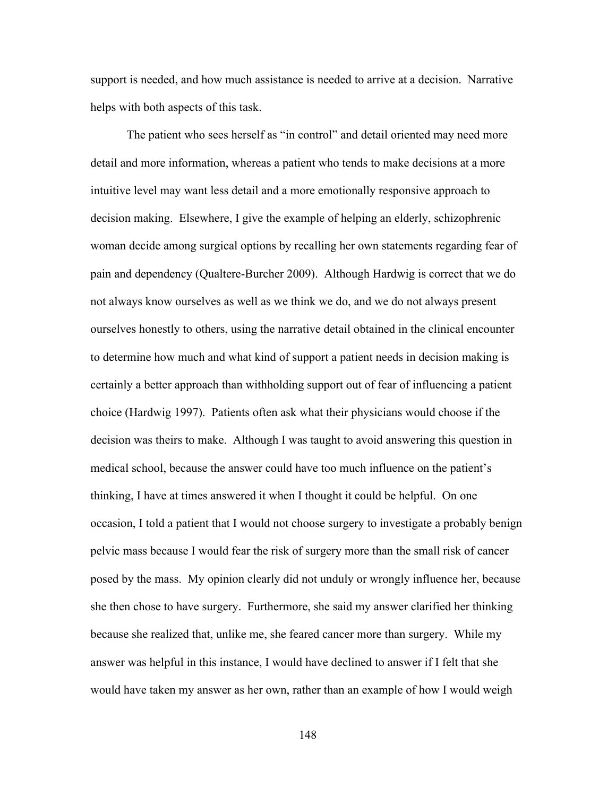support is needed, and how much assistance is needed to arrive at a decision. Narrative helps with both aspects of this task.

The patient who sees herself as "in control" and detail oriented may need more detail and more information, whereas a patient who tends to make decisions at a more intuitive level may want less detail and a more emotionally responsive approach to decision making. Elsewhere, I give the example of helping an elderly, schizophrenic woman decide among surgical options by recalling her own statements regarding fear of pain and dependency (Qualtere-Burcher 2009). Although Hardwig is correct that we do not always know ourselves as well as we think we do, and we do not always present ourselves honestly to others, using the narrative detail obtained in the clinical encounter to determine how much and what kind of support a patient needs in decision making is certainly a better approach than withholding support out of fear of influencing a patient choice (Hardwig 1997). Patients often ask what their physicians would choose if the decision was theirs to make. Although I was taught to avoid answering this question in medical school, because the answer could have too much influence on the patient's thinking, I have at times answered it when I thought it could be helpful. On one occasion, I told a patient that I would not choose surgery to investigate a probably benign pelvic mass because I would fear the risk of surgery more than the small risk of cancer posed by the mass. My opinion clearly did not unduly or wrongly influence her, because she then chose to have surgery. Furthermore, she said my answer clarified her thinking because she realized that, unlike me, she feared cancer more than surgery. While my answer was helpful in this instance, I would have declined to answer if I felt that she would have taken my answer as her own, rather than an example of how I would weigh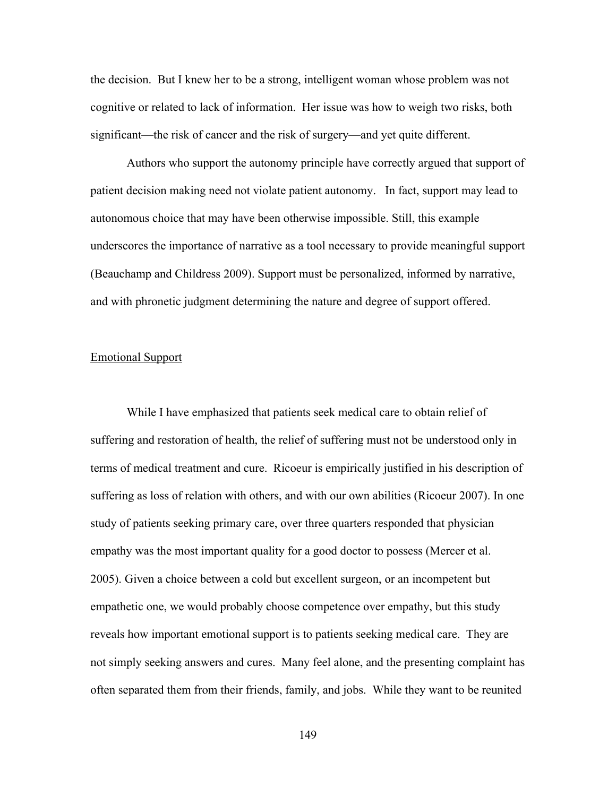the decision. But I knew her to be a strong, intelligent woman whose problem was not cognitive or related to lack of information. Her issue was how to weigh two risks, both significant—the risk of cancer and the risk of surgery—and yet quite different.

Authors who support the autonomy principle have correctly argued that support of patient decision making need not violate patient autonomy. In fact, support may lead to autonomous choice that may have been otherwise impossible. Still, this example underscores the importance of narrative as a tool necessary to provide meaningful support (Beauchamp and Childress 2009). Support must be personalized, informed by narrative, and with phronetic judgment determining the nature and degree of support offered.

## Emotional Support

While I have emphasized that patients seek medical care to obtain relief of suffering and restoration of health, the relief of suffering must not be understood only in terms of medical treatment and cure. Ricoeur is empirically justified in his description of suffering as loss of relation with others, and with our own abilities (Ricoeur 2007). In one study of patients seeking primary care, over three quarters responded that physician empathy was the most important quality for a good doctor to possess (Mercer et al. 2005). Given a choice between a cold but excellent surgeon, or an incompetent but empathetic one, we would probably choose competence over empathy, but this study reveals how important emotional support is to patients seeking medical care. They are not simply seeking answers and cures. Many feel alone, and the presenting complaint has often separated them from their friends, family, and jobs. While they want to be reunited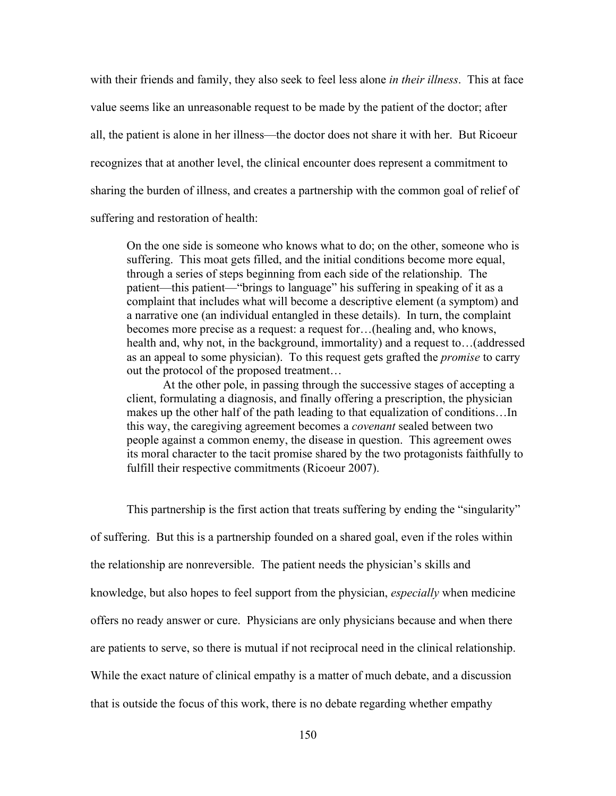with their friends and family, they also seek to feel less alone *in their illness*. This at face value seems like an unreasonable request to be made by the patient of the doctor; after all, the patient is alone in her illness—the doctor does not share it with her. But Ricoeur recognizes that at another level, the clinical encounter does represent a commitment to sharing the burden of illness, and creates a partnership with the common goal of relief of suffering and restoration of health:

On the one side is someone who knows what to do; on the other, someone who is suffering. This moat gets filled, and the initial conditions become more equal, through a series of steps beginning from each side of the relationship. The patient—this patient—"brings to language" his suffering in speaking of it as a complaint that includes what will become a descriptive element (a symptom) and a narrative one (an individual entangled in these details). In turn, the complaint becomes more precise as a request: a request for…(healing and, who knows, health and, why not, in the background, immortality) and a request to…(addressed as an appeal to some physician). To this request gets grafted the *promise* to carry out the protocol of the proposed treatment…

At the other pole, in passing through the successive stages of accepting a client, formulating a diagnosis, and finally offering a prescription, the physician makes up the other half of the path leading to that equalization of conditions…In this way, the caregiving agreement becomes a *covenant* sealed between two people against a common enemy, the disease in question. This agreement owes its moral character to the tacit promise shared by the two protagonists faithfully to fulfill their respective commitments (Ricoeur 2007).

This partnership is the first action that treats suffering by ending the "singularity" of suffering. But this is a partnership founded on a shared goal, even if the roles within the relationship are nonreversible. The patient needs the physician's skills and knowledge, but also hopes to feel support from the physician, *especially* when medicine offers no ready answer or cure. Physicians are only physicians because and when there are patients to serve, so there is mutual if not reciprocal need in the clinical relationship. While the exact nature of clinical empathy is a matter of much debate, and a discussion that is outside the focus of this work, there is no debate regarding whether empathy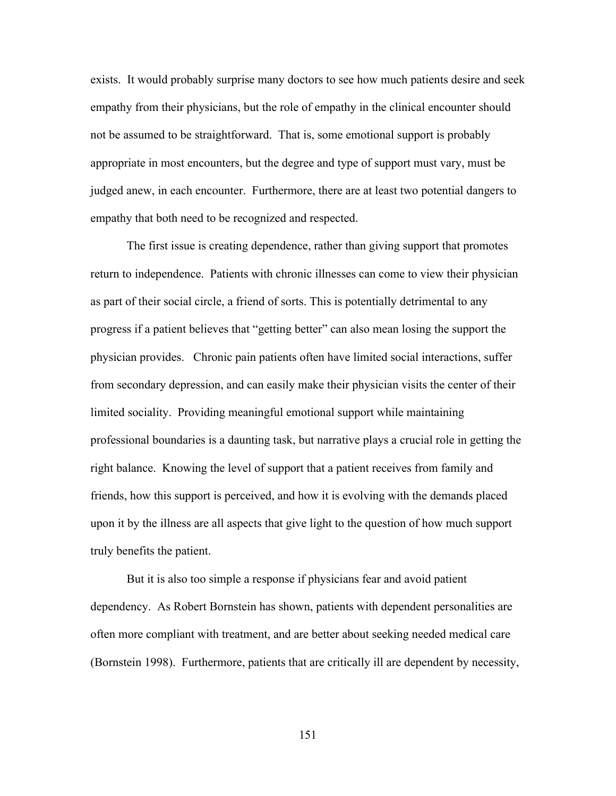exists. It would probably surprise many doctors to see how much patients desire and seek empathy from their physicians, but the role of empathy in the clinical encounter should not be assumed to be straightforward. That is, some emotional support is probably appropriate in most encounters, but the degree and type of support must vary, must be judged anew, in each encounter. Furthermore, there are at least two potential dangers to empathy that both need to be recognized and respected.

The first issue is creating dependence, rather than giving support that promotes return to independence. Patients with chronic illnesses can come to view their physician as part of their social circle, a friend of sorts. This is potentially detrimental to any progress if a patient believes that "getting better" can also mean losing the support the physician provides. Chronic pain patients often have limited social interactions, suffer from secondary depression, and can easily make their physician visits the center of their limited sociality. Providing meaningful emotional support while maintaining professional boundaries is a daunting task, but narrative plays a crucial role in getting the right balance. Knowing the level of support that a patient receives from family and friends, how this support is perceived, and how it is evolving with the demands placed upon it by the illness are all aspects that give light to the question of how much support truly benefits the patient.

But it is also too simple a response if physicians fear and avoid patient dependency. As Robert Bornstein has shown, patients with dependent personalities are often more compliant with treatment, and are better about seeking needed medical care (Bornstein 1998). Furthermore, patients that are critically ill are dependent by necessity,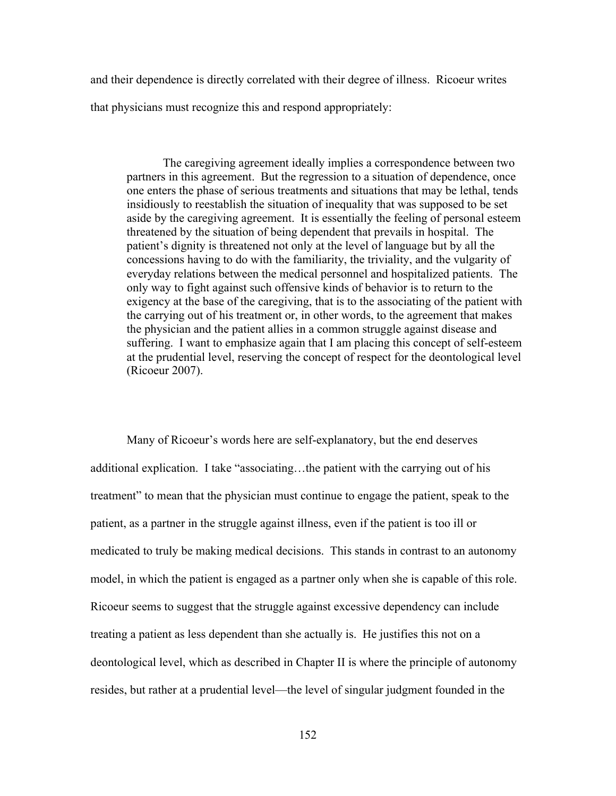and their dependence is directly correlated with their degree of illness. Ricoeur writes that physicians must recognize this and respond appropriately:

The caregiving agreement ideally implies a correspondence between two partners in this agreement. But the regression to a situation of dependence, once one enters the phase of serious treatments and situations that may be lethal, tends insidiously to reestablish the situation of inequality that was supposed to be set aside by the caregiving agreement. It is essentially the feeling of personal esteem threatened by the situation of being dependent that prevails in hospital. The patient's dignity is threatened not only at the level of language but by all the concessions having to do with the familiarity, the triviality, and the vulgarity of everyday relations between the medical personnel and hospitalized patients. The only way to fight against such offensive kinds of behavior is to return to the exigency at the base of the caregiving, that is to the associating of the patient with the carrying out of his treatment or, in other words, to the agreement that makes the physician and the patient allies in a common struggle against disease and suffering. I want to emphasize again that I am placing this concept of self-esteem at the prudential level, reserving the concept of respect for the deontological level (Ricoeur 2007).

Many of Ricoeur's words here are self-explanatory, but the end deserves additional explication. I take "associating…the patient with the carrying out of his treatment" to mean that the physician must continue to engage the patient, speak to the patient, as a partner in the struggle against illness, even if the patient is too ill or medicated to truly be making medical decisions. This stands in contrast to an autonomy model, in which the patient is engaged as a partner only when she is capable of this role. Ricoeur seems to suggest that the struggle against excessive dependency can include treating a patient as less dependent than she actually is. He justifies this not on a deontological level, which as described in Chapter II is where the principle of autonomy resides, but rather at a prudential level—the level of singular judgment founded in the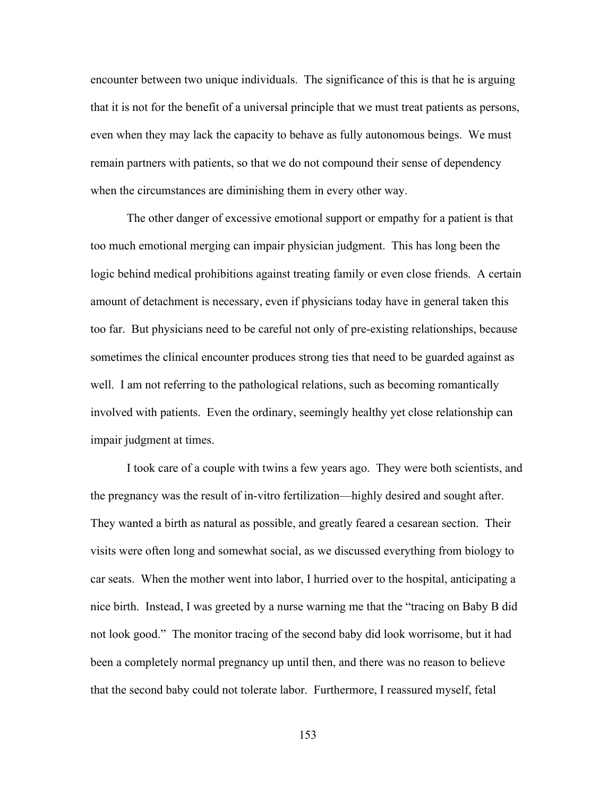encounter between two unique individuals. The significance of this is that he is arguing that it is not for the benefit of a universal principle that we must treat patients as persons, even when they may lack the capacity to behave as fully autonomous beings. We must remain partners with patients, so that we do not compound their sense of dependency when the circumstances are diminishing them in every other way.

The other danger of excessive emotional support or empathy for a patient is that too much emotional merging can impair physician judgment. This has long been the logic behind medical prohibitions against treating family or even close friends. A certain amount of detachment is necessary, even if physicians today have in general taken this too far. But physicians need to be careful not only of pre-existing relationships, because sometimes the clinical encounter produces strong ties that need to be guarded against as well. I am not referring to the pathological relations, such as becoming romantically involved with patients. Even the ordinary, seemingly healthy yet close relationship can impair judgment at times.

I took care of a couple with twins a few years ago. They were both scientists, and the pregnancy was the result of in-vitro fertilization—highly desired and sought after. They wanted a birth as natural as possible, and greatly feared a cesarean section. Their visits were often long and somewhat social, as we discussed everything from biology to car seats. When the mother went into labor, I hurried over to the hospital, anticipating a nice birth. Instead, I was greeted by a nurse warning me that the "tracing on Baby B did not look good." The monitor tracing of the second baby did look worrisome, but it had been a completely normal pregnancy up until then, and there was no reason to believe that the second baby could not tolerate labor. Furthermore, I reassured myself, fetal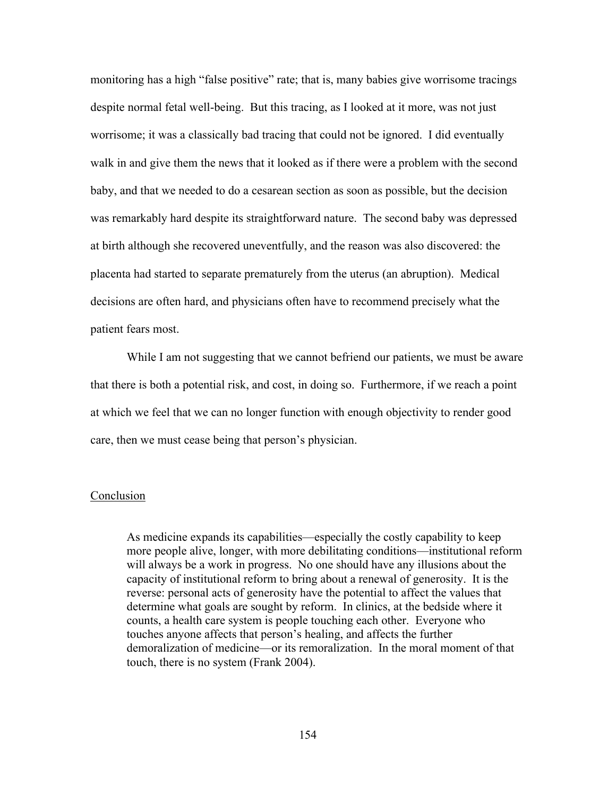monitoring has a high "false positive" rate; that is, many babies give worrisome tracings despite normal fetal well-being. But this tracing, as I looked at it more, was not just worrisome; it was a classically bad tracing that could not be ignored. I did eventually walk in and give them the news that it looked as if there were a problem with the second baby, and that we needed to do a cesarean section as soon as possible, but the decision was remarkably hard despite its straightforward nature. The second baby was depressed at birth although she recovered uneventfully, and the reason was also discovered: the placenta had started to separate prematurely from the uterus (an abruption). Medical decisions are often hard, and physicians often have to recommend precisely what the patient fears most.

While I am not suggesting that we cannot befriend our patients, we must be aware that there is both a potential risk, and cost, in doing so. Furthermore, if we reach a point at which we feel that we can no longer function with enough objectivity to render good care, then we must cease being that person's physician.

### Conclusion

As medicine expands its capabilities—especially the costly capability to keep more people alive, longer, with more debilitating conditions—institutional reform will always be a work in progress. No one should have any illusions about the capacity of institutional reform to bring about a renewal of generosity. It is the reverse: personal acts of generosity have the potential to affect the values that determine what goals are sought by reform. In clinics, at the bedside where it counts, a health care system is people touching each other. Everyone who touches anyone affects that person's healing, and affects the further demoralization of medicine—or its remoralization. In the moral moment of that touch, there is no system (Frank 2004).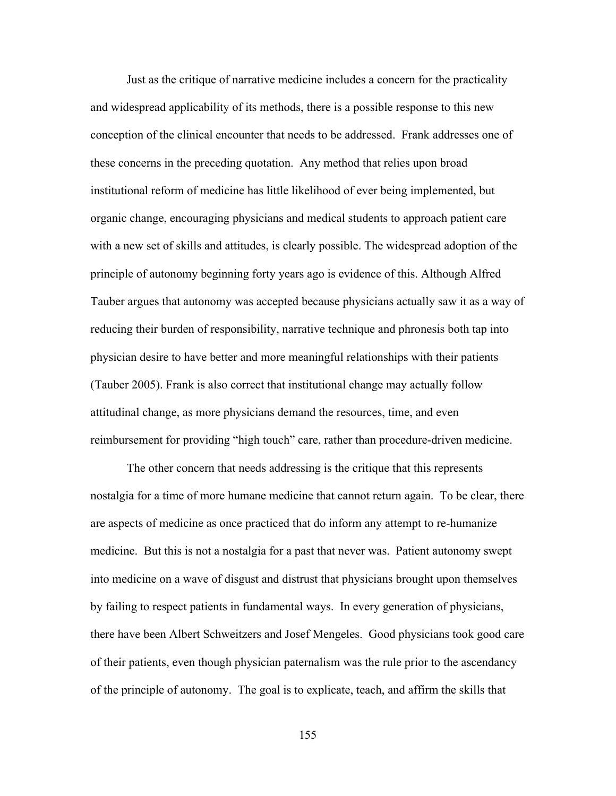Just as the critique of narrative medicine includes a concern for the practicality and widespread applicability of its methods, there is a possible response to this new conception of the clinical encounter that needs to be addressed. Frank addresses one of these concerns in the preceding quotation. Any method that relies upon broad institutional reform of medicine has little likelihood of ever being implemented, but organic change, encouraging physicians and medical students to approach patient care with a new set of skills and attitudes, is clearly possible. The widespread adoption of the principle of autonomy beginning forty years ago is evidence of this. Although Alfred Tauber argues that autonomy was accepted because physicians actually saw it as a way of reducing their burden of responsibility, narrative technique and phronesis both tap into physician desire to have better and more meaningful relationships with their patients (Tauber 2005). Frank is also correct that institutional change may actually follow attitudinal change, as more physicians demand the resources, time, and even reimbursement for providing "high touch" care, rather than procedure-driven medicine.

The other concern that needs addressing is the critique that this represents nostalgia for a time of more humane medicine that cannot return again. To be clear, there are aspects of medicine as once practiced that do inform any attempt to re-humanize medicine. But this is not a nostalgia for a past that never was. Patient autonomy swept into medicine on a wave of disgust and distrust that physicians brought upon themselves by failing to respect patients in fundamental ways. In every generation of physicians, there have been Albert Schweitzers and Josef Mengeles. Good physicians took good care of their patients, even though physician paternalism was the rule prior to the ascendancy of the principle of autonomy. The goal is to explicate, teach, and affirm the skills that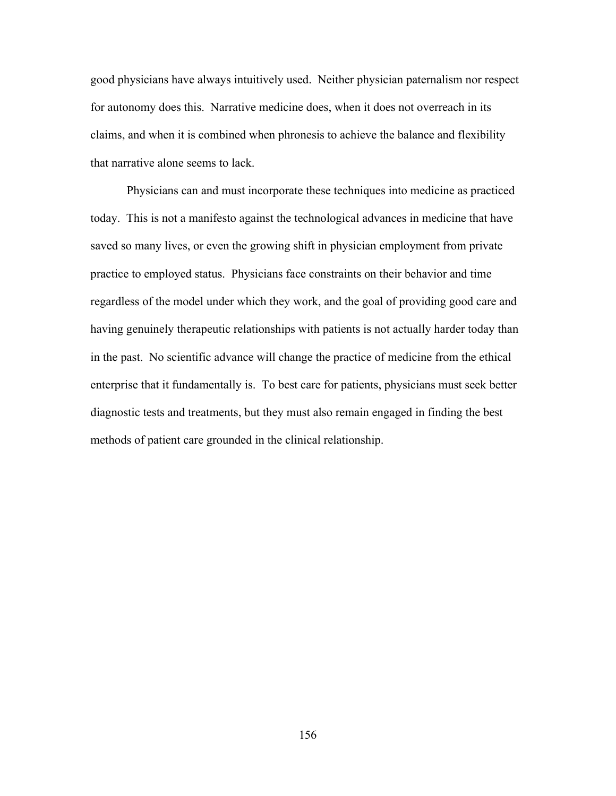good physicians have always intuitively used. Neither physician paternalism nor respect for autonomy does this. Narrative medicine does, when it does not overreach in its claims, and when it is combined when phronesis to achieve the balance and flexibility that narrative alone seems to lack.

Physicians can and must incorporate these techniques into medicine as practiced today. This is not a manifesto against the technological advances in medicine that have saved so many lives, or even the growing shift in physician employment from private practice to employed status. Physicians face constraints on their behavior and time regardless of the model under which they work, and the goal of providing good care and having genuinely therapeutic relationships with patients is not actually harder today than in the past. No scientific advance will change the practice of medicine from the ethical enterprise that it fundamentally is. To best care for patients, physicians must seek better diagnostic tests and treatments, but they must also remain engaged in finding the best methods of patient care grounded in the clinical relationship.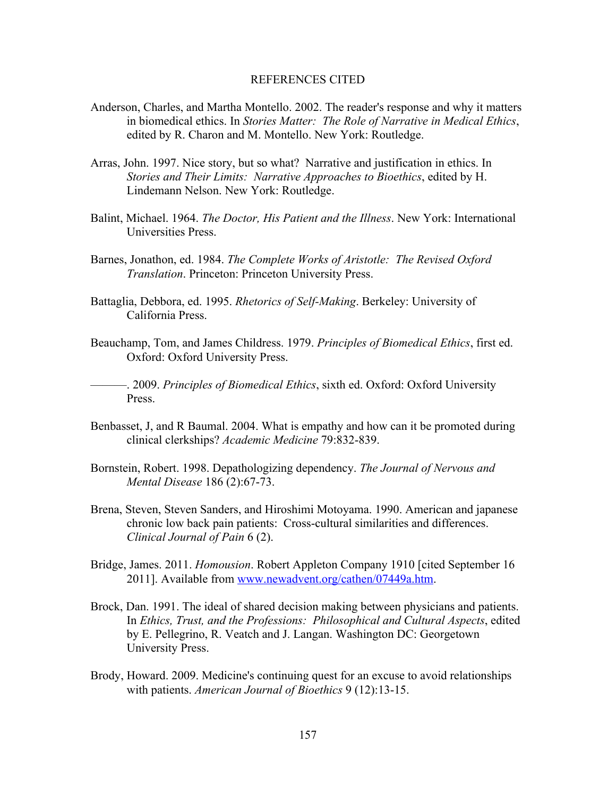#### REFERENCES CITED

- Anderson, Charles, and Martha Montello. 2002. The reader's response and why it matters in biomedical ethics. In *Stories Matter: The Role of Narrative in Medical Ethics*, edited by R. Charon and M. Montello. New York: Routledge.
- Arras, John. 1997. Nice story, but so what? Narrative and justification in ethics. In *Stories and Their Limits: Narrative Approaches to Bioethics*, edited by H. Lindemann Nelson. New York: Routledge.
- Balint, Michael. 1964. *The Doctor, His Patient and the Illness*. New York: International Universities Press.
- Barnes, Jonathon, ed. 1984. *The Complete Works of Aristotle: The Revised Oxford Translation*. Princeton: Princeton University Press.
- Battaglia, Debbora, ed. 1995. *Rhetorics of Self-Making*. Berkeley: University of California Press.
- Beauchamp, Tom, and James Childress. 1979. *Principles of Biomedical Ethics*, first ed. Oxford: Oxford University Press.

———. 2009. *Principles of Biomedical Ethics*, sixth ed. Oxford: Oxford University Press.

- Benbasset, J, and R Baumal. 2004. What is empathy and how can it be promoted during clinical clerkships? *Academic Medicine* 79:832-839.
- Bornstein, Robert. 1998. Depathologizing dependency. *The Journal of Nervous and Mental Disease* 186 (2):67-73.
- Brena, Steven, Steven Sanders, and Hiroshimi Motoyama. 1990. American and japanese chronic low back pain patients: Cross-cultural similarities and differences. *Clinical Journal of Pain* 6 (2).
- Bridge, James. 2011. *Homousion*. Robert Appleton Company 1910 [cited September 16 2011]. Available from www.newadvent.org/cathen/07449a.htm.
- Brock, Dan. 1991. The ideal of shared decision making between physicians and patients. In *Ethics, Trust, and the Professions: Philosophical and Cultural Aspects*, edited by E. Pellegrino, R. Veatch and J. Langan. Washington DC: Georgetown University Press.
- Brody, Howard. 2009. Medicine's continuing quest for an excuse to avoid relationships with patients. *American Journal of Bioethics* 9 (12):13-15.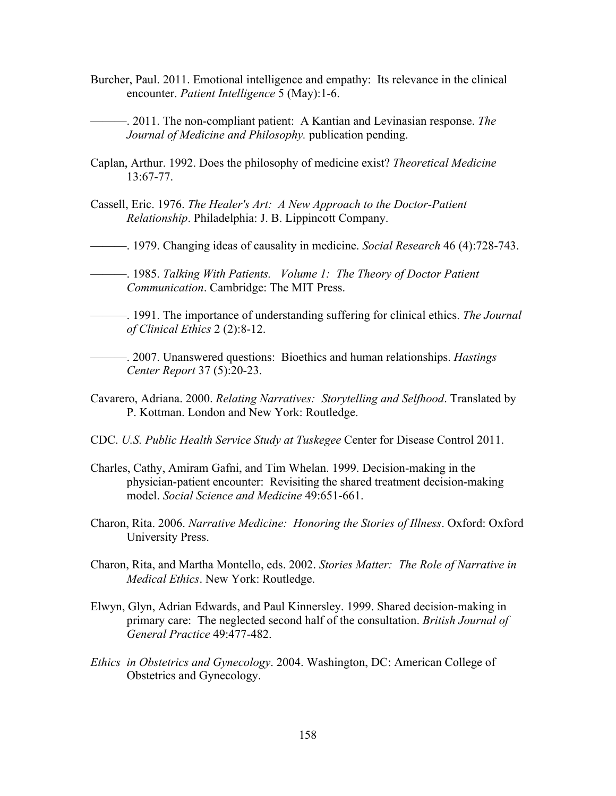- Burcher, Paul. 2011. Emotional intelligence and empathy: Its relevance in the clinical encounter. *Patient Intelligence* 5 (May):1-6.
- ———. 2011. The non-compliant patient: A Kantian and Levinasian response. *The Journal of Medicine and Philosophy.* publication pending.
- Caplan, Arthur. 1992. Does the philosophy of medicine exist? *Theoretical Medicine* 13:67-77.
- Cassell, Eric. 1976. *The Healer's Art: A New Approach to the Doctor-Patient Relationship*. Philadelphia: J. B. Lippincott Company.
- ———. 1979. Changing ideas of causality in medicine. *Social Research* 46 (4):728-743.
- ———. 1985. *Talking With Patients. Volume 1: The Theory of Doctor Patient Communication*. Cambridge: The MIT Press.
- ———. 1991. The importance of understanding suffering for clinical ethics. *The Journal of Clinical Ethics* 2 (2):8-12.
- ———. 2007. Unanswered questions: Bioethics and human relationships. *Hastings Center Report* 37 (5):20-23.
- Cavarero, Adriana. 2000. *Relating Narratives: Storytelling and Selfhood*. Translated by P. Kottman. London and New York: Routledge.
- CDC. *U.S. Public Health Service Study at Tuskegee* Center for Disease Control 2011.
- Charles, Cathy, Amiram Gafni, and Tim Whelan. 1999. Decision-making in the physician-patient encounter: Revisiting the shared treatment decision-making model. *Social Science and Medicine* 49:651-661.
- Charon, Rita. 2006. *Narrative Medicine: Honoring the Stories of Illness*. Oxford: Oxford University Press.
- Charon, Rita, and Martha Montello, eds. 2002. *Stories Matter: The Role of Narrative in Medical Ethics*. New York: Routledge.
- Elwyn, Glyn, Adrian Edwards, and Paul Kinnersley. 1999. Shared decision-making in primary care: The neglected second half of the consultation. *British Journal of General Practice* 49:477-482.
- *Ethics in Obstetrics and Gynecology*. 2004. Washington, DC: American College of Obstetrics and Gynecology.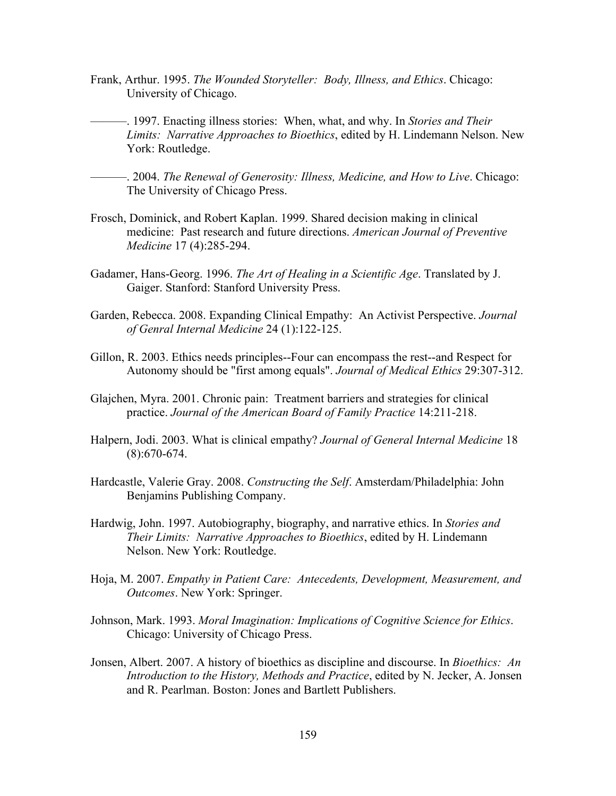- Frank, Arthur. 1995. *The Wounded Storyteller: Body, Illness, and Ethics*. Chicago: University of Chicago.
	- ———. 1997. Enacting illness stories: When, what, and why. In *Stories and Their Limits: Narrative Approaches to Bioethics*, edited by H. Lindemann Nelson. New York: Routledge.

———. 2004. *The Renewal of Generosity: Illness, Medicine, and How to Live*. Chicago: The University of Chicago Press.

- Frosch, Dominick, and Robert Kaplan. 1999. Shared decision making in clinical medicine: Past research and future directions. *American Journal of Preventive Medicine* 17 (4):285-294.
- Gadamer, Hans-Georg. 1996. *The Art of Healing in a Scientific Age*. Translated by J. Gaiger. Stanford: Stanford University Press.
- Garden, Rebecca. 2008. Expanding Clinical Empathy: An Activist Perspective. *Journal of Genral Internal Medicine* 24 (1):122-125.
- Gillon, R. 2003. Ethics needs principles--Four can encompass the rest--and Respect for Autonomy should be "first among equals". *Journal of Medical Ethics* 29:307-312.
- Glajchen, Myra. 2001. Chronic pain: Treatment barriers and strategies for clinical practice. *Journal of the American Board of Family Practice* 14:211-218.
- Halpern, Jodi. 2003. What is clinical empathy? *Journal of General Internal Medicine* 18 (8):670-674.
- Hardcastle, Valerie Gray. 2008. *Constructing the Self*. Amsterdam/Philadelphia: John Benjamins Publishing Company.
- Hardwig, John. 1997. Autobiography, biography, and narrative ethics. In *Stories and Their Limits: Narrative Approaches to Bioethics*, edited by H. Lindemann Nelson. New York: Routledge.
- Hoja, M. 2007. *Empathy in Patient Care: Antecedents, Development, Measurement, and Outcomes*. New York: Springer.
- Johnson, Mark. 1993. *Moral Imagination: Implications of Cognitive Science for Ethics*. Chicago: University of Chicago Press.
- Jonsen, Albert. 2007. A history of bioethics as discipline and discourse. In *Bioethics: An Introduction to the History, Methods and Practice*, edited by N. Jecker, A. Jonsen and R. Pearlman. Boston: Jones and Bartlett Publishers.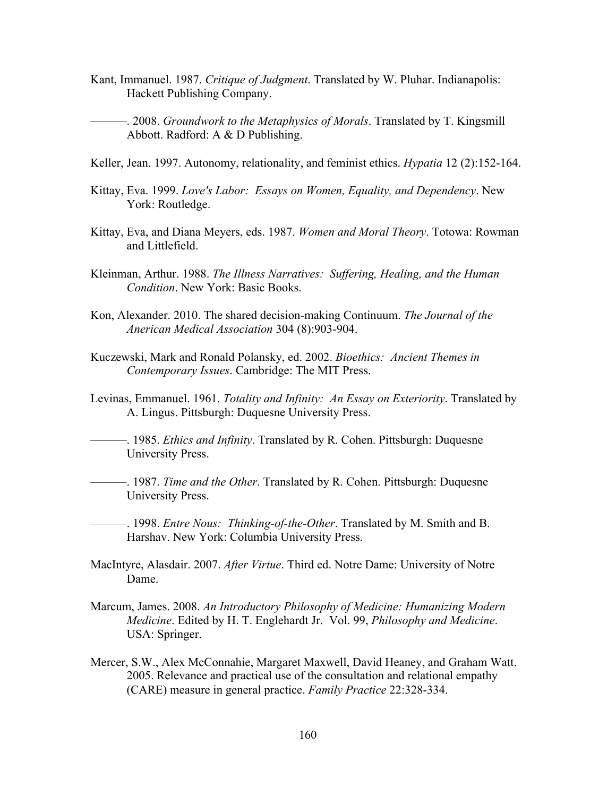- Kant, Immanuel. 1987. *Critique of Judgment*. Translated by W. Pluhar. Indianapolis: Hackett Publishing Company.
- ———. 2008. *Groundwork to the Metaphysics of Morals*. Translated by T. Kingsmill Abbott. Radford: A & D Publishing.
- Keller, Jean. 1997. Autonomy, relationality, and feminist ethics. *Hypatia* 12 (2):152-164.
- Kittay, Eva. 1999. *Love's Labor: Essays on Women, Equality, and Dependency*. New York: Routledge.
- Kittay, Eva, and Diana Meyers, eds. 1987. *Women and Moral Theory*. Totowa: Rowman and Littlefield.
- Kleinman, Arthur. 1988. *The Illness Narratives: Suffering, Healing, and the Human Condition*. New York: Basic Books.
- Kon, Alexander. 2010. The shared decision-making Continuum. *The Journal of the Anerican Medical Association* 304 (8):903-904.
- Kuczewski, Mark and Ronald Polansky, ed. 2002. *Bioethics: Ancient Themes in Contemporary Issues*. Cambridge: The MIT Press.
- Levinas, Emmanuel. 1961. *Totality and Infinity: An Essay on Exteriority*. Translated by A. Lingus. Pittsburgh: Duquesne University Press.
- ———. 1985. *Ethics and Infinity*. Translated by R. Cohen. Pittsburgh: Duquesne University Press.
- ———. 1987. *Time and the Other*. Translated by R. Cohen. Pittsburgh: Duquesne University Press.

———. 1998. *Entre Nous: Thinking-of-the-Other*. Translated by M. Smith and B. Harshav. New York: Columbia University Press.

- MacIntyre, Alasdair. 2007. *After Virtue*. Third ed. Notre Dame: University of Notre Dame.
- Marcum, James. 2008. *An Introductory Philosophy of Medicine: Humanizing Modern Medicine*. Edited by H. T. Englehardt Jr. Vol. 99, *Philosophy and Medicine*. USA: Springer.
- Mercer, S.W., Alex McConnahie, Margaret Maxwell, David Heaney, and Graham Watt. 2005. Relevance and practical use of the consultation and relational empathy (CARE) measure in general practice. *Family Practice* 22:328-334.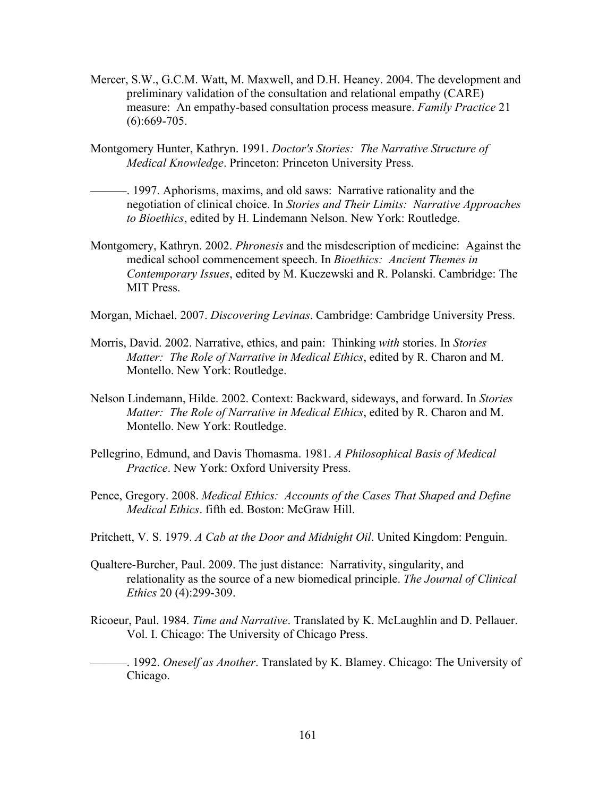- Mercer, S.W., G.C.M. Watt, M. Maxwell, and D.H. Heaney. 2004. The development and preliminary validation of the consultation and relational empathy (CARE) measure: An empathy-based consultation process measure. *Family Practice* 21  $(6):669-705.$
- Montgomery Hunter, Kathryn. 1991. *Doctor's Stories: The Narrative Structure of Medical Knowledge*. Princeton: Princeton University Press.
- ———. 1997. Aphorisms, maxims, and old saws: Narrative rationality and the negotiation of clinical choice. In *Stories and Their Limits: Narrative Approaches to Bioethics*, edited by H. Lindemann Nelson. New York: Routledge.
- Montgomery, Kathryn. 2002. *Phronesis* and the misdescription of medicine: Against the medical school commencement speech. In *Bioethics: Ancient Themes in Contemporary Issues*, edited by M. Kuczewski and R. Polanski. Cambridge: The MIT Press.

Morgan, Michael. 2007. *Discovering Levinas*. Cambridge: Cambridge University Press.

- Morris, David. 2002. Narrative, ethics, and pain: Thinking *with* stories. In *Stories Matter: The Role of Narrative in Medical Ethics*, edited by R. Charon and M. Montello. New York: Routledge.
- Nelson Lindemann, Hilde. 2002. Context: Backward, sideways, and forward. In *Stories Matter: The Role of Narrative in Medical Ethics*, edited by R. Charon and M. Montello. New York: Routledge.
- Pellegrino, Edmund, and Davis Thomasma. 1981. *A Philosophical Basis of Medical Practice*. New York: Oxford University Press.
- Pence, Gregory. 2008. *Medical Ethics: Accounts of the Cases That Shaped and Define Medical Ethics*. fifth ed. Boston: McGraw Hill.
- Pritchett, V. S. 1979. *A Cab at the Door and Midnight Oil*. United Kingdom: Penguin.
- Qualtere-Burcher, Paul. 2009. The just distance: Narrativity, singularity, and relationality as the source of a new biomedical principle. *The Journal of Clinical Ethics* 20 (4):299-309.
- Ricoeur, Paul. 1984. *Time and Narrative*. Translated by K. McLaughlin and D. Pellauer. Vol. I. Chicago: The University of Chicago Press.
- ———. 1992. *Oneself as Another*. Translated by K. Blamey. Chicago: The University of Chicago.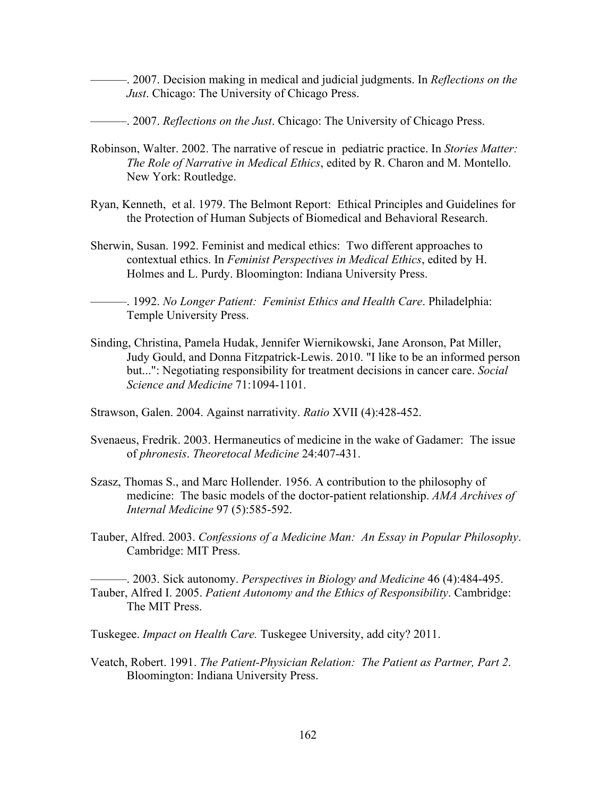- ———. 2007. Decision making in medical and judicial judgments. In *Reflections on the Just*. Chicago: The University of Chicago Press.
- ———. 2007. *Reflections on the Just*. Chicago: The University of Chicago Press.
- Robinson, Walter. 2002. The narrative of rescue in pediatric practice. In *Stories Matter: The Role of Narrative in Medical Ethics*, edited by R. Charon and M. Montello. New York: Routledge.
- Ryan, Kenneth, et al. 1979. The Belmont Report: Ethical Principles and Guidelines for the Protection of Human Subjects of Biomedical and Behavioral Research.
- Sherwin, Susan. 1992. Feminist and medical ethics: Two different approaches to contextual ethics. In *Feminist Perspectives in Medical Ethics*, edited by H. Holmes and L. Purdy. Bloomington: Indiana University Press.

———. 1992. *No Longer Patient: Feminist Ethics and Health Care*. Philadelphia: Temple University Press.

- Sinding, Christina, Pamela Hudak, Jennifer Wiernikowski, Jane Aronson, Pat Miller, Judy Gould, and Donna Fitzpatrick-Lewis. 2010. "I like to be an informed person but...": Negotiating responsibility for treatment decisions in cancer care. *Social Science and Medicine* 71:1094-1101.
- Strawson, Galen. 2004. Against narrativity. *Ratio* XVII (4):428-452.
- Svenaeus, Fredrik. 2003. Hermaneutics of medicine in the wake of Gadamer: The issue of *phronesis*. *Theoretocal Medicine* 24:407-431.
- Szasz, Thomas S., and Marc Hollender. 1956. A contribution to the philosophy of medicine: The basic models of the doctor-patient relationship. *AMA Archives of Internal Medicine* 97 (5):585-592.
- Tauber, Alfred. 2003. *Confessions of a Medicine Man: An Essay in Popular Philosophy*. Cambridge: MIT Press.

———. 2003. Sick autonomy. *Perspectives in Biology and Medicine* 46 (4):484-495. Tauber, Alfred I. 2005. *Patient Autonomy and the Ethics of Responsibility*. Cambridge: The MIT Press.

- Tuskegee. *Impact on Health Care.* Tuskegee University, add city? 2011.
- Veatch, Robert. 1991. *The Patient-Physician Relation: The Patient as Partner, Part 2*. Bloomington: Indiana University Press.